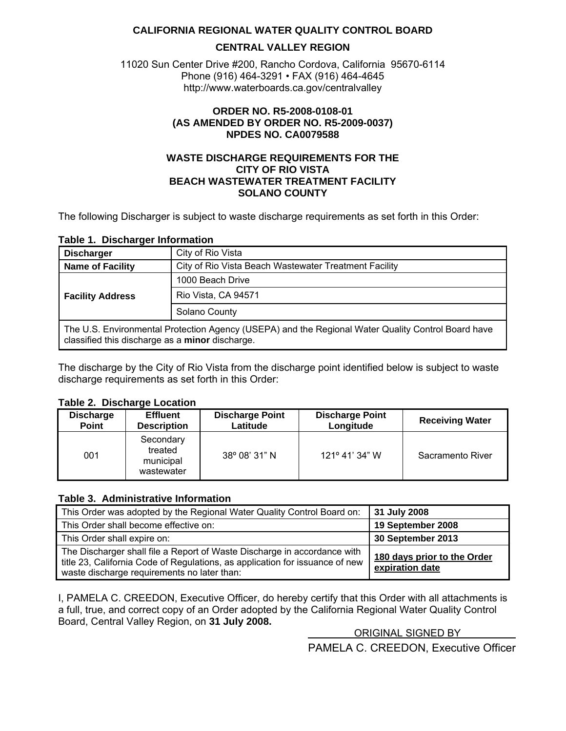#### **CALIFORNIA REGIONAL WATER QUALITY CONTROL BOARD**

#### **CENTRAL VALLEY REGION**

<span id="page-0-0"></span>11020 Sun Center Drive #200, Rancho Cordova, California 95670-6114 Phone (916) 464-3291 • FAX (916) 464-4645 http://www.waterboards.ca.gov/centralvalley

#### **ORDER NO. R5-2008-0108-01 (AS AMENDED BY ORDER NO. R5-2009-0037) NPDES NO. CA0079588**

#### **WASTE DISCHARGE REQUIREMENTS FOR THE CITY OF RIO VISTA BEACH WASTEWATER TREATMENT FACILITY SOLANO COUNTY**

The following Discharger is subject to waste discharge requirements as set forth in this Order:

#### **Table 1. Discharger Information**

| <b>Discharger</b>                                                                                                                                     | City of Rio Vista                                     |  |  |
|-------------------------------------------------------------------------------------------------------------------------------------------------------|-------------------------------------------------------|--|--|
| <b>Name of Facility</b>                                                                                                                               | City of Rio Vista Beach Wastewater Treatment Facility |  |  |
| 1000 Beach Drive                                                                                                                                      |                                                       |  |  |
| <b>Facility Address</b>                                                                                                                               | Rio Vista, CA 94571                                   |  |  |
| Solano County                                                                                                                                         |                                                       |  |  |
| The U.S. Environmental Protection Agency (USEPA) and the Regional Water Quality Control Board have<br>classified this discharge as a minor discharge. |                                                       |  |  |

The discharge by the City of Rio Vista from the discharge point identified below is subject to waste discharge requirements as set forth in this Order:

#### **Table 2. Discharge Location**

| <b>Discharge</b> | <b>Effluent</b>                                 | <b>Discharge Point</b> | <b>Discharge Point</b>  | <b>Receiving Water</b> |
|------------------|-------------------------------------------------|------------------------|-------------------------|------------------------|
| <b>Point</b>     | <b>Description</b>                              | Latitude               | Longitude               |                        |
| 001              | Secondary<br>treated<br>municipal<br>wastewater | 38° 08' 31" N          | $121^{\circ}$ 41' 34" W | Sacramento River       |

#### **Table 3. Administrative Information**

| This Order was adopted by the Regional Water Quality Control Board on:                                                                                                                                  | 31 July 2008                                   |
|---------------------------------------------------------------------------------------------------------------------------------------------------------------------------------------------------------|------------------------------------------------|
| This Order shall become effective on:                                                                                                                                                                   | 19 September 2008                              |
| This Order shall expire on:                                                                                                                                                                             | 30 September 2013                              |
| The Discharger shall file a Report of Waste Discharge in accordance with<br>title 23, California Code of Regulations, as application for issuance of new<br>waste discharge requirements no later than: | 180 days prior to the Order<br>expiration date |

I, PAMELA C. CREEDON, Executive Officer, do hereby certify that this Order with all attachments is a full, true, and correct copy of an Order adopted by the California Regional Water Quality Control Board, Central Valley Region, on **31 July 2008.**

ORIGINAL SIGNED BY

PAMELA C. CREEDON, Executive Officer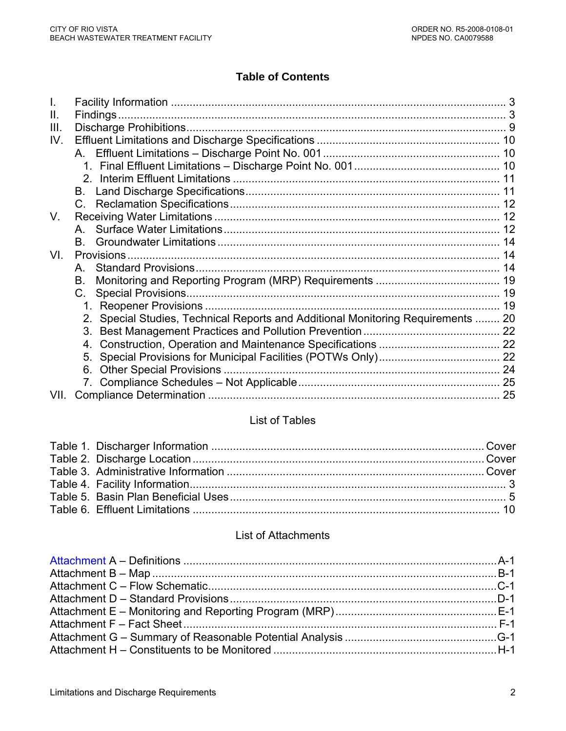# **Table of Contents**

| Ш.   |                                                                                  |  |
|------|----------------------------------------------------------------------------------|--|
| III. |                                                                                  |  |
| IV.  |                                                                                  |  |
|      |                                                                                  |  |
|      |                                                                                  |  |
|      |                                                                                  |  |
|      | B.                                                                               |  |
|      |                                                                                  |  |
| V.   |                                                                                  |  |
|      |                                                                                  |  |
|      | B.                                                                               |  |
| VI.  |                                                                                  |  |
|      | $A_{1}$                                                                          |  |
|      | В.                                                                               |  |
|      | C.                                                                               |  |
|      |                                                                                  |  |
|      | 2. Special Studies, Technical Reports and Additional Monitoring Requirements  20 |  |
|      |                                                                                  |  |
|      | 4.                                                                               |  |
|      |                                                                                  |  |
|      | 6.                                                                               |  |
|      |                                                                                  |  |
| VII. |                                                                                  |  |

# List of Tables

# List of Attachments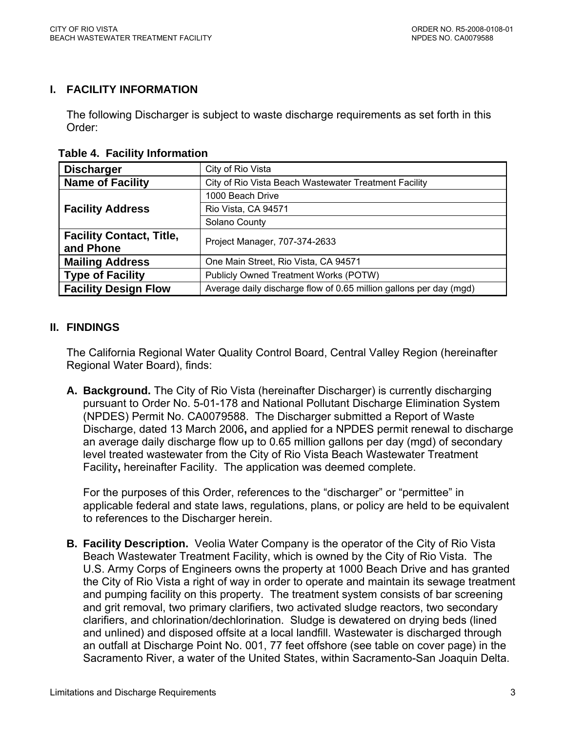### <span id="page-2-0"></span>**I. FACILITY INFORMATION**

The following Discharger is subject to waste discharge requirements as set forth in this Order:

 **Table 4. Facility Information** 

| <b>Discharger</b>               | City of Rio Vista                                                  |  |  |  |
|---------------------------------|--------------------------------------------------------------------|--|--|--|
| <b>Name of Facility</b>         | City of Rio Vista Beach Wastewater Treatment Facility              |  |  |  |
|                                 | 1000 Beach Drive                                                   |  |  |  |
| <b>Facility Address</b>         | Rio Vista, CA 94571                                                |  |  |  |
|                                 | Solano County                                                      |  |  |  |
| <b>Facility Contact, Title,</b> | Project Manager, 707-374-2633                                      |  |  |  |
| and Phone                       |                                                                    |  |  |  |
| <b>Mailing Address</b>          | One Main Street, Rio Vista, CA 94571                               |  |  |  |
| <b>Type of Facility</b>         | Publicly Owned Treatment Works (POTW)                              |  |  |  |
| <b>Facility Design Flow</b>     | Average daily discharge flow of 0.65 million gallons per day (mgd) |  |  |  |

### **II. FINDINGS**

The California Regional Water Quality Control Board, Central Valley Region (hereinafter Regional Water Board), finds:

**A. Background.** The City of Rio Vista (hereinafter Discharger) is currently discharging pursuant to Order No. 5-01-178 and National Pollutant Discharge Elimination System (NPDES) Permit No. CA0079588. The Discharger submitted a Report of Waste Discharge, dated 13 March 2006**,** and applied for a NPDES permit renewal to discharge an average daily discharge flow up to 0.65 million gallons per day (mgd) of secondary level treated wastewater from the City of Rio Vista Beach Wastewater Treatment Facility**,** hereinafter Facility. The application was deemed complete.

For the purposes of this Order, references to the "discharger" or "permittee" in applicable federal and state laws, regulations, plans, or policy are held to be equivalent to references to the Discharger herein.

**B. Facility Description.** Veolia Water Company is the operator of the City of Rio Vista Beach Wastewater Treatment Facility, which is owned by the City of Rio Vista. The U.S. Army Corps of Engineers owns the property at 1000 Beach Drive and has granted the City of Rio Vista a right of way in order to operate and maintain its sewage treatment and pumping facility on this property. The treatment system consists of bar screening and grit removal, two primary clarifiers, two activated sludge reactors, two secondary clarifiers, and chlorination/dechlorination. Sludge is dewatered on drying beds (lined and unlined) and disposed offsite at a local landfill. Wastewater is discharged through an outfall at Discharge Point No. 001, 77 feet offshore (see table on cover page) in the Sacramento River, a water of the United States, within Sacramento-San Joaquin Delta.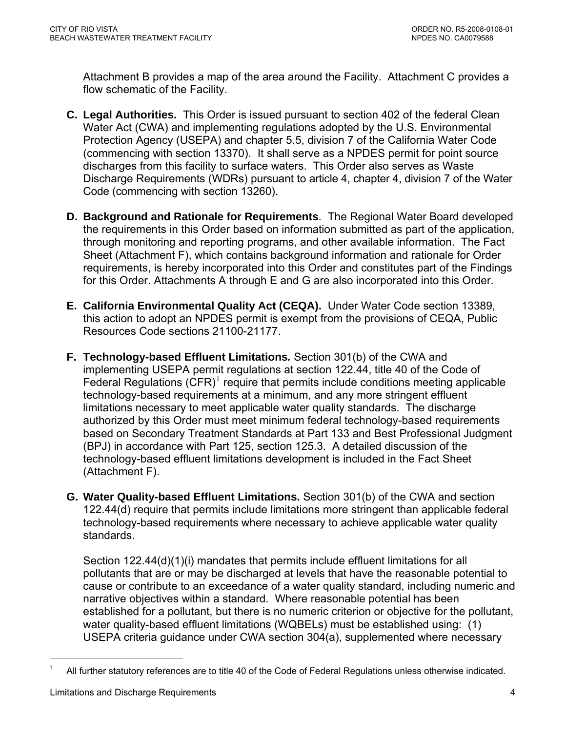Attachment B provides a map of the area around the Facility. Attachment C provides a flow schematic of the Facility.

- **C. Legal Authorities.** This Order is issued pursuant to section 402 of the federal Clean Water Act (CWA) and implementing regulations adopted by the U.S. Environmental Protection Agency (USEPA) and chapter 5.5, division 7 of the California Water Code (commencing with section 13370). It shall serve as a NPDES permit for point source discharges from this facility to surface waters. This Order also serves as Waste Discharge Requirements (WDRs) pursuant to article 4, chapter 4, division 7 of the Water Code (commencing with section 13260).
- **D. Background and Rationale for Requirements**. The Regional Water Board developed the requirements in this Order based on information submitted as part of the application, through monitoring and reporting programs, and other available information. The Fact Sheet (Attachment F), which contains background information and rationale for Order requirements, is hereby incorporated into this Order and constitutes part of the Findings for this Order. Attachments A through E and G are also incorporated into this Order.
- **E. California Environmental Quality Act (CEQA).** Under Water Code section 13389, this action to adopt an NPDES permit is exempt from the provisions of CEQA, Public Resources Code sections 21100-21177.
- **F. Technology-based Effluent Limitations***.* Section 301(b) of the CWA and implementing USEPA permit regulations at section 122.44, title 40 of the Code of Federal Regulations  $(CFR)^1$  $(CFR)^1$  require that permits include conditions meeting applicable technology-based requirements at a minimum, and any more stringent effluent limitations necessary to meet applicable water quality standards. The discharge authorized by this Order must meet minimum federal technology-based requirements based on Secondary Treatment Standards at Part 133 and Best Professional Judgment (BPJ) in accordance with Part 125, section 125.3. A detailed discussion of the technology-based effluent limitations development is included in the Fact Sheet (Attachment F).
- **G. Water Quality-based Effluent Limitations.** Section 301(b) of the CWA and section 122.44(d) require that permits include limitations more stringent than applicable federal technology-based requirements where necessary to achieve applicable water quality standards.

Section 122.44(d)(1)(i) mandates that permits include effluent limitations for all pollutants that are or may be discharged at levels that have the reasonable potential to cause or contribute to an exceedance of a water quality standard, including numeric and narrative objectives within a standard. Where reasonable potential has been established for a pollutant, but there is no numeric criterion or objective for the pollutant, water quality-based effluent limitations (WQBELs) must be established using: (1) USEPA criteria guidance under CWA section 304(a), supplemented where necessary

 $\overline{a}$ 

<span id="page-3-0"></span><sup>1</sup> All further statutory references are to title 40 of the Code of Federal Regulations unless otherwise indicated.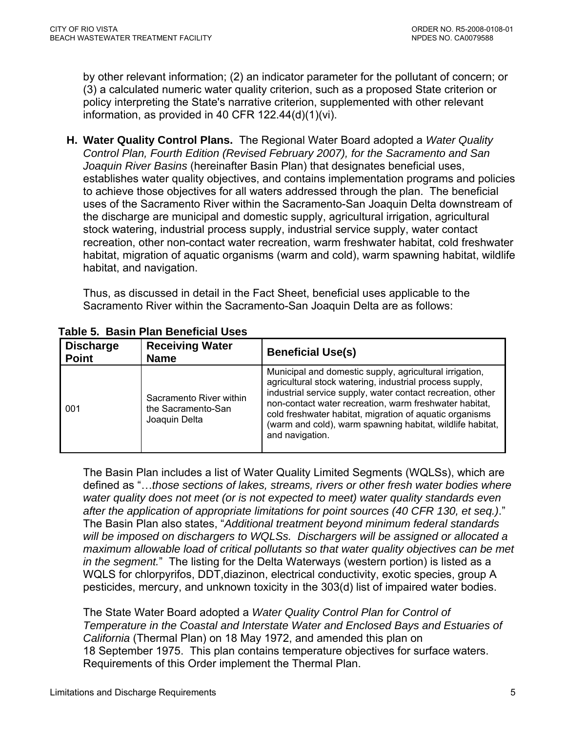<span id="page-4-0"></span>by other relevant information; (2) an indicator parameter for the pollutant of concern; or (3) a calculated numeric water quality criterion, such as a proposed State criterion or policy interpreting the State's narrative criterion, supplemented with other relevant information, as provided in 40 CFR 122.44(d)(1)(vi).

**H. Water Quality Control Plans.** The Regional Water Board adopted a *Water Quality Control Plan, Fourth Edition (Revised February 2007), for the Sacramento and San Joaquin River Basins* (hereinafter Basin Plan) that designates beneficial uses, establishes water quality objectives, and contains implementation programs and policies to achieve those objectives for all waters addressed through the plan. The beneficial uses of the Sacramento River within the Sacramento-San Joaquin Delta downstream of the discharge are municipal and domestic supply, agricultural irrigation, agricultural stock watering, industrial process supply, industrial service supply, water contact recreation, other non-contact water recreation, warm freshwater habitat, cold freshwater habitat, migration of aquatic organisms (warm and cold), warm spawning habitat, wildlife habitat, and navigation.

Thus, as discussed in detail in the Fact Sheet, beneficial uses applicable to the Sacramento River within the Sacramento-San Joaquin Delta are as follows:

| <b>Discharge</b><br><b>Point</b> | <b>Receiving Water</b><br><b>Name</b>                          | <b>Beneficial Use(s)</b>                                                                                                                                                                                                                                                                                                                                                              |
|----------------------------------|----------------------------------------------------------------|---------------------------------------------------------------------------------------------------------------------------------------------------------------------------------------------------------------------------------------------------------------------------------------------------------------------------------------------------------------------------------------|
| 001                              | Sacramento River within<br>the Sacramento-San<br>Joaquin Delta | Municipal and domestic supply, agricultural irrigation,<br>agricultural stock watering, industrial process supply,<br>industrial service supply, water contact recreation, other<br>non-contact water recreation, warm freshwater habitat,<br>cold freshwater habitat, migration of aquatic organisms<br>(warm and cold), warm spawning habitat, wildlife habitat,<br>and navigation. |

 **Table 5. Basin Plan Beneficial Uses** 

The Basin Plan includes a list of Water Quality Limited Segments (WQLSs), which are defined as "…*those sections of lakes, streams, rivers or other fresh water bodies where water quality does not meet (or is not expected to meet) water quality standards even after the application of appropriate limitations for point sources (40 CFR 130, et seq.)*." The Basin Plan also states, "*Additional treatment beyond minimum federal standards will be imposed on dischargers to WQLSs. Dischargers will be assigned or allocated a maximum allowable load of critical pollutants so that water quality objectives can be met in the segment.*" The listing for the Delta Waterways (western portion) is listed as a WQLS for chlorpyrifos, DDT,diazinon, electrical conductivity, exotic species, group A pesticides, mercury, and unknown toxicity in the 303(d) list of impaired water bodies.

The State Water Board adopted a *Water Quality Control Plan for Control of Temperature in the Coastal and Interstate Water and Enclosed Bays and Estuaries of California* (Thermal Plan) on 18 May 1972, and amended this plan on 18 September 1975. This plan contains temperature objectives for surface waters. Requirements of this Order implement the Thermal Plan.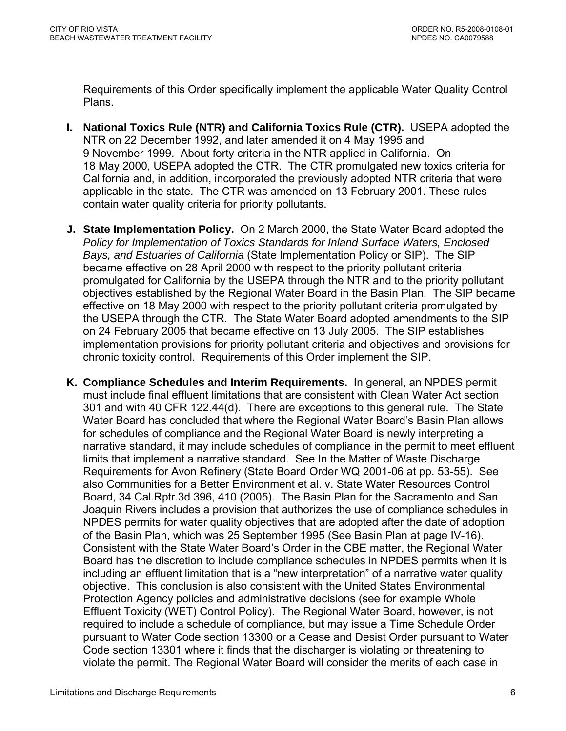Requirements of this Order specifically implement the applicable Water Quality Control Plans.

- **I. National Toxics Rule (NTR) and California Toxics Rule (CTR).** USEPA adopted the NTR on 22 December 1992, and later amended it on 4 May 1995 and 9 November 1999. About forty criteria in the NTR applied in California. On 18 May 2000, USEPA adopted the CTR. The CTR promulgated new toxics criteria for California and, in addition, incorporated the previously adopted NTR criteria that were applicable in the state. The CTR was amended on 13 February 2001. These rules contain water quality criteria for priority pollutants.
- **J. State Implementation Policy.** On 2 March 2000, the State Water Board adopted the *Policy for Implementation of Toxics Standards for Inland Surface Waters, Enclosed Bays, and Estuaries of California* (State Implementation Policy or SIP). The SIP became effective on 28 April 2000 with respect to the priority pollutant criteria promulgated for California by the USEPA through the NTR and to the priority pollutant objectives established by the Regional Water Board in the Basin Plan. The SIP became effective on 18 May 2000 with respect to the priority pollutant criteria promulgated by the USEPA through the CTR. The State Water Board adopted amendments to the SIP on 24 February 2005 that became effective on 13 July 2005. The SIP establishes implementation provisions for priority pollutant criteria and objectives and provisions for chronic toxicity control. Requirements of this Order implement the SIP.
- **K. Compliance Schedules and Interim Requirements.** In general, an NPDES permit must include final effluent limitations that are consistent with Clean Water Act section 301 and with 40 CFR 122.44(d). There are exceptions to this general rule. The State Water Board has concluded that where the Regional Water Board's Basin Plan allows for schedules of compliance and the Regional Water Board is newly interpreting a narrative standard, it may include schedules of compliance in the permit to meet effluent limits that implement a narrative standard. See In the Matter of Waste Discharge Requirements for Avon Refinery (State Board Order WQ 2001-06 at pp. 53-55). See also Communities for a Better Environment et al. v. State Water Resources Control Board, 34 Cal.Rptr.3d 396, 410 (2005). The Basin Plan for the Sacramento and San Joaquin Rivers includes a provision that authorizes the use of compliance schedules in NPDES permits for water quality objectives that are adopted after the date of adoption of the Basin Plan, which was 25 September 1995 (See Basin Plan at page IV-16). Consistent with the State Water Board's Order in the CBE matter, the Regional Water Board has the discretion to include compliance schedules in NPDES permits when it is including an effluent limitation that is a "new interpretation" of a narrative water quality objective. This conclusion is also consistent with the United States Environmental Protection Agency policies and administrative decisions (see for example Whole Effluent Toxicity (WET) Control Policy). The Regional Water Board, however, is not required to include a schedule of compliance, but may issue a Time Schedule Order pursuant to Water Code section 13300 or a Cease and Desist Order pursuant to Water Code section 13301 where it finds that the discharger is violating or threatening to violate the permit. The Regional Water Board will consider the merits of each case in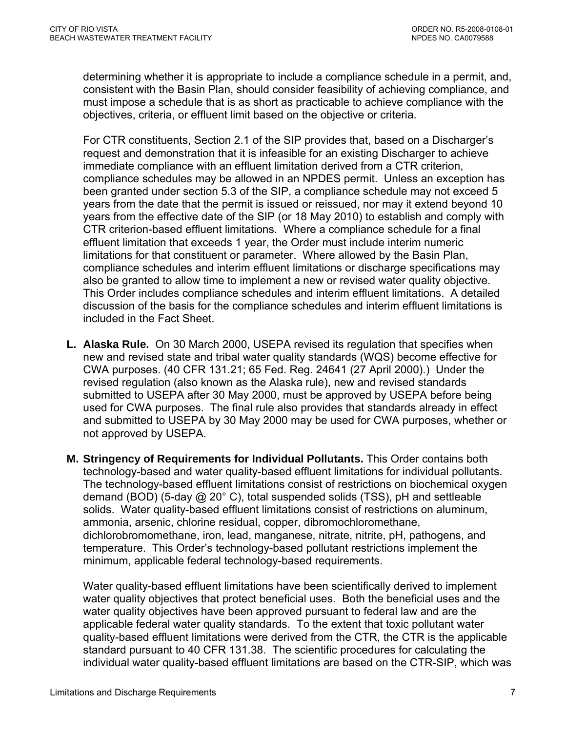determining whether it is appropriate to include a compliance schedule in a permit, and, consistent with the Basin Plan, should consider feasibility of achieving compliance, and must impose a schedule that is as short as practicable to achieve compliance with the objectives, criteria, or effluent limit based on the objective or criteria.

For CTR constituents, Section 2.1 of the SIP provides that, based on a Discharger's request and demonstration that it is infeasible for an existing Discharger to achieve immediate compliance with an effluent limitation derived from a CTR criterion, compliance schedules may be allowed in an NPDES permit. Unless an exception has been granted under section 5.3 of the SIP, a compliance schedule may not exceed 5 years from the date that the permit is issued or reissued, nor may it extend beyond 10 years from the effective date of the SIP (or 18 May 2010) to establish and comply with CTR criterion-based effluent limitations. Where a compliance schedule for a final effluent limitation that exceeds 1 year, the Order must include interim numeric limitations for that constituent or parameter. Where allowed by the Basin Plan, compliance schedules and interim effluent limitations or discharge specifications may also be granted to allow time to implement a new or revised water quality objective. This Order includes compliance schedules and interim effluent limitations. A detailed discussion of the basis for the compliance schedules and interim effluent limitations is included in the Fact Sheet.

- **L. Alaska Rule.** On 30 March 2000, USEPA revised its regulation that specifies when new and revised state and tribal water quality standards (WQS) become effective for CWA purposes. (40 CFR 131.21; 65 Fed. Reg. 24641 (27 April 2000).) Under the revised regulation (also known as the Alaska rule), new and revised standards submitted to USEPA after 30 May 2000, must be approved by USEPA before being used for CWA purposes. The final rule also provides that standards already in effect and submitted to USEPA by 30 May 2000 may be used for CWA purposes, whether or not approved by USEPA.
- **M. Stringency of Requirements for Individual Pollutants.** This Order contains both technology-based and water quality-based effluent limitations for individual pollutants. The technology-based effluent limitations consist of restrictions on biochemical oxygen demand (BOD) (5-day @ 20° C), total suspended solids (TSS), pH and settleable solids. Water quality-based effluent limitations consist of restrictions on aluminum, ammonia, arsenic, chlorine residual, copper, dibromochloromethane, dichlorobromomethane, iron, lead, manganese, nitrate, nitrite, pH, pathogens, and temperature. This Order's technology-based pollutant restrictions implement the minimum, applicable federal technology-based requirements.

Water quality-based effluent limitations have been scientifically derived to implement water quality objectives that protect beneficial uses. Both the beneficial uses and the water quality objectives have been approved pursuant to federal law and are the applicable federal water quality standards. To the extent that toxic pollutant water quality-based effluent limitations were derived from the CTR, the CTR is the applicable standard pursuant to 40 CFR 131.38. The scientific procedures for calculating the individual water quality-based effluent limitations are based on the CTR-SIP, which was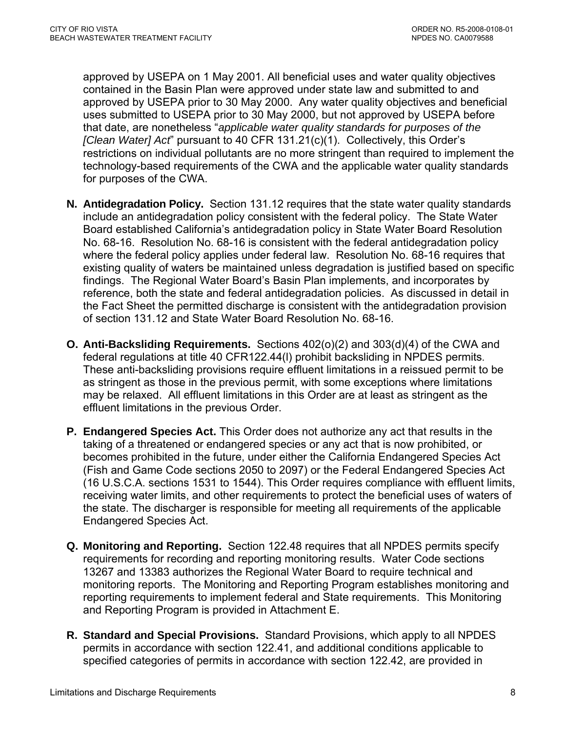approved by USEPA on 1 May 2001. All beneficial uses and water quality objectives contained in the Basin Plan were approved under state law and submitted to and approved by USEPA prior to 30 May 2000. Any water quality objectives and beneficial uses submitted to USEPA prior to 30 May 2000, but not approved by USEPA before that date, are nonetheless "*applicable water quality standards for purposes of the [Clean Water] Act*" pursuant to 40 CFR 131.21(c)(1). Collectively, this Order's restrictions on individual pollutants are no more stringent than required to implement the technology-based requirements of the CWA and the applicable water quality standards for purposes of the CWA.

- **N. Antidegradation Policy.** Section 131.12 requires that the state water quality standards include an antidegradation policy consistent with the federal policy. The State Water Board established California's antidegradation policy in State Water Board Resolution No. 68-16. Resolution No. 68-16 is consistent with the federal antidegradation policy where the federal policy applies under federal law. Resolution No. 68-16 requires that existing quality of waters be maintained unless degradation is justified based on specific findings. The Regional Water Board's Basin Plan implements, and incorporates by reference, both the state and federal antidegradation policies. As discussed in detail in the Fact Sheet the permitted discharge is consistent with the antidegradation provision of section 131.12 and State Water Board Resolution No. 68-16.
- **O. Anti-Backsliding Requirements.** Sections 402(o)(2) and 303(d)(4) of the CWA and federal regulations at title 40 CFR122.44(l) prohibit backsliding in NPDES permits. These anti-backsliding provisions require effluent limitations in a reissued permit to be as stringent as those in the previous permit, with some exceptions where limitations may be relaxed. All effluent limitations in this Order are at least as stringent as the effluent limitations in the previous Order.
- **P. Endangered Species Act.** This Order does not authorize any act that results in the taking of a threatened or endangered species or any act that is now prohibited, or becomes prohibited in the future, under either the California Endangered Species Act (Fish and Game Code sections 2050 to 2097) or the Federal Endangered Species Act (16 U.S.C.A. sections 1531 to 1544). This Order requires compliance with effluent limits, receiving water limits, and other requirements to protect the beneficial uses of waters of the state. The discharger is responsible for meeting all requirements of the applicable Endangered Species Act.
- **Q. Monitoring and Reporting.** Section 122.48 requires that all NPDES permits specify requirements for recording and reporting monitoring results. Water Code sections 13267 and 13383 authorizes the Regional Water Board to require technical and monitoring reports. The Monitoring and Reporting Program establishes monitoring and reporting requirements to implement federal and State requirements. This Monitoring and Reporting Program is provided in Attachment E.
- **R. Standard and Special Provisions.** Standard Provisions, which apply to all NPDES permits in accordance with section 122.41, and additional conditions applicable to specified categories of permits in accordance with section 122.42, are provided in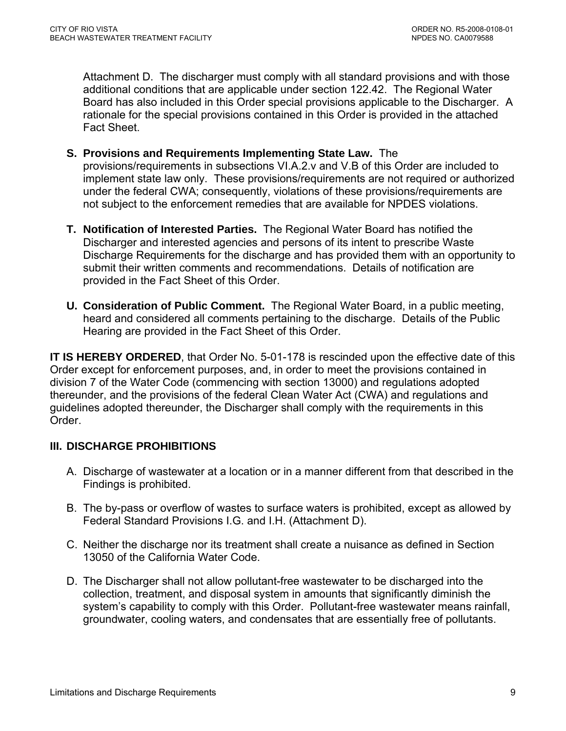<span id="page-8-0"></span>Attachment D. The discharger must comply with all standard provisions and with those additional conditions that are applicable under section 122.42. The Regional Water Board has also included in this Order special provisions applicable to the Discharger. A rationale for the special provisions contained in this Order is provided in the attached Fact Sheet.

- **S. Provisions and Requirements Implementing State Law.** The provisions/requirements in subsections VI.A.2.v and V.B of this Order are included to implement state law only. These provisions/requirements are not required or authorized under the federal CWA; consequently, violations of these provisions/requirements are not subject to the enforcement remedies that are available for NPDES violations.
- **T. Notification of Interested Parties.** The Regional Water Board has notified the Discharger and interested agencies and persons of its intent to prescribe Waste Discharge Requirements for the discharge and has provided them with an opportunity to submit their written comments and recommendations. Details of notification are provided in the Fact Sheet of this Order.
- **U. Consideration of Public Comment.** The Regional Water Board, in a public meeting, heard and considered all comments pertaining to the discharge. Details of the Public Hearing are provided in the Fact Sheet of this Order.

**IT IS HEREBY ORDERED**, that Order No. 5-01-178 is rescinded upon the effective date of this Order except for enforcement purposes, and, in order to meet the provisions contained in division 7 of the Water Code (commencing with section 13000) and regulations adopted thereunder, and the provisions of the federal Clean Water Act (CWA) and regulations and guidelines adopted thereunder, the Discharger shall comply with the requirements in this Order.

# **III. DISCHARGE PROHIBITIONS**

- A. Discharge of wastewater at a location or in a manner different from that described in the Findings is prohibited.
- B. The by-pass or overflow of wastes to surface waters is prohibited, except as allowed by Federal Standard Provisions [I.G.](#page-32-0) and [I.H.](#page-33-0) (Attachment D).
- C. Neither the discharge nor its treatment shall create a nuisance as defined in Section 13050 of the California Water Code.
- D. The Discharger shall not allow pollutant-free wastewater to be discharged into the collection, treatment, and disposal system in amounts that significantly diminish the system's capability to comply with this Order. Pollutant-free wastewater means rainfall, groundwater, cooling waters, and condensates that are essentially free of pollutants.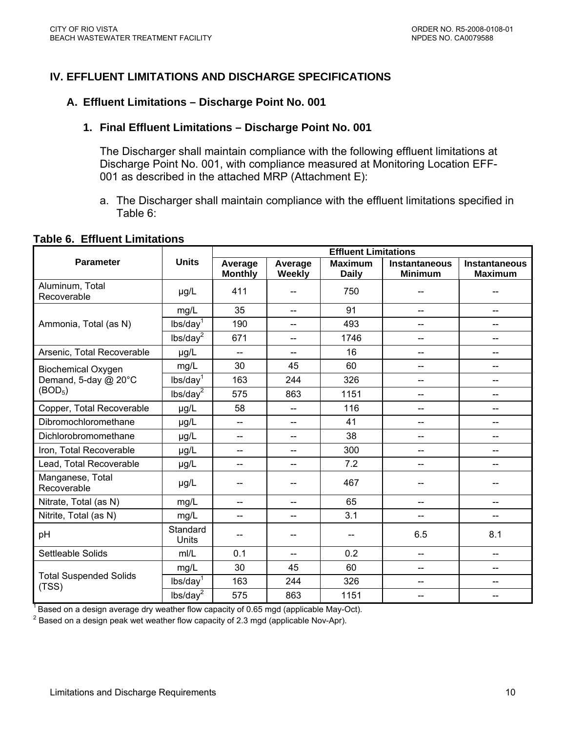# <span id="page-9-0"></span>**IV. EFFLUENT LIMITATIONS AND DISCHARGE SPECIFICATIONS**

#### **A. Effluent Limitations – Discharge Point No. 001**

#### **1. Final Effluent Limitations – Discharge Point No. 001**

The Discharger shall maintain compliance with the following effluent limitations at Discharge Point No. 001, with compliance measured at Monitoring Location EFF-001 as described in the attached MRP (Attachment E):

a. The Discharger shall maintain compliance with the effluent limitations specified in Table 6:

#### **Table 6. Effluent Limitations**

|                                        |                      | <b>Effluent Limitations</b> |                          |                                |                                 |                                        |
|----------------------------------------|----------------------|-----------------------------|--------------------------|--------------------------------|---------------------------------|----------------------------------------|
| <b>Parameter</b>                       | <b>Units</b>         | Average<br><b>Monthly</b>   | Average<br>Weekly        | <b>Maximum</b><br><b>Daily</b> | Instantaneous<br><b>Minimum</b> | <b>Instantaneous</b><br><b>Maximum</b> |
| Aluminum, Total<br>Recoverable         | $\mu$ g/L            | 411                         | --                       | 750                            |                                 |                                        |
|                                        | mg/L                 | 35                          | $\overline{\phantom{a}}$ | 91                             | --                              | --                                     |
| Ammonia, Total (as N)                  | lbs/day <sup>1</sup> | 190                         | $\overline{\phantom{a}}$ | 493                            | $=$                             | --                                     |
|                                        | lbs/day <sup>2</sup> | 671                         | $-$                      | 1746                           | --                              | --                                     |
| Arsenic, Total Recoverable             | µg/L                 | $\overline{a}$              | $-$                      | 16                             | --                              | --                                     |
| <b>Biochemical Oxygen</b>              | mg/L                 | 30                          | 45                       | 60                             | $-$                             | --                                     |
| Demand, 5-day @ 20°C                   | lbs/day <sup>1</sup> | 163                         | 244                      | 326                            | --                              | --                                     |
| (BOD <sub>5</sub> )                    | lbs/day <sup>2</sup> | 575                         | 863                      | 1151                           | --                              | $-$                                    |
| Copper, Total Recoverable              | $\mu$ g/L            | 58                          | $-$                      | 116                            | --                              | --                                     |
| Dibromochloromethane                   | µg/L                 | $\overline{\phantom{m}}$    | --                       | 41                             | --                              | --                                     |
| Dichlorobromomethane                   | µg/L                 | --                          | --                       | 38                             | --                              | --                                     |
| Iron, Total Recoverable                | µg/L                 | --                          | $-$                      | 300                            | --                              |                                        |
| Lead, Total Recoverable                | $\mu$ g/L            | --                          | --                       | 7.2                            |                                 |                                        |
| Manganese, Total<br>Recoverable        | µg/L                 |                             |                          | 467                            |                                 |                                        |
| Nitrate, Total (as N)                  | mg/L                 | $\overline{a}$              | $\overline{a}$           | 65                             | $-$                             |                                        |
| Nitrite, Total (as N)                  | mg/L                 | --                          | $-$                      | 3.1                            | --                              |                                        |
| pH                                     | Standard<br>Units    |                             |                          | --                             | 6.5                             | 8.1                                    |
| Settleable Solids                      | mI/L                 | 0.1                         | $\overline{a}$           | 0.2                            | $\overline{a}$                  | --                                     |
|                                        | mg/L                 | 30                          | 45                       | 60                             | $\overline{a}$                  | --                                     |
| <b>Total Suspended Solids</b><br>(TSS) | lbs/day <sup>1</sup> | 163                         | 244                      | 326                            | --                              | --                                     |
|                                        | lbs/day <sup>2</sup> | 575                         | 863                      | 1151                           |                                 | --                                     |

 $1/7$  Based on a design average dry weather flow capacity of 0.65 mgd (applicable May-Oct).

 $^2$  Based on a design peak wet weather flow capacity of 2.3 mgd (applicable Nov-Apr).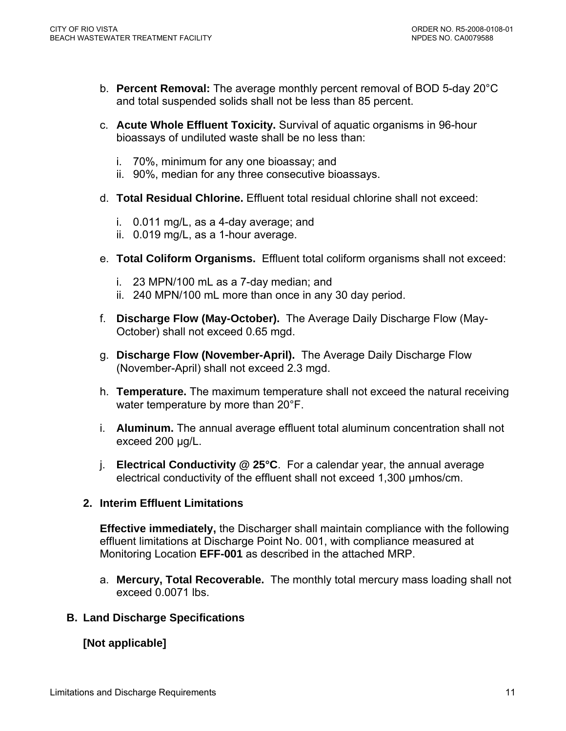- <span id="page-10-0"></span>b. **Percent Removal:** The average monthly percent removal of BOD 5-day 20°C and total suspended solids shall not be less than 85 percent.
- c. **Acute Whole Effluent Toxicity.** Survival of aquatic organisms in 96-hour bioassays of undiluted waste shall be no less than:
	- i. 70%, minimum for any one bioassay; and
	- ii. 90%, median for any three consecutive bioassays.
- d. **Total Residual Chlorine.** Effluent total residual chlorine shall not exceed:
	- i. 0.011 mg/L, as a 4-day average; and
	- ii. 0.019 mg/L, as a 1-hour average.
- e. **Total Coliform Organisms.** Effluent total coliform organisms shall not exceed:
	- i. 23 MPN/100 mL as a 7-day median; and
	- ii. 240 MPN/100 mL more than once in any 30 day period.
- f. **Discharge Flow (May-October).** The Average Daily Discharge Flow (May-October) shall not exceed 0.65 mgd.
- g. **Discharge Flow (November-April).** The Average Daily Discharge Flow (November-April) shall not exceed 2.3 mgd.
- h. **Temperature.** The maximum temperature shall not exceed the natural receiving water temperature by more than 20°F.
- i. **Aluminum.** The annual average effluent total aluminum concentration shall not exceed 200 μg/L.
- j. **Electrical Conductivity @ 25°C**. For a calendar year, the annual average electrical conductivity of the effluent shall not exceed 1,300 µmhos/cm.

### **2. Interim Effluent Limitations**

**Effective immediately,** the Discharger shall maintain compliance with the following effluent limitations at Discharge Point No. 001, with compliance measured at Monitoring Location **EFF-001** as described in the attached MRP.

a. **Mercury, Total Recoverable.** The monthly total mercury mass loading shall not exceed 0.0071 lbs.

### **B. Land Discharge Specifications**

# **[Not applicable]**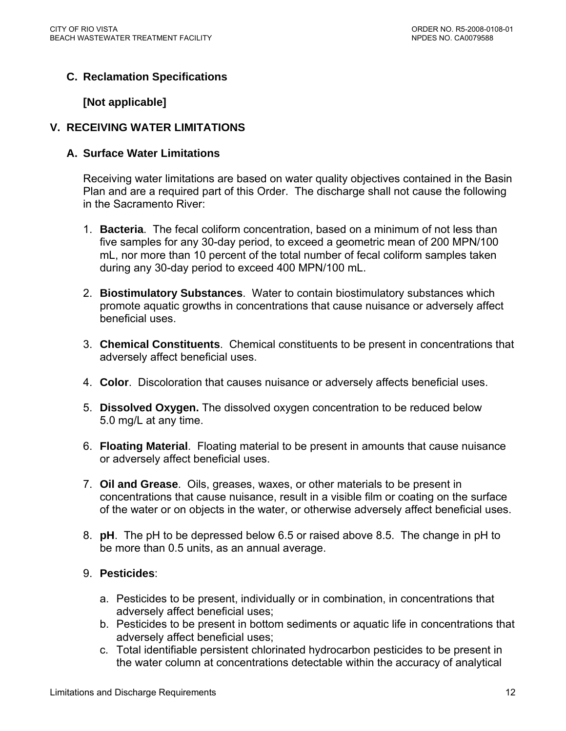# <span id="page-11-0"></span>**C. Reclamation Specifications**

### **[Not applicable]**

### **V. RECEIVING WATER LIMITATIONS**

### **A. Surface Water Limitations**

Receiving water limitations are based on water quality objectives contained in the Basin Plan and are a required part of this Order. The discharge shall not cause the following in the Sacramento River:

- 1. **Bacteria**. The fecal coliform concentration, based on a minimum of not less than five samples for any 30-day period, to exceed a geometric mean of 200 MPN/100 mL, nor more than 10 percent of the total number of fecal coliform samples taken during any 30-day period to exceed 400 MPN/100 mL.
- 2. **Biostimulatory Substances**. Water to contain biostimulatory substances which promote aquatic growths in concentrations that cause nuisance or adversely affect beneficial uses.
- 3. **Chemical Constituents**. Chemical constituents to be present in concentrations that adversely affect beneficial uses.
- 4. **Color**. Discoloration that causes nuisance or adversely affects beneficial uses.
- 5. **Dissolved Oxygen.** The dissolved oxygen concentration to be reduced below 5.0 mg/L at any time.
- 6. **Floating Material**. Floating material to be present in amounts that cause nuisance or adversely affect beneficial uses.
- 7. **Oil and Grease**. Oils, greases, waxes, or other materials to be present in concentrations that cause nuisance, result in a visible film or coating on the surface of the water or on objects in the water, or otherwise adversely affect beneficial uses.
- 8. **pH**. The pH to be depressed below 6.5 or raised above 8.5. The change in pH to be more than 0.5 units, as an annual average.

### 9. **Pesticides**:

- a. Pesticides to be present, individually or in combination, in concentrations that adversely affect beneficial uses;
- b. Pesticides to be present in bottom sediments or aquatic life in concentrations that adversely affect beneficial uses;
- c. Total identifiable persistent chlorinated hydrocarbon pesticides to be present in the water column at concentrations detectable within the accuracy of analytical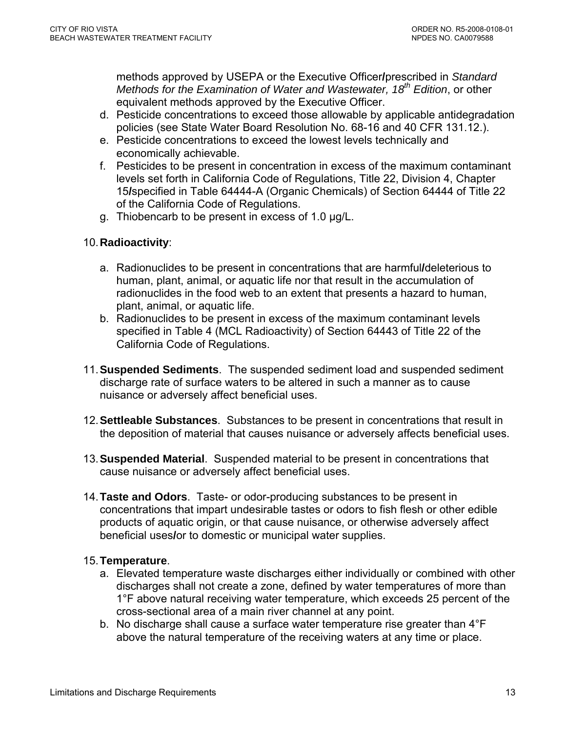methods approved by USEPA or the Executive Officer**/**prescribed in *Standard Methods for the Examination of Water and Wastewater, 18th Edition*, or other equivalent methods approved by the Executive Officer.

- d. Pesticide concentrations to exceed those allowable by applicable antidegradation policies (see State Water Board Resolution No. 68-16 and 40 CFR 131.12.).
- e. Pesticide concentrations to exceed the lowest levels technically and economically achievable.
- f. Pesticides to be present in concentration in excess of the maximum contaminant levels set forth in California Code of Regulations, Title 22, Division 4, Chapter 15**/**specified in Table 64444-A (Organic Chemicals) of Section 64444 of Title 22 of the California Code of Regulations.
- g. Thiobencarb to be present in excess of 1.0 µg/L.

# 10. **Radioactivity**:

- a. Radionuclides to be present in concentrations that are harmful**/**deleterious to human, plant, animal, or aquatic life nor that result in the accumulation of radionuclides in the food web to an extent that presents a hazard to human, plant, animal, or aquatic life.
- b. Radionuclides to be present in excess of the maximum contaminant levels specified in Table 4 (MCL Radioactivity) of Section 64443 of Title 22 of the California Code of Regulations.
- 11.**Suspended Sediments**. The suspended sediment load and suspended sediment discharge rate of surface waters to be altered in such a manner as to cause nuisance or adversely affect beneficial uses.
- 12. **Settleable Substances**. Substances to be present in concentrations that result in the deposition of material that causes nuisance or adversely affects beneficial uses.
- 13. **Suspended Material**. Suspended material to be present in concentrations that cause nuisance or adversely affect beneficial uses.
- 14.**Taste and Odors**. Taste- or odor-producing substances to be present in concentrations that impart undesirable tastes or odors to fish flesh or other edible products of aquatic origin, or that cause nuisance, or otherwise adversely affect beneficial uses**/**or to domestic or municipal water supplies.

### 15.**Temperature**.

- a. Elevated temperature waste discharges either individually or combined with other discharges shall not create a zone, defined by water temperatures of more than 1°F above natural receiving water temperature, which exceeds 25 percent of the cross-sectional area of a main river channel at any point.
- b. No discharge shall cause a surface water temperature rise greater than 4°F above the natural temperature of the receiving waters at any time or place.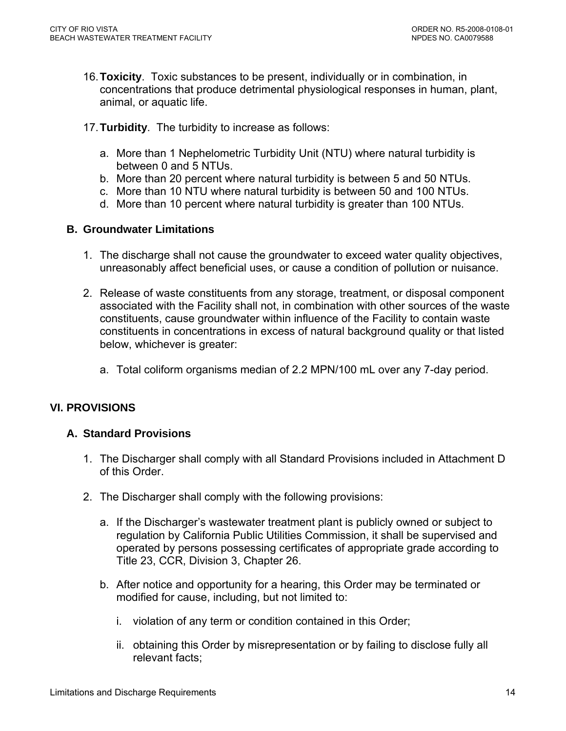- <span id="page-13-0"></span>16.**Toxicity**. Toxic substances to be present, individually or in combination, in concentrations that produce detrimental physiological responses in human, plant, animal, or aquatic life.
- 17. **Turbidity**. The turbidity to increase as follows:
	- a. More than 1 Nephelometric Turbidity Unit (NTU) where natural turbidity is between 0 and 5 NTUs.
	- b. More than 20 percent where natural turbidity is between 5 and 50 NTUs.
	- c. More than 10 NTU where natural turbidity is between 50 and 100 NTUs.
	- d. More than 10 percent where natural turbidity is greater than 100 NTUs.

### **B. Groundwater Limitations**

- 1. The discharge shall not cause the groundwater to exceed water quality objectives, unreasonably affect beneficial uses, or cause a condition of pollution or nuisance.
- 2. Release of waste constituents from any storage, treatment, or disposal component associated with the Facility shall not, in combination with other sources of the waste constituents, cause groundwater within influence of the Facility to contain waste constituents in concentrations in excess of natural background quality or that listed below, whichever is greater:
	- a. Total coliform organisms median of 2.2 MPN/100 mL over any 7-day period.

# **VI. PROVISIONS**

# **A. Standard Provisions**

- 1. The Discharger shall comply with all Standard Provisions included in Attachment D of this Order.
- 2. The Discharger shall comply with the following provisions:
	- a. If the Discharger's wastewater treatment plant is publicly owned or subject to regulation by California Public Utilities Commission, it shall be supervised and operated by persons possessing certificates of appropriate grade according to Title 23, CCR, Division 3, Chapter 26.
	- b. After notice and opportunity for a hearing, this Order may be terminated or modified for cause, including, but not limited to:
		- i. violation of any term or condition contained in this Order;
		- ii. obtaining this Order by misrepresentation or by failing to disclose fully all relevant facts;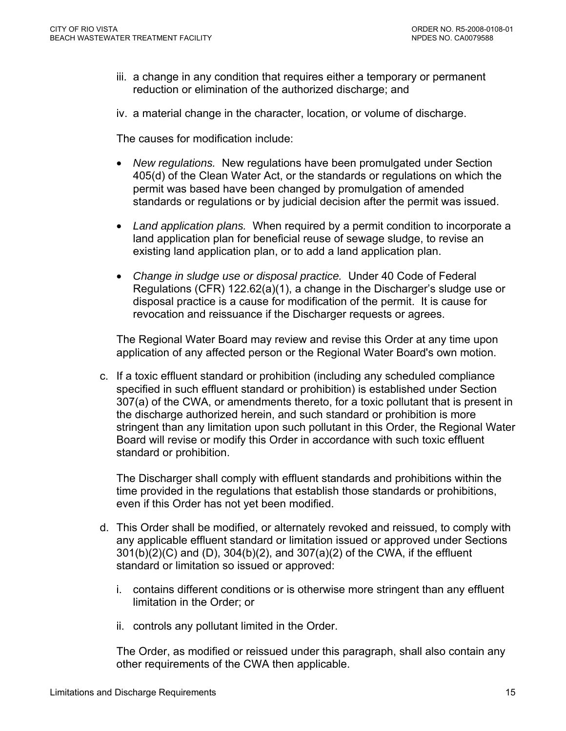- iii. a change in any condition that requires either a temporary or permanent reduction or elimination of the authorized discharge; and
- iv. a material change in the character, location, or volume of discharge.

The causes for modification include:

- *New regulations.* New regulations have been promulgated under Section 405(d) of the Clean Water Act, or the standards or regulations on which the permit was based have been changed by promulgation of amended standards or regulations or by judicial decision after the permit was issued.
- *Land application plans.* When required by a permit condition to incorporate a land application plan for beneficial reuse of sewage sludge, to revise an existing land application plan, or to add a land application plan.
- *Change in sludge use or disposal practice.* Under 40 Code of Federal Regulations (CFR) 122.62(a)(1), a change in the Discharger's sludge use or disposal practice is a cause for modification of the permit. It is cause for revocation and reissuance if the Discharger requests or agrees.

The Regional Water Board may review and revise this Order at any time upon application of any affected person or the Regional Water Board's own motion.

c. If a toxic effluent standard or prohibition (including any scheduled compliance specified in such effluent standard or prohibition) is established under Section 307(a) of the CWA, or amendments thereto, for a toxic pollutant that is present in the discharge authorized herein, and such standard or prohibition is more stringent than any limitation upon such pollutant in this Order, the Regional Water Board will revise or modify this Order in accordance with such toxic effluent standard or prohibition.

The Discharger shall comply with effluent standards and prohibitions within the time provided in the regulations that establish those standards or prohibitions, even if this Order has not yet been modified.

- d. This Order shall be modified, or alternately revoked and reissued, to comply with any applicable effluent standard or limitation issued or approved under Sections 301(b)(2)(C) and (D), 304(b)(2), and 307(a)(2) of the CWA, if the effluent standard or limitation so issued or approved:
	- i. contains different conditions or is otherwise more stringent than any effluent limitation in the Order; or
	- ii. controls any pollutant limited in the Order.

The Order, as modified or reissued under this paragraph, shall also contain any other requirements of the CWA then applicable.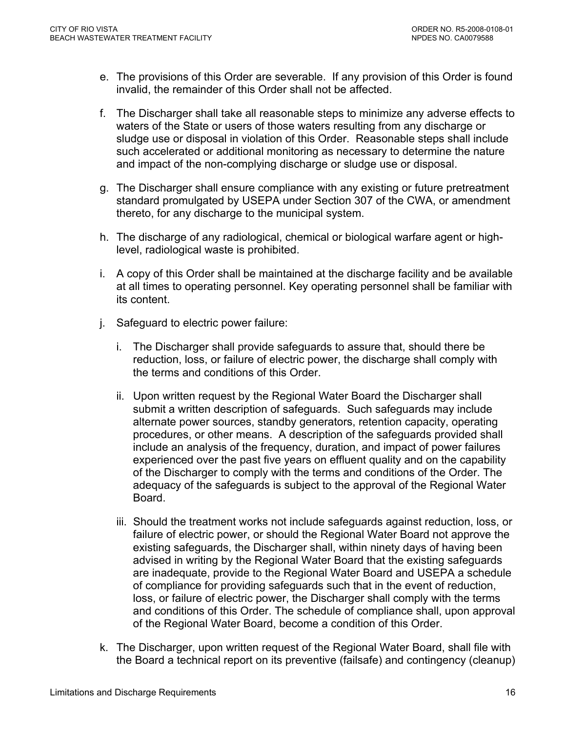- e. The provisions of this Order are severable. If any provision of this Order is found invalid, the remainder of this Order shall not be affected.
- f. The Discharger shall take all reasonable steps to minimize any adverse effects to waters of the State or users of those waters resulting from any discharge or sludge use or disposal in violation of this Order. Reasonable steps shall include such accelerated or additional monitoring as necessary to determine the nature and impact of the non-complying discharge or sludge use or disposal.
- g. The Discharger shall ensure compliance with any existing or future pretreatment standard promulgated by USEPA under Section 307 of the CWA, or amendment thereto, for any discharge to the municipal system.
- h. The discharge of any radiological, chemical or biological warfare agent or highlevel, radiological waste is prohibited.
- i. A copy of this Order shall be maintained at the discharge facility and be available at all times to operating personnel. Key operating personnel shall be familiar with its content.
- j. Safeguard to electric power failure:
	- i. The Discharger shall provide safeguards to assure that, should there be reduction, loss, or failure of electric power, the discharge shall comply with the terms and conditions of this Order.
	- ii. Upon written request by the Regional Water Board the Discharger shall submit a written description of safeguards. Such safeguards may include alternate power sources, standby generators, retention capacity, operating procedures, or other means. A description of the safeguards provided shall include an analysis of the frequency, duration, and impact of power failures experienced over the past five years on effluent quality and on the capability of the Discharger to comply with the terms and conditions of the Order. The adequacy of the safeguards is subject to the approval of the Regional Water Board.
	- iii. Should the treatment works not include safeguards against reduction, loss, or failure of electric power, or should the Regional Water Board not approve the existing safeguards, the Discharger shall, within ninety days of having been advised in writing by the Regional Water Board that the existing safeguards are inadequate, provide to the Regional Water Board and USEPA a schedule of compliance for providing safeguards such that in the event of reduction, loss, or failure of electric power, the Discharger shall comply with the terms and conditions of this Order. The schedule of compliance shall, upon approval of the Regional Water Board, become a condition of this Order.
- k. The Discharger, upon written request of the Regional Water Board, shall file with the Board a technical report on its preventive (failsafe) and contingency (cleanup)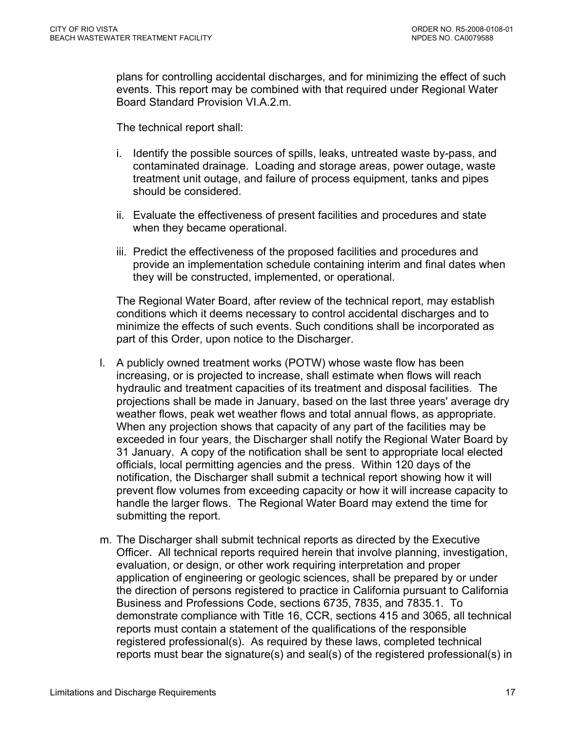plans for controlling accidental discharges, and for minimizing the effect of such events. This report may be combined with that required under Regional Water Board Standard Provision VI.A.2.m.

The technical report shall:

- i. Identify the possible sources of spills, leaks, untreated waste by-pass, and contaminated drainage. Loading and storage areas, power outage, waste treatment unit outage, and failure of process equipment, tanks and pipes should be considered.
- ii. Evaluate the effectiveness of present facilities and procedures and state when they became operational.
- iii. Predict the effectiveness of the proposed facilities and procedures and provide an implementation schedule containing interim and final dates when they will be constructed, implemented, or operational.

The Regional Water Board, after review of the technical report, may establish conditions which it deems necessary to control accidental discharges and to minimize the effects of such events. Such conditions shall be incorporated as part of this Order, upon notice to the Discharger.

- l. A publicly owned treatment works (POTW) whose waste flow has been increasing, or is projected to increase, shall estimate when flows will reach hydraulic and treatment capacities of its treatment and disposal facilities. The projections shall be made in January, based on the last three years' average dry weather flows, peak wet weather flows and total annual flows, as appropriate. When any projection shows that capacity of any part of the facilities may be exceeded in four years, the Discharger shall notify the Regional Water Board by 31 January. A copy of the notification shall be sent to appropriate local elected officials, local permitting agencies and the press. Within 120 days of the notification, the Discharger shall submit a technical report showing how it will prevent flow volumes from exceeding capacity or how it will increase capacity to handle the larger flows. The Regional Water Board may extend the time for submitting the report.
- m. The Discharger shall submit technical reports as directed by the Executive Officer. All technical reports required herein that involve planning, investigation, evaluation, or design, or other work requiring interpretation and proper application of engineering or geologic sciences, shall be prepared by or under the direction of persons registered to practice in California pursuant to California Business and Professions Code, sections 6735, 7835, and 7835.1. To demonstrate compliance with Title 16, CCR, sections 415 and 3065, all technical reports must contain a statement of the qualifications of the responsible registered professional(s). As required by these laws, completed technical reports must bear the signature(s) and seal(s) of the registered professional(s) in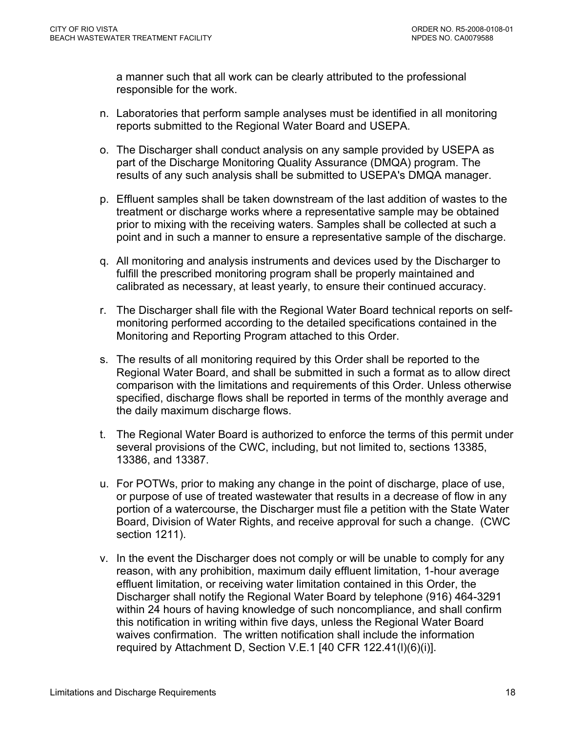a manner such that all work can be clearly attributed to the professional responsible for the work.

- n. Laboratories that perform sample analyses must be identified in all monitoring reports submitted to the Regional Water Board and USEPA.
- o. The Discharger shall conduct analysis on any sample provided by USEPA as part of the Discharge Monitoring Quality Assurance (DMQA) program. The results of any such analysis shall be submitted to USEPA's DMQA manager.
- p. Effluent samples shall be taken downstream of the last addition of wastes to the treatment or discharge works where a representative sample may be obtained prior to mixing with the receiving waters. Samples shall be collected at such a point and in such a manner to ensure a representative sample of the discharge.
- q. All monitoring and analysis instruments and devices used by the Discharger to fulfill the prescribed monitoring program shall be properly maintained and calibrated as necessary, at least yearly, to ensure their continued accuracy.
- r. The Discharger shall file with the Regional Water Board technical reports on selfmonitoring performed according to the detailed specifications contained in the Monitoring and Reporting Program attached to this Order.
- s. The results of all monitoring required by this Order shall be reported to the Regional Water Board, and shall be submitted in such a format as to allow direct comparison with the limitations and requirements of this Order. Unless otherwise specified, discharge flows shall be reported in terms of the monthly average and the daily maximum discharge flows.
- t. The Regional Water Board is authorized to enforce the terms of this permit under several provisions of the CWC, including, but not limited to, sections 13385, 13386, and 13387.
- u. For POTWs, prior to making any change in the point of discharge, place of use, or purpose of use of treated wastewater that results in a decrease of flow in any portion of a watercourse, the Discharger must file a petition with the State Water Board, Division of Water Rights, and receive approval for such a change. (CWC section 1211).
- v. In the event the Discharger does not comply or will be unable to comply for any reason, with any prohibition, maximum daily effluent limitation, 1-hour average effluent limitation, or receiving water limitation contained in this Order, the Discharger shall notify the Regional Water Board by telephone (916) 464-3291 within 24 hours of having knowledge of such noncompliance, and shall confirm this notification in writing within five days, unless the Regional Water Board waives confirmation. The written notification shall include the information required by [Attachment D, Section V.E.1](#page-0-0) [40 CFR 122.41(l)(6)(i)].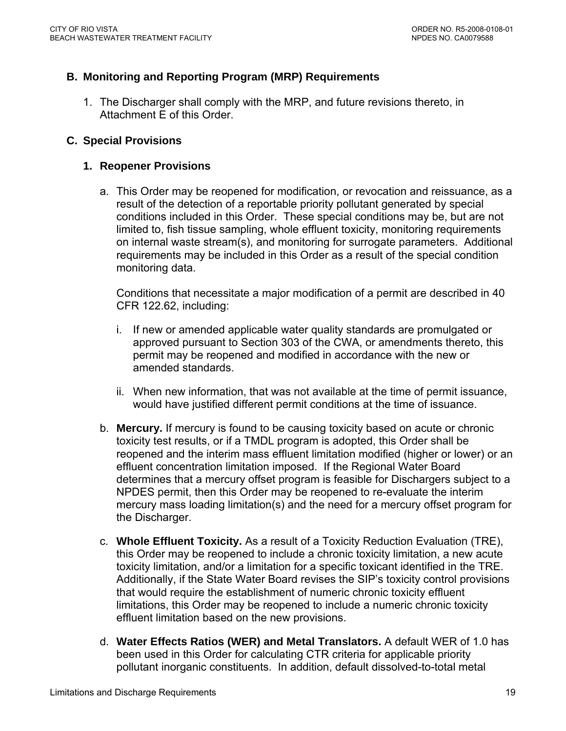# <span id="page-18-0"></span>**B. Monitoring and Reporting Program (MRP) Requirements**

1. The Discharger shall comply with the MRP, and future revisions thereto, in Attachment E of this Order.

#### **C. Special Provisions**

#### **1. Reopener Provisions**

a. This Order may be reopened for modification, or revocation and reissuance, as a result of the detection of a reportable priority pollutant generated by special conditions included in this Order. These special conditions may be, but are not limited to, fish tissue sampling, whole effluent toxicity, monitoring requirements on internal waste stream(s), and monitoring for surrogate parameters. Additional requirements may be included in this Order as a result of the special condition monitoring data.

Conditions that necessitate a major modification of a permit are described in 40 CFR 122.62, including:

- i. If new or amended applicable water quality standards are promulgated or approved pursuant to Section 303 of the CWA, or amendments thereto, this permit may be reopened and modified in accordance with the new or amended standards.
- ii. When new information, that was not available at the time of permit issuance, would have justified different permit conditions at the time of issuance.
- b. **Mercury.** If mercury is found to be causing toxicity based on acute or chronic toxicity test results, or if a TMDL program is adopted, this Order shall be reopened and the interim mass effluent limitation modified (higher or lower) or an effluent concentration limitation imposed. If the Regional Water Board determines that a mercury offset program is feasible for Dischargers subject to a NPDES permit, then this Order may be reopened to re-evaluate the interim mercury mass loading limitation(s) and the need for a mercury offset program for the Discharger.
- c. **Whole Effluent Toxicity.** As a result of a Toxicity Reduction Evaluation (TRE), this Order may be reopened to include a chronic toxicity limitation, a new acute toxicity limitation, and/or a limitation for a specific toxicant identified in the TRE. Additionally, if the State Water Board revises the SIP's toxicity control provisions that would require the establishment of numeric chronic toxicity effluent limitations, this Order may be reopened to include a numeric chronic toxicity effluent limitation based on the new provisions.
- d. **Water Effects Ratios (WER) and Metal Translators.** A default WER of 1.0 has been used in this Order for calculating CTR criteria for applicable priority pollutant inorganic constituents.In addition, default dissolved-to-total metal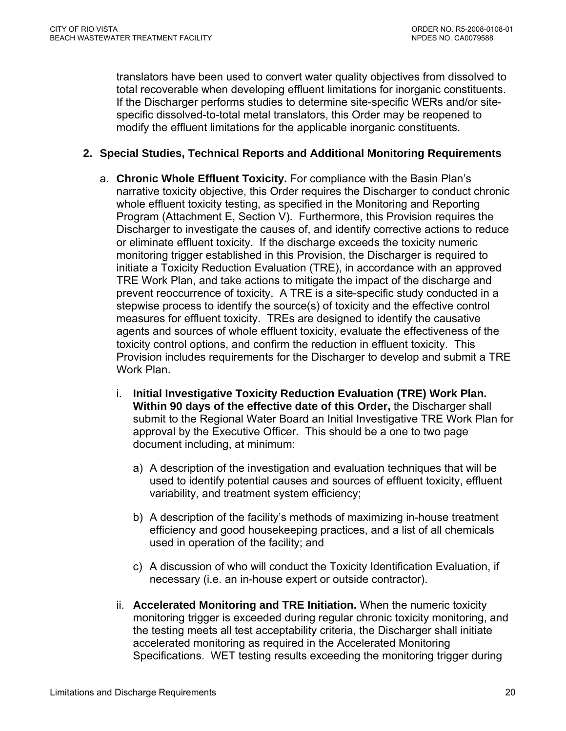<span id="page-19-0"></span>translators have been used to convert water quality objectives from dissolved to total recoverable when developing effluent limitations for inorganic constituents. If the Discharger performs studies to determine site-specific WERs and/or sitespecific dissolved-to-total metal translators, this Order may be reopened to modify the effluent limitations for the applicable inorganic constituents.

### **2. Special Studies, Technical Reports and Additional Monitoring Requirements**

- a. **Chronic Whole Effluent Toxicity.** For compliance with the Basin Plan's narrative toxicity objective, this Order requires the Discharger to conduct chronic whole effluent toxicity testing, as specified in the Monitoring and Reporting Program (Attachment E, Section V). Furthermore, this Provision requires the Discharger to investigate the causes of, and identify corrective actions to reduce or eliminate effluent toxicity. If the discharge exceeds the toxicity numeric monitoring trigger established in this Provision, the Discharger is required to initiate a Toxicity Reduction Evaluation (TRE), in accordance with an approved TRE Work Plan, and take actions to mitigate the impact of the discharge and prevent reoccurrence of toxicity. A TRE is a site-specific study conducted in a stepwise process to identify the source(s) of toxicity and the effective control measures for effluent toxicity. TREs are designed to identify the causative agents and sources of whole effluent toxicity, evaluate the effectiveness of the toxicity control options, and confirm the reduction in effluent toxicity. This Provision includes requirements for the Discharger to develop and submit a TRE Work Plan.
	- i. **Initial Investigative Toxicity Reduction Evaluation (TRE) Work Plan. Within 90 days of the effective date of this Order,** the Discharger shall submit to the Regional Water Board an Initial Investigative TRE Work Plan for approval by the Executive Officer. This should be a one to two page document including, at minimum:
		- a) A description of the investigation and evaluation techniques that will be used to identify potential causes and sources of effluent toxicity, effluent variability, and treatment system efficiency;
		- b) A description of the facility's methods of maximizing in-house treatment efficiency and good housekeeping practices, and a list of all chemicals used in operation of the facility; and
		- c) A discussion of who will conduct the Toxicity Identification Evaluation, if necessary (i.e. an in-house expert or outside contractor).
	- ii. **Accelerated Monitoring and TRE Initiation.** When the numeric toxicity monitoring trigger is exceeded during regular chronic toxicity monitoring, and the testing meets all test acceptability criteria, the Discharger shall initiate accelerated monitoring as required in the Accelerated Monitoring Specifications. WET testing results exceeding the monitoring trigger during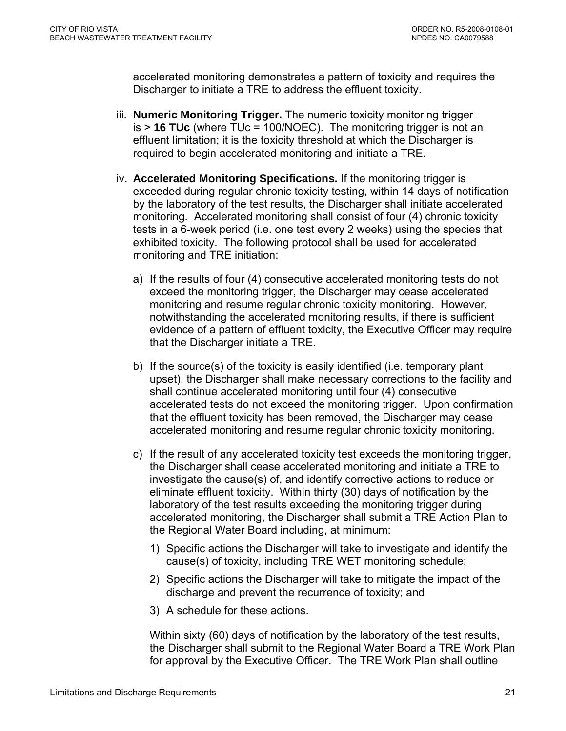accelerated monitoring demonstrates a pattern of toxicity and requires the Discharger to initiate a TRE to address the effluent toxicity.

- iii. **Numeric Monitoring Trigger.** The numeric toxicity monitoring trigger is > **16 TUc** (where TUc = 100/NOEC). The monitoring trigger is not an effluent limitation; it is the toxicity threshold at which the Discharger is required to begin accelerated monitoring and initiate a TRE.
- iv. **Accelerated Monitoring Specifications.** If the monitoring trigger is exceeded during regular chronic toxicity testing, within 14 days of notification by the laboratory of the test results, the Discharger shall initiate accelerated monitoring. Accelerated monitoring shall consist of four (4) chronic toxicity tests in a 6-week period (i.e. one test every 2 weeks) using the species that exhibited toxicity. The following protocol shall be used for accelerated monitoring and TRE initiation:
	- a) If the results of four (4) consecutive accelerated monitoring tests do not exceed the monitoring trigger, the Discharger may cease accelerated monitoring and resume regular chronic toxicity monitoring. However, notwithstanding the accelerated monitoring results, if there is sufficient evidence of a pattern of effluent toxicity, the Executive Officer may require that the Discharger initiate a TRE.
	- b) If the source(s) of the toxicity is easily identified (i.e. temporary plant upset), the Discharger shall make necessary corrections to the facility and shall continue accelerated monitoring until four (4) consecutive accelerated tests do not exceed the monitoring trigger. Upon confirmation that the effluent toxicity has been removed, the Discharger may cease accelerated monitoring and resume regular chronic toxicity monitoring.
	- c) If the result of any accelerated toxicity test exceeds the monitoring trigger, the Discharger shall cease accelerated monitoring and initiate a TRE to investigate the cause(s) of, and identify corrective actions to reduce or eliminate effluent toxicity. Within thirty (30) days of notification by the laboratory of the test results exceeding the monitoring trigger during accelerated monitoring, the Discharger shall submit a TRE Action Plan to the Regional Water Board including, at minimum:
		- 1) Specific actions the Discharger will take to investigate and identify the cause(s) of toxicity, including TRE WET monitoring schedule;
		- 2) Specific actions the Discharger will take to mitigate the impact of the discharge and prevent the recurrence of toxicity; and
		- 3) A schedule for these actions.

Within sixty (60) days of notification by the laboratory of the test results, the Discharger shall submit to the Regional Water Board a TRE Work Plan for approval by the Executive Officer. The TRE Work Plan shall outline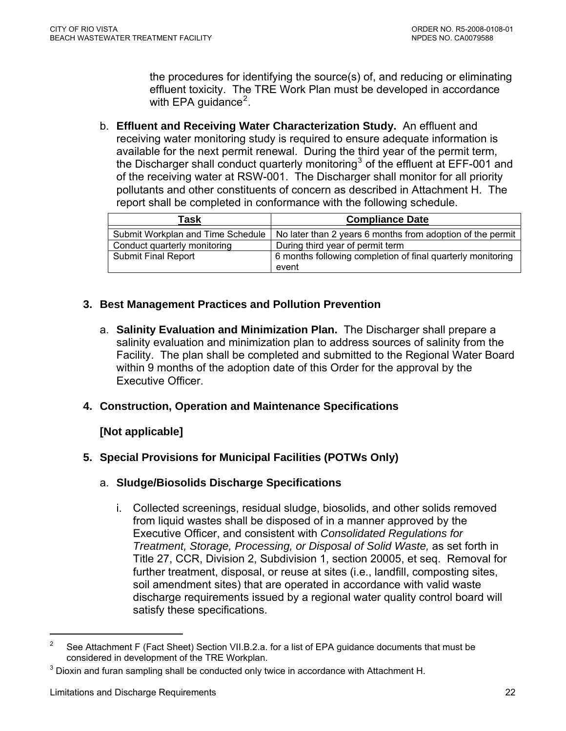the procedures for identifying the source(s) of, and reducing or eliminating effluent toxicity. The TRE Work Plan must be developed in accordance with EPA guidance<sup>[2](#page-21-0)</sup>.

<span id="page-21-0"></span>b. **Effluent and Receiving Water Characterization Study.** An effluent and receiving water monitoring study is required to ensure adequate information is available for the next permit renewal. During the third year of the permit term, the Discharger shall conduct quarterly monitoring<sup>[3](#page-21-0)</sup> of the effluent at EFF-001 and of the receiving water at RSW-001. The Discharger shall monitor for all priority pollutants and other constituents of concern as described in Attachment H. The report shall be completed in conformance with the following schedule.

| Task                              | <b>Compliance Date</b>                                      |
|-----------------------------------|-------------------------------------------------------------|
| Submit Workplan and Time Schedule | No later than 2 years 6 months from adoption of the permit  |
| Conduct quarterly monitoring      | During third year of permit term                            |
| <b>Submit Final Report</b>        | 6 months following completion of final quarterly monitoring |
|                                   | event                                                       |

# **3. Best Management Practices and Pollution Prevention**

a. **Salinity Evaluation and Minimization Plan.** The Discharger shall prepare a salinity evaluation and minimization plan to address sources of salinity from the Facility. The plan shall be completed and submitted to the Regional Water Board within 9 months of the adoption date of this Order for the approval by the Executive Officer.

### **4. Construction, Operation and Maintenance Specifications**

# **[Not applicable]**

# **5. Special Provisions for Municipal Facilities (POTWs Only)**

### a. **Sludge/Biosolids Discharge Specifications**

i. Collected screenings, residual sludge, biosolids, and other solids removed from liquid wastes shall be disposed of in a manner approved by the Executive Officer, and consistent with *Consolidated Regulations for Treatment, Storage, Processing, or Disposal of Solid Waste,* as set forth in Title 27, CCR, Division 2, Subdivision 1, section 20005, et seq. Removal for further treatment, disposal, or reuse at sites (i.e., landfill, composting sites, soil amendment sites) that are operated in accordance with valid waste discharge requirements issued by a regional water quality control board will satisfy these specifications.

 $\overline{a}$ 

<sup>&</sup>lt;sup>2</sup> See Attachment F (Fact Sheet) Section VII.B.2.a. for a list of EPA guidance documents that must be considered in development of the TRE Workplan.

 $3$  Dioxin and furan sampling shall be conducted only twice in accordance with Attachment H.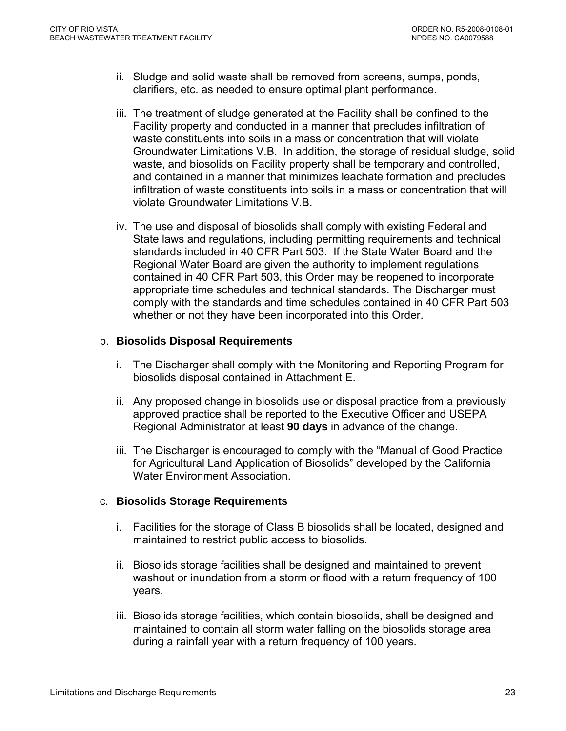- ii. Sludge and solid waste shall be removed from screens, sumps, ponds, clarifiers, etc. as needed to ensure optimal plant performance.
- iii. The treatment of sludge generated at the Facility shall be confined to the Facility property and conducted in a manner that precludes infiltration of waste constituents into soils in a mass or concentration that will violate Groundwater Limitations V.B. In addition, the storage of residual sludge, solid waste, and biosolids on Facility property shall be temporary and controlled, and contained in a manner that minimizes leachate formation and precludes infiltration of waste constituents into soils in a mass or concentration that will violate Groundwater Limitations V.B.
- iv. The use and disposal of biosolids shall comply with existing Federal and State laws and regulations, including permitting requirements and technical standards included in 40 CFR Part 503. If the State Water Board and the Regional Water Board are given the authority to implement regulations contained in 40 CFR Part 503, this Order may be reopened to incorporate appropriate time schedules and technical standards. The Discharger must comply with the standards and time schedules contained in 40 CFR Part 503 whether or not they have been incorporated into this Order.

### b. **Biosolids Disposal Requirements**

- i. The Discharger shall comply with the Monitoring and Reporting Program for biosolids disposal contained in Attachment E.
- ii. Any proposed change in biosolids use or disposal practice from a previously approved practice shall be reported to the Executive Officer and USEPA Regional Administrator at least **90 days** in advance of the change.
- iii. The Discharger is encouraged to comply with the "Manual of Good Practice for Agricultural Land Application of Biosolids" developed by the California Water Environment Association.

### c. **Biosolids Storage Requirements**

- i. Facilities for the storage of Class B biosolids shall be located, designed and maintained to restrict public access to biosolids.
- ii. Biosolids storage facilities shall be designed and maintained to prevent washout or inundation from a storm or flood with a return frequency of 100 years.
- iii. Biosolids storage facilities, which contain biosolids, shall be designed and maintained to contain all storm water falling on the biosolids storage area during a rainfall year with a return frequency of 100 years.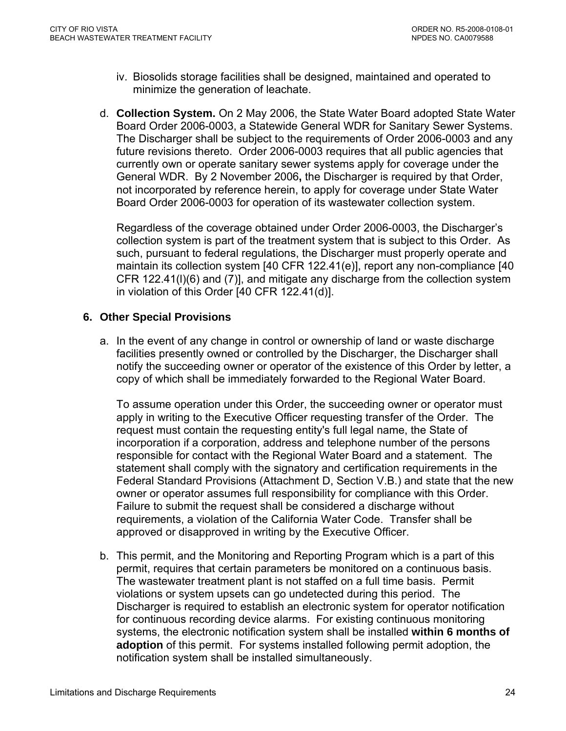- <span id="page-23-0"></span>iv. Biosolids storage facilities shall be designed, maintained and operated to minimize the generation of leachate.
- d. **Collection System.** On 2 May 2006, the State Water Board adopted State Water Board Order 2006-0003, a Statewide General WDR for Sanitary Sewer Systems. The Discharger shall be subject to the requirements of Order 2006-0003 and any future revisions thereto. Order 2006-0003 requires that all public agencies that currently own or operate sanitary sewer systems apply for coverage under the General WDR. By 2 November 2006**,** the Discharger is required by that Order, not incorporated by reference herein, to apply for coverage under State Water Board Order 2006-0003 for operation of its wastewater collection system.

Regardless of the coverage obtained under Order 2006-0003, the Discharger's collection system is part of the treatment system that is subject to this Order. As such, pursuant to federal regulations, the Discharger must properly operate and maintain its collection system [40 CFR 122.41(e)], report any non-compliance [40 CFR 122.41(l)(6) and (7)], and mitigate any discharge from the collection system in violation of this Order [40 CFR 122.41(d)].

### **6. Other Special Provisions**

a. In the event of any change in control or ownership of land or waste discharge facilities presently owned or controlled by the Discharger, the Discharger shall notify the succeeding owner or operator of the existence of this Order by letter, a copy of which shall be immediately forwarded to the Regional Water Board.

To assume operation under this Order, the succeeding owner or operator must apply in writing to the Executive Officer requesting transfer of the Order. The request must contain the requesting entity's full legal name, the State of incorporation if a corporation, address and telephone number of the persons responsible for contact with the Regional Water Board and a statement. The statement shall comply with the signatory and certification requirements in the Federal Standard Provisions (Attachment D, Section V.B.) and state that the new owner or operator assumes full responsibility for compliance with this Order. Failure to submit the request shall be considered a discharge without requirements, a violation of the California Water Code. Transfer shall be approved or disapproved in writing by the Executive Officer.

b. This permit, and the Monitoring and Reporting Program which is a part of this permit, requires that certain parameters be monitored on a continuous basis. The wastewater treatment plant is not staffed on a full time basis. Permit violations or system upsets can go undetected during this period. The Discharger is required to establish an electronic system for operator notification for continuous recording device alarms. For existing continuous monitoring systems, the electronic notification system shall be installed **within 6 months of adoption** of this permit. For systems installed following permit adoption, the notification system shall be installed simultaneously.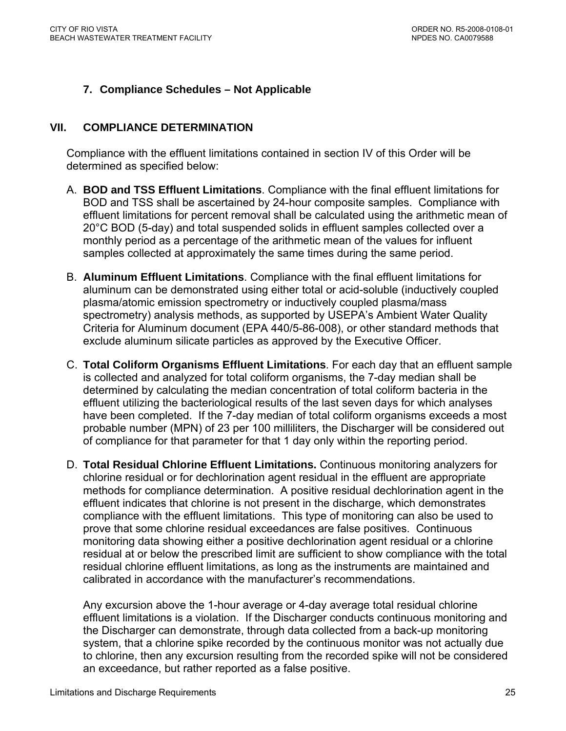# <span id="page-24-0"></span>**7. Compliance Schedules – Not Applicable**

### **VII. COMPLIANCE DETERMINATION**

Compliance with the effluent limitations contained in section IV of this Order will be determined as specified below:

- A. **BOD and TSS Effluent Limitations**. Compliance with the final effluent limitations for BOD and TSS shall be ascertained by 24-hour composite samples. Compliance with effluent limitations for percent removal shall be calculated using the arithmetic mean of 20°C BOD (5-day) and total suspended solids in effluent samples collected over a monthly period as a percentage of the arithmetic mean of the values for influent samples collected at approximately the same times during the same period.
- B. **Aluminum Effluent Limitations**. Compliance with the final effluent limitations for aluminum can be demonstrated using either total or acid-soluble (inductively coupled plasma/atomic emission spectrometry or inductively coupled plasma/mass spectrometry) analysis methods, as supported by USEPA's Ambient Water Quality Criteria for Aluminum document (EPA 440/5-86-008), or other standard methods that exclude aluminum silicate particles as approved by the Executive Officer.
- C. **Total Coliform Organisms Effluent Limitations**. For each day that an effluent sample is collected and analyzed for total coliform organisms, the 7-day median shall be determined by calculating the median concentration of total coliform bacteria in the effluent utilizing the bacteriological results of the last seven days for which analyses have been completed. If the 7-day median of total coliform organisms exceeds a most probable number (MPN) of 23 per 100 milliliters, the Discharger will be considered out of compliance for that parameter for that 1 day only within the reporting period.
- D. **Total Residual Chlorine Effluent Limitations.** Continuous monitoring analyzers for chlorine residual or for dechlorination agent residual in the effluent are appropriate methods for compliance determination. A positive residual dechlorination agent in the effluent indicates that chlorine is not present in the discharge, which demonstrates compliance with the effluent limitations. This type of monitoring can also be used to prove that some chlorine residual exceedances are false positives. Continuous monitoring data showing either a positive dechlorination agent residual or a chlorine residual at or below the prescribed limit are sufficient to show compliance with the total residual chlorine effluent limitations, as long as the instruments are maintained and calibrated in accordance with the manufacturer's recommendations.

Any excursion above the 1-hour average or 4-day average total residual chlorine effluent limitations is a violation. If the Discharger conducts continuous monitoring and the Discharger can demonstrate, through data collected from a back-up monitoring system, that a chlorine spike recorded by the continuous monitor was not actually due to chlorine, then any excursion resulting from the recorded spike will not be considered an exceedance, but rather reported as a false positive.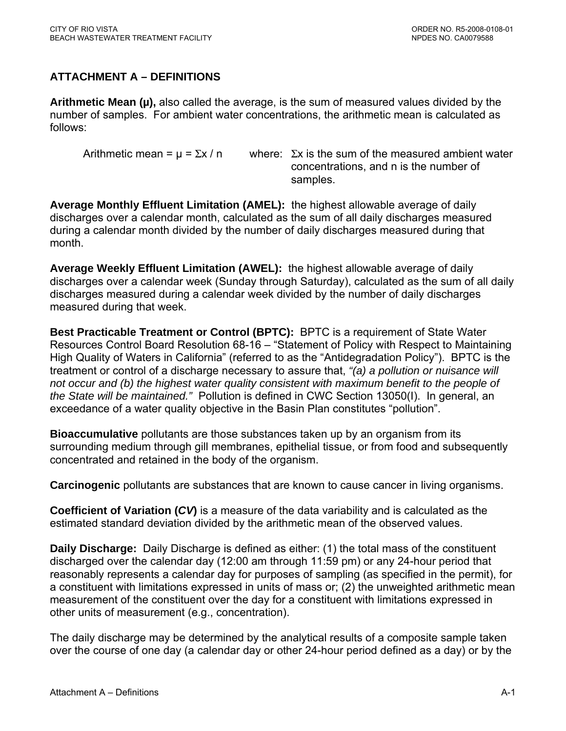# <span id="page-25-0"></span>**ATTACHMENT A – DEFINITIONS**

**Arithmetic Mean (µ),** also called the average, is the sum of measured values divided by the number of samples. For ambient water concentrations, the arithmetic mean is calculated as follows:

Arithmetic mean =  $\mu$  =  $\Sigma x / n$  where:  $\Sigma x$  is the sum of the measured ambient water concentrations, and n is the number of samples.

**Average Monthly Effluent Limitation (AMEL):** the highest allowable average of daily discharges over a calendar month, calculated as the sum of all daily discharges measured during a calendar month divided by the number of daily discharges measured during that month.

**Average Weekly Effluent Limitation (AWEL):** the highest allowable average of daily discharges over a calendar week (Sunday through Saturday), calculated as the sum of all daily discharges measured during a calendar week divided by the number of daily discharges measured during that week.

**Best Practicable Treatment or Control (BPTC):** BPTC is a requirement of State Water Resources Control Board Resolution 68-16 – "Statement of Policy with Respect to Maintaining High Quality of Waters in California" (referred to as the "Antidegradation Policy"). BPTC is the treatment or control of a discharge necessary to assure that, *"(a) a pollution or nuisance will not occur and (b) the highest water quality consistent with maximum benefit to the people of the State will be maintained."* Pollution is defined in CWC Section 13050(I). In general, an exceedance of a water quality objective in the Basin Plan constitutes "pollution".

**Bioaccumulative** pollutants are those substances taken up by an organism from its surrounding medium through gill membranes, epithelial tissue, or from food and subsequently concentrated and retained in the body of the organism.

**Carcinogenic** pollutants are substances that are known to cause cancer in living organisms.

**Coefficient of Variation (***CV***)** is a measure of the data variability and is calculated as the estimated standard deviation divided by the arithmetic mean of the observed values.

**Daily Discharge:** Daily Discharge is defined as either: (1) the total mass of the constituent discharged over the calendar day (12:00 am through 11:59 pm) or any 24-hour period that reasonably represents a calendar day for purposes of sampling (as specified in the permit), for a constituent with limitations expressed in units of mass or; (2) the unweighted arithmetic mean measurement of the constituent over the day for a constituent with limitations expressed in other units of measurement (e.g., concentration).

The daily discharge may be determined by the analytical results of a composite sample taken over the course of one day (a calendar day or other 24-hour period defined as a day) or by the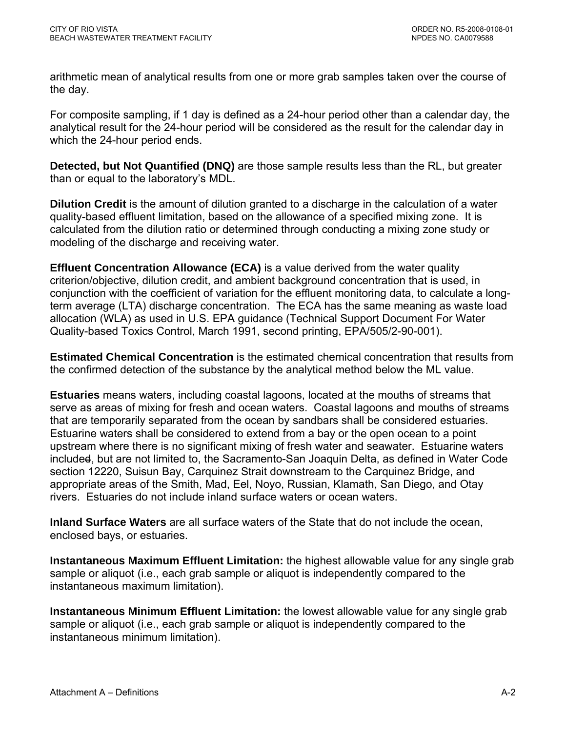arithmetic mean of analytical results from one or more grab samples taken over the course of the day.

For composite sampling, if 1 day is defined as a 24-hour period other than a calendar day, the analytical result for the 24-hour period will be considered as the result for the calendar day in which the 24-hour period ends.

**Detected, but Not Quantified (DNQ)** are those sample results less than the RL, but greater than or equal to the laboratory's MDL.

**Dilution Credit** is the amount of dilution granted to a discharge in the calculation of a water quality-based effluent limitation, based on the allowance of a specified mixing zone. It is calculated from the dilution ratio or determined through conducting a mixing zone study or modeling of the discharge and receiving water.

**Effluent Concentration Allowance (ECA)** is a value derived from the water quality criterion/objective, dilution credit, and ambient background concentration that is used, in conjunction with the coefficient of variation for the effluent monitoring data, to calculate a longterm average (LTA) discharge concentration. The ECA has the same meaning as waste load allocation (WLA) as used in U.S. EPA guidance (Technical Support Document For Water Quality-based Toxics Control, March 1991, second printing, EPA/505/2-90-001).

**Estimated Chemical Concentration** is the estimated chemical concentration that results from the confirmed detection of the substance by the analytical method below the ML value.

**Estuaries** means waters, including coastal lagoons, located at the mouths of streams that serve as areas of mixing for fresh and ocean waters. Coastal lagoons and mouths of streams that are temporarily separated from the ocean by sandbars shall be considered estuaries. Estuarine waters shall be considered to extend from a bay or the open ocean to a point upstream where there is no significant mixing of fresh water and seawater. Estuarine waters included, but are not limited to, the Sacramento-San Joaquin Delta, as defined in Water Code section 12220, Suisun Bay, Carquinez Strait downstream to the Carquinez Bridge, and appropriate areas of the Smith, Mad, Eel, Noyo, Russian, Klamath, San Diego, and Otay rivers. Estuaries do not include inland surface waters or ocean waters.

**Inland Surface Waters** are all surface waters of the State that do not include the ocean, enclosed bays, or estuaries.

**Instantaneous Maximum Effluent Limitation:** the highest allowable value for any single grab sample or aliquot (i.e., each grab sample or aliquot is independently compared to the instantaneous maximum limitation).

**Instantaneous Minimum Effluent Limitation:** the lowest allowable value for any single grab sample or aliquot (i.e., each grab sample or aliquot is independently compared to the instantaneous minimum limitation).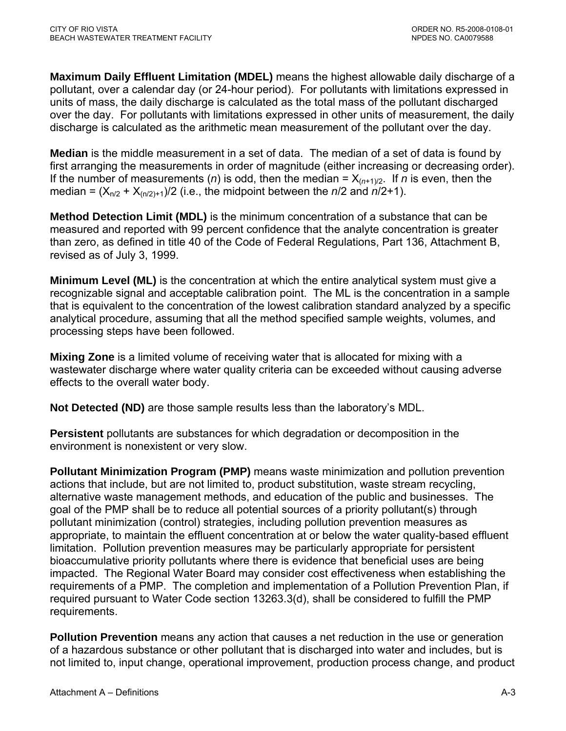**Maximum Daily Effluent Limitation (MDEL)** means the highest allowable daily discharge of a pollutant, over a calendar day (or 24-hour period). For pollutants with limitations expressed in units of mass, the daily discharge is calculated as the total mass of the pollutant discharged over the day. For pollutants with limitations expressed in other units of measurement, the daily discharge is calculated as the arithmetic mean measurement of the pollutant over the day.

**Median** is the middle measurement in a set of data. The median of a set of data is found by first arranging the measurements in order of magnitude (either increasing or decreasing order). If the number of measurements (*n*) is odd, then the median =  $X_{(n+1)/2}$ . If *n* is even, then the median =  $(X_{n/2} + X_{(n/2)+1})/2$  (i.e., the midpoint between the *n*/2 and *n*/2+1).

**Method Detection Limit (MDL)** is the minimum concentration of a substance that can be measured and reported with 99 percent confidence that the analyte concentration is greater than zero, as defined in title 40 of the Code of Federal Regulations, Part 136, Attachment B, revised as of July 3, 1999.

**Minimum Level (ML)** is the concentration at which the entire analytical system must give a recognizable signal and acceptable calibration point. The ML is the concentration in a sample that is equivalent to the concentration of the lowest calibration standard analyzed by a specific analytical procedure, assuming that all the method specified sample weights, volumes, and processing steps have been followed.

**Mixing Zone** is a limited volume of receiving water that is allocated for mixing with a wastewater discharge where water quality criteria can be exceeded without causing adverse effects to the overall water body.

**Not Detected (ND)** are those sample results less than the laboratory's MDL.

**Persistent** pollutants are substances for which degradation or decomposition in the environment is nonexistent or very slow.

**Pollutant Minimization Program (PMP)** means waste minimization and pollution prevention actions that include, but are not limited to, product substitution, waste stream recycling, alternative waste management methods, and education of the public and businesses. The goal of the PMP shall be to reduce all potential sources of a priority pollutant(s) through pollutant minimization (control) strategies, including pollution prevention measures as appropriate, to maintain the effluent concentration at or below the water quality-based effluent limitation. Pollution prevention measures may be particularly appropriate for persistent bioaccumulative priority pollutants where there is evidence that beneficial uses are being impacted. The Regional Water Board may consider cost effectiveness when establishing the requirements of a PMP. The completion and implementation of a Pollution Prevention Plan, if required pursuant to Water Code section 13263.3(d), shall be considered to fulfill the PMP requirements.

**Pollution Prevention** means any action that causes a net reduction in the use or generation of a hazardous substance or other pollutant that is discharged into water and includes, but is not limited to, input change, operational improvement, production process change, and product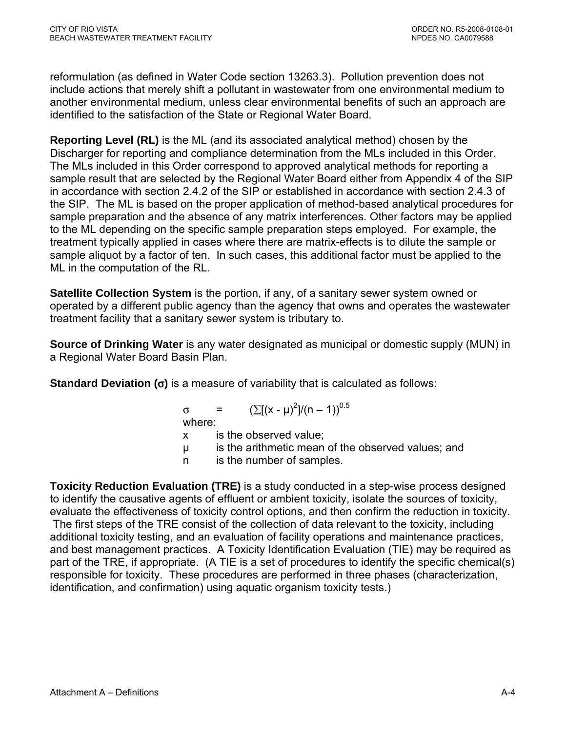reformulation (as defined in Water Code section 13263.3). Pollution prevention does not include actions that merely shift a pollutant in wastewater from one environmental medium to another environmental medium, unless clear environmental benefits of such an approach are identified to the satisfaction of the State or Regional Water Board.

**Reporting Level (RL)** is the ML (and its associated analytical method) chosen by the Discharger for reporting and compliance determination from the MLs included in this Order. The MLs included in this Order correspond to approved analytical methods for reporting a sample result that are selected by the Regional Water Board either from Appendix 4 of the SIP in accordance with section 2.4.2 of the SIP or established in accordance with section 2.4.3 of the SIP. The ML is based on the proper application of method-based analytical procedures for sample preparation and the absence of any matrix interferences. Other factors may be applied to the ML depending on the specific sample preparation steps employed. For example, the treatment typically applied in cases where there are matrix-effects is to dilute the sample or sample aliquot by a factor of ten. In such cases, this additional factor must be applied to the ML in the computation of the RL.

**Satellite Collection System** is the portion, if any, of a sanitary sewer system owned or operated by a different public agency than the agency that owns and operates the wastewater treatment facility that a sanitary sewer system is tributary to.

**Source of Drinking Water** is any water designated as municipal or domestic supply (MUN) in a Regional Water Board Basin Plan.

**Standard Deviation (**σ**)** is a measure of variability that is calculated as follows:

 $\sigma = (\sum [(x - μ)^2]/(n - 1))^{0.5}$ where: x is the observed value; µ is the arithmetic mean of the observed values; and n is the number of samples.

**Toxicity Reduction Evaluation (TRE)** is a study conducted in a step-wise process designed to identify the causative agents of effluent or ambient toxicity, isolate the sources of toxicity, evaluate the effectiveness of toxicity control options, and then confirm the reduction in toxicity. The first steps of the TRE consist of the collection of data relevant to the toxicity, including additional toxicity testing, and an evaluation of facility operations and maintenance practices, and best management practices. A Toxicity Identification Evaluation (TIE) may be required as part of the TRE, if appropriate. (A TIE is a set of procedures to identify the specific chemical(s) responsible for toxicity. These procedures are performed in three phases (characterization, identification, and confirmation) using aquatic organism toxicity tests.)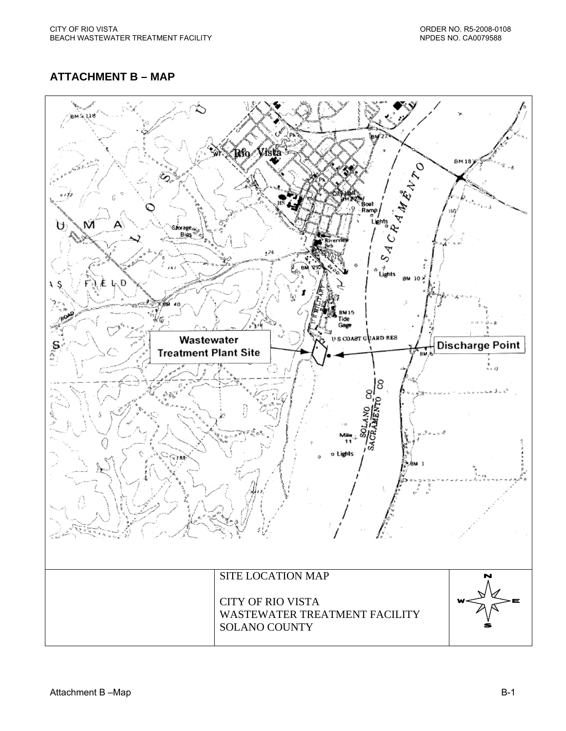# <span id="page-29-0"></span>**ATTACHMENT B – MAP**

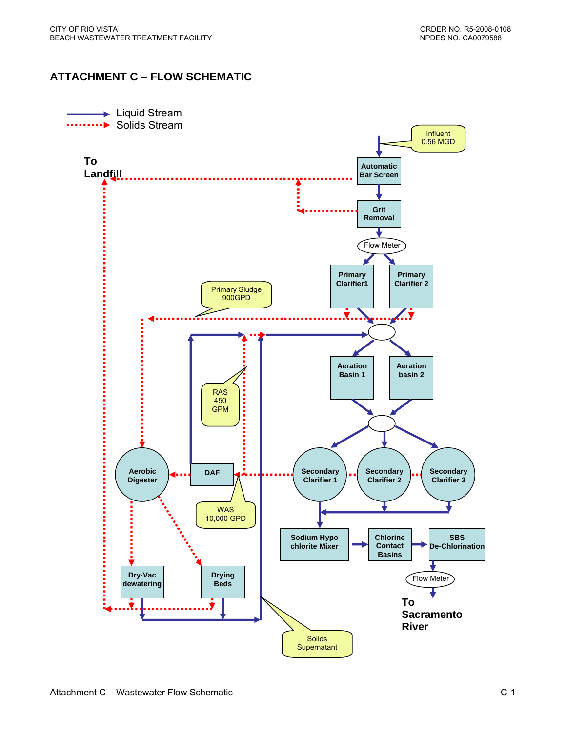### <span id="page-30-0"></span>**ATTACHMENT C – FLOW SCHEMATIC**

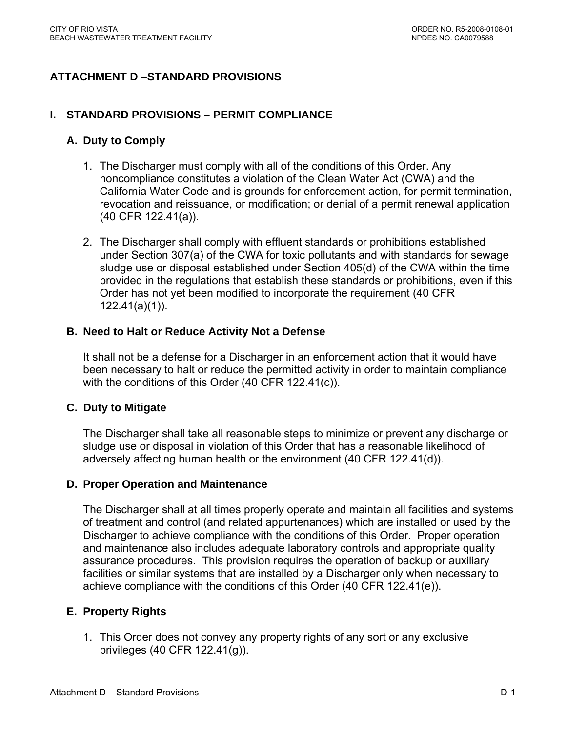# <span id="page-31-0"></span>**ATTACHMENT D –STANDARD PROVISIONS**

#### **I. STANDARD PROVISIONS – PERMIT COMPLIANCE**

### **A. Duty to Comply**

- 1. The Discharger must comply with all of the conditions of this Order. Any noncompliance constitutes a violation of the Clean Water Act (CWA) and the California Water Code and is grounds for enforcement action, for permit termination, revocation and reissuance, or modification; or denial of a permit renewal application (40 CFR 122.41(a)).
- 2. The Discharger shall comply with effluent standards or prohibitions established under Section 307(a) of the CWA for toxic pollutants and with standards for sewage sludge use or disposal established under Section 405(d) of the CWA within the time provided in the regulations that establish these standards or prohibitions, even if this Order has not yet been modified to incorporate the requirement (40 CFR 122.41(a)(1)).

### **B. Need to Halt or Reduce Activity Not a Defense**

It shall not be a defense for a Discharger in an enforcement action that it would have been necessary to halt or reduce the permitted activity in order to maintain compliance with the conditions of this Order (40 CFR 122.41(c)).

#### **C. Duty to Mitigate**

The Discharger shall take all reasonable steps to minimize or prevent any discharge or sludge use or disposal in violation of this Order that has a reasonable likelihood of adversely affecting human health or the environment (40 CFR 122.41(d)).

#### **D. Proper Operation and Maintenance**

The Discharger shall at all times properly operate and maintain all facilities and systems of treatment and control (and related appurtenances) which are installed or used by the Discharger to achieve compliance with the conditions of this Order. Proper operation and maintenance also includes adequate laboratory controls and appropriate quality assurance procedures. This provision requires the operation of backup or auxiliary facilities or similar systems that are installed by a Discharger only when necessary to achieve compliance with the conditions of this Order (40 CFR 122.41(e)).

### **E. Property Rights**

1. This Order does not convey any property rights of any sort or any exclusive privileges (40 CFR 122.41(g)).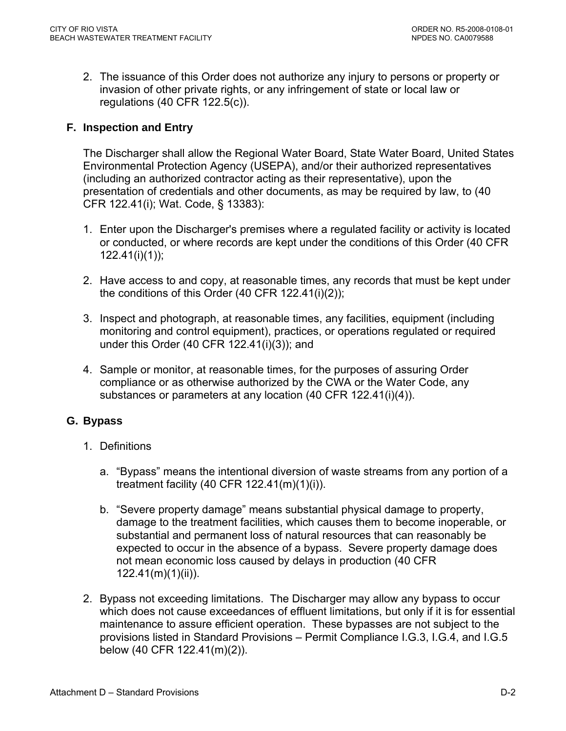<span id="page-32-0"></span>2. The issuance of this Order does not authorize any injury to persons or property or invasion of other private rights, or any infringement of state or local law or regulations (40 CFR 122.5(c)).

# **F. Inspection and Entry**

The Discharger shall allow the Regional Water Board, State Water Board, United States Environmental Protection Agency (USEPA), and/or their authorized representatives (including an authorized contractor acting as their representative), upon the presentation of credentials and other documents, as may be required by law, to (40 CFR 122.41(i); Wat. Code, § 13383):

- 1. Enter upon the Discharger's premises where a regulated facility or activity is located or conducted, or where records are kept under the conditions of this Order (40 CFR 122.41(i)(1));
- 2. Have access to and copy, at reasonable times, any records that must be kept under the conditions of this Order (40 CFR 122.41(i)(2));
- 3. Inspect and photograph, at reasonable times, any facilities, equipment (including monitoring and control equipment), practices, or operations regulated or required under this Order (40 CFR 122.41(i)(3)); and
- 4. Sample or monitor, at reasonable times, for the purposes of assuring Order compliance or as otherwise authorized by the CWA or the Water Code, any substances or parameters at any location (40 CFR 122.41(i)(4)).

# **G. Bypass**

- 1. Definitions
	- a. "Bypass" means the intentional diversion of waste streams from any portion of a treatment facility (40 CFR 122.41(m)(1)(i)).
	- b. "Severe property damage" means substantial physical damage to property, damage to the treatment facilities, which causes them to become inoperable, or substantial and permanent loss of natural resources that can reasonably be expected to occur in the absence of a bypass. Severe property damage does not mean economic loss caused by delays in production (40 CFR 122.41(m)(1)(ii)).
- 2. Bypass not exceeding limitations. The Discharger may allow any bypass to occur which does not cause exceedances of effluent limitations, but only if it is for essential maintenance to assure efficient operation. These bypasses are not subject to the provisions listed in Standard Provisions – Permit Compliance I.G.3, I.G.4, and I.G.5 below (40 CFR 122.41(m)(2)).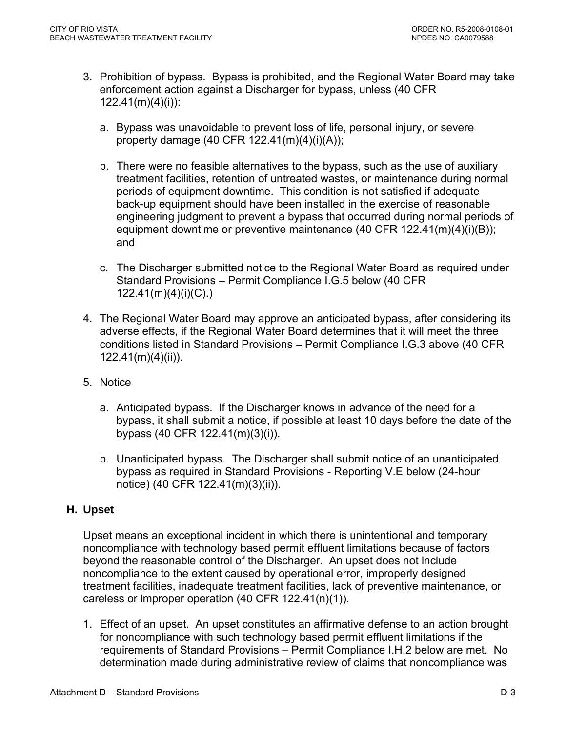- <span id="page-33-0"></span>3. Prohibition of bypass. Bypass is prohibited, and the Regional Water Board may take enforcement action against a Discharger for bypass, unless (40 CFR 122.41(m)(4)(i)):
	- a. Bypass was unavoidable to prevent loss of life, personal injury, or severe property damage (40 CFR 122.41(m)(4)(i)(A));
	- b. There were no feasible alternatives to the bypass, such as the use of auxiliary treatment facilities, retention of untreated wastes, or maintenance during normal periods of equipment downtime. This condition is not satisfied if adequate back-up equipment should have been installed in the exercise of reasonable engineering judgment to prevent a bypass that occurred during normal periods of equipment downtime or preventive maintenance (40 CFR 122.41(m)(4)(i)(B)); and
	- c. The Discharger submitted notice to the Regional Water Board as required under Standard Provisions – Permit Compliance I.G.5 below (40 CFR 122.41(m)(4)(i)(C).)
- 4. The Regional Water Board may approve an anticipated bypass, after considering its adverse effects, if the Regional Water Board determines that it will meet the three conditions listed in Standard Provisions – Permit Compliance I.G.3 above (40 CFR 122.41(m)(4)(ii)).
- 5. Notice
	- a. Anticipated bypass. If the Discharger knows in advance of the need for a bypass, it shall submit a notice, if possible at least 10 days before the date of the bypass (40 CFR 122.41(m)(3)(i)).
	- b. Unanticipated bypass. The Discharger shall submit notice of an unanticipated bypass as required in Standard Provisions - Reporting V.E below (24-hour notice) (40 CFR 122.41(m)(3)(ii)).

# **H. Upset**

Upset means an exceptional incident in which there is unintentional and temporary noncompliance with technology based permit effluent limitations because of factors beyond the reasonable control of the Discharger. An upset does not include noncompliance to the extent caused by operational error, improperly designed treatment facilities, inadequate treatment facilities, lack of preventive maintenance, or careless or improper operation (40 CFR 122.41(n)(1)).

1. Effect of an upset. An upset constitutes an affirmative defense to an action brought for noncompliance with such technology based permit effluent limitations if the requirements of Standard Provisions – Permit Compliance I.H.2 below are met. No determination made during administrative review of claims that noncompliance was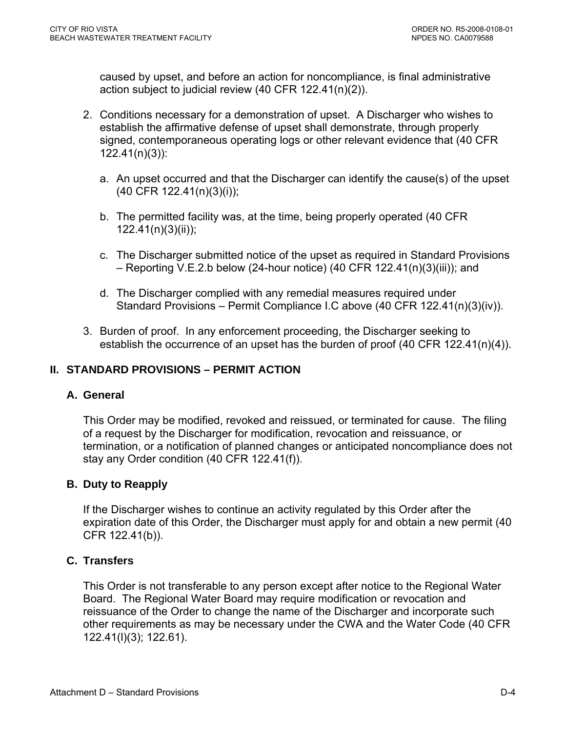caused by upset, and before an action for noncompliance, is final administrative action subject to judicial review (40 CFR 122.41(n)(2)).

- 2. Conditions necessary for a demonstration of upset. A Discharger who wishes to establish the affirmative defense of upset shall demonstrate, through properly signed, contemporaneous operating logs or other relevant evidence that (40 CFR 122.41(n)(3)):
	- a. An upset occurred and that the Discharger can identify the cause(s) of the upset (40 CFR 122.41(n)(3)(i));
	- b. The permitted facility was, at the time, being properly operated (40 CFR 122.41(n)(3)(ii));
	- c. The Discharger submitted notice of the upset as required in Standard Provisions – Reporting V.E.2.b below (24-hour notice) (40 CFR 122.41(n)(3)(iii)); and
	- d. The Discharger complied with any remedial measures required under Standard Provisions – Permit Compliance I.C above (40 CFR 122.41(n)(3)(iv)).
- 3. Burden of proof. In any enforcement proceeding, the Discharger seeking to establish the occurrence of an upset has the burden of proof (40 CFR 122.41(n)(4)).

# **II. STANDARD PROVISIONS – PERMIT ACTION**

# **A. General**

This Order may be modified, revoked and reissued, or terminated for cause. The filing of a request by the Discharger for modification, revocation and reissuance, or termination, or a notification of planned changes or anticipated noncompliance does not stay any Order condition (40 CFR 122.41(f)).

# **B. Duty to Reapply**

If the Discharger wishes to continue an activity regulated by this Order after the expiration date of this Order, the Discharger must apply for and obtain a new permit (40 CFR 122.41(b)).

# **C. Transfers**

This Order is not transferable to any person except after notice to the Regional Water Board. The Regional Water Board may require modification or revocation and reissuance of the Order to change the name of the Discharger and incorporate such other requirements as may be necessary under the CWA and the Water Code (40 CFR 122.41(l)(3); 122.61).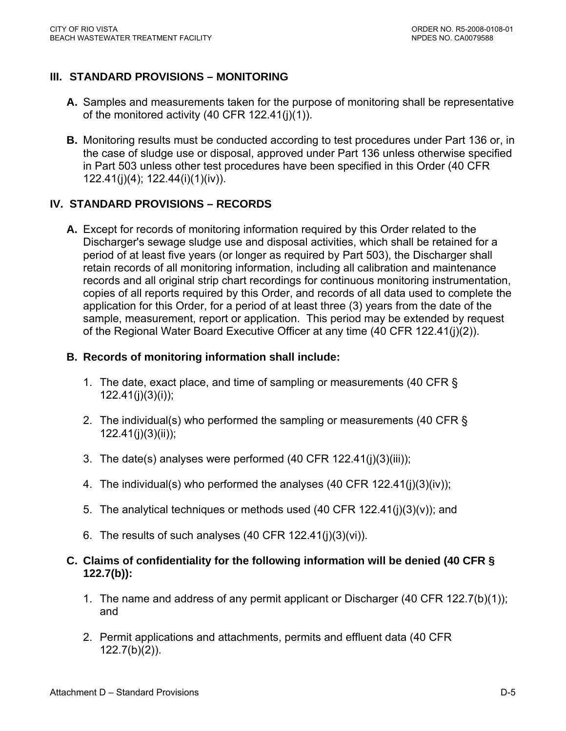# **III. STANDARD PROVISIONS – MONITORING**

- **A.** Samples and measurements taken for the purpose of monitoring shall be representative of the monitored activity (40 CFR 122.41(j)(1)).
- **B.** Monitoring results must be conducted according to test procedures under Part 136 or, in the case of sludge use or disposal, approved under Part 136 unless otherwise specified in Part 503 unless other test procedures have been specified in this Order (40 CFR 122.41(j)(4); 122.44(i)(1)(iv)).

### **IV. STANDARD PROVISIONS – RECORDS**

**A.** Except for records of monitoring information required by this Order related to the Discharger's sewage sludge use and disposal activities, which shall be retained for a period of at least five years (or longer as required by Part 503), the Discharger shall retain records of all monitoring information, including all calibration and maintenance records and all original strip chart recordings for continuous monitoring instrumentation, copies of all reports required by this Order, and records of all data used to complete the application for this Order, for a period of at least three (3) years from the date of the sample, measurement, report or application. This period may be extended by request of the Regional Water Board Executive Officer at any time (40 CFR 122.41(j)(2)).

### **B. Records of monitoring information shall include:**

- 1. The date, exact place, and time of sampling or measurements (40 CFR § 122.41(j)(3)(i));
- 2. The individual(s) who performed the sampling or measurements (40 CFR § 122.41(j)(3)(ii));
- 3. The date(s) analyses were performed (40 CFR 122.41(j)(3)(iii));
- 4. The individual(s) who performed the analyses (40 CFR 122.41(j)(3)(iv));
- 5. The analytical techniques or methods used (40 CFR 122.41(j)(3)(v)); and
- 6. The results of such analyses  $(40$  CFR  $122.41(j)(3)(vi)$ .

### **C. Claims of confidentiality for the following information will be denied (40 CFR § 122.7(b)):**

- 1. The name and address of any permit applicant or Discharger (40 CFR 122.7(b)(1)); and
- 2. Permit applications and attachments, permits and effluent data (40 CFR 122.7(b)(2)).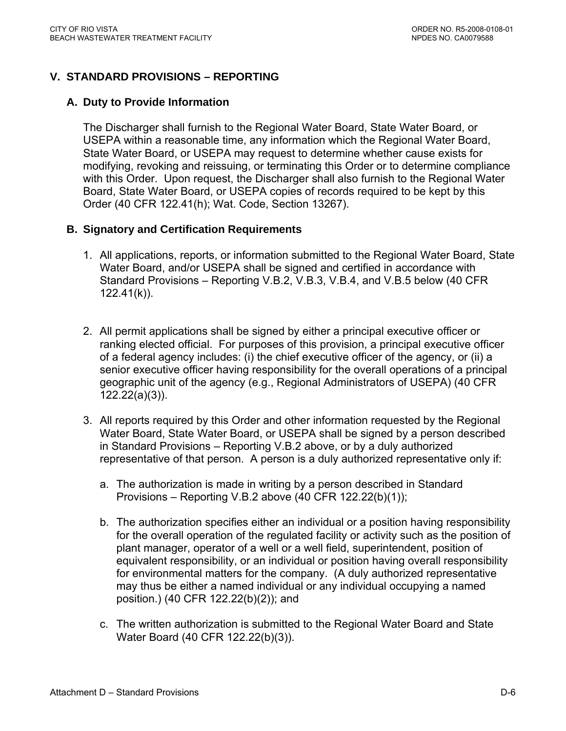## **V. STANDARD PROVISIONS – REPORTING**

### **A. Duty to Provide Information**

The Discharger shall furnish to the Regional Water Board, State Water Board, or USEPA within a reasonable time, any information which the Regional Water Board, State Water Board, or USEPA may request to determine whether cause exists for modifying, revoking and reissuing, or terminating this Order or to determine compliance with this Order. Upon request, the Discharger shall also furnish to the Regional Water Board, State Water Board, or USEPA copies of records required to be kept by this Order (40 CFR 122.41(h); Wat. Code, Section 13267).

### **B. Signatory and Certification Requirements**

- 1. All applications, reports, or information submitted to the Regional Water Board, State Water Board, and/or USEPA shall be signed and certified in accordance with Standard Provisions – Reporting V.B.2, V.B.3, V.B.4, and V.B.5 below (40 CFR  $122.41(k)$ ).
- 2. All permit applications shall be signed by either a principal executive officer or ranking elected official. For purposes of this provision, a principal executive officer of a federal agency includes: (i) the chief executive officer of the agency, or (ii) a senior executive officer having responsibility for the overall operations of a principal geographic unit of the agency (e.g., Regional Administrators of USEPA) (40 CFR 122.22(a)(3)).
- 3. All reports required by this Order and other information requested by the Regional Water Board, State Water Board, or USEPA shall be signed by a person described in Standard Provisions – Reporting V.B.2 above, or by a duly authorized representative of that person. A person is a duly authorized representative only if:
	- a. The authorization is made in writing by a person described in Standard Provisions – Reporting V.B.2 above (40 CFR 122.22(b)(1));
	- b. The authorization specifies either an individual or a position having responsibility for the overall operation of the regulated facility or activity such as the position of plant manager, operator of a well or a well field, superintendent, position of equivalent responsibility, or an individual or position having overall responsibility for environmental matters for the company. (A duly authorized representative may thus be either a named individual or any individual occupying a named position.) (40 CFR 122.22(b)(2)); and
	- c. The written authorization is submitted to the Regional Water Board and State Water Board (40 CFR 122.22(b)(3)).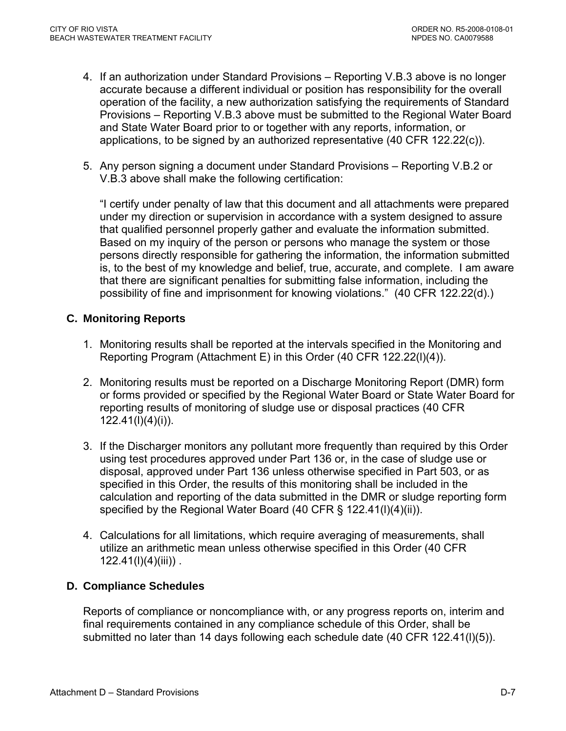- 4. If an authorization under Standard Provisions Reporting V.B.3 above is no longer accurate because a different individual or position has responsibility for the overall operation of the facility, a new authorization satisfying the requirements of Standard Provisions – Reporting V.B.3 above must be submitted to the Regional Water Board and State Water Board prior to or together with any reports, information, or applications, to be signed by an authorized representative (40 CFR 122.22(c)).
- 5. Any person signing a document under Standard Provisions Reporting V.B.2 or V.B.3 above shall make the following certification:

"I certify under penalty of law that this document and all attachments were prepared under my direction or supervision in accordance with a system designed to assure that qualified personnel properly gather and evaluate the information submitted. Based on my inquiry of the person or persons who manage the system or those persons directly responsible for gathering the information, the information submitted is, to the best of my knowledge and belief, true, accurate, and complete. I am aware that there are significant penalties for submitting false information, including the possibility of fine and imprisonment for knowing violations." (40 CFR 122.22(d).)

## **C. Monitoring Reports**

- 1. Monitoring results shall be reported at the intervals specified in the Monitoring and Reporting Program (Attachment E) in this Order (40 CFR 122.22(l)(4)).
- 2. Monitoring results must be reported on a Discharge Monitoring Report (DMR) form or forms provided or specified by the Regional Water Board or State Water Board for reporting results of monitoring of sludge use or disposal practices (40 CFR 122.41(l)(4)(i)).
- 3. If the Discharger monitors any pollutant more frequently than required by this Order using test procedures approved under Part 136 or, in the case of sludge use or disposal, approved under Part 136 unless otherwise specified in Part 503, or as specified in this Order, the results of this monitoring shall be included in the calculation and reporting of the data submitted in the DMR or sludge reporting form specified by the Regional Water Board (40 CFR § 122.41(I)(4)(ii)).
- 4. Calculations for all limitations, which require averaging of measurements, shall utilize an arithmetic mean unless otherwise specified in this Order (40 CFR  $122.41(l)(4)(iii)$ .

## **D. Compliance Schedules**

Reports of compliance or noncompliance with, or any progress reports on, interim and final requirements contained in any compliance schedule of this Order, shall be submitted no later than 14 days following each schedule date (40 CFR 122.41(l)(5)).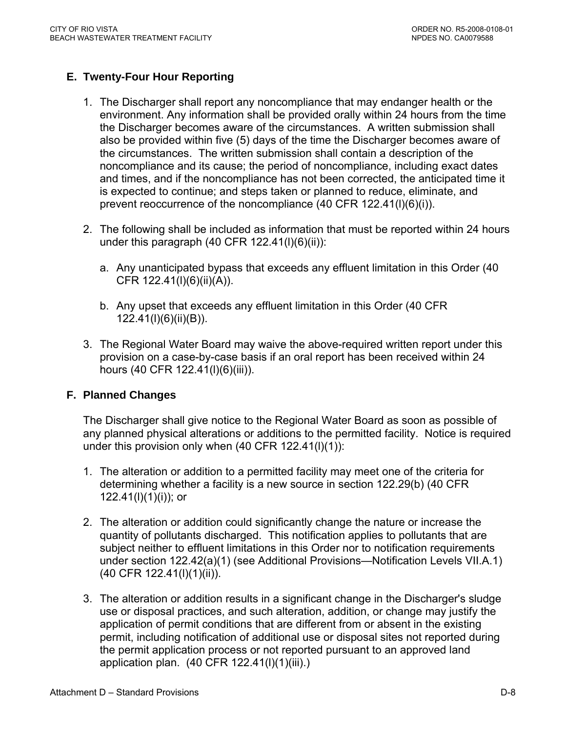## **E. Twenty-Four Hour Reporting**

- 1. The Discharger shall report any noncompliance that may endanger health or the environment. Any information shall be provided orally within 24 hours from the time the Discharger becomes aware of the circumstances. A written submission shall also be provided within five (5) days of the time the Discharger becomes aware of the circumstances. The written submission shall contain a description of the noncompliance and its cause; the period of noncompliance, including exact dates and times, and if the noncompliance has not been corrected, the anticipated time it is expected to continue; and steps taken or planned to reduce, eliminate, and prevent reoccurrence of the noncompliance (40 CFR 122.41(l)(6)(i)).
- 2. The following shall be included as information that must be reported within 24 hours under this paragraph (40 CFR 122.41(l)(6)(ii)):
	- a. Any unanticipated bypass that exceeds any effluent limitation in this Order (40 CFR 122.41(l)(6)(ii)(A)).
	- b. Any upset that exceeds any effluent limitation in this Order (40 CFR 122.41(l)(6)(ii)(B)).
- 3. The Regional Water Board may waive the above-required written report under this provision on a case-by-case basis if an oral report has been received within 24 hours (40 CFR 122.41(I)(6)(iii)).

### **F. Planned Changes**

The Discharger shall give notice to the Regional Water Board as soon as possible of any planned physical alterations or additions to the permitted facility. Notice is required under this provision only when (40 CFR 122.41(l)(1)):

- 1. The alteration or addition to a permitted facility may meet one of the criteria for determining whether a facility is a new source in section 122.29(b) (40 CFR 122.41(l)(1)(i)); or
- 2. The alteration or addition could significantly change the nature or increase the quantity of pollutants discharged. This notification applies to pollutants that are subject neither to effluent limitations in this Order nor to notification requirements under section 122.42(a)(1) (see Additional Provisions—Notification Levels VII.A.1) (40 CFR 122.41(l)(1)(ii)).
- 3. The alteration or addition results in a significant change in the Discharger's sludge use or disposal practices, and such alteration, addition, or change may justify the application of permit conditions that are different from or absent in the existing permit, including notification of additional use or disposal sites not reported during the permit application process or not reported pursuant to an approved land application plan. (40 CFR 122.41(l)(1)(iii).)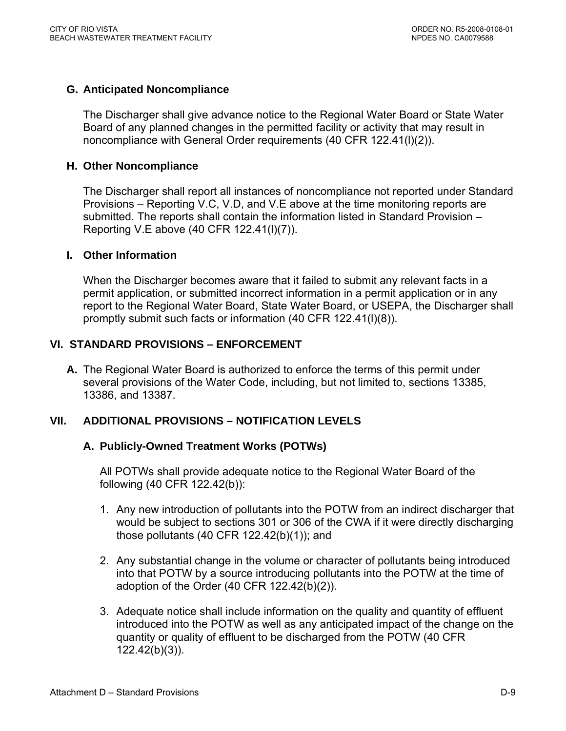## **G. Anticipated Noncompliance**

The Discharger shall give advance notice to the Regional Water Board or State Water Board of any planned changes in the permitted facility or activity that may result in noncompliance with General Order requirements (40 CFR 122.41(l)(2)).

### **H. Other Noncompliance**

The Discharger shall report all instances of noncompliance not reported under Standard Provisions – Reporting V.C, V.D, and V.E above at the time monitoring reports are submitted. The reports shall contain the information listed in Standard Provision – Reporting V.E above (40 CFR 122.41(l)(7)).

### **I. Other Information**

When the Discharger becomes aware that it failed to submit any relevant facts in a permit application, or submitted incorrect information in a permit application or in any report to the Regional Water Board, State Water Board, or USEPA, the Discharger shall promptly submit such facts or information (40 CFR 122.41(l)(8)).

## **VI. STANDARD PROVISIONS – ENFORCEMENT**

**A.** The Regional Water Board is authorized to enforce the terms of this permit under several provisions of the Water Code, including, but not limited to, sections 13385, 13386, and 13387.

## **VII. ADDITIONAL PROVISIONS – NOTIFICATION LEVELS**

### **A. Publicly-Owned Treatment Works (POTWs)**

All POTWs shall provide adequate notice to the Regional Water Board of the following (40 CFR 122.42(b)):

- 1. Any new introduction of pollutants into the POTW from an indirect discharger that would be subject to sections 301 or 306 of the CWA if it were directly discharging those pollutants (40 CFR 122.42(b)(1)); and
- 2. Any substantial change in the volume or character of pollutants being introduced into that POTW by a source introducing pollutants into the POTW at the time of adoption of the Order (40 CFR 122.42(b)(2)).
- 3. Adequate notice shall include information on the quality and quantity of effluent introduced into the POTW as well as any anticipated impact of the change on the quantity or quality of effluent to be discharged from the POTW (40 CFR 122.42(b)(3)).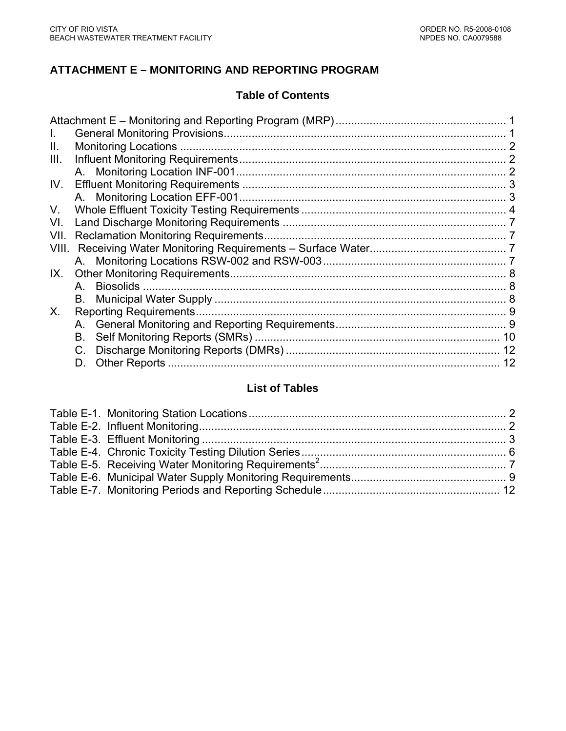## **ATTACHMENT E – MONITORING AND REPORTING PROGRAM**

## **Table of Contents**

| L.    |    |    |
|-------|----|----|
| Ш.    |    |    |
| III.  |    | 2  |
|       |    |    |
| IV.   |    |    |
|       |    |    |
| V.    |    |    |
| VI.   |    |    |
| VII.  |    |    |
| VIII. |    |    |
|       |    |    |
| IX.   |    |    |
|       |    |    |
|       |    |    |
| X.    |    |    |
|       |    |    |
|       | В. |    |
|       |    |    |
|       |    | 12 |
|       |    |    |

# **List of Tables**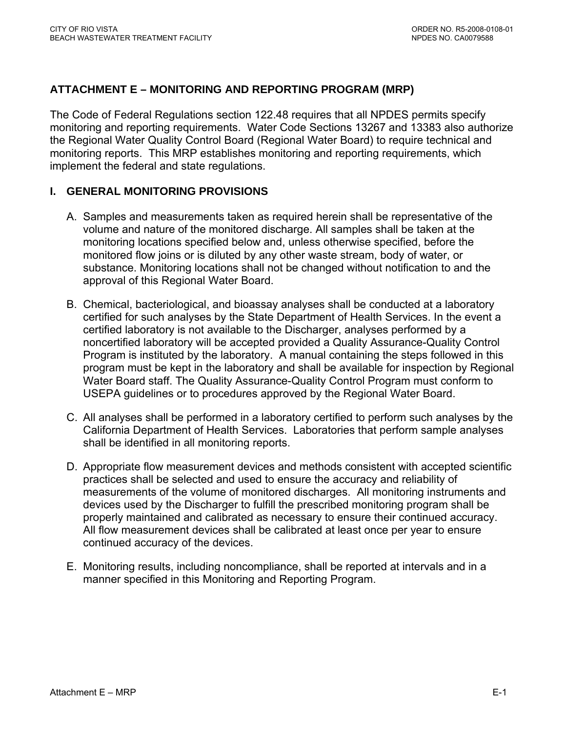## <span id="page-41-0"></span>**ATTACHMENT E – MONITORING AND REPORTING PROGRAM (MRP)**

The Code of Federal Regulations section 122.48 requires that all NPDES permits specify monitoring and reporting requirements. Water Code Sections 13267 and 13383 also authorize the Regional Water Quality Control Board (Regional Water Board) to require technical and monitoring reports. This MRP establishes monitoring and reporting requirements, which implement the federal and state regulations.

## **I. GENERAL MONITORING PROVISIONS**

- A. Samples and measurements taken as required herein shall be representative of the volume and nature of the monitored discharge. All samples shall be taken at the monitoring locations specified below and, unless otherwise specified, before the monitored flow joins or is diluted by any other waste stream, body of water, or substance. Monitoring locations shall not be changed without notification to and the approval of this Regional Water Board.
- B. Chemical, bacteriological, and bioassay analyses shall be conducted at a laboratory certified for such analyses by the State Department of Health Services. In the event a certified laboratory is not available to the Discharger, analyses performed by a noncertified laboratory will be accepted provided a Quality Assurance-Quality Control Program is instituted by the laboratory. A manual containing the steps followed in this program must be kept in the laboratory and shall be available for inspection by Regional Water Board staff. The Quality Assurance-Quality Control Program must conform to USEPA guidelines or to procedures approved by the Regional Water Board.
- C. All analyses shall be performed in a laboratory certified to perform such analyses by the California Department of Health Services. Laboratories that perform sample analyses shall be identified in all monitoring reports.
- D. Appropriate flow measurement devices and methods consistent with accepted scientific practices shall be selected and used to ensure the accuracy and reliability of measurements of the volume of monitored discharges. All monitoring instruments and devices used by the Discharger to fulfill the prescribed monitoring program shall be properly maintained and calibrated as necessary to ensure their continued accuracy. All flow measurement devices shall be calibrated at least once per year to ensure continued accuracy of the devices.
- E. Monitoring results, including noncompliance, shall be reported at intervals and in a manner specified in this Monitoring and Reporting Program.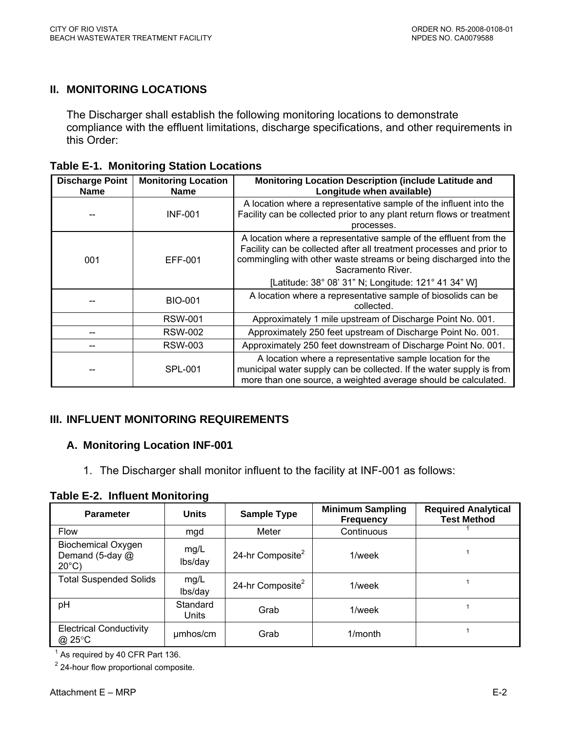## <span id="page-42-0"></span>**II. MONITORING LOCATIONS**

The Discharger shall establish the following monitoring locations to demonstrate compliance with the effluent limitations, discharge specifications, and other requirements in this Order:

| <b>Discharge Point</b><br><b>Name</b> | <b>Monitoring Location</b><br><b>Name</b> | Monitoring Location Description (include Latitude and<br>Longitude when available)                                                                                                                                                                                                         |
|---------------------------------------|-------------------------------------------|--------------------------------------------------------------------------------------------------------------------------------------------------------------------------------------------------------------------------------------------------------------------------------------------|
|                                       | <b>INF-001</b>                            | A location where a representative sample of the influent into the<br>Facility can be collected prior to any plant return flows or treatment<br>processes.                                                                                                                                  |
| 001                                   | EFF-001                                   | A location where a representative sample of the effluent from the<br>Facility can be collected after all treatment processes and prior to<br>commingling with other waste streams or being discharged into the<br>Sacramento River.<br>[Latitude: 38° 08' 31" N; Longitude: 121° 41 34" W] |
|                                       | <b>BIO-001</b>                            | A location where a representative sample of biosolids can be<br>collected.                                                                                                                                                                                                                 |
|                                       | <b>RSW-001</b>                            | Approximately 1 mile upstream of Discharge Point No. 001.                                                                                                                                                                                                                                  |
|                                       | <b>RSW-002</b>                            | Approximately 250 feet upstream of Discharge Point No. 001.                                                                                                                                                                                                                                |
|                                       | <b>RSW-003</b>                            | Approximately 250 feet downstream of Discharge Point No. 001.                                                                                                                                                                                                                              |
|                                       | <b>SPL-001</b>                            | A location where a representative sample location for the<br>municipal water supply can be collected. If the water supply is from<br>more than one source, a weighted average should be calculated.                                                                                        |

### **III. INFLUENT MONITORING REQUIREMENTS**

### **A. Monitoring Location INF-001**

1. The Discharger shall monitor influent to the facility at INF-001 as follows:

**Table E-2. Influent Monitoring** 

| <b>Parameter</b>                                                | <b>Units</b>      | <b>Sample Type</b>           | <b>Minimum Sampling</b><br><b>Frequency</b> | <b>Required Analytical</b><br><b>Test Method</b> |
|-----------------------------------------------------------------|-------------------|------------------------------|---------------------------------------------|--------------------------------------------------|
| <b>Flow</b>                                                     | mgd               | Meter                        | Continuous                                  |                                                  |
| <b>Biochemical Oxygen</b><br>Demand (5-day @<br>$20^{\circ}$ C) | mg/L<br>lbs/day   | 24-hr Composite <sup>2</sup> | 1/week                                      |                                                  |
| <b>Total Suspended Solids</b>                                   | mg/L<br>lbs/day   | 24-hr Composite <sup>2</sup> | 1/week                                      |                                                  |
| pH                                                              | Standard<br>Units | Grab                         | 1/week                                      |                                                  |
| <b>Electrical Conductivity</b><br>@ 25°C                        | umhos/cm          | Grab                         | $1/m$ onth                                  |                                                  |

 $<sup>1</sup>$  As required by 40 CFR Part 136.</sup>

 $2$  24-hour flow proportional composite.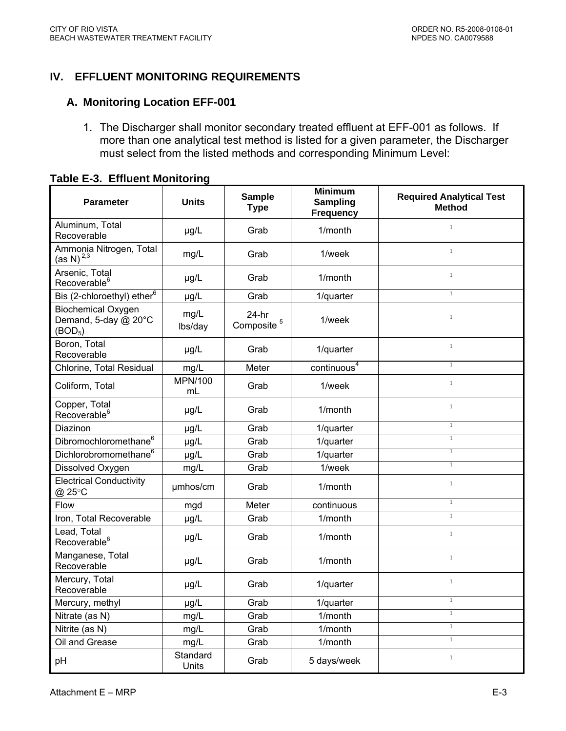## <span id="page-43-0"></span>**IV. EFFLUENT MONITORING REQUIREMENTS**

### **A. Monitoring Location EFF-001**

1. The Discharger shall monitor secondary treated effluent at EFF-001 as follows. If more than one analytical test method is listed for a given parameter, the Discharger must select from the listed methods and corresponding Minimum Level:

| <b>Parameter</b>                                                         | <b>Units</b>    | <b>Sample</b><br><b>Type</b>      | <b>Minimum</b><br><b>Sampling</b><br><b>Frequency</b> | <b>Required Analytical Test</b><br><b>Method</b> |
|--------------------------------------------------------------------------|-----------------|-----------------------------------|-------------------------------------------------------|--------------------------------------------------|
| Aluminum, Total<br>Recoverable                                           | µg/L            | Grab                              | 1/month                                               | $\,1\,$                                          |
| Ammonia Nitrogen, Total<br>(as N) <sup>2,3</sup>                         | mg/L            | Grab                              | 1/week                                                | $\,1$                                            |
| Arsenic, Total<br>Recoverable <sup>6</sup>                               | µg/L            | Grab                              | 1/month                                               | $\mathbf{1}$                                     |
| Bis (2-chloroethyl) ether <sup>6</sup>                                   | µg/L            | Grab                              | 1/quarter                                             | $\overline{1}$                                   |
| <b>Biochemical Oxygen</b><br>Demand, 5-day @ 20°C<br>(BOD <sub>5</sub> ) | mg/L<br>lbs/day | $24-hr$<br>Composite <sup>5</sup> | 1/week                                                | $\,1\,$                                          |
| Boron, Total<br>Recoverable                                              | µg/L            | Grab                              | 1/quarter                                             | $\,1$                                            |
| Chlorine, Total Residual                                                 | mg/L            | Meter                             | continuous <sup>4</sup>                               | $\mathbf{1}$                                     |
| Coliform, Total                                                          | MPN/100<br>mL   | Grab                              | 1/week                                                | $\,1\,$                                          |
| Copper, Total<br>Recoverable <sup>6</sup>                                | µg/L            | Grab                              | 1/month                                               | $\,1$                                            |
| Diazinon                                                                 | µg/L            | Grab                              | 1/quarter                                             | $\,1\,$                                          |
| Dibromochloromethane <sup>6</sup>                                        | µg/L            | Grab                              | 1/quarter                                             | $1\,$                                            |
| Dichlorobromomethane <sup>6</sup>                                        | µg/L            | Grab                              | 1/quarter                                             | $\,1$                                            |
| Dissolved Oxygen                                                         | mg/L            | Grab                              | 1/week                                                | $\overline{1}$                                   |
| <b>Electrical Conductivity</b><br>@ 25°C                                 | umhos/cm        | Grab                              | 1/month                                               | $\,1$                                            |
| Flow                                                                     | mgd             | Meter                             | continuous                                            | $\mathbf{1}$                                     |
| Iron, Total Recoverable                                                  | µg/L            | Grab                              | 1/month                                               | $\overline{1}$                                   |
| Lead, Total<br>Recoverable <sup>6</sup>                                  | µg/L            | Grab                              | 1/month                                               | $\,1$                                            |
| Manganese, Total<br>Recoverable                                          | µg/L            | Grab                              | 1/month                                               | $\,1$                                            |
| Mercury, Total<br>Recoverable                                            | µg/L            | Grab                              | 1/quarter                                             | $\,1$                                            |
| Mercury, methyl                                                          | µg/L            | Grab                              | 1/quarter                                             | $\overline{1}$                                   |
| Nitrate (as N)                                                           | mg/L            | Grab                              | 1/month                                               | $\overline{1}$                                   |
| Nitrite (as N)                                                           | mg/L            | Grab                              | 1/month                                               | $\overline{1}$                                   |
| Oil and Grease                                                           | mg/L            | Grab                              | 1/month                                               | $\overline{1}$                                   |

Grab  $\begin{array}{|c|c|c|c|c|} \hline \end{array}$  5 days/week  $\begin{array}{c|c|c|c|c} \hline \end{array}$ 

# **Table E-3. Effluent Monitoring**

pH Standard<br>Units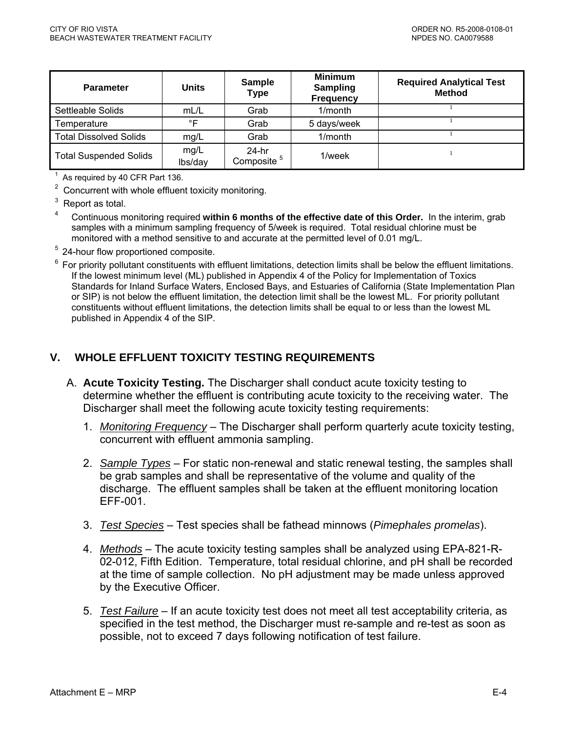<span id="page-44-0"></span>

| <b>Parameter</b>              | <b>Units</b>    | <b>Sample</b><br><b>Type</b>      | <b>Minimum</b><br><b>Sampling</b><br><b>Frequency</b> | <b>Required Analytical Test</b><br><b>Method</b> |
|-------------------------------|-----------------|-----------------------------------|-------------------------------------------------------|--------------------------------------------------|
| Settleable Solids             | mL/L            | Grab                              | $1/m$ onth                                            |                                                  |
| Temperature                   | $\circ$ F       | Grab                              | 5 days/week                                           |                                                  |
| <b>Total Dissolved Solids</b> | mg/L            | Grab                              | $1/m$ onth                                            |                                                  |
| <b>Total Suspended Solids</b> | mg/L<br>lbs/day | $24-hr$<br>Composite <sup>5</sup> | 1/week                                                |                                                  |

 $1$  As required by 40 CFR Part 136.

 $2$  Concurrent with whole effluent toxicity monitoring.

3 Report as total.

4 Continuous monitoring required **within 6 months of the effective date of this Order.** In the interim, grab samples with a minimum sampling frequency of 5/week is required. Total residual chlorine must be monitored with a method sensitive to and accurate at the permitted level of 0.01 mg/L.

<sup>5</sup> 24-hour flow proportioned composite.

 $6$  For priority pollutant constituents with effluent limitations, detection limits shall be below the effluent limitations. If the lowest minimum level (ML) published in Appendix 4 of the Policy for Implementation of Toxics Standards for Inland Surface Waters, Enclosed Bays, and Estuaries of California (State Implementation Plan or SIP) is not below the effluent limitation, the detection limit shall be the lowest ML. For priority pollutant constituents without effluent limitations, the detection limits shall be equal to or less than the lowest ML published in Appendix 4 of the SIP.

## **V. WHOLE EFFLUENT TOXICITY TESTING REQUIREMENTS**

- A. **Acute Toxicity Testing.** The Discharger shall conduct acute toxicity testing to determine whether the effluent is contributing acute toxicity to the receiving water. The Discharger shall meet the following acute toxicity testing requirements:
	- 1. *Monitoring Frequency* The Discharger shall perform quarterly acute toxicity testing, concurrent with effluent ammonia sampling.
	- 2. *Sample Types* For static non-renewal and static renewal testing, the samples shall be grab samples and shall be representative of the volume and quality of the discharge. The effluent samples shall be taken at the effluent monitoring location EFF-001.
	- 3. *Test Species* Test species shall be fathead minnows (*Pimephales promelas*).
	- 4. *Methods* The acute toxicity testing samples shall be analyzed using EPA-821-R-02-012, Fifth Edition. Temperature, total residual chlorine, and pH shall be recorded at the time of sample collection. No pH adjustment may be made unless approved by the Executive Officer.
	- 5. *Test Failure* If an acute toxicity test does not meet all test acceptability criteria, as specified in the test method, the Discharger must re-sample and re-test as soon as possible, not to exceed 7 days following notification of test failure.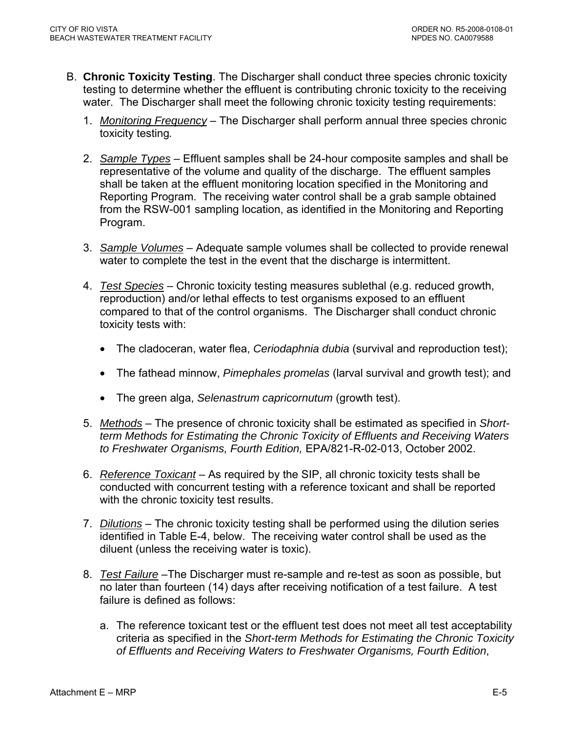- B. **Chronic Toxicity Testing**. The Discharger shall conduct three species chronic toxicity testing to determine whether the effluent is contributing chronic toxicity to the receiving water. The Discharger shall meet the following chronic toxicity testing requirements:
	- 1. *Monitoring Frequency* The Discharger shall perform annual three species chronic toxicity testing*.*
	- 2. *Sample Types* Effluent samples shall be 24-hour composite samples and shall be representative of the volume and quality of the discharge. The effluent samples shall be taken at the effluent monitoring location specified in the Monitoring and Reporting Program. The receiving water control shall be a grab sample obtained from the RSW-001 sampling location, as identified in the Monitoring and Reporting Program.
	- 3. *Sample Volumes* Adequate sample volumes shall be collected to provide renewal water to complete the test in the event that the discharge is intermittent.
	- 4. *Test Species* Chronic toxicity testing measures sublethal (e.g. reduced growth, reproduction) and/or lethal effects to test organisms exposed to an effluent compared to that of the control organisms. The Discharger shall conduct chronic toxicity tests with:
		- The cladoceran, water flea, *Ceriodaphnia dubia* (survival and reproduction test);
		- The fathead minnow, *Pimephales promelas* (larval survival and growth test); and
		- The green alga, *Selenastrum capricornutum* (growth test).
	- 5. *Methods* The presence of chronic toxicity shall be estimated as specified in *Shortterm Methods for Estimating the Chronic Toxicity of Effluents and Receiving Waters to Freshwater Organisms, Fourth Edition,* EPA/821-R-02-013, October 2002.
	- 6. *Reference Toxicant* As required by the SIP, all chronic toxicity tests shall be conducted with concurrent testing with a reference toxicant and shall be reported with the chronic toxicity test results.
	- 7. *Dilutions* The chronic toxicity testing shall be performed using the dilution series identified in Table E-4, below. The receiving water control shall be used as the diluent (unless the receiving water is toxic).
	- 8. *Test Failure* –The Discharger must re-sample and re-test as soon as possible, but no later than fourteen (14) days after receiving notification of a test failure. A test failure is defined as follows:
		- a. The reference toxicant test or the effluent test does not meet all test acceptability criteria as specified in the *Short-term Methods for Estimating the Chronic Toxicity of Effluents and Receiving Waters to Freshwater Organisms, Fourth Edition*,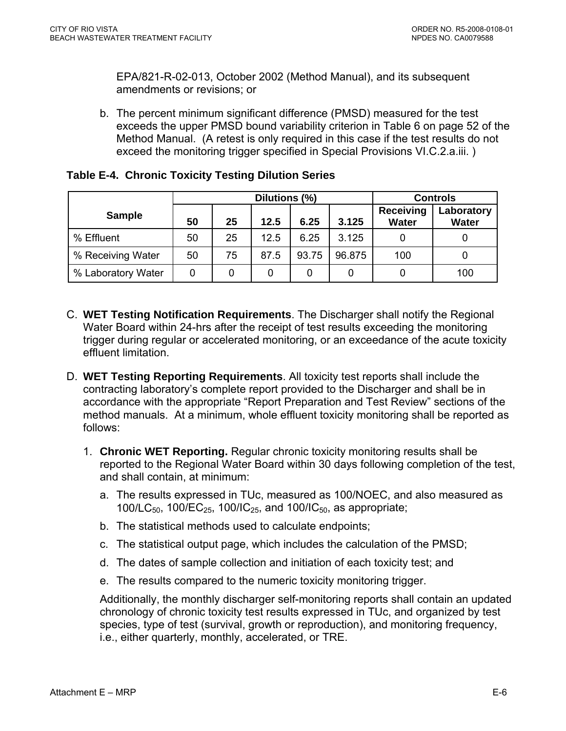<span id="page-46-0"></span>EPA/821-R-02-013, October 2002 (Method Manual), and its subsequent amendments or revisions; or

b. The percent minimum significant difference (PMSD) measured for the test exceeds the upper PMSD bound variability criterion in Table 6 on page 52 of the Method Manual. (A retest is only required in this case if the test results do not exceed the monitoring trigger specified in Special Provisions VI.C.2.a.iii. )

|                    | Dilutions (%) |    |      |       | <b>Controls</b> |                                  |                            |
|--------------------|---------------|----|------|-------|-----------------|----------------------------------|----------------------------|
| <b>Sample</b>      | 50            | 25 | 12.5 | 6.25  | 3.125           | <b>Receiving</b><br><b>Water</b> | Laboratory<br><b>Water</b> |
| % Effluent         | 50            | 25 | 12.5 | 6.25  | 3.125           |                                  |                            |
| % Receiving Water  | 50            | 75 | 87.5 | 93.75 | 96.875          | 100                              |                            |
| % Laboratory Water | 0             | 0  | 0    | 0     |                 |                                  | 100                        |

## **Table E-4. Chronic Toxicity Testing Dilution Series**

- C. **WET Testing Notification Requirements**. The Discharger shall notify the Regional Water Board within 24-hrs after the receipt of test results exceeding the monitoring trigger during regular or accelerated monitoring, or an exceedance of the acute toxicity effluent limitation.
- D. **WET Testing Reporting Requirements**. All toxicity test reports shall include the contracting laboratory's complete report provided to the Discharger and shall be in accordance with the appropriate "Report Preparation and Test Review" sections of the method manuals. At a minimum, whole effluent toxicity monitoring shall be reported as follows:
	- 1. **Chronic WET Reporting.** Regular chronic toxicity monitoring results shall be reported to the Regional Water Board within 30 days following completion of the test, and shall contain, at minimum:
		- a. The results expressed in TUc, measured as 100/NOEC, and also measured as 100/LC $_{50}$ , 100/EC $_{25}$ , 100/IC $_{25}$ , and 100/IC $_{50}$ , as appropriate;
		- b. The statistical methods used to calculate endpoints;
		- c. The statistical output page, which includes the calculation of the PMSD;
		- d. The dates of sample collection and initiation of each toxicity test; and
		- e. The results compared to the numeric toxicity monitoring trigger.

Additionally, the monthly discharger self-monitoring reports shall contain an updated chronology of chronic toxicity test results expressed in TUc, and organized by test species, type of test (survival, growth or reproduction), and monitoring frequency, i.e., either quarterly, monthly, accelerated, or TRE.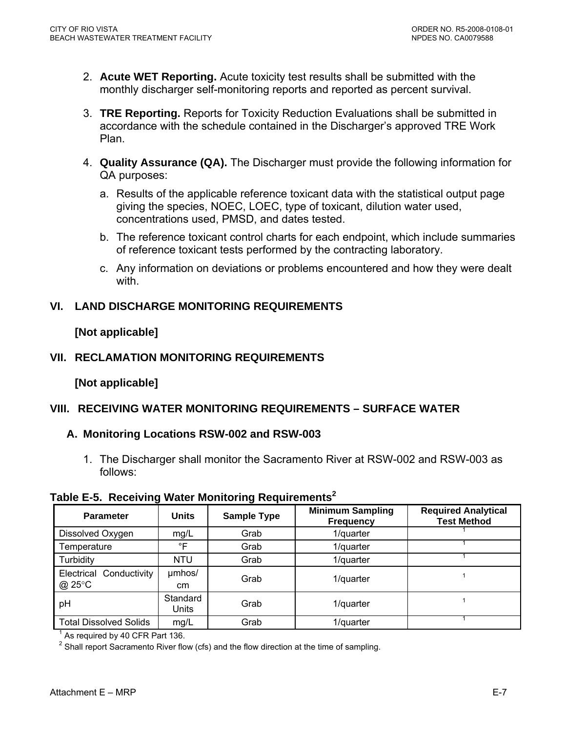- <span id="page-47-0"></span>2. **Acute WET Reporting.** Acute toxicity test results shall be submitted with the monthly discharger self-monitoring reports and reported as percent survival.
- 3. **TRE Reporting.** Reports for Toxicity Reduction Evaluations shall be submitted in accordance with the schedule contained in the Discharger's approved TRE Work Plan.
- 4. **Quality Assurance (QA).** The Discharger must provide the following information for QA purposes:
	- a. Results of the applicable reference toxicant data with the statistical output page giving the species, NOEC, LOEC, type of toxicant, dilution water used, concentrations used, PMSD, and dates tested.
	- b. The reference toxicant control charts for each endpoint, which include summaries of reference toxicant tests performed by the contracting laboratory.
	- c. Any information on deviations or problems encountered and how they were dealt with.

## **VI. LAND DISCHARGE MONITORING REQUIREMENTS**

## **[Not applicable]**

## **VII. RECLAMATION MONITORING REQUIREMENTS**

## **[Not applicable]**

# **VIII. RECEIVING WATER MONITORING REQUIREMENTS – SURFACE WATER**

## **A. Monitoring Locations RSW-002 and RSW-003**

1. The Discharger shall monitor the Sacramento River at RSW-002 and RSW-003 as follows:

### **Table E-5. Receiving Water Monitoring Requirements<sup>2</sup>**

| <b>Parameter</b>                  | <b>Units</b>            | <b>Sample Type</b> | <b>Minimum Sampling</b><br><b>Frequency</b> | <b>Required Analytical</b><br><b>Test Method</b> |
|-----------------------------------|-------------------------|--------------------|---------------------------------------------|--------------------------------------------------|
| Dissolved Oxygen                  | mg/L                    | Grab               | 1/quarter                                   |                                                  |
| Temperature                       | $\degree$ F             | Grab               | 1/quarter                                   |                                                  |
| Turbidity                         | <b>NTU</b>              | Grab               | 1/quarter                                   |                                                  |
| Electrical Conductivity<br>@ 25°C | umhos/<br><sub>cm</sub> | Grab               | 1/quarter                                   |                                                  |
| pH                                | Standard<br>Units       | Grab               | 1/quarter                                   |                                                  |
| <b>Total Dissolved Solids</b>     | mg/L                    | Grab               | 1/quarter                                   |                                                  |

 $<sup>1</sup>$  As required by 40 CFR Part 136.</sup>

 $2$  Shall report Sacramento River flow (cfs) and the flow direction at the time of sampling.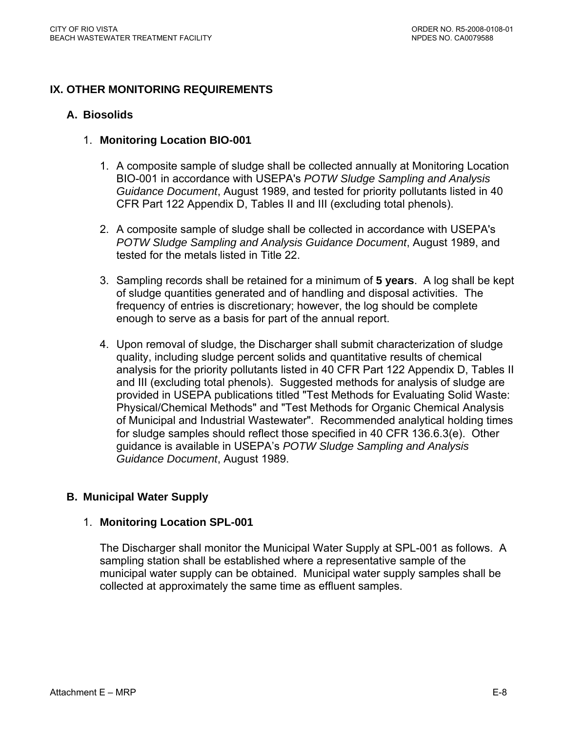## <span id="page-48-0"></span>**IX. OTHER MONITORING REQUIREMENTS**

### **A. Biosolids**

### 1. **Monitoring Location BIO-001**

- 1. A composite sample of sludge shall be collected annually at Monitoring Location BIO-001 in accordance with USEPA's *POTW Sludge Sampling and Analysis Guidance Document*, August 1989, and tested for priority pollutants listed in 40 CFR Part 122 Appendix D, Tables II and III (excluding total phenols).
- 2. A composite sample of sludge shall be collected in accordance with USEPA's *POTW Sludge Sampling and Analysis Guidance Document*, August 1989, and tested for the metals listed in Title 22.
- 3. Sampling records shall be retained for a minimum of **5 years**. A log shall be kept of sludge quantities generated and of handling and disposal activities. The frequency of entries is discretionary; however, the log should be complete enough to serve as a basis for part of the annual report.
- 4. Upon removal of sludge, the Discharger shall submit characterization of sludge quality, including sludge percent solids and quantitative results of chemical analysis for the priority pollutants listed in 40 CFR Part 122 Appendix D, Tables II and III (excluding total phenols). Suggested methods for analysis of sludge are provided in USEPA publications titled "Test Methods for Evaluating Solid Waste: Physical/Chemical Methods" and "Test Methods for Organic Chemical Analysis of Municipal and Industrial Wastewater". Recommended analytical holding times for sludge samples should reflect those specified in 40 CFR 136.6.3(e). Other guidance is available in USEPA's *POTW Sludge Sampling and Analysis Guidance Document*, August 1989.

## **B. Municipal Water Supply**

### 1. **Monitoring Location SPL-001**

The Discharger shall monitor the Municipal Water Supply at SPL-001 as follows. A sampling station shall be established where a representative sample of the municipal water supply can be obtained. Municipal water supply samples shall be collected at approximately the same time as effluent samples.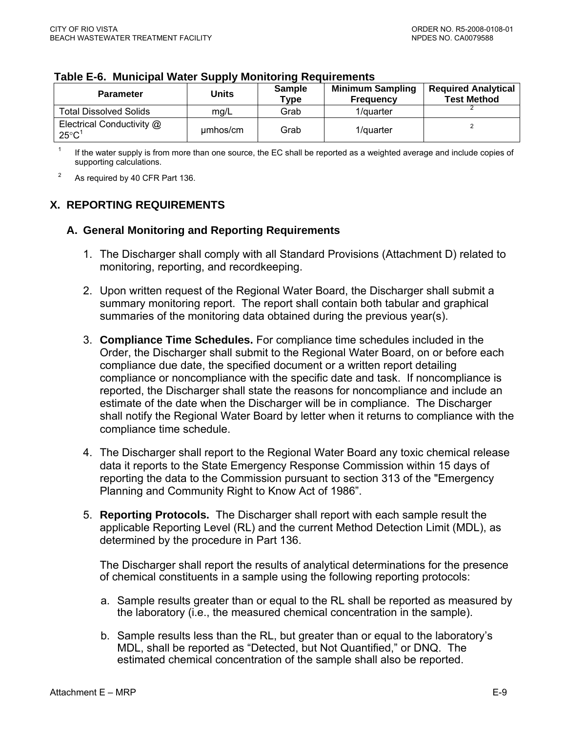| <b>Parameter</b>                                         | Units    | <b>Sample</b><br>$\tau$ ype | <b>Minimum Sampling</b><br><b>Frequency</b> | <b>Required Analytical</b><br><b>Test Method</b> |
|----------------------------------------------------------|----------|-----------------------------|---------------------------------------------|--------------------------------------------------|
| <b>Total Dissolved Solids</b>                            | mg/L     | Grab                        | 1/quarter                                   |                                                  |
| Electrical Conductivity @<br>$25^{\circ}$ C <sup>1</sup> | umhos/cm | Grab                        | 1/quarter                                   |                                                  |

#### <span id="page-49-0"></span>**Table E-6. Municipal Water Supply Monitoring Requirements**

1 If the water supply is from more than one source, the EC shall be reported as a weighted average and include copies of supporting calculations.

2 As required by 40 CFR Part 136.

## **X. REPORTING REQUIREMENTS**

### **A. General Monitoring and Reporting Requirements**

- 1. The Discharger shall comply with all Standard Provisions (Attachment D) related to monitoring, reporting, and recordkeeping.
- 2. Upon written request of the Regional Water Board, the Discharger shall submit a summary monitoring report. The report shall contain both tabular and graphical summaries of the monitoring data obtained during the previous year(s).
- 3. **Compliance Time Schedules.** For compliance time schedules included in the Order, the Discharger shall submit to the Regional Water Board, on or before each compliance due date, the specified document or a written report detailing compliance or noncompliance with the specific date and task. If noncompliance is reported, the Discharger shall state the reasons for noncompliance and include an estimate of the date when the Discharger will be in compliance. The Discharger shall notify the Regional Water Board by letter when it returns to compliance with the compliance time schedule.
- 4. The Discharger shall report to the Regional Water Board any toxic chemical release data it reports to the State Emergency Response Commission within 15 days of reporting the data to the Commission pursuant to section 313 of the "Emergency Planning and Community Right to Know Act of 1986".
- 5. **Reporting Protocols.** The Discharger shall report with each sample result the applicable Reporting Level (RL) and the current Method Detection Limit (MDL), as determined by the procedure in Part 136.

The Discharger shall report the results of analytical determinations for the presence of chemical constituents in a sample using the following reporting protocols:

- a. Sample results greater than or equal to the RL shall be reported as measured by the laboratory (i.e., the measured chemical concentration in the sample).
- b. Sample results less than the RL, but greater than or equal to the laboratory's MDL, shall be reported as "Detected, but Not Quantified," or DNQ. The estimated chemical concentration of the sample shall also be reported.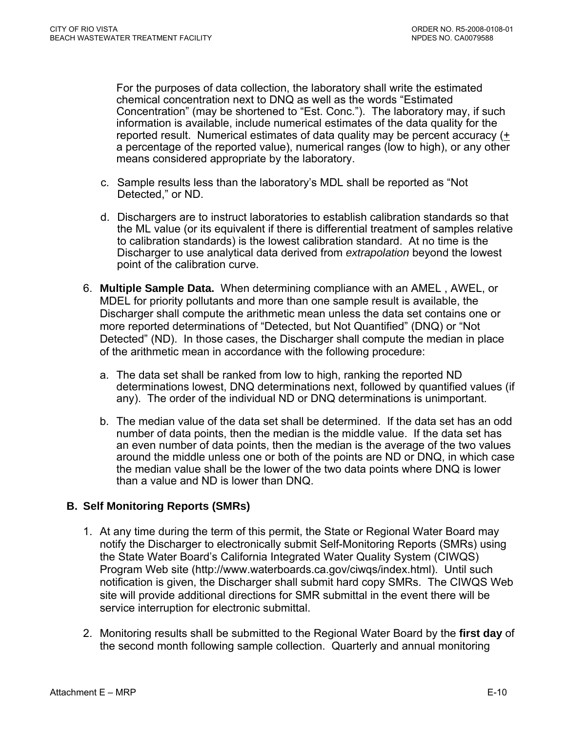<span id="page-50-0"></span>For the purposes of data collection, the laboratory shall write the estimated chemical concentration next to DNQ as well as the words "Estimated Concentration" (may be shortened to "Est. Conc."). The laboratory may, if such information is available, include numerical estimates of the data quality for the reported result. Numerical estimates of data quality may be percent accuracy (+ a percentage of the reported value), numerical ranges (low to high), or any other means considered appropriate by the laboratory.

- c. Sample results less than the laboratory's MDL shall be reported as "Not Detected," or ND.
- d. Dischargers are to instruct laboratories to establish calibration standards so that the ML value (or its equivalent if there is differential treatment of samples relative to calibration standards) is the lowest calibration standard. At no time is the Discharger to use analytical data derived from *extrapolation* beyond the lowest point of the calibration curve.
- 6. **Multiple Sample Data.** When determining compliance with an AMEL , AWEL, or MDEL for priority pollutants and more than one sample result is available, the Discharger shall compute the arithmetic mean unless the data set contains one or more reported determinations of "Detected, but Not Quantified" (DNQ) or "Not Detected" (ND). In those cases, the Discharger shall compute the median in place of the arithmetic mean in accordance with the following procedure:
	- a. The data set shall be ranked from low to high, ranking the reported ND determinations lowest, DNQ determinations next, followed by quantified values (if any). The order of the individual ND or DNQ determinations is unimportant.
	- b. The median value of the data set shall be determined. If the data set has an odd number of data points, then the median is the middle value. If the data set has an even number of data points, then the median is the average of the two values around the middle unless one or both of the points are ND or DNQ, in which case the median value shall be the lower of the two data points where DNQ is lower than a value and ND is lower than DNQ.

## **B. Self Monitoring Reports (SMRs)**

- 1. At any time during the term of this permit, the State or Regional Water Board may notify the Discharger to electronically submit Self-Monitoring Reports (SMRs) using the State Water Board's California Integrated Water Quality System (CIWQS) Program Web site (http://www.waterboards.ca.gov/ciwqs/index.html). Until such notification is given, the Discharger shall submit hard copy SMRs. The CIWQS Web site will provide additional directions for SMR submittal in the event there will be service interruption for electronic submittal.
- 2. Monitoring results shall be submitted to the Regional Water Board by the **first day** of the second month following sample collection. Quarterly and annual monitoring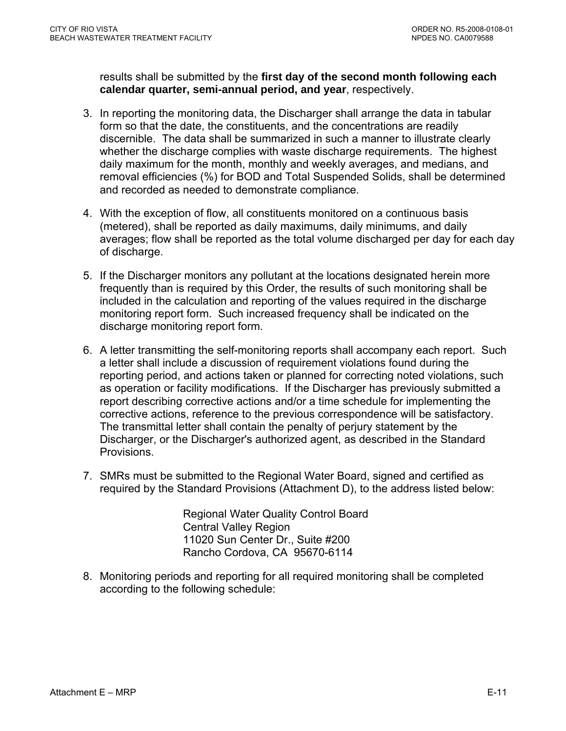results shall be submitted by the **first day of the second month following each calendar quarter, semi-annual period, and year**, respectively.

- 3. In reporting the monitoring data, the Discharger shall arrange the data in tabular form so that the date, the constituents, and the concentrations are readily discernible. The data shall be summarized in such a manner to illustrate clearly whether the discharge complies with waste discharge requirements. The highest daily maximum for the month, monthly and weekly averages, and medians, and removal efficiencies (%) for BOD and Total Suspended Solids, shall be determined and recorded as needed to demonstrate compliance.
- 4. With the exception of flow, all constituents monitored on a continuous basis (metered), shall be reported as daily maximums, daily minimums, and daily averages; flow shall be reported as the total volume discharged per day for each day of discharge.
- 5. If the Discharger monitors any pollutant at the locations designated herein more frequently than is required by this Order, the results of such monitoring shall be included in the calculation and reporting of the values required in the discharge monitoring report form. Such increased frequency shall be indicated on the discharge monitoring report form.
- 6. A letter transmitting the self-monitoring reports shall accompany each report. Such a letter shall include a discussion of requirement violations found during the reporting period, and actions taken or planned for correcting noted violations, such as operation or facility modifications. If the Discharger has previously submitted a report describing corrective actions and/or a time schedule for implementing the corrective actions, reference to the previous correspondence will be satisfactory. The transmittal letter shall contain the penalty of perjury statement by the Discharger, or the Discharger's authorized agent, as described in the Standard Provisions.
- 7. SMRs must be submitted to the Regional Water Board, signed and certified as required by the Standard Provisions (Attachment D), to the address listed below:

Regional Water Quality Control Board Central Valley Region 11020 Sun Center Dr., Suite #200 Rancho Cordova, CA 95670-6114

8. Monitoring periods and reporting for all required monitoring shall be completed according to the following schedule: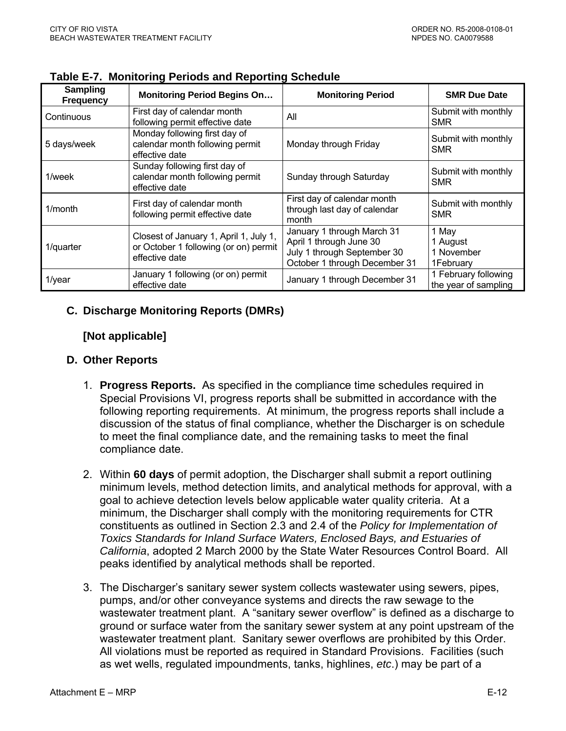| Sampling<br><b>Frequency</b> | <b>Monitoring Period Begins On</b>                                                                | <b>Monitoring Period</b>                                                                                              | <b>SMR Due Date</b>                          |
|------------------------------|---------------------------------------------------------------------------------------------------|-----------------------------------------------------------------------------------------------------------------------|----------------------------------------------|
| Continuous                   | First day of calendar month<br>following permit effective date                                    | All                                                                                                                   | Submit with monthly<br><b>SMR</b>            |
| 5 days/week                  | Monday following first day of<br>calendar month following permit<br>effective date                | Monday through Friday                                                                                                 | Submit with monthly<br><b>SMR</b>            |
| 1/week                       | Sunday following first day of<br>calendar month following permit<br>effective date                | Sunday through Saturday                                                                                               | Submit with monthly<br>SMR                   |
| $1/m$ onth                   | First day of calendar month<br>following permit effective date                                    | First day of calendar month<br>through last day of calendar<br>month                                                  | Submit with monthly<br>SMR                   |
| 1/quarter                    | Closest of January 1, April 1, July 1,<br>or October 1 following (or on) permit<br>effective date | January 1 through March 31<br>April 1 through June 30<br>July 1 through September 30<br>October 1 through December 31 | 1 May<br>1 August<br>1 November<br>1February |
| $1$ /year                    | January 1 following (or on) permit<br>effective date                                              | January 1 through December 31                                                                                         | 1 February following<br>the year of sampling |

<span id="page-52-0"></span>**Table E-7. Monitoring Periods and Reporting Schedule** 

## **C. Discharge Monitoring Reports (DMRs)**

## **[Not applicable]**

## **D. Other Reports**

- 1. **Progress Reports.** As specified in the compliance time schedules required in Special Provisions VI, progress reports shall be submitted in accordance with the following reporting requirements. At minimum, the progress reports shall include a discussion of the status of final compliance, whether the Discharger is on schedule to meet the final compliance date, and the remaining tasks to meet the final compliance date.
- 2. Within **60 days** of permit adoption, the Discharger shall submit a report outlining minimum levels, method detection limits, and analytical methods for approval, with a goal to achieve detection levels below applicable water quality criteria. At a minimum, the Discharger shall comply with the monitoring requirements for CTR constituents as outlined in Section 2.3 and 2.4 of the *Policy for Implementation of Toxics Standards for Inland Surface Waters, Enclosed Bays, and Estuaries of California*, adopted 2 March 2000 by the State Water Resources Control Board. All peaks identified by analytical methods shall be reported.
- 3. The Discharger's sanitary sewer system collects wastewater using sewers, pipes, pumps, and/or other conveyance systems and directs the raw sewage to the wastewater treatment plant. A "sanitary sewer overflow" is defined as a discharge to ground or surface water from the sanitary sewer system at any point upstream of the wastewater treatment plant. Sanitary sewer overflows are prohibited by this Order. All violations must be reported as required in Standard Provisions. Facilities (such as wet wells, regulated impoundments, tanks, highlines, *etc*.) may be part of a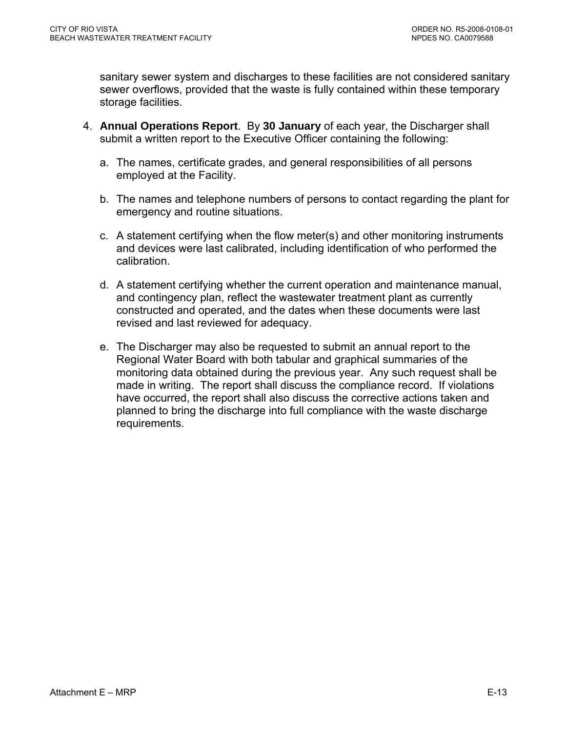sanitary sewer system and discharges to these facilities are not considered sanitary sewer overflows, provided that the waste is fully contained within these temporary storage facilities.

- 4. **Annual Operations Report**. By **30 January** of each year, the Discharger shall submit a written report to the Executive Officer containing the following:
	- a. The names, certificate grades, and general responsibilities of all persons employed at the Facility.
	- b. The names and telephone numbers of persons to contact regarding the plant for emergency and routine situations.
	- c. A statement certifying when the flow meter(s) and other monitoring instruments and devices were last calibrated, including identification of who performed the calibration.
	- d. A statement certifying whether the current operation and maintenance manual, and contingency plan, reflect the wastewater treatment plant as currently constructed and operated, and the dates when these documents were last revised and last reviewed for adequacy.
	- e. The Discharger may also be requested to submit an annual report to the Regional Water Board with both tabular and graphical summaries of the monitoring data obtained during the previous year. Any such request shall be made in writing. The report shall discuss the compliance record. If violations have occurred, the report shall also discuss the corrective actions taken and planned to bring the discharge into full compliance with the waste discharge requirements.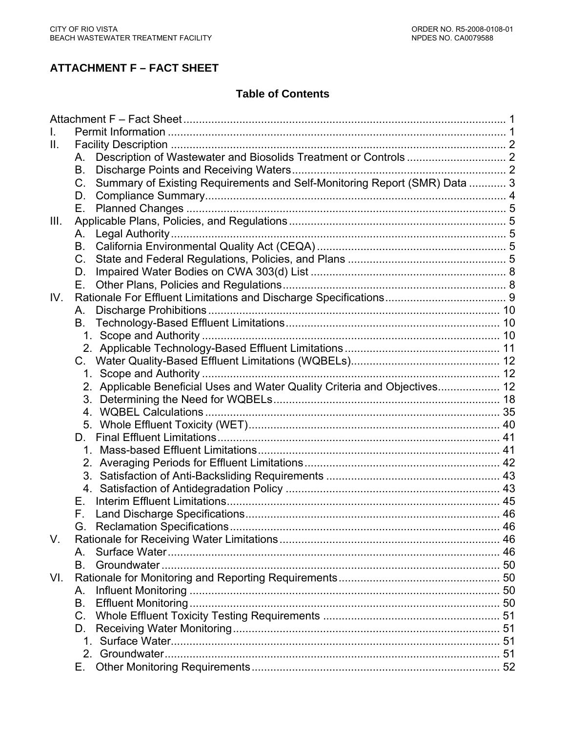# **ATTACHMENT F – FACT SHEET**

# **Table of Contents**

| L.   |                                                                                      |  |
|------|--------------------------------------------------------------------------------------|--|
| Ш.   |                                                                                      |  |
|      | A.                                                                                   |  |
|      | <b>B.</b>                                                                            |  |
|      | Summary of Existing Requirements and Self-Monitoring Report (SMR) Data  3<br>$C_{1}$ |  |
|      | D.                                                                                   |  |
|      | Е.                                                                                   |  |
| III. |                                                                                      |  |
|      | А.                                                                                   |  |
|      | B.                                                                                   |  |
|      | $C_{1}$                                                                              |  |
|      | D.                                                                                   |  |
|      | Е.                                                                                   |  |
| IV.  |                                                                                      |  |
|      | А.                                                                                   |  |
|      | В.                                                                                   |  |
|      |                                                                                      |  |
|      |                                                                                      |  |
|      | C.                                                                                   |  |
|      |                                                                                      |  |
|      | 2. Applicable Beneficial Uses and Water Quality Criteria and Objectives 12           |  |
|      |                                                                                      |  |
|      |                                                                                      |  |
|      |                                                                                      |  |
|      | D.                                                                                   |  |
|      |                                                                                      |  |
|      |                                                                                      |  |
|      |                                                                                      |  |
|      |                                                                                      |  |
|      | F.                                                                                   |  |
|      | F.                                                                                   |  |
|      |                                                                                      |  |
| V.   |                                                                                      |  |
|      | A                                                                                    |  |
|      | <b>B</b> .                                                                           |  |
| VI.  |                                                                                      |  |
|      | Α.                                                                                   |  |
|      | В.                                                                                   |  |
|      | $C_{\cdot}$                                                                          |  |
|      | D.                                                                                   |  |
|      |                                                                                      |  |
|      |                                                                                      |  |
|      | Е.                                                                                   |  |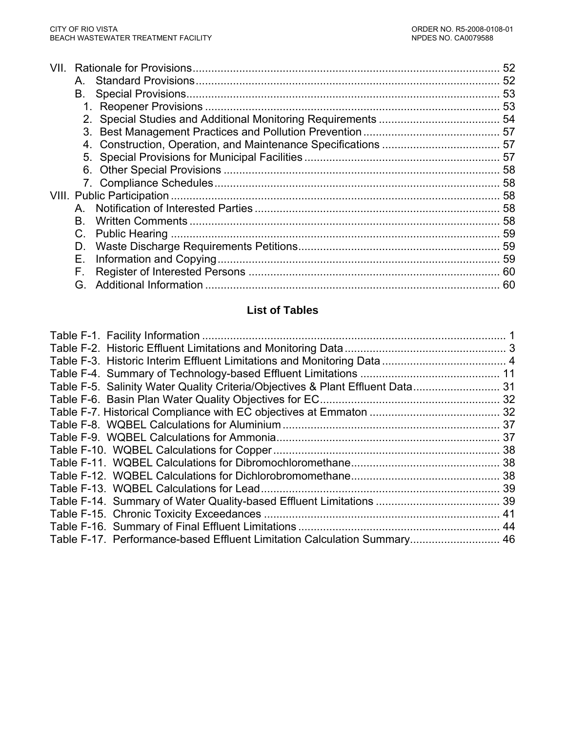| VIL |     |    |
|-----|-----|----|
|     | A   |    |
|     | В.  |    |
|     |     |    |
|     |     |    |
|     |     |    |
|     |     |    |
|     |     |    |
|     |     |    |
|     |     |    |
|     |     |    |
|     |     |    |
|     | B.  |    |
|     |     |    |
|     | D.  |    |
|     | Е.  |    |
|     | F.  |    |
|     | G – | 60 |

# **List of Tables**

| Table F-17. Performance-based Effluent Limitation Calculation Summary 46 |  |
|--------------------------------------------------------------------------|--|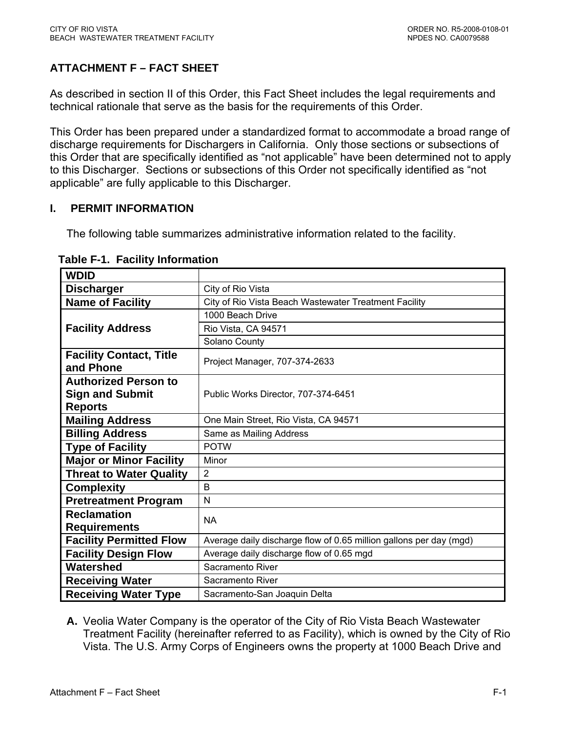# <span id="page-56-0"></span>**ATTACHMENT F – FACT SHEET**

As described in section II of this Order, this Fact Sheet includes the legal requirements and technical rationale that serve as the basis for the requirements of this Order.

This Order has been prepared under a standardized format to accommodate a broad range of discharge requirements for Dischargers in California. Only those sections or subsections of this Order that are specifically identified as "not applicable" have been determined not to apply to this Discharger. Sections or subsections of this Order not specifically identified as "not applicable" are fully applicable to this Discharger.

## **I. PERMIT INFORMATION**

The following table summarizes administrative information related to the facility.

| <b>WDID</b>                                 |                                                                    |  |  |  |  |
|---------------------------------------------|--------------------------------------------------------------------|--|--|--|--|
| <b>Discharger</b>                           | City of Rio Vista                                                  |  |  |  |  |
| <b>Name of Facility</b>                     | City of Rio Vista Beach Wastewater Treatment Facility              |  |  |  |  |
|                                             | 1000 Beach Drive                                                   |  |  |  |  |
| <b>Facility Address</b>                     | Rio Vista, CA 94571                                                |  |  |  |  |
|                                             | Solano County                                                      |  |  |  |  |
| <b>Facility Contact, Title</b><br>and Phone | Project Manager, 707-374-2633                                      |  |  |  |  |
| <b>Authorized Person to</b>                 |                                                                    |  |  |  |  |
| <b>Sign and Submit</b>                      | Public Works Director, 707-374-6451                                |  |  |  |  |
| <b>Reports</b>                              |                                                                    |  |  |  |  |
| <b>Mailing Address</b>                      | One Main Street, Rio Vista, CA 94571                               |  |  |  |  |
| <b>Billing Address</b>                      | Same as Mailing Address                                            |  |  |  |  |
| <b>Type of Facility</b>                     | <b>POTW</b>                                                        |  |  |  |  |
| <b>Major or Minor Facility</b>              | Minor                                                              |  |  |  |  |
| <b>Threat to Water Quality</b>              | $\overline{2}$                                                     |  |  |  |  |
| <b>Complexity</b>                           | B                                                                  |  |  |  |  |
| <b>Pretreatment Program</b>                 | N                                                                  |  |  |  |  |
| <b>Reclamation</b>                          | <b>NA</b>                                                          |  |  |  |  |
| <b>Requirements</b>                         |                                                                    |  |  |  |  |
| <b>Facility Permitted Flow</b>              | Average daily discharge flow of 0.65 million gallons per day (mgd) |  |  |  |  |
| <b>Facility Design Flow</b>                 | Average daily discharge flow of 0.65 mgd                           |  |  |  |  |
| Watershed                                   | Sacramento River                                                   |  |  |  |  |
| <b>Receiving Water</b>                      | Sacramento River                                                   |  |  |  |  |
| <b>Receiving Water Type</b>                 | Sacramento-San Joaquin Delta                                       |  |  |  |  |

| <b>Table F-1. Facility Information</b> |
|----------------------------------------|
|----------------------------------------|

**A.** Veolia Water Company is the operator of the City of Rio Vista Beach Wastewater Treatment Facility (hereinafter referred to as Facility), which is owned by the City of Rio Vista. The U.S. Army Corps of Engineers owns the property at 1000 Beach Drive and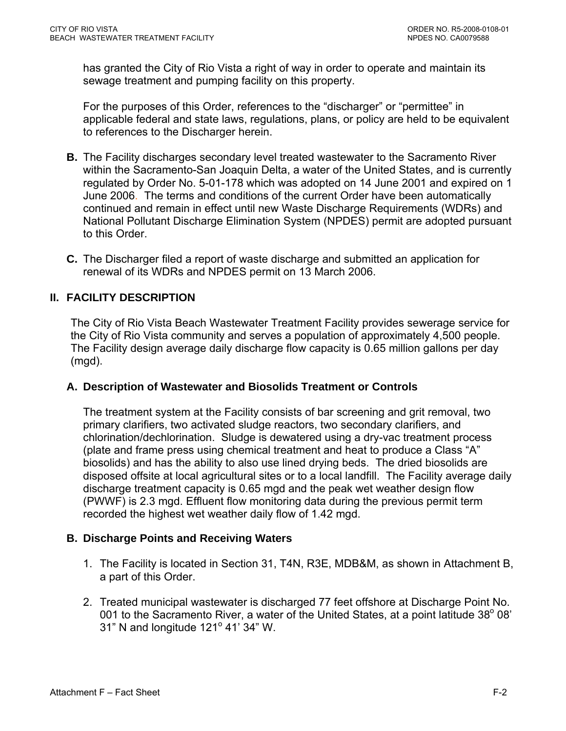<span id="page-57-0"></span>has granted the City of Rio Vista a right of way in order to operate and maintain its sewage treatment and pumping facility on this property.

For the purposes of this Order, references to the "discharger" or "permittee" in applicable federal and state laws, regulations, plans, or policy are held to be equivalent to references to the Discharger herein.

- **B.** The Facility discharges secondary level treated wastewater to the Sacramento River within the Sacramento-San Joaquin Delta, a water of the United States, and is currently regulated by Order No. 5-01-178 which was adopted on 14 June 2001 and expired on 1 June 2006. The terms and conditions of the current Order have been automatically continued and remain in effect until new Waste Discharge Requirements (WDRs) and National Pollutant Discharge Elimination System (NPDES) permit are adopted pursuant to this Order.
- **C.** The Discharger filed a report of waste discharge and submitted an application for renewal of its WDRs and NPDES permit on 13 March 2006.

## **II. FACILITY DESCRIPTION**

The City of Rio Vista Beach Wastewater Treatment Facility provides sewerage service for the City of Rio Vista community and serves a population of approximately 4,500 people. The Facility design average daily discharge flow capacity is 0.65 million gallons per day (mgd).

### **A. Description of Wastewater and Biosolids Treatment or Controls**

The treatment system at the Facility consists of bar screening and grit removal, two primary clarifiers, two activated sludge reactors, two secondary clarifiers, and chlorination/dechlorination. Sludge is dewatered using a dry-vac treatment process (plate and frame press using chemical treatment and heat to produce a Class "A" biosolids) and has the ability to also use lined drying beds. The dried biosolids are disposed offsite at local agricultural sites or to a local landfill. The Facility average daily discharge treatment capacity is 0.65 mgd and the peak wet weather design flow (PWWF) is 2.3 mgd. Effluent flow monitoring data during the previous permit term recorded the highest wet weather daily flow of 1.42 mgd.

## **B. Discharge Points and Receiving Waters**

- 1. The Facility is located in Section 31, T4N, R3E, MDB&M, as shown in Attachment B, a part of this Order.
- 2. Treated municipal wastewater is discharged 77 feet offshore at Discharge Point No. 001 to the Sacramento River, a water of the United States, at a point latitude  $38^{\circ}$  08' 31" N and longitude  $121^{\circ}$  41' 34" W.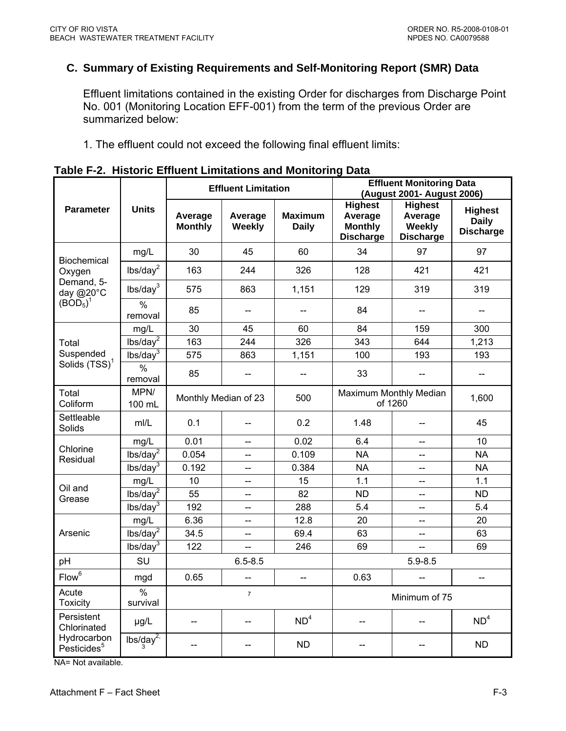## <span id="page-58-0"></span>**C. Summary of Existing Requirements and Self-Monitoring Report (SMR) Data**

Effluent limitations contained in the existing Order for discharges from Discharge Point No. 001 (Monitoring Location EFF-001) from the term of the previous Order are summarized below:

1. The effluent could not exceed the following final effluent limits:

|                                        |                           |                           | <b>Effluent Limitation</b> |                                | <b>Effluent Monitoring Data</b><br>(August 2001- August 2006)   |                                                         |                                                    |
|----------------------------------------|---------------------------|---------------------------|----------------------------|--------------------------------|-----------------------------------------------------------------|---------------------------------------------------------|----------------------------------------------------|
| <b>Parameter</b>                       | <b>Units</b>              | Average<br><b>Monthly</b> | Average<br>Weekly          | <b>Maximum</b><br><b>Daily</b> | <b>Highest</b><br>Average<br><b>Monthly</b><br><b>Discharge</b> | <b>Highest</b><br>Average<br>Weekly<br><b>Discharge</b> | <b>Highest</b><br><b>Daily</b><br><b>Discharge</b> |
|                                        | mg/L                      | 30                        | 45                         | 60                             | 34                                                              | 97                                                      | 97                                                 |
| <b>Biochemical</b><br>Oxygen           | lbs/day <sup>2</sup>      | 163                       | 244                        | 326                            | 128                                                             | 421                                                     | 421                                                |
| Demand, 5-<br>day @20°C                | lbs/day <sup>3</sup>      | 575                       | 863                        | 1,151                          | 129                                                             | 319                                                     | 319                                                |
| (BOD <sub>5</sub> ) <sup>1</sup>       | $\frac{0}{0}$<br>removal  | 85                        | $-$                        | $-$                            | 84                                                              | $-$                                                     |                                                    |
|                                        | mg/L                      | 30                        | 45                         | 60                             | 84                                                              | 159                                                     | 300                                                |
| Total                                  | $lbs/day^2$               | 163                       | 244                        | 326                            | 343                                                             | 644                                                     | 1,213                                              |
| Suspended                              | lbs/day <sup>3</sup>      | 575                       | 863                        | 1,151                          | 100                                                             | 193                                                     | 193                                                |
| Solids (TSS) <sup>1</sup>              | $\frac{0}{0}$<br>removal  | 85                        |                            |                                | 33                                                              |                                                         |                                                    |
| Total<br>Coliform                      | MPN/<br>100 mL            | Monthly Median of 23      |                            | 500                            | Maximum Monthly Median<br>1,600<br>of 1260                      |                                                         |                                                    |
| Settleable<br>Solids                   | m/L                       | 0.1                       |                            | 0.2                            | 1.48                                                            | $-$                                                     | 45                                                 |
|                                        | mg/L                      | 0.01                      | --                         | 0.02                           | 6.4                                                             | $\qquad \qquad -$                                       | 10                                                 |
| Chlorine<br>Residual                   | lbs/day <sup>2</sup>      | 0.054                     | $-$                        | 0.109                          | <b>NA</b>                                                       | --                                                      | <b>NA</b>                                          |
|                                        | lbs/day <sup>3</sup>      | 0.192                     | $\overline{\phantom{a}}$   | 0.384                          | <b>NA</b>                                                       | $\overline{a}$                                          | <b>NA</b>                                          |
| Oil and                                | mg/L                      | 10                        | $\qquad \qquad -$          | 15                             | 1.1                                                             | --                                                      | 1.1                                                |
| Grease                                 | lbs/day <sup>2</sup>      | 55                        |                            | 82                             | <b>ND</b>                                                       | $\overline{a}$                                          | <b>ND</b>                                          |
|                                        | lbs/day <sup>3</sup>      | 192                       | $\overline{\phantom{a}}$   | 288                            | 5.4                                                             | $\overline{\phantom{a}}$                                | 5.4                                                |
|                                        | mg/L                      | 6.36                      |                            | 12.8                           | 20                                                              | --                                                      | 20                                                 |
| Arsenic                                | $lbs/day^2$               | 34.5                      | 44                         | 69.4                           | 63                                                              | Ц.                                                      | 63                                                 |
|                                        | $lbs/day^3$               | 122                       |                            | 246                            | 69                                                              |                                                         | 69                                                 |
| pH                                     | SU                        |                           | $6.5 - 8.5$                |                                | $5.9 - 8.5$                                                     |                                                         |                                                    |
| Flow <sup>6</sup>                      | mgd                       | 0.65                      | --                         | <u></u>                        | 0.63                                                            |                                                         | $\overline{a}$                                     |
| Acute<br><b>Toxicity</b>               | $\frac{0}{0}$<br>survival | $\overline{7}$            |                            |                                | Minimum of 75                                                   |                                                         |                                                    |
| Persistent<br>Chlorinated              | µg/L                      |                           |                            | ND <sup>4</sup>                | --                                                              |                                                         | ND <sup>4</sup>                                    |
| Hydrocarbon<br>Pesticides <sup>5</sup> | $\frac{1}{3}$             | $-$                       |                            | <b>ND</b>                      |                                                                 |                                                         | <b>ND</b>                                          |

**Table F-2. Historic Effluent Limitations and Monitoring Data** 

NA= Not available.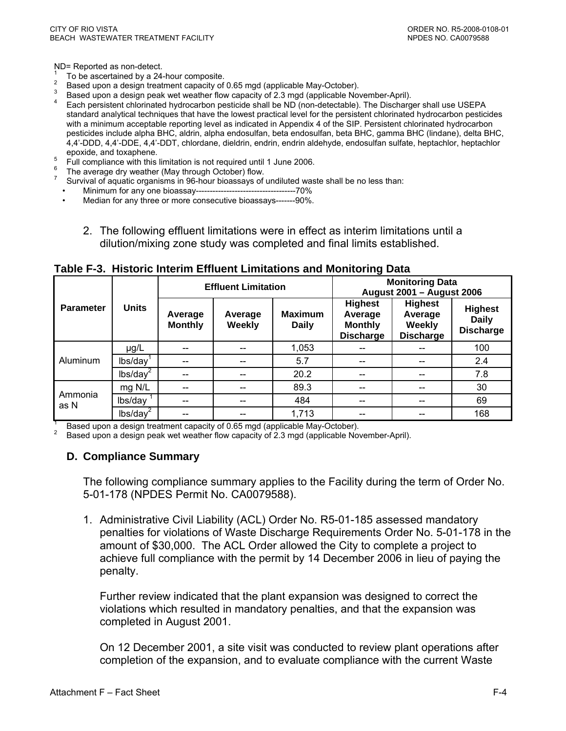<span id="page-59-0"></span>ND= Reported as non-detect.

- 1
- To be ascertained by a 24-hour composite.<br>Based upon a design treatment capacity of 0.65 mgd (applicable May-October). 2
- 
- Based upon a design peak wet weather flow capacity of 2.3 mgd (applicable November-April).<br>Each persistent chlorinated hydrocarbon pesticide shall be ND (non-detectable). The Discharger shall use USEPA standard analytical techniques that have the lowest practical level for the persistent chlorinated hydrocarbon pesticides with a minimum acceptable reporting level as indicated in Appendix 4 of the SIP. Persistent chlorinated hydrocarbon pesticides include alpha BHC, aldrin, alpha endosulfan, beta endosulfan, beta BHC, gamma BHC (lindane), delta BHC, 4,4'-DDD, 4,4'-DDE, 4,4'-DDT, chlordane, dieldrin, endrin, endrin aldehyde, endosulfan sulfate, heptachlor, heptachlor
- epoxide, and toxaphene. 5 Full compliance with this limitation is not required until 1 June 2006.
- 
- <sup>6</sup> The average dry weather (May through October) flow.<br><sup>7</sup> Survival of aquatic organisms in 96-hour bioassays of undiluted waste shall be no less than:
- Minimum for any one bioassay------------------------------------70%
- Median for any three or more consecutive bioassays-------90%.
	- 2. The following effluent limitations were in effect as interim limitations until a dilution/mixing zone study was completed and final limits established.

|                  | <b>Units</b>         |                           | <b>Effluent Limitation</b> |                                                                                     | <b>Monitoring Data</b><br>August 2001 - August 2006             |                                                                |                                                    |
|------------------|----------------------|---------------------------|----------------------------|-------------------------------------------------------------------------------------|-----------------------------------------------------------------|----------------------------------------------------------------|----------------------------------------------------|
| <b>Parameter</b> |                      | Average<br><b>Monthly</b> | Average<br>Weekly          | <b>Maximum</b><br><b>Daily</b>                                                      | <b>Highest</b><br>Average<br><b>Monthly</b><br><b>Discharge</b> | <b>Highest</b><br>Average<br><b>Weekly</b><br><b>Discharge</b> | <b>Highest</b><br><b>Daily</b><br><b>Discharge</b> |
|                  | $\mu$ g/L            |                           |                            | 1,053                                                                               |                                                                 |                                                                | 100                                                |
| Aluminum         | lbs/day              |                           |                            | 5.7                                                                                 | --                                                              |                                                                | 2.4                                                |
|                  | lbs/day <sup>2</sup> |                           |                            | 20.2                                                                                | --                                                              |                                                                | 7.8                                                |
|                  | mg N/L               |                           |                            | 89.3                                                                                | --                                                              |                                                                | 30                                                 |
| Ammonia<br>as N  | lbs/day              |                           |                            | 484                                                                                 | --                                                              |                                                                | 69                                                 |
|                  | lbs/day <sup>2</sup> |                           |                            | 1,713<br>Road upon a decian treatment conseity of 0.65 mad (applicable May October) |                                                                 |                                                                | 168                                                |

**Table F-3. Historic Interim Effluent Limitations and Monitoring Data** 

Based upon a design treatment capacity of 0.65 mgd (applicable May-October).<br>2. Based upon a design pools uset usether flow capacity of 2.2 mgd (applicable Nov

Based upon a design peak wet weather flow capacity of 2.3 mgd (applicable November-April).

#### **D. Compliance Summary**

The following compliance summary applies to the Facility during the term of Order No. 5-01-178 (NPDES Permit No. CA0079588).

1. Administrative Civil Liability (ACL) Order No. R5-01-185 assessed mandatory penalties for violations of Waste Discharge Requirements Order No. 5-01-178 in the amount of \$30,000. The ACL Order allowed the City to complete a project to achieve full compliance with the permit by 14 December 2006 in lieu of paying the penalty.

Further review indicated that the plant expansion was designed to correct the violations which resulted in mandatory penalties, and that the expansion was completed in August 2001.

On 12 December 2001, a site visit was conducted to review plant operations after completion of the expansion, and to evaluate compliance with the current Waste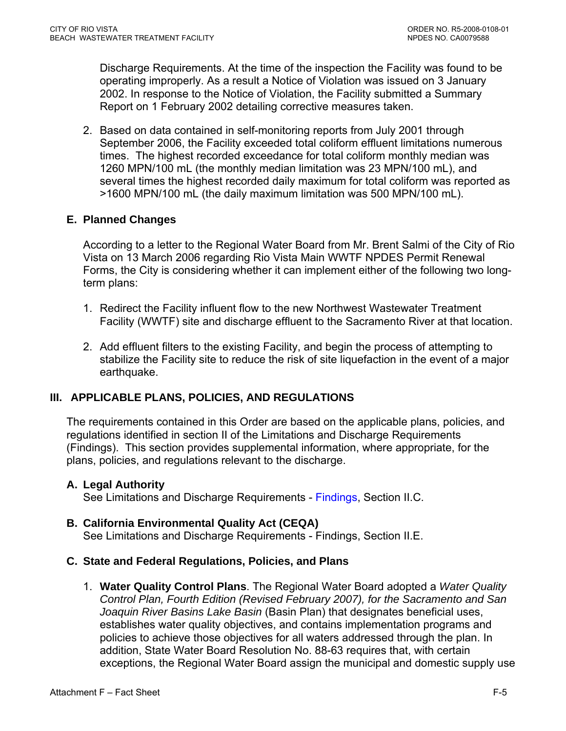<span id="page-60-0"></span>Discharge Requirements. At the time of the inspection the Facility was found to be operating improperly. As a result a Notice of Violation was issued on 3 January 2002. In response to the Notice of Violation, the Facility submitted a Summary Report on 1 February 2002 detailing corrective measures taken.

2. Based on data contained in self-monitoring reports from July 2001 through September 2006, the Facility exceeded total coliform effluent limitations numerous times. The highest recorded exceedance for total coliform monthly median was 1260 MPN/100 mL (the monthly median limitation was 23 MPN/100 mL), and several times the highest recorded daily maximum for total coliform was reported as >1600 MPN/100 mL (the daily maximum limitation was 500 MPN/100 mL).

## **E. Planned Changes**

According to a letter to the Regional Water Board from Mr. Brent Salmi of the City of Rio Vista on 13 March 2006 regarding Rio Vista Main WWTF NPDES Permit Renewal Forms, the City is considering whether it can implement either of the following two longterm plans:

- 1. Redirect the Facility influent flow to the new Northwest Wastewater Treatment Facility (WWTF) site and discharge effluent to the Sacramento River at that location.
- 2. Add effluent filters to the existing Facility, and begin the process of attempting to stabilize the Facility site to reduce the risk of site liquefaction in the event of a major earthquake.

## **III. APPLICABLE PLANS, POLICIES, AND REGULATIONS**

The requirements contained in this Order are based on the applicable plans, policies, and regulations identified in section II of the Limitations and Discharge Requirements ([Findings](#page-2-0)). This section provides supplemental information, where appropriate, for the plans, policies, and regulations relevant to the discharge.

### **A. Legal Authority**

See Limitations and Discharge Requirements - [Findings, Section II.C.](#page-3-0) 

**B. California Environmental Quality Act (CEQA)**  See Limitations and Discharge Requirements - [Findings, Section II.E.](#page-3-0)

### **C. State and Federal Regulations, Policies, and Plans**

1. **Water Quality Control Plans**. The Regional Water Board adopted a *Water Quality Control Plan, Fourth Edition (Revised February 2007), for the Sacramento and San Joaquin River Basins Lake Basin* (Basin Plan) that designates beneficial uses, establishes water quality objectives, and contains implementation programs and policies to achieve those objectives for all waters addressed through the plan. In addition, State Water Board Resolution No. 88-63 requires that, with certain exceptions, the Regional Water Board assign the municipal and domestic supply use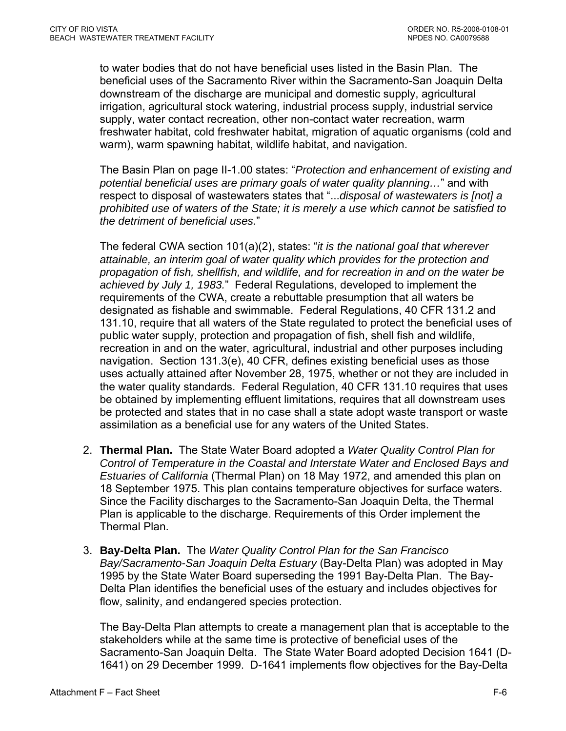to water bodies that do not have beneficial uses listed in the Basin Plan. The beneficial uses of the Sacramento River within the Sacramento-San Joaquin Delta downstream of the discharge are municipal and domestic supply, agricultural irrigation, agricultural stock watering, industrial process supply, industrial service supply, water contact recreation, other non-contact water recreation, warm freshwater habitat, cold freshwater habitat, migration of aquatic organisms (cold and warm), warm spawning habitat, wildlife habitat, and navigation.

The Basin Plan on page II-1.00 states: "*Protection and enhancement of existing and potential beneficial uses are primary goals of water quality planning…*" and with respect to disposal of wastewaters states that "...*disposal of wastewaters is [not] a prohibited use of waters of the State; it is merely a use which cannot be satisfied to the detriment of beneficial uses.*"

The federal CWA section 101(a)(2), states: "*it is the national goal that wherever attainable, an interim goal of water quality which provides for the protection and propagation of fish, shellfish, and wildlife, and for recreation in and on the water be achieved by July 1, 1983.*" Federal Regulations, developed to implement the requirements of the CWA, create a rebuttable presumption that all waters be designated as fishable and swimmable. Federal Regulations, 40 CFR 131.2 and 131.10, require that all waters of the State regulated to protect the beneficial uses of public water supply, protection and propagation of fish, shell fish and wildlife, recreation in and on the water, agricultural, industrial and other purposes including navigation. Section 131.3(e), 40 CFR, defines existing beneficial uses as those uses actually attained after November 28, 1975, whether or not they are included in the water quality standards. Federal Regulation, 40 CFR 131.10 requires that uses be obtained by implementing effluent limitations, requires that all downstream uses be protected and states that in no case shall a state adopt waste transport or waste assimilation as a beneficial use for any waters of the United States.

- 2. **Thermal Plan.** The State Water Board adopted a *Water Quality Control Plan for Control of Temperature in the Coastal and Interstate Water and Enclosed Bays and Estuaries of California* (Thermal Plan) on 18 May 1972, and amended this plan on 18 September 1975. This plan contains temperature objectives for surface waters. Since the Facility discharges to the Sacramento-San Joaquin Delta, the Thermal Plan is applicable to the discharge. Requirements of this Order implement the Thermal Plan.
- 3. **Bay-Delta Plan.** The *Water Quality Control Plan for the San Francisco Bay/Sacramento-San Joaquin Delta Estuary* (Bay-Delta Plan) was adopted in May 1995 by the State Water Board superseding the 1991 Bay-Delta Plan. The Bay-Delta Plan identifies the beneficial uses of the estuary and includes objectives for flow, salinity, and endangered species protection.

The Bay-Delta Plan attempts to create a management plan that is acceptable to the stakeholders while at the same time is protective of beneficial uses of the Sacramento-San Joaquin Delta. The State Water Board adopted Decision 1641 (D-1641) on 29 December 1999. D-1641 implements flow objectives for the Bay-Delta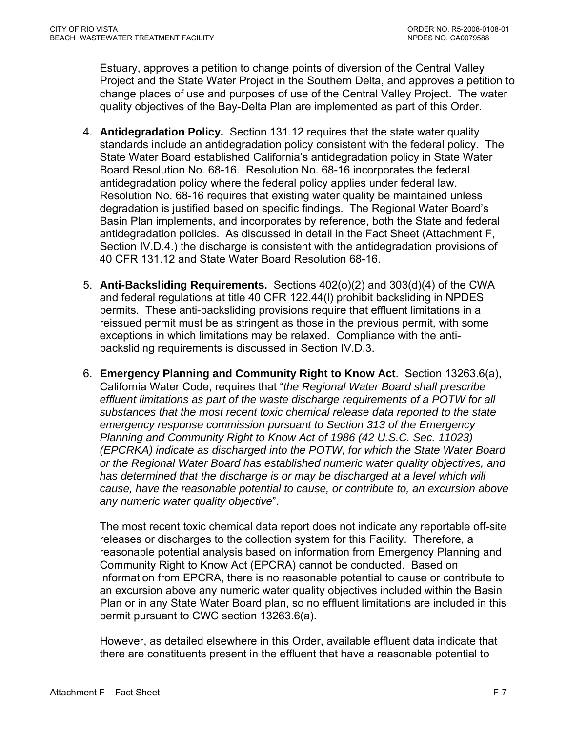Estuary, approves a petition to change points of diversion of the Central Valley Project and the State Water Project in the Southern Delta, and approves a petition to change places of use and purposes of use of the Central Valley Project. The water quality objectives of the Bay-Delta Plan are implemented as part of this Order.

- 4. **Antidegradation Policy.** Section 131.12 requires that the state water quality standards include an antidegradation policy consistent with the federal policy. The State Water Board established California's antidegradation policy in State Water Board Resolution No. 68-16. Resolution No. 68-16 incorporates the federal antidegradation policy where the federal policy applies under federal law. Resolution No. 68-16 requires that existing water quality be maintained unless degradation is justified based on specific findings. The Regional Water Board's Basin Plan implements, and incorporates by reference, both the State and federal antidegradation policies. As discussed in detail in the Fact Sheet ([Attachment F,](#page-98-0)  [Section IV.D.4.](#page-98-0)) the discharge is consistent with the antidegradation provisions of 40 CFR 131.12 and State Water Board Resolution 68-16.
- 5. **Anti-Backsliding Requirements.** Sections 402(o)(2) and 303(d)(4) of the CWA and federal regulations at title 40 CFR 122.44(l) prohibit backsliding in NPDES permits. These anti-backsliding provisions require that effluent limitations in a reissued permit must be as stringent as those in the previous permit, with some exceptions in which limitations may be relaxed. Compliance with the antibacksliding requirements is discussed in [Section IV.D.3.](#page-98-0)
- 6. **Emergency Planning and Community Right to Know Act**. Section 13263.6(a), California Water Code, requires that "*the Regional Water Board shall prescribe effluent limitations as part of the waste discharge requirements of a POTW for all substances that the most recent toxic chemical release data reported to the state emergency response commission pursuant to Section 313 of the Emergency Planning and Community Right to Know Act of 1986 (42 U.S.C. Sec. 11023) (EPCRKA) indicate as discharged into the POTW, for which the State Water Board or the Regional Water Board has established numeric water quality objectives, and*  has determined that the discharge is or may be discharged at a level which will *cause, have the reasonable potential to cause, or contribute to, an excursion above any numeric water quality objective*".

The most recent toxic chemical data report does not indicate any reportable off-site releases or discharges to the collection system for this Facility. Therefore, a reasonable potential analysis based on information from Emergency Planning and Community Right to Know Act (EPCRA) cannot be conducted. Based on information from EPCRA, there is no reasonable potential to cause or contribute to an excursion above any numeric water quality objectives included within the Basin Plan or in any State Water Board plan, so no effluent limitations are included in this permit pursuant to CWC section 13263.6(a).

However, as detailed elsewhere in this Order, available effluent data indicate that there are constituents present in the effluent that have a reasonable potential to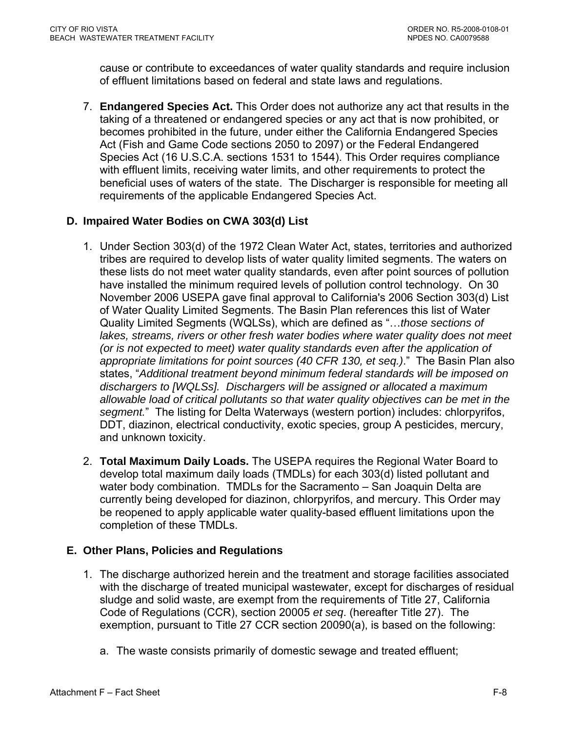<span id="page-63-0"></span>cause or contribute to exceedances of water quality standards and require inclusion of effluent limitations based on federal and state laws and regulations.

7. **Endangered Species Act.** This Order does not authorize any act that results in the taking of a threatened or endangered species or any act that is now prohibited, or becomes prohibited in the future, under either the California Endangered Species Act (Fish and Game Code sections 2050 to 2097) or the Federal Endangered Species Act (16 U.S.C.A. sections 1531 to 1544). This Order requires compliance with effluent limits, receiving water limits, and other requirements to protect the beneficial uses of waters of the state. The Discharger is responsible for meeting all requirements of the applicable Endangered Species Act.

## **D. Impaired Water Bodies on CWA 303(d) List**

- 1. Under Section 303(d) of the 1972 Clean Water Act, states, territories and authorized tribes are required to develop lists of water quality limited segments. The waters on these lists do not meet water quality standards, even after point sources of pollution have installed the minimum required levels of pollution control technology. On 30 November 2006 USEPA gave final approval to California's 2006 Section 303(d) List of Water Quality Limited Segments. The Basin Plan references this list of Water Quality Limited Segments (WQLSs), which are defined as "…*those sections of*  lakes, streams, rivers or other fresh water bodies where water quality does not meet *(or is not expected to meet) water quality standards even after the application of appropriate limitations for point sources (40 CFR 130, et seq.)*." The Basin Plan also states, "*Additional treatment beyond minimum federal standards will be imposed on dischargers to [WQLSs]. Dischargers will be assigned or allocated a maximum allowable load of critical pollutants so that water quality objectives can be met in the segment.*" The listing for Delta Waterways (western portion) includes: chlorpyrifos, DDT, diazinon, electrical conductivity, exotic species, group A pesticides, mercury, and unknown toxicity.
- 2. **Total Maximum Daily Loads.** The USEPA requires the Regional Water Board to develop total maximum daily loads (TMDLs) for each 303(d) listed pollutant and water body combination. TMDLs for the Sacramento – San Joaquin Delta are currently being developed for diazinon, chlorpyrifos, and mercury. This Order may be reopened to apply applicable water quality-based effluent limitations upon the completion of these TMDLs.

## **E. Other Plans, Policies and Regulations**

- 1. The discharge authorized herein and the treatment and storage facilities associated with the discharge of treated municipal wastewater, except for discharges of residual sludge and solid waste, are exempt from the requirements of Title 27, California Code of Regulations (CCR), section 20005 *et seq*. (hereafter Title 27). The exemption, pursuant to Title 27 CCR section 20090(a), is based on the following:
	- a. The waste consists primarily of domestic sewage and treated effluent;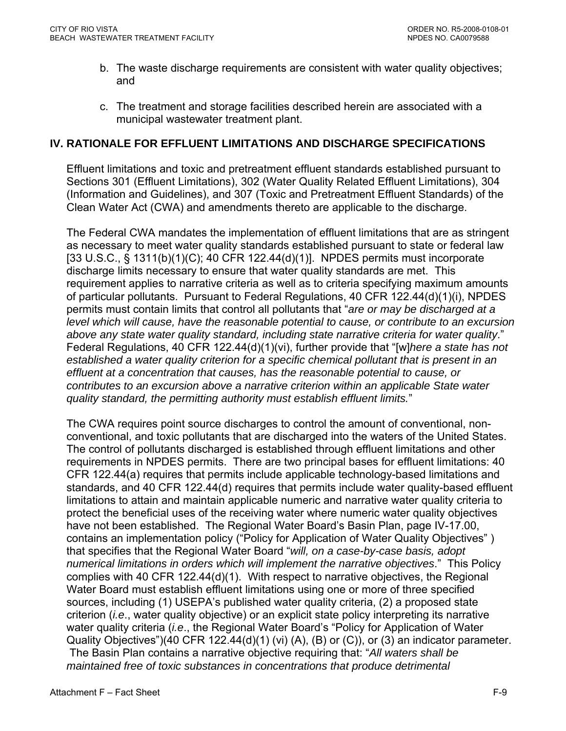- <span id="page-64-0"></span>b. The waste discharge requirements are consistent with water quality objectives; and
- c. The treatment and storage facilities described herein are associated with a municipal wastewater treatment plant.

## **IV. RATIONALE FOR EFFLUENT LIMITATIONS AND DISCHARGE SPECIFICATIONS**

Effluent limitations and toxic and pretreatment effluent standards established pursuant to Sections 301 (Effluent Limitations), 302 (Water Quality Related Effluent Limitations), 304 (Information and Guidelines), and 307 (Toxic and Pretreatment Effluent Standards) of the Clean Water Act (CWA) and amendments thereto are applicable to the discharge.

The Federal CWA mandates the implementation of effluent limitations that are as stringent as necessary to meet water quality standards established pursuant to state or federal law [33 U.S.C., § 1311(b)(1)(C); 40 CFR 122.44(d)(1)]. NPDES permits must incorporate discharge limits necessary to ensure that water quality standards are met. This requirement applies to narrative criteria as well as to criteria specifying maximum amounts of particular pollutants. Pursuant to Federal Regulations, 40 CFR 122.44(d)(1)(i), NPDES permits must contain limits that control all pollutants that "*are or may be discharged at a level which will cause, have the reasonable potential to cause, or contribute to an excursion above any state water quality standard, including state narrative criteria for water quality*." Federal Regulations, 40 CFR 122.44(d)(1)(vi), further provide that "[w]*here a state has not established a water quality criterion for a specific chemical pollutant that is present in an effluent at a concentration that causes, has the reasonable potential to cause, or contributes to an excursion above a narrative criterion within an applicable State water quality standard, the permitting authority must establish effluent limits.*"

The CWA requires point source discharges to control the amount of conventional, nonconventional, and toxic pollutants that are discharged into the waters of the United States. The control of pollutants discharged is established through effluent limitations and other requirements in NPDES permits. There are two principal bases for effluent limitations: 40 CFR 122.44(a) requires that permits include applicable technology-based limitations and standards, and 40 CFR 122.44(d) requires that permits include water quality-based effluent limitations to attain and maintain applicable numeric and narrative water quality criteria to protect the beneficial uses of the receiving water where numeric water quality objectives have not been established. The Regional Water Board's Basin Plan, page IV-17.00, contains an implementation policy ("Policy for Application of Water Quality Objectives" ) that specifies that the Regional Water Board "*will, on a case-by-case basis, adopt numerical limitations in orders which will implement the narrative objectives*." This Policy complies with 40 CFR 122.44(d)(1). With respect to narrative objectives, the Regional Water Board must establish effluent limitations using one or more of three specified sources, including (1) USEPA's published water quality criteria, (2) a proposed state criterion (*i.e*., water quality objective) or an explicit state policy interpreting its narrative water quality criteria (*i.e*., the Regional Water Board's "Policy for Application of Water Quality Objectives")(40 CFR 122.44(d)(1) (vi) (A), (B) or (C)), or (3) an indicator parameter. The Basin Plan contains a narrative objective requiring that: "*All waters shall be maintained free of toxic substances in concentrations that produce detrimental*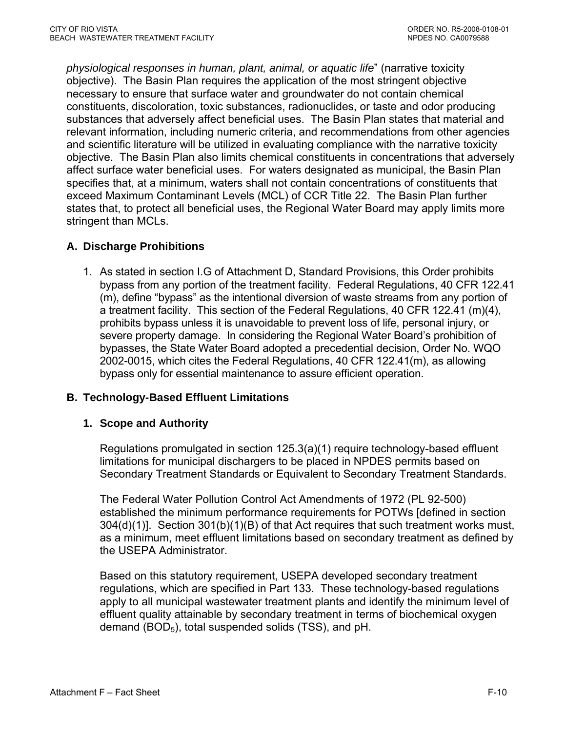<span id="page-65-0"></span>*physiological responses in human, plant, animal, or aquatic life*" (narrative toxicity objective). The Basin Plan requires the application of the most stringent objective necessary to ensure that surface water and groundwater do not contain chemical constituents, discoloration, toxic substances, radionuclides, or taste and odor producing substances that adversely affect beneficial uses. The Basin Plan states that material and relevant information, including numeric criteria, and recommendations from other agencies and scientific literature will be utilized in evaluating compliance with the narrative toxicity objective. The Basin Plan also limits chemical constituents in concentrations that adversely affect surface water beneficial uses. For waters designated as municipal, the Basin Plan specifies that, at a minimum, waters shall not contain concentrations of constituents that exceed Maximum Contaminant Levels (MCL) of CCR Title 22. The Basin Plan further states that, to protect all beneficial uses, the Regional Water Board may apply limits more stringent than MCLs.

## **A. Discharge Prohibitions**

1. As stated in section I.G of Attachment D, Standard Provisions, this Order prohibits bypass from any portion of the treatment facility. Federal Regulations, 40 CFR 122.41 (m), define "bypass" as the intentional diversion of waste streams from any portion of a treatment facility. This section of the Federal Regulations, 40 CFR 122.41 (m)(4), prohibits bypass unless it is unavoidable to prevent loss of life, personal injury, or severe property damage. In considering the Regional Water Board's prohibition of bypasses, the State Water Board adopted a precedential decision, Order No. WQO 2002-0015, which cites the Federal Regulations, 40 CFR 122.41(m), as allowing bypass only for essential maintenance to assure efficient operation.

### **B. Technology-Based Effluent Limitations**

### **1. Scope and Authority**

Regulations promulgated in section 125.3(a)(1) require technology-based effluent limitations for municipal dischargers to be placed in NPDES permits based on Secondary Treatment Standards or Equivalent to Secondary Treatment Standards.

The Federal Water Pollution Control Act Amendments of 1972 (PL 92-500) established the minimum performance requirements for POTWs [defined in section 304(d)(1)]. Section 301(b)(1)(B) of that Act requires that such treatment works must, as a minimum, meet effluent limitations based on secondary treatment as defined by the USEPA Administrator.

Based on this statutory requirement, USEPA developed secondary treatment regulations, which are specified in Part 133. These technology-based regulations apply to all municipal wastewater treatment plants and identify the minimum level of effluent quality attainable by secondary treatment in terms of biochemical oxvgen demand  $(BOD<sub>5</sub>)$ , total suspended solids (TSS), and pH.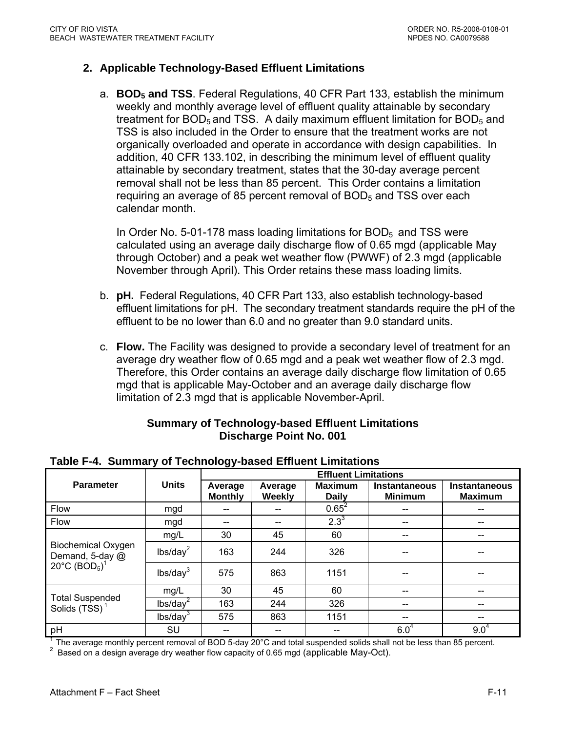### <span id="page-66-0"></span>**2. Applicable Technology-Based Effluent Limitations**

a. **BOD5 and TSS**. Federal Regulations, 40 CFR Part 133, establish the minimum weekly and monthly average level of effluent quality attainable by secondary treatment for BOD<sub>5</sub> and TSS. A daily maximum effluent limitation for BOD<sub>5</sub> and TSS is also included in the Order to ensure that the treatment works are not organically overloaded and operate in accordance with design capabilities. In addition, 40 CFR 133.102, in describing the minimum level of effluent quality attainable by secondary treatment, states that the 30-day average percent removal shall not be less than 85 percent. This Order contains a limitation requiring an average of 85 percent removal of  $BOD<sub>5</sub>$  and TSS over each calendar month.

In Order No. 5-01-178 mass loading limitations for  $BOD<sub>5</sub>$  and TSS were calculated using an average daily discharge flow of 0.65 mgd (applicable May through October) and a peak wet weather flow (PWWF) of 2.3 mgd (applicable November through April). This Order retains these mass loading limits.

- b. **pH.** Federal Regulations, 40 CFR Part 133, also establish technology-based effluent limitations for pH. The secondary treatment standards require the pH of the effluent to be no lower than 6.0 and no greater than 9.0 standard units.
- c. **Flow.** The Facility was designed to provide a secondary level of treatment for an average dry weather flow of 0.65 mgd and a peak wet weather flow of 2.3 mgd. Therefore, this Order contains an average daily discharge flow limitation of 0.65 mgd that is applicable May-October and an average daily discharge flow limitation of 2.3 mgd that is applicable November-April.

### **Summary of Technology-based Effluent Limitations Discharge Point No. 001**

|                                              |                      | <b>Effluent Limitations</b> |                   |                                |                                        |                                        |  |  |  |
|----------------------------------------------|----------------------|-----------------------------|-------------------|--------------------------------|----------------------------------------|----------------------------------------|--|--|--|
| <b>Parameter</b>                             | <b>Units</b>         | Average<br><b>Monthly</b>   | Average<br>Weekly | <b>Maximum</b><br><b>Daily</b> | <b>Instantaneous</b><br><b>Minimum</b> | <b>Instantaneous</b><br><b>Maximum</b> |  |  |  |
| Flow                                         | mgd                  | --                          |                   | $0.65^2$                       |                                        |                                        |  |  |  |
| Flow                                         | mgd                  | --                          | --                | $2.3^{3}$                      | $- -$                                  | --                                     |  |  |  |
|                                              | mg/L                 | 30                          | 45                | 60                             | --                                     | --                                     |  |  |  |
| <b>Biochemical Oxygen</b><br>Demand, 5-day @ | lbs/day <sup>2</sup> | 163                         | 244               | 326                            | --                                     | --                                     |  |  |  |
| 20°C $(BOD5)1$                               | lbs/day <sup>3</sup> | 575                         | 863               | 1151                           |                                        |                                        |  |  |  |
|                                              | mg/L                 | 30                          | 45                | 60                             | --                                     | --                                     |  |  |  |
| <b>Total Suspended</b><br>Solids $(TSS)^1$   | lbs/day <sup>2</sup> | 163                         | 244               | 326                            | --                                     |                                        |  |  |  |
|                                              | lbs/day <sup>3</sup> | 575                         | 863               | 1151                           | --                                     | --                                     |  |  |  |
| pH                                           | SU                   | --                          |                   |                                | $6.0^{4}$                              | $9.0^{4}$                              |  |  |  |

### **Table F-4. Summary of Technology-based Effluent Limitations**

<sup>1</sup> The average monthly percent removal of BOD 5-day 20 $^{\circ}$ C and total suspended solids shall not be less than 85 percent.

 $2$  Based on a design average dry weather flow capacity of 0.65 mgd (applicable May-Oct).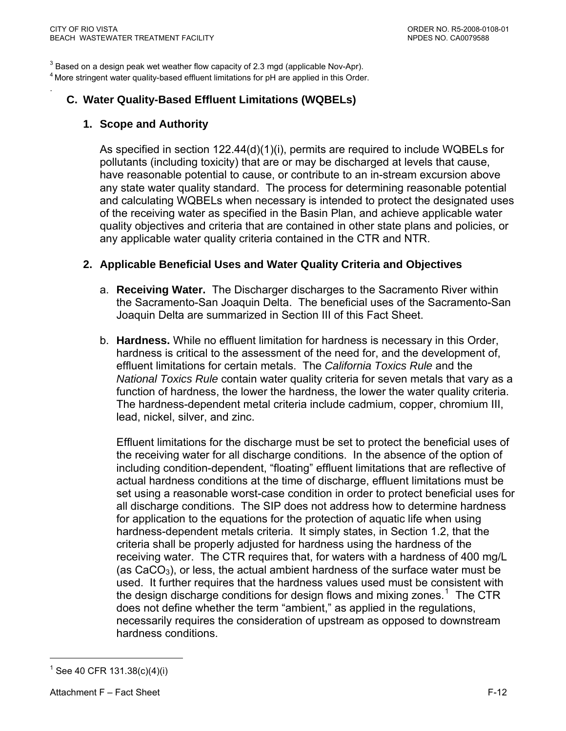.

<span id="page-67-0"></span> $3$  Based on a design peak wet weather flow capacity of 2.3 mgd (applicable Nov-Apr).  $4$  More stringent water quality-based effluent limitations for pH are applied in this Order.

## **C. Water Quality-Based Effluent Limitations (WQBELs)**

### **1. Scope and Authority**

As specified in section 122.44(d)(1)(i), permits are required to include WQBELs for pollutants (including toxicity) that are or may be discharged at levels that cause, have reasonable potential to cause, or contribute to an in-stream excursion above any state water quality standard. The process for determining reasonable potential and calculating WQBELs when necessary is intended to protect the designated uses of the receiving water as specified in the Basin Plan, and achieve applicable water quality objectives and criteria that are contained in other state plans and policies, or any applicable water quality criteria contained in the CTR and NTR.

### **2. Applicable Beneficial Uses and Water Quality Criteria and Objectives**

- a. **Receiving Water.** The Discharger discharges to the Sacramento River within the Sacramento-San Joaquin Delta. The beneficial uses of the Sacramento-San Joaquin Delta are summarized in Section III of this Fact Sheet.
- b. **Hardness.** While no effluent limitation for hardness is necessary in this Order, hardness is critical to the assessment of the need for, and the development of, effluent limitations for certain metals. The *California Toxics Rule* and the *National Toxics Rule* contain water quality criteria for seven metals that vary as a function of hardness, the lower the hardness, the lower the water quality criteria. The hardness-dependent metal criteria include cadmium, copper, chromium III, lead, nickel, silver, and zinc.

Effluent limitations for the discharge must be set to protect the beneficial uses of the receiving water for all discharge conditions. In the absence of the option of including condition-dependent, "floating" effluent limitations that are reflective of actual hardness conditions at the time of discharge, effluent limitations must be set using a reasonable worst-case condition in order to protect beneficial uses for all discharge conditions. The SIP does not address how to determine hardness for application to the equations for the protection of aquatic life when using hardness-dependent metals criteria. It simply states, in Section 1.2, that the criteria shall be properly adjusted for hardness using the hardness of the receiving water. The CTR requires that, for waters with a hardness of 400 mg/L (as  $CaCO<sub>3</sub>$ ), or less, the actual ambient hardness of the surface water must be used. It further requires that the hardness values used must be consistent with the design discharge conditions for design flows and mixing zones.<sup>[1](#page-67-0)</sup> The CTR does not define whether the term "ambient," as applied in the regulations, necessarily requires the consideration of upstream as opposed to downstream hardness conditions.

 $\overline{a}$ 

<sup>1</sup> See 40 CFR 131.38(c)(4)(i)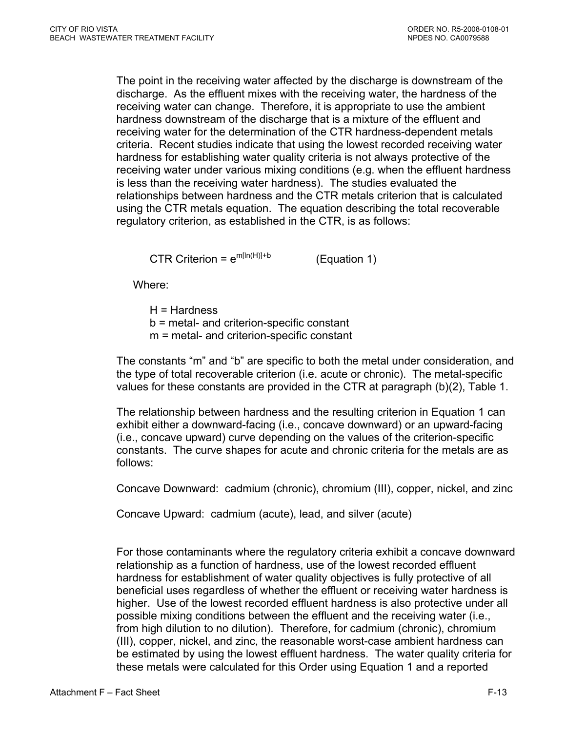The point in the receiving water affected by the discharge is downstream of the discharge. As the effluent mixes with the receiving water, the hardness of the receiving water can change. Therefore, it is appropriate to use the ambient hardness downstream of the discharge that is a mixture of the effluent and receiving water for the determination of the CTR hardness-dependent metals criteria. Recent studies indicate that using the lowest recorded receiving water hardness for establishing water quality criteria is not always protective of the receiving water under various mixing conditions (e.g. when the effluent hardness is less than the receiving water hardness). The studies evaluated the relationships between hardness and the CTR metals criterion that is calculated using the CTR metals equation. The equation describing the total recoverable regulatory criterion, as established in the CTR, is as follows:

CTR Criterion =  $e^{m[ln(H)]+b}$  (Equation 1)

Where:

- H = Hardness
- b = metal- and criterion-specific constant
- m = metal- and criterion-specific constant

The constants "m" and "b" are specific to both the metal under consideration, and the type of total recoverable criterion (i.e. acute or chronic). The metal-specific values for these constants are provided in the CTR at paragraph (b)(2), Table 1.

The relationship between hardness and the resulting criterion in Equation 1 can exhibit either a downward-facing (i.e., concave downward) or an upward-facing (i.e., concave upward) curve depending on the values of the criterion-specific constants. The curve shapes for acute and chronic criteria for the metals are as follows:

Concave Downward: cadmium (chronic), chromium (III), copper, nickel, and zinc

Concave Upward: cadmium (acute), lead, and silver (acute)

For those contaminants where the regulatory criteria exhibit a concave downward relationship as a function of hardness, use of the lowest recorded effluent hardness for establishment of water quality objectives is fully protective of all beneficial uses regardless of whether the effluent or receiving water hardness is higher. Use of the lowest recorded effluent hardness is also protective under all possible mixing conditions between the effluent and the receiving water (i.e., from high dilution to no dilution). Therefore, for cadmium (chronic), chromium (III), copper, nickel, and zinc, the reasonable worst-case ambient hardness can be estimated by using the lowest effluent hardness. The water quality criteria for these metals were calculated for this Order using Equation 1 and a reported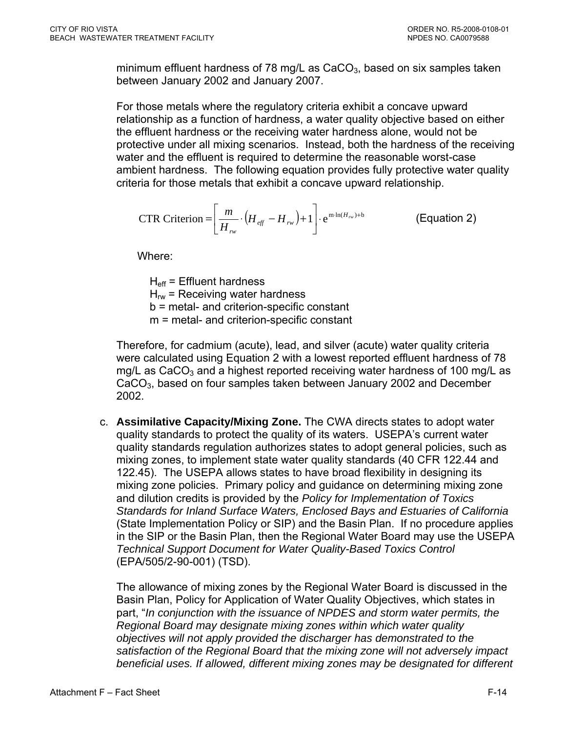minimum effluent hardness of 78 mg/L as  $CaCO<sub>3</sub>$ , based on six samples taken between January 2002 and January 2007.

For those metals where the regulatory criteria exhibit a concave upward relationship as a function of hardness, a water quality objective based on either the effluent hardness or the receiving water hardness alone, would not be protective under all mixing scenarios. Instead, both the hardness of the receiving water and the effluent is required to determine the reasonable worst-case ambient hardness. The following equation provides fully protective water quality criteria for those metals that exhibit a concave upward relationship.

$$
\text{CTR Criterion} = \left[ \frac{m}{H_{rw}} \cdot \left( H_{\text{eff}} - H_{rw} \right) + 1 \right] \cdot e^{\min(H_{rw}) + b} \tag{Equation 2}
$$

Where:

 $H_{\text{eff}}$  = Effluent hardness  $H_{rw}$  = Receiving water hardness b = metal- and criterion-specific constant m = metal- and criterion-specific constant

Therefore, for cadmium (acute), lead, and silver (acute) water quality criteria were calculated using Equation 2 with a lowest reported effluent hardness of 78 mg/L as  $CaCO<sub>3</sub>$  and a highest reported receiving water hardness of 100 mg/L as CaCO<sub>3</sub>, based on four samples taken between January 2002 and December 2002.

c. **Assimilative Capacity/Mixing Zone.** The CWA directs states to adopt water quality standards to protect the quality of its waters. USEPA's current water quality standards regulation authorizes states to adopt general policies, such as mixing zones, to implement state water quality standards (40 CFR 122.44 and 122.45). The USEPA allows states to have broad flexibility in designing its mixing zone policies. Primary policy and guidance on determining mixing zone and dilution credits is provided by the *Policy for Implementation of Toxics Standards for Inland Surface Waters, Enclosed Bays and Estuaries of California* (State Implementation Policy or SIP) and the Basin Plan. If no procedure applies in the SIP or the Basin Plan, then the Regional Water Board may use the USEPA *Technical Support Document for Water Quality-Based Toxics Control* (EPA/505/2-90-001) (TSD).

The allowance of mixing zones by the Regional Water Board is discussed in the Basin Plan, Policy for Application of Water Quality Objectives, which states in part, "*In conjunction with the issuance of NPDES and storm water permits, the Regional Board may designate mixing zones within which water quality objectives will not apply provided the discharger has demonstrated to the satisfaction of the Regional Board that the mixing zone will not adversely impact beneficial uses. If allowed, different mixing zones may be designated for different*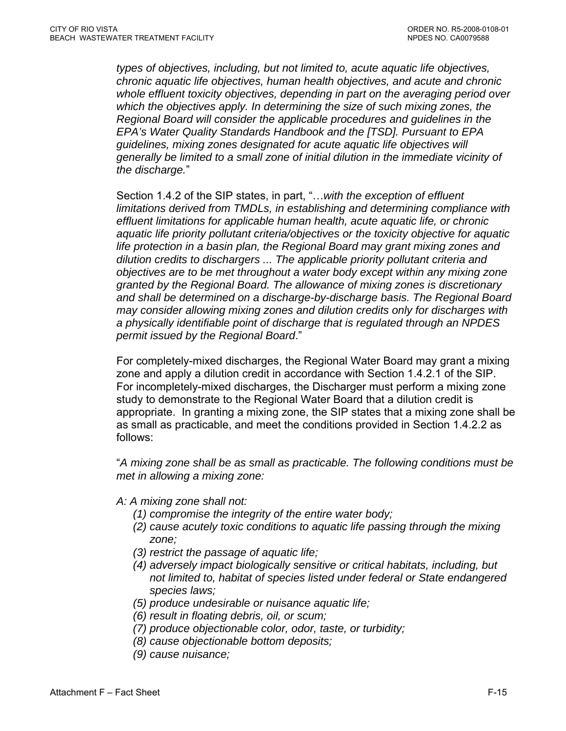*types of objectives, including, but not limited to, acute aquatic life objectives, chronic aquatic life objectives, human health objectives, and acute and chronic whole effluent toxicity objectives, depending in part on the averaging period over which the objectives apply. In determining the size of such mixing zones, the Regional Board will consider the applicable procedures and guidelines in the EPA's Water Quality Standards Handbook and the [TSD]. Pursuant to EPA guidelines, mixing zones designated for acute aquatic life objectives will generally be limited to a small zone of initial dilution in the immediate vicinity of the discharge.*"

Section 1.4.2 of the SIP states, in part, "…*with the exception of effluent limitations derived from TMDLs, in establishing and determining compliance with effluent limitations for applicable human health, acute aquatic life, or chronic aquatic life priority pollutant criteria/objectives or the toxicity objective for aquatic life protection in a basin plan, the Regional Board may grant mixing zones and dilution credits to dischargers ... The applicable priority pollutant criteria and objectives are to be met throughout a water body except within any mixing zone granted by the Regional Board. The allowance of mixing zones is discretionary and shall be determined on a discharge-by-discharge basis. The Regional Board may consider allowing mixing zones and dilution credits only for discharges with a physically identifiable point of discharge that is regulated through an NPDES permit issued by the Regional Board*."

For completely-mixed discharges, the Regional Water Board may grant a mixing zone and apply a dilution credit in accordance with Section 1.4.2.1 of the SIP. For incompletely-mixed discharges, the Discharger must perform a mixing zone study to demonstrate to the Regional Water Board that a dilution credit is appropriate. In granting a mixing zone, the SIP states that a mixing zone shall be as small as practicable, and meet the conditions provided in Section 1.4.2.2 as follows:

"*A mixing zone shall be as small as practicable. The following conditions must be met in allowing a mixing zone:* 

- *A: A mixing zone shall not:* 
	- *(1) compromise the integrity of the entire water body;*
	- *(2) cause acutely toxic conditions to aquatic life passing through the mixing zone;*
	- *(3) restrict the passage of aquatic life;*
	- *(4) adversely impact biologically sensitive or critical habitats, including, but not limited to, habitat of species listed under federal or State endangered species laws;*
	- *(5) produce undesirable or nuisance aquatic life;*
	- *(6) result in floating debris, oil, or scum;*
	- *(7) produce objectionable color, odor, taste, or turbidity;*
	- *(8) cause objectionable bottom deposits;*
	- *(9) cause nuisance;*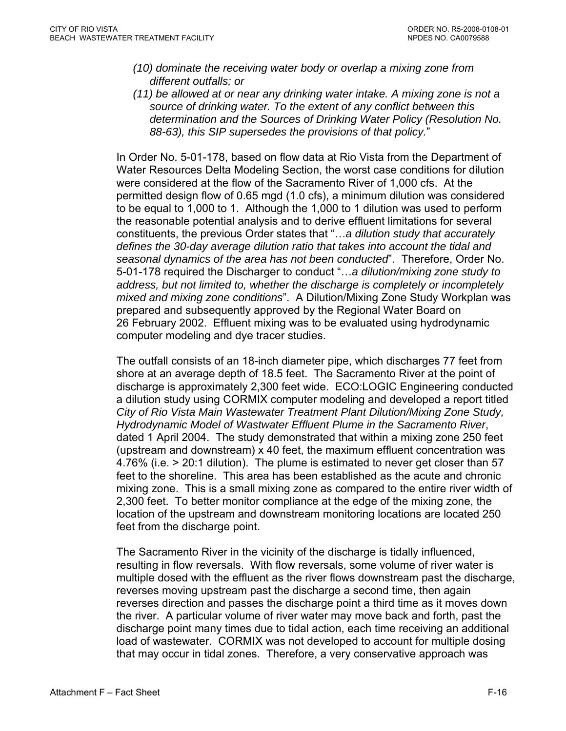- *(10) dominate the receiving water body or overlap a mixing zone from different outfalls; or*
- *(11) be allowed at or near any drinking water intake. A mixing zone is not a source of drinking water. To the extent of any conflict between this determination and the Sources of Drinking Water Policy (Resolution No. 88-63), this SIP supersedes the provisions of that policy.*"

In Order No. 5-01-178, based on flow data at Rio Vista from the Department of Water Resources Delta Modeling Section, the worst case conditions for dilution were considered at the flow of the Sacramento River of 1,000 cfs. At the permitted design flow of 0.65 mgd (1.0 cfs), a minimum dilution was considered to be equal to 1,000 to 1. Although the 1,000 to 1 dilution was used to perform the reasonable potential analysis and to derive effluent limitations for several constituents, the previous Order states that "…*a dilution study that accurately defines the 30-day average dilution ratio that takes into account the tidal and seasonal dynamics of the area has not been conducted*". Therefore, Order No. 5-01-178 required the Discharger to conduct "…*a dilution/mixing zone study to address, but not limited to, whether the discharge is completely or incompletely mixed and mixing zone conditions*". A Dilution/Mixing Zone Study Workplan was prepared and subsequently approved by the Regional Water Board on 26 February 2002. Effluent mixing was to be evaluated using hydrodynamic computer modeling and dye tracer studies.

The outfall consists of an 18-inch diameter pipe, which discharges 77 feet from shore at an average depth of 18.5 feet. The Sacramento River at the point of discharge is approximately 2,300 feet wide. ECO:LOGIC Engineering conducted a dilution study using CORMIX computer modeling and developed a report titled *City of Rio Vista Main Wastewater Treatment Plant Dilution/Mixing Zone Study, Hydrodynamic Model of Wastwater Effluent Plume in the Sacramento River*, dated 1 April 2004. The study demonstrated that within a mixing zone 250 feet (upstream and downstream) x 40 feet, the maximum effluent concentration was 4.76% (i.e. > 20:1 dilution). The plume is estimated to never get closer than 57 feet to the shoreline. This area has been established as the acute and chronic mixing zone. This is a small mixing zone as compared to the entire river width of 2,300 feet. To better monitor compliance at the edge of the mixing zone, the location of the upstream and downstream monitoring locations are located 250 feet from the discharge point.

The Sacramento River in the vicinity of the discharge is tidally influenced, resulting in flow reversals. With flow reversals, some volume of river water is multiple dosed with the effluent as the river flows downstream past the discharge, reverses moving upstream past the discharge a second time, then again reverses direction and passes the discharge point a third time as it moves down the river. A particular volume of river water may move back and forth, past the discharge point many times due to tidal action, each time receiving an additional load of wastewater. CORMIX was not developed to account for multiple dosing that may occur in tidal zones. Therefore, a very conservative approach was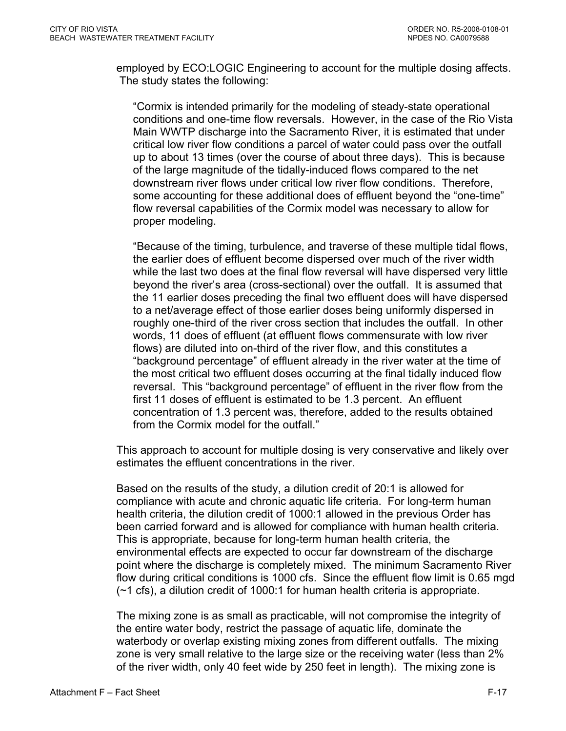employed by ECO:LOGIC Engineering to account for the multiple dosing affects. The study states the following:

"Cormix is intended primarily for the modeling of steady-state operational conditions and one-time flow reversals. However, in the case of the Rio Vista Main WWTP discharge into the Sacramento River, it is estimated that under critical low river flow conditions a parcel of water could pass over the outfall up to about 13 times (over the course of about three days). This is because of the large magnitude of the tidally-induced flows compared to the net downstream river flows under critical low river flow conditions. Therefore, some accounting for these additional does of effluent beyond the "one-time" flow reversal capabilities of the Cormix model was necessary to allow for proper modeling.

"Because of the timing, turbulence, and traverse of these multiple tidal flows, the earlier does of effluent become dispersed over much of the river width while the last two does at the final flow reversal will have dispersed very little beyond the river's area (cross-sectional) over the outfall. It is assumed that the 11 earlier doses preceding the final two effluent does will have dispersed to a net/average effect of those earlier doses being uniformly dispersed in roughly one-third of the river cross section that includes the outfall. In other words, 11 does of effluent (at effluent flows commensurate with low river flows) are diluted into on-third of the river flow, and this constitutes a "background percentage" of effluent already in the river water at the time of the most critical two effluent doses occurring at the final tidally induced flow reversal. This "background percentage" of effluent in the river flow from the first 11 doses of effluent is estimated to be 1.3 percent. An effluent concentration of 1.3 percent was, therefore, added to the results obtained from the Cormix model for the outfall."

This approach to account for multiple dosing is very conservative and likely over estimates the effluent concentrations in the river.

Based on the results of the study, a dilution credit of 20:1 is allowed for compliance with acute and chronic aquatic life criteria. For long-term human health criteria, the dilution credit of 1000:1 allowed in the previous Order has been carried forward and is allowed for compliance with human health criteria. This is appropriate, because for long-term human health criteria, the environmental effects are expected to occur far downstream of the discharge point where the discharge is completely mixed. The minimum Sacramento River flow during critical conditions is 1000 cfs. Since the effluent flow limit is 0.65 mgd (~1 cfs), a dilution credit of 1000:1 for human health criteria is appropriate.

The mixing zone is as small as practicable, will not compromise the integrity of the entire water body, restrict the passage of aquatic life, dominate the waterbody or overlap existing mixing zones from different outfalls. The mixing zone is very small relative to the large size or the receiving water (less than 2% of the river width, only 40 feet wide by 250 feet in length). The mixing zone is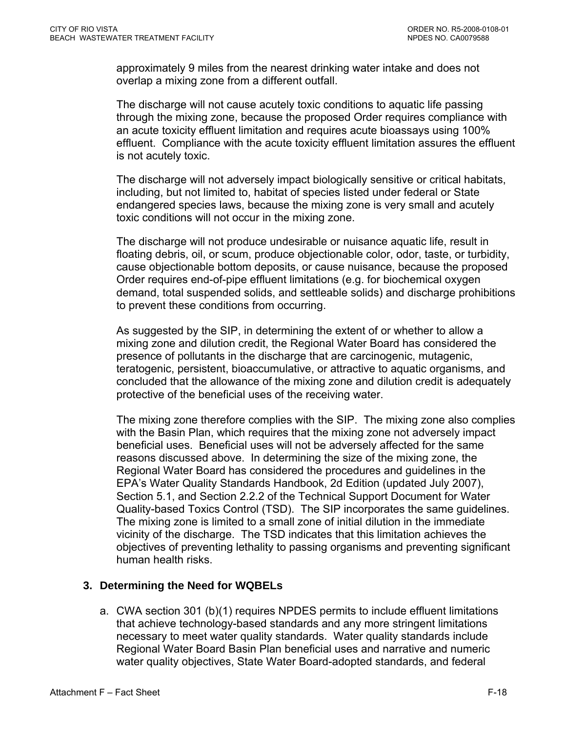approximately 9 miles from the nearest drinking water intake and does not overlap a mixing zone from a different outfall.

The discharge will not cause acutely toxic conditions to aquatic life passing through the mixing zone, because the proposed Order requires compliance with an acute toxicity effluent limitation and requires acute bioassays using 100% effluent. Compliance with the acute toxicity effluent limitation assures the effluent is not acutely toxic.

The discharge will not adversely impact biologically sensitive or critical habitats, including, but not limited to, habitat of species listed under federal or State endangered species laws, because the mixing zone is very small and acutely toxic conditions will not occur in the mixing zone.

The discharge will not produce undesirable or nuisance aquatic life, result in floating debris, oil, or scum, produce objectionable color, odor, taste, or turbidity, cause objectionable bottom deposits, or cause nuisance, because the proposed Order requires end-of-pipe effluent limitations (e.g. for biochemical oxygen demand, total suspended solids, and settleable solids) and discharge prohibitions to prevent these conditions from occurring.

As suggested by the SIP, in determining the extent of or whether to allow a mixing zone and dilution credit, the Regional Water Board has considered the presence of pollutants in the discharge that are carcinogenic, mutagenic, teratogenic, persistent, bioaccumulative, or attractive to aquatic organisms, and concluded that the allowance of the mixing zone and dilution credit is adequately protective of the beneficial uses of the receiving water.

The mixing zone therefore complies with the SIP. The mixing zone also complies with the Basin Plan, which requires that the mixing zone not adversely impact beneficial uses. Beneficial uses will not be adversely affected for the same reasons discussed above. In determining the size of the mixing zone, the Regional Water Board has considered the procedures and guidelines in the EPA's Water Quality Standards Handbook, 2d Edition (updated July 2007), Section 5.1, and Section 2.2.2 of the Technical Support Document for Water Quality-based Toxics Control (TSD). The SIP incorporates the same guidelines. The mixing zone is limited to a small zone of initial dilution in the immediate vicinity of the discharge. The TSD indicates that this limitation achieves the objectives of preventing lethality to passing organisms and preventing significant human health risks.

# **3. Determining the Need for WQBELs**

a. CWA section 301 (b)(1) requires NPDES permits to include effluent limitations that achieve technology-based standards and any more stringent limitations necessary to meet water quality standards. Water quality standards include Regional Water Board Basin Plan beneficial uses and narrative and numeric water quality objectives, State Water Board-adopted standards, and federal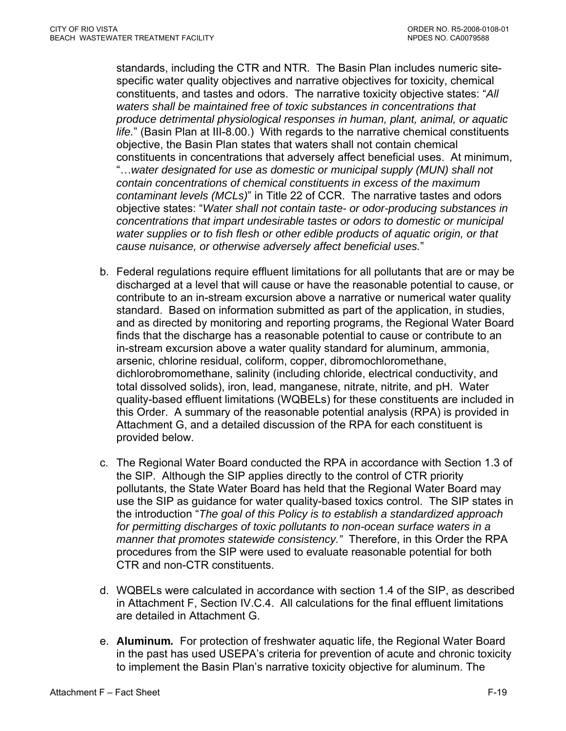standards, including the CTR and NTR. The Basin Plan includes numeric sitespecific water quality objectives and narrative objectives for toxicity, chemical constituents, and tastes and odors. The narrative toxicity objective states: "*All waters shall be maintained free of toxic substances in concentrations that produce detrimental physiological responses in human, plant, animal, or aquatic life.*" (Basin Plan at III-8.00.) With regards to the narrative chemical constituents objective, the Basin Plan states that waters shall not contain chemical constituents in concentrations that adversely affect beneficial uses. At minimum, "…*water designated for use as domestic or municipal supply (MUN) shall not contain concentrations of chemical constituents in excess of the maximum contaminant levels (MCLs)*" in Title 22 of CCR. The narrative tastes and odors objective states: "*Water shall not contain taste- or odor-producing substances in concentrations that impart undesirable tastes or odors to domestic or municipal water supplies or to fish flesh or other edible products of aquatic origin, or that cause nuisance, or otherwise adversely affect beneficial uses.*"

- b. Federal regulations require effluent limitations for all pollutants that are or may be discharged at a level that will cause or have the reasonable potential to cause, or contribute to an in-stream excursion above a narrative or numerical water quality standard. Based on information submitted as part of the application, in studies, and as directed by monitoring and reporting programs, the Regional Water Board finds that the discharge has a reasonable potential to cause or contribute to an in-stream excursion above a water quality standard for aluminum, ammonia, arsenic, chlorine residual, coliform, copper, dibromochloromethane, dichlorobromomethane, salinity (including chloride, electrical conductivity, and total dissolved solids), iron, lead, manganese, nitrate, nitrite, and pH. Water quality-based effluent limitations (WQBELs) for these constituents are included in this Order. A summary of the reasonable potential analysis (RPA) is provided in Attachment G, and a detailed discussion of the RPA for each constituent is provided below.
- c. The Regional Water Board conducted the RPA in accordance with Section 1.3 of the SIP. Although the SIP applies directly to the control of CTR priority pollutants, the State Water Board has held that the Regional Water Board may use the SIP as guidance for water quality-based toxics control. The SIP states in the introduction "*The goal of this Policy is to establish a standardized approach for permitting discharges of toxic pollutants to non-ocean surface waters in a manner that promotes statewide consistency."* Therefore, in this Order the RPA procedures from the SIP were used to evaluate reasonable potential for both CTR and non-CTR constituents.
- d. WQBELs were calculated in accordance with section 1.4 of the SIP, as described in [Attachment F, Section IV.C.4.](#page-90-0) All calculations for the final effluent limitations are detailed in Attachment G.
- e. **Aluminum***.* For protection of freshwater aquatic life, the Regional Water Board in the past has used USEPA's criteria for prevention of acute and chronic toxicity to implement the Basin Plan's narrative toxicity objective for aluminum. The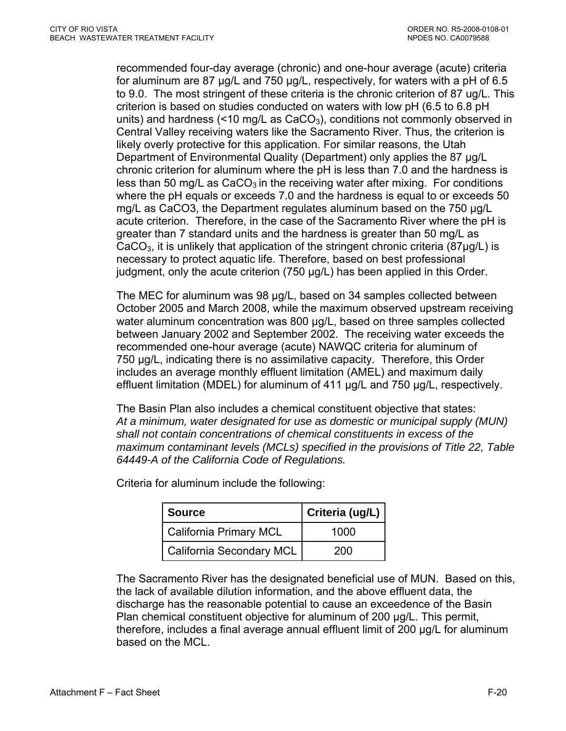recommended four-day average (chronic) and one-hour average (acute) criteria for aluminum are 87 µg/L and 750 µg/L, respectively, for waters with a pH of 6.5 to 9.0. The most stringent of these criteria is the chronic criterion of 87 ug/L. This criterion is based on studies conducted on waters with low pH (6.5 to 6.8 pH units) and hardness  $\leq 10$  mg/L as CaCO<sub>3</sub>), conditions not commonly observed in Central Valley receiving waters like the Sacramento River. Thus, the criterion is likely overly protective for this application. For similar reasons, the Utah Department of Environmental Quality (Department) only applies the 87 μg/L chronic criterion for aluminum where the pH is less than 7.0 and the hardness is less than 50 mg/L as  $CaCO<sub>3</sub>$  in the receiving water after mixing. For conditions where the pH equals or exceeds 7.0 and the hardness is equal to or exceeds 50 mg/L as CaCO3, the Department regulates aluminum based on the 750 μg/L acute criterion. Therefore, in the case of the Sacramento River where the pH is greater than 7 standard units and the hardness is greater than 50 mg/L as  $CaCO<sub>3</sub>$ , it is unlikely that application of the stringent chronic criteria (87 $\mu$ g/L) is necessary to protect aquatic life. Therefore, based on best professional judgment, only the acute criterion (750 µg/L) has been applied in this Order.

The MEC for aluminum was 98 µg/L, based on 34 samples collected between October 2005 and March 2008, while the maximum observed upstream receiving water aluminum concentration was 800 µg/L, based on three samples collected between January 2002 and September 2002. The receiving water exceeds the recommended one-hour average (acute) NAWQC criteria for aluminum of 750 µg/L, indicating there is no assimilative capacity. Therefore, this Order includes an average monthly effluent limitation (AMEL) and maximum daily effluent limitation (MDEL) for aluminum of 411 µg/L and 750 µg/L, respectively.

The Basin Plan also includes a chemical constituent objective that states: *At a minimum, water designated for use as domestic or municipal supply (MUN) shall not contain concentrations of chemical constituents in excess of the maximum contaminant levels (MCLs) specified in the provisions of Title 22, Table 64449-A of the California Code of Regulations.* 

| <b>Source</b>            | Criteria (ug/L) |
|--------------------------|-----------------|
| California Primary MCL   | 1000            |
| California Secondary MCL | 200             |

Criteria for aluminum include the following:

The Sacramento River has the designated beneficial use of MUN. Based on this, the lack of available dilution information, and the above effluent data, the discharge has the reasonable potential to cause an exceedence of the Basin Plan chemical constituent objective for aluminum of 200 µg/L. This permit, therefore, includes a final average annual effluent limit of 200 µg/L for aluminum based on the MCL.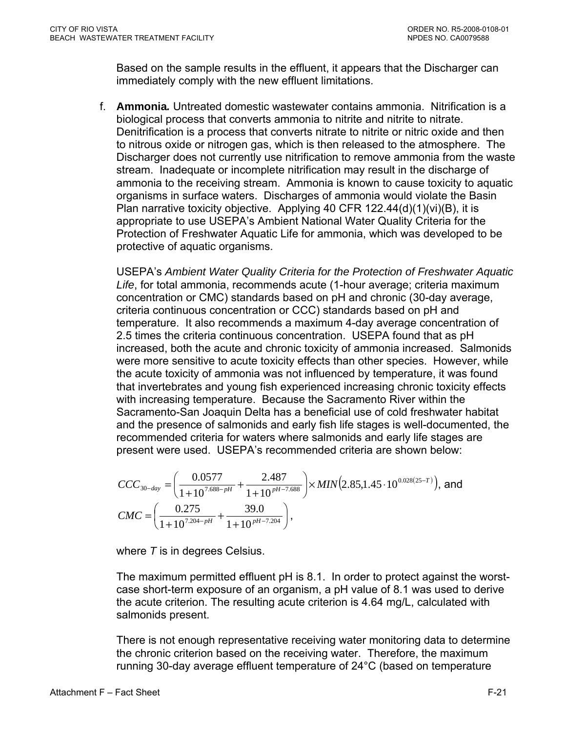Based on the sample results in the effluent, it appears that the Discharger can immediately comply with the new effluent limitations.

f. **Ammonia***.* Untreated domestic wastewater contains ammonia. Nitrification is a biological process that converts ammonia to nitrite and nitrite to nitrate. Denitrification is a process that converts nitrate to nitrite or nitric oxide and then to nitrous oxide or nitrogen gas, which is then released to the atmosphere. The Discharger does not currently use nitrification to remove ammonia from the waste stream. Inadequate or incomplete nitrification may result in the discharge of ammonia to the receiving stream. Ammonia is known to cause toxicity to aquatic organisms in surface waters. Discharges of ammonia would violate the Basin Plan narrative toxicity objective. Applying 40 CFR 122.44(d)(1)(vi)(B), it is appropriate to use USEPA's Ambient National Water Quality Criteria for the Protection of Freshwater Aquatic Life for ammonia, which was developed to be protective of aquatic organisms.

USEPA's *Ambient Water Quality Criteria for the Protection of Freshwater Aquatic Life*, for total ammonia, recommends acute (1-hour average; criteria maximum concentration or CMC) standards based on pH and chronic (30-day average, criteria continuous concentration or CCC) standards based on pH and temperature. It also recommends a maximum 4-day average concentration of 2.5 times the criteria continuous concentration. USEPA found that as pH increased, both the acute and chronic toxicity of ammonia increased. Salmonids were more sensitive to acute toxicity effects than other species. However, while the acute toxicity of ammonia was not influenced by temperature, it was found that invertebrates and young fish experienced increasing chronic toxicity effects with increasing temperature. Because the Sacramento River within the Sacramento-San Joaquin Delta has a beneficial use of cold freshwater habitat and the presence of salmonids and early fish life stages is well-documented, the recommended criteria for waters where salmonids and early life stages are present were used. USEPA's recommended criteria are shown below:

$$
CCC_{30-day} = \left(\frac{0.0577}{1+10^{7.688-pH}} + \frac{2.487}{1+10^{pH-7.688}}\right) \times MIN(2.85,1.45 \cdot 10^{0.028(25-T)}), \text{ and}
$$
  
\n
$$
CMC = \left(\frac{0.275}{1+10^{7.204-pH}} + \frac{39.0}{1+10^{pH-7.204}}\right),
$$

where *T* is in degrees Celsius.

The maximum permitted effluent pH is 8.1. In order to protect against the worstcase short-term exposure of an organism, a pH value of 8.1 was used to derive the acute criterion. The resulting acute criterion is 4.64 mg/L, calculated with salmonids present.

There is not enough representative receiving water monitoring data to determine the chronic criterion based on the receiving water. Therefore, the maximum running 30-day average effluent temperature of 24°C (based on temperature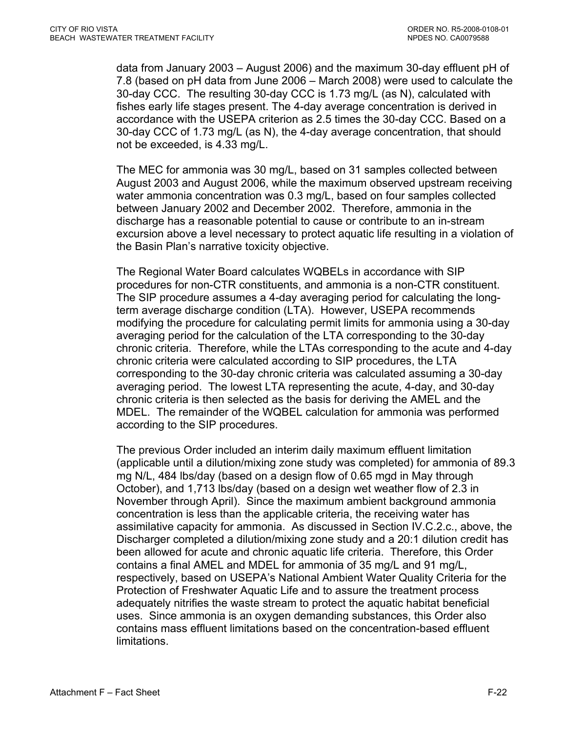data from January 2003 – August 2006) and the maximum 30-day effluent pH of 7.8 (based on pH data from June 2006 – March 2008) were used to calculate the 30-day CCC. The resulting 30-day CCC is 1.73 mg/L (as N), calculated with fishes early life stages present. The 4-day average concentration is derived in accordance with the USEPA criterion as 2.5 times the 30-day CCC. Based on a 30-day CCC of 1.73 mg/L (as N), the 4-day average concentration, that should not be exceeded, is 4.33 mg/L.

The MEC for ammonia was 30 mg/L, based on 31 samples collected between August 2003 and August 2006, while the maximum observed upstream receiving water ammonia concentration was 0.3 mg/L, based on four samples collected between January 2002 and December 2002. Therefore, ammonia in the discharge has a reasonable potential to cause or contribute to an in-stream excursion above a level necessary to protect aquatic life resulting in a violation of the Basin Plan's narrative toxicity objective.

The Regional Water Board calculates WQBELs in accordance with SIP procedures for non-CTR constituents, and ammonia is a non-CTR constituent. The SIP procedure assumes a 4-day averaging period for calculating the longterm average discharge condition (LTA). However, USEPA recommends modifying the procedure for calculating permit limits for ammonia using a 30-day averaging period for the calculation of the LTA corresponding to the 30-day chronic criteria. Therefore, while the LTAs corresponding to the acute and 4-day chronic criteria were calculated according to SIP procedures, the LTA corresponding to the 30-day chronic criteria was calculated assuming a 30-day averaging period. The lowest LTA representing the acute, 4-day, and 30-day chronic criteria is then selected as the basis for deriving the AMEL and the MDEL. The remainder of the WQBEL calculation for ammonia was performed according to the SIP procedures.

The previous Order included an interim daily maximum effluent limitation (applicable until a dilution/mixing zone study was completed) for ammonia of 89.3 mg N/L, 484 lbs/day (based on a design flow of 0.65 mgd in May through October), and 1,713 lbs/day (based on a design wet weather flow of 2.3 in November through April). Since the maximum ambient background ammonia concentration is less than the applicable criteria, the receiving water has assimilative capacity for ammonia. As discussed in Section IV.C.2.c., above, the Discharger completed a dilution/mixing zone study and a 20:1 dilution credit has been allowed for acute and chronic aquatic life criteria. Therefore, this Order contains a final AMEL and MDEL for ammonia of 35 mg/L and 91 mg/L, respectively, based on USEPA's National Ambient Water Quality Criteria for the Protection of Freshwater Aquatic Life and to assure the treatment process adequately nitrifies the waste stream to protect the aquatic habitat beneficial uses. Since ammonia is an oxygen demanding substances, this Order also contains mass effluent limitations based on the concentration-based effluent limitations.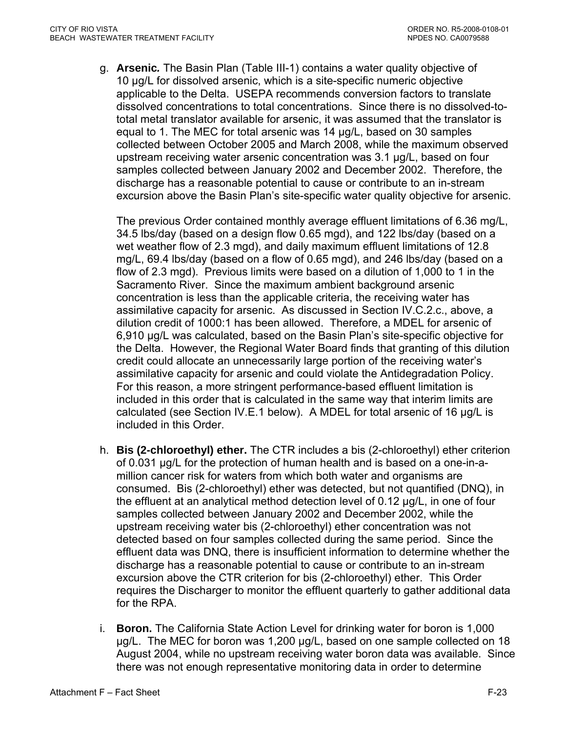g. **Arsenic***.* The Basin Plan (Table III-1) contains a water quality objective of 10 µg/L for dissolved arsenic, which is a site-specific numeric objective applicable to the Delta. USEPA recommends conversion factors to translate dissolved concentrations to total concentrations. Since there is no dissolved-tototal metal translator available for arsenic, it was assumed that the translator is equal to 1. The MEC for total arsenic was 14 µg/L, based on 30 samples collected between October 2005 and March 2008, while the maximum observed upstream receiving water arsenic concentration was 3.1 µg/L, based on four samples collected between January 2002 and December 2002. Therefore, the discharge has a reasonable potential to cause or contribute to an in-stream excursion above the Basin Plan's site-specific water quality objective for arsenic.

The previous Order contained monthly average effluent limitations of 6.36 mg/L, 34.5 lbs/day (based on a design flow 0.65 mgd), and 122 lbs/day (based on a wet weather flow of 2.3 mgd), and daily maximum effluent limitations of 12.8 mg/L, 69.4 lbs/day (based on a flow of 0.65 mgd), and 246 lbs/day (based on a flow of 2.3 mgd). Previous limits were based on a dilution of 1,000 to 1 in the Sacramento River. Since the maximum ambient background arsenic concentration is less than the applicable criteria, the receiving water has assimilative capacity for arsenic. As discussed in Section IV.C.2.c., above, a dilution credit of 1000:1 has been allowed. Therefore, a MDEL for arsenic of 6,910 µg/L was calculated, based on the Basin Plan's site-specific objective for the Delta. However, the Regional Water Board finds that granting of this dilution credit could allocate an unnecessarily large portion of the receiving water's assimilative capacity for arsenic and could violate the Antidegradation Policy. For this reason, a more stringent performance-based effluent limitation is included in this order that is calculated in the same way that interim limits are calculated (see Section IV.E.1 below). A MDEL for total arsenic of 16 µg/L is included in this Order.

- h. **Bis (2-chloroethyl) ether.** The CTR includes a bis (2-chloroethyl) ether criterion of 0.031 µg/L for the protection of human health and is based on a one-in-amillion cancer risk for waters from which both water and organisms are consumed. Bis (2-chloroethyl) ether was detected, but not quantified (DNQ), in the effluent at an analytical method detection level of 0.12 µg/L, in one of four samples collected between January 2002 and December 2002, while the upstream receiving water bis (2-chloroethyl) ether concentration was not detected based on four samples collected during the same period. Since the effluent data was DNQ, there is insufficient information to determine whether the discharge has a reasonable potential to cause or contribute to an in-stream excursion above the CTR criterion for bis (2-chloroethyl) ether. This Order requires the Discharger to monitor the effluent quarterly to gather additional data for the RPA.
- i. **Boron.** The California State Action Level for drinking water for boron is 1,000 µg/L. The MEC for boron was 1,200 µg/L, based on one sample collected on 18 August 2004, while no upstream receiving water boron data was available. Since there was not enough representative monitoring data in order to determine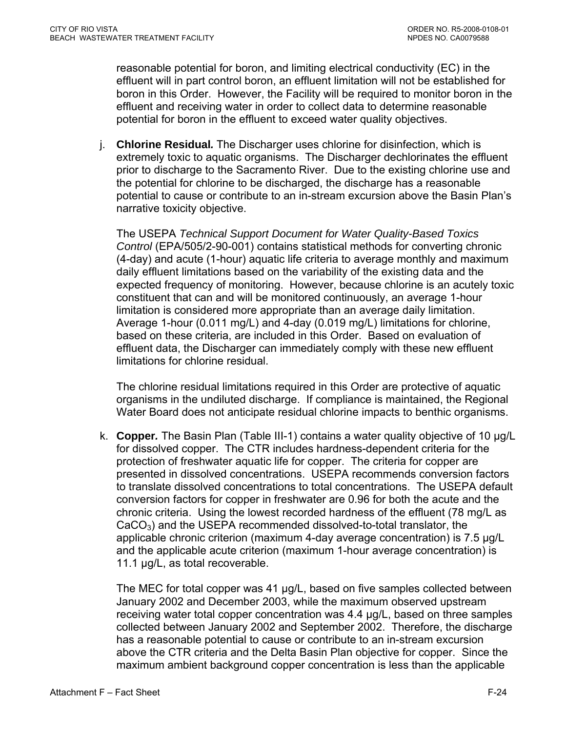reasonable potential for boron, and limiting electrical conductivity (EC) in the effluent will in part control boron, an effluent limitation will not be established for boron in this Order. However, the Facility will be required to monitor boron in the effluent and receiving water in order to collect data to determine reasonable potential for boron in the effluent to exceed water quality objectives.

j. **Chlorine Residual***.* The Discharger uses chlorine for disinfection, which is extremely toxic to aquatic organisms. The Discharger dechlorinates the effluent prior to discharge to the Sacramento River. Due to the existing chlorine use and the potential for chlorine to be discharged, the discharge has a reasonable potential to cause or contribute to an in-stream excursion above the Basin Plan's narrative toxicity objective.

The USEPA *Technical Support Document for Water Quality-Based Toxics Control* (EPA/505/2-90-001) contains statistical methods for converting chronic (4-day) and acute (1-hour) aquatic life criteria to average monthly and maximum daily effluent limitations based on the variability of the existing data and the expected frequency of monitoring. However, because chlorine is an acutely toxic constituent that can and will be monitored continuously, an average 1-hour limitation is considered more appropriate than an average daily limitation. Average 1-hour (0.011 mg/L) and 4-day (0.019 mg/L) limitations for chlorine, based on these criteria, are included in this Order. Based on evaluation of effluent data, the Discharger can immediately comply with these new effluent limitations for chlorine residual.

The chlorine residual limitations required in this Order are protective of aquatic organisms in the undiluted discharge. If compliance is maintained, the Regional Water Board does not anticipate residual chlorine impacts to benthic organisms.

k. **Copper***.* The Basin Plan (Table III-1) contains a water quality objective of 10 µg/L for dissolved copper. The CTR includes hardness-dependent criteria for the protection of freshwater aquatic life for copper. The criteria for copper are presented in dissolved concentrations. USEPA recommends conversion factors to translate dissolved concentrations to total concentrations. The USEPA default conversion factors for copper in freshwater are 0.96 for both the acute and the chronic criteria. Using the lowest recorded hardness of the effluent (78 mg/L as  $CaCO<sub>3</sub>$ ) and the USEPA recommended dissolved-to-total translator, the applicable chronic criterion (maximum 4-day average concentration) is 7.5 µg/L and the applicable acute criterion (maximum 1-hour average concentration) is 11.1 µg/L, as total recoverable.

The MEC for total copper was 41 µg/L, based on five samples collected between January 2002 and December 2003, while the maximum observed upstream receiving water total copper concentration was 4.4 µg/L, based on three samples collected between January 2002 and September 2002. Therefore, the discharge has a reasonable potential to cause or contribute to an in-stream excursion above the CTR criteria and the Delta Basin Plan objective for copper. Since the maximum ambient background copper concentration is less than the applicable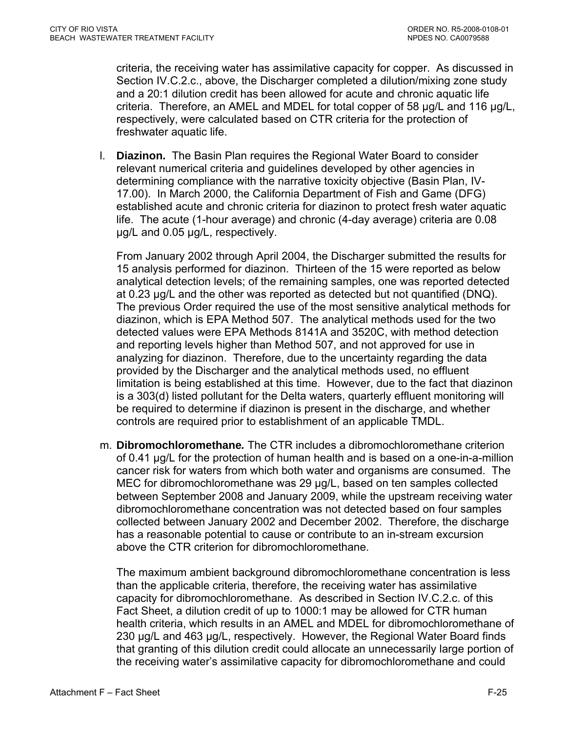criteria, the receiving water has assimilative capacity for copper. As discussed in Section IV.C.2.c., above, the Discharger completed a dilution/mixing zone study and a 20:1 dilution credit has been allowed for acute and chronic aquatic life criteria. Therefore, an AMEL and MDEL for total copper of 58 µg/L and 116 µg/L, respectively, were calculated based on CTR criteria for the protection of freshwater aquatic life.

l. **Diazinon.** The Basin Plan requires the Regional Water Board to consider relevant numerical criteria and guidelines developed by other agencies in determining compliance with the narrative toxicity objective (Basin Plan, IV-17.00). In March 2000, the California Department of Fish and Game (DFG) established acute and chronic criteria for diazinon to protect fresh water aquatic life. The acute (1-hour average) and chronic (4-day average) criteria are 0.08 µg/L and 0.05 µg/L, respectively.

From January 2002 through April 2004, the Discharger submitted the results for 15 analysis performed for diazinon. Thirteen of the 15 were reported as below analytical detection levels; of the remaining samples, one was reported detected at 0.23 µg/L and the other was reported as detected but not quantified (DNQ). The previous Order required the use of the most sensitive analytical methods for diazinon, which is EPA Method 507. The analytical methods used for the two detected values were EPA Methods 8141A and 3520C, with method detection and reporting levels higher than Method 507, and not approved for use in analyzing for diazinon. Therefore, due to the uncertainty regarding the data provided by the Discharger and the analytical methods used, no effluent limitation is being established at this time. However, due to the fact that diazinon is a 303(d) listed pollutant for the Delta waters, quarterly effluent monitoring will be required to determine if diazinon is present in the discharge, and whether controls are required prior to establishment of an applicable TMDL.

m. **Dibromochloromethane***.* The CTR includes a dibromochloromethane criterion of 0.41 µg/L for the protection of human health and is based on a one-in-a-million cancer risk for waters from which both water and organisms are consumed. The MEC for dibromochloromethane was 29 µg/L, based on ten samples collected between September 2008 and January 2009, while the upstream receiving water dibromochloromethane concentration was not detected based on four samples collected between January 2002 and December 2002. Therefore, the discharge has a reasonable potential to cause or contribute to an in-stream excursion above the CTR criterion for dibromochloromethane.

The maximum ambient background dibromochloromethane concentration is less than the applicable criteria, therefore, the receiving water has assimilative capacity for dibromochloromethane. As described in Section IV.C.2.c. of this Fact Sheet, a dilution credit of up to 1000:1 may be allowed for CTR human health criteria, which results in an AMEL and MDEL for dibromochloromethane of 230 µg/L and 463 µg/L, respectively. However, the Regional Water Board finds that granting of this dilution credit could allocate an unnecessarily large portion of the receiving water's assimilative capacity for dibromochloromethane and could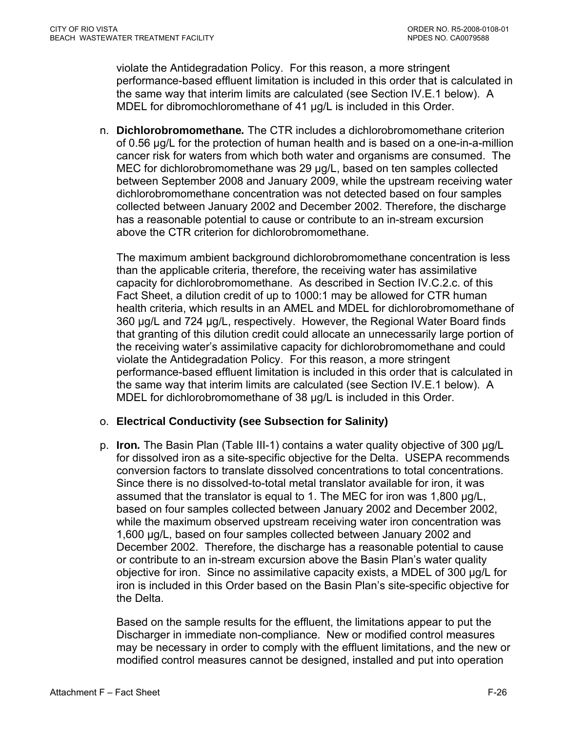violate the Antidegradation Policy. For this reason, a more stringent performance-based effluent limitation is included in this order that is calculated in the same way that interim limits are calculated (see Section IV.E.1 below). A MDEL for dibromochloromethane of 41 ug/L is included in this Order.

n. **Dichlorobromomethane***.* The CTR includes a dichlorobromomethane criterion of 0.56 µg/L for the protection of human health and is based on a one-in-a-million cancer risk for waters from which both water and organisms are consumed. The MEC for dichlorobromomethane was 29 µg/L, based on ten samples collected between September 2008 and January 2009, while the upstream receiving water dichlorobromomethane concentration was not detected based on four samples collected between January 2002 and December 2002. Therefore, the discharge has a reasonable potential to cause or contribute to an in-stream excursion above the CTR criterion for dichlorobromomethane.

The maximum ambient background dichlorobromomethane concentration is less than the applicable criteria, therefore, the receiving water has assimilative capacity for dichlorobromomethane. As described in Section IV.C.2.c. of this Fact Sheet, a dilution credit of up to 1000:1 may be allowed for CTR human health criteria, which results in an AMEL and MDEL for dichlorobromomethane of 360 µg/L and 724 µg/L, respectively. However, the Regional Water Board finds that granting of this dilution credit could allocate an unnecessarily large portion of the receiving water's assimilative capacity for dichlorobromomethane and could violate the Antidegradation Policy. For this reason, a more stringent performance-based effluent limitation is included in this order that is calculated in the same way that interim limits are calculated (see Section IV.E.1 below). A MDEL for dichlorobromomethane of 38 µg/L is included in this Order.

### o. **Electrical Conductivity (see Subsection for Salinity)**

p. **Iron***.* The Basin Plan (Table III-1) contains a water quality objective of 300 µg/L for dissolved iron as a site-specific objective for the Delta. USEPA recommends conversion factors to translate dissolved concentrations to total concentrations. Since there is no dissolved-to-total metal translator available for iron, it was assumed that the translator is equal to 1. The MEC for iron was 1,800 µg/L, based on four samples collected between January 2002 and December 2002, while the maximum observed upstream receiving water iron concentration was 1,600 µg/L, based on four samples collected between January 2002 and December 2002. Therefore, the discharge has a reasonable potential to cause or contribute to an in-stream excursion above the Basin Plan's water quality objective for iron. Since no assimilative capacity exists, a MDEL of 300 µg/L for iron is included in this Order based on the Basin Plan's site-specific objective for the Delta.

Based on the sample results for the effluent, the limitations appear to put the Discharger in immediate non-compliance. New or modified control measures may be necessary in order to comply with the effluent limitations, and the new or modified control measures cannot be designed, installed and put into operation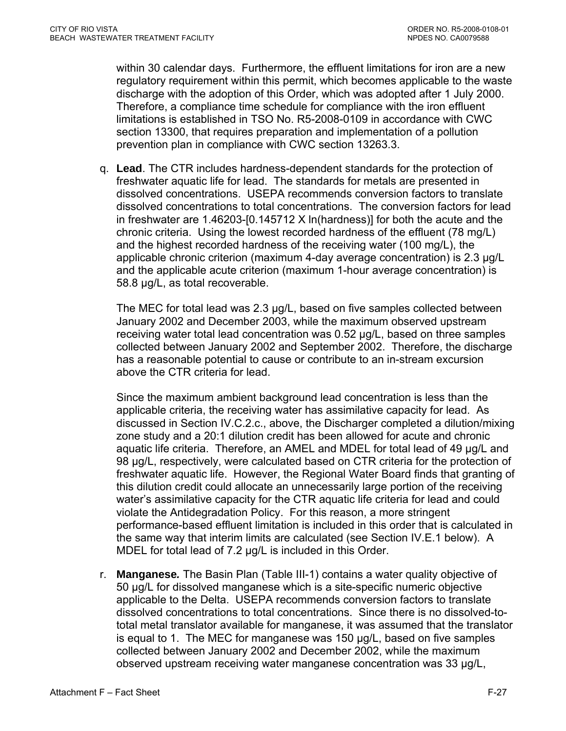within 30 calendar days. Furthermore, the effluent limitations for iron are a new regulatory requirement within this permit, which becomes applicable to the waste discharge with the adoption of this Order, which was adopted after 1 July 2000. Therefore, a compliance time schedule for compliance with the iron effluent limitations is established in TSO No. R5-2008-0109 in accordance with CWC section 13300, that requires preparation and implementation of a pollution prevention plan in compliance with CWC section 13263.3.

q. **Lead**. The CTR includes hardness-dependent standards for the protection of freshwater aquatic life for lead. The standards for metals are presented in dissolved concentrations. USEPA recommends conversion factors to translate dissolved concentrations to total concentrations. The conversion factors for lead in freshwater are 1.46203-[0.145712 X ln(hardness)] for both the acute and the chronic criteria. Using the lowest recorded hardness of the effluent (78 mg/L) and the highest recorded hardness of the receiving water (100 mg/L), the applicable chronic criterion (maximum 4-day average concentration) is 2.3 µg/L and the applicable acute criterion (maximum 1-hour average concentration) is 58.8 µg/L, as total recoverable.

The MEC for total lead was 2.3 µg/L, based on five samples collected between January 2002 and December 2003, while the maximum observed upstream receiving water total lead concentration was 0.52 µg/L, based on three samples collected between January 2002 and September 2002. Therefore, the discharge has a reasonable potential to cause or contribute to an in-stream excursion above the CTR criteria for lead.

Since the maximum ambient background lead concentration is less than the applicable criteria, the receiving water has assimilative capacity for lead. As discussed in Section IV.C.2.c., above, the Discharger completed a dilution/mixing zone study and a 20:1 dilution credit has been allowed for acute and chronic aquatic life criteria. Therefore, an AMEL and MDEL for total lead of 49 µg/L and 98 µg/L, respectively, were calculated based on CTR criteria for the protection of freshwater aquatic life. However, the Regional Water Board finds that granting of this dilution credit could allocate an unnecessarily large portion of the receiving water's assimilative capacity for the CTR aquatic life criteria for lead and could violate the Antidegradation Policy. For this reason, a more stringent performance-based effluent limitation is included in this order that is calculated in the same way that interim limits are calculated (see Section IV.E.1 below). A MDEL for total lead of 7.2  $\mu$ g/L is included in this Order.

r. **Manganese***.* The Basin Plan (Table III-1) contains a water quality objective of 50 µg/L for dissolved manganese which is a site-specific numeric objective applicable to the Delta. USEPA recommends conversion factors to translate dissolved concentrations to total concentrations. Since there is no dissolved-tototal metal translator available for manganese, it was assumed that the translator is equal to 1. The MEC for manganese was 150 µg/L, based on five samples collected between January 2002 and December 2002, while the maximum observed upstream receiving water manganese concentration was 33 µg/L,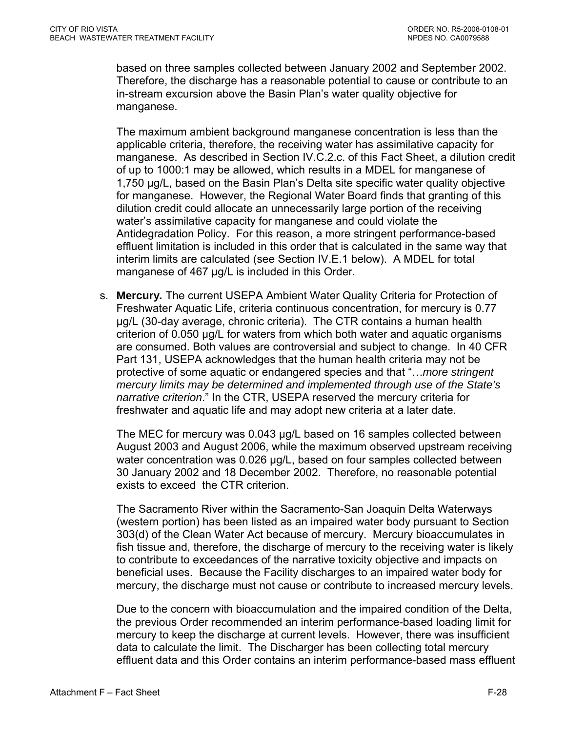based on three samples collected between January 2002 and September 2002. Therefore, the discharge has a reasonable potential to cause or contribute to an in-stream excursion above the Basin Plan's water quality objective for manganese.

The maximum ambient background manganese concentration is less than the applicable criteria, therefore, the receiving water has assimilative capacity for manganese. As described in Section IV.C.2.c. of this Fact Sheet, a dilution credit of up to 1000:1 may be allowed, which results in a MDEL for manganese of 1,750 µg/L, based on the Basin Plan's Delta site specific water quality objective for manganese. However, the Regional Water Board finds that granting of this dilution credit could allocate an unnecessarily large portion of the receiving water's assimilative capacity for manganese and could violate the Antidegradation Policy. For this reason, a more stringent performance-based effluent limitation is included in this order that is calculated in the same way that interim limits are calculated (see Section IV.E.1 below). A MDEL for total manganese of 467 µg/L is included in this Order.

s. **Mercury***.* The current USEPA Ambient Water Quality Criteria for Protection of Freshwater Aquatic Life, criteria continuous concentration, for mercury is 0.77 µg/L (30-day average, chronic criteria). The CTR contains a human health criterion of 0.050 µg/L for waters from which both water and aquatic organisms are consumed. Both values are controversial and subject to change. In 40 CFR Part 131, USEPA acknowledges that the human health criteria may not be protective of some aquatic or endangered species and that "…*more stringent mercury limits may be determined and implemented through use of the State's narrative criterion*." In the CTR, USEPA reserved the mercury criteria for freshwater and aquatic life and may adopt new criteria at a later date.

The MEC for mercury was 0.043 µg/L based on 16 samples collected between August 2003 and August 2006, while the maximum observed upstream receiving water concentration was 0.026 µg/L, based on four samples collected between 30 January 2002 and 18 December 2002. Therefore, no reasonable potential exists to exceed the CTR criterion.

The Sacramento River within the Sacramento-San Joaquin Delta Waterways (western portion) has been listed as an impaired water body pursuant to Section 303(d) of the Clean Water Act because of mercury. Mercury bioaccumulates in fish tissue and, therefore, the discharge of mercury to the receiving water is likely to contribute to exceedances of the narrative toxicity objective and impacts on beneficial uses. Because the Facility discharges to an impaired water body for mercury, the discharge must not cause or contribute to increased mercury levels.

Due to the concern with bioaccumulation and the impaired condition of the Delta, the previous Order recommended an interim performance-based loading limit for mercury to keep the discharge at current levels. However, there was insufficient data to calculate the limit. The Discharger has been collecting total mercury effluent data and this Order contains an interim performance-based mass effluent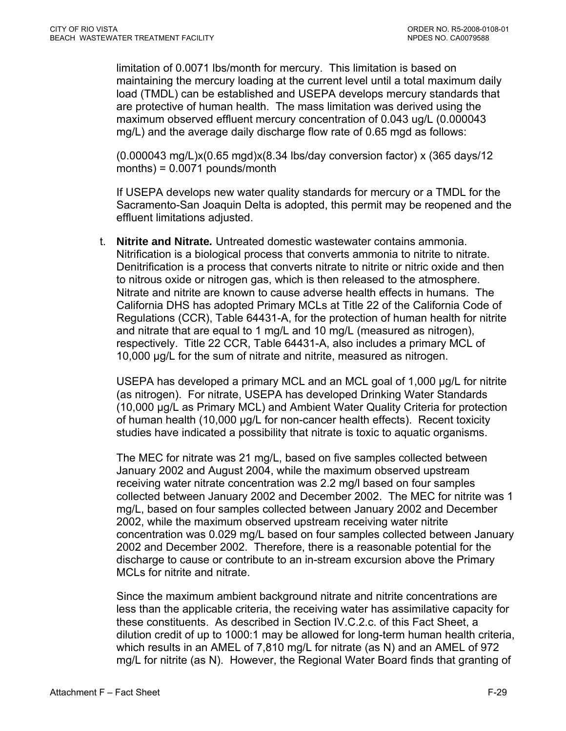limitation of 0.0071 lbs/month for mercury. This limitation is based on maintaining the mercury loading at the current level until a total maximum daily load (TMDL) can be established and USEPA develops mercury standards that are protective of human health. The mass limitation was derived using the maximum observed effluent mercury concentration of 0.043 ug/L (0.000043 mg/L) and the average daily discharge flow rate of 0.65 mgd as follows:

(0.000043 mg/L)x(0.65 mgd)x(8.34 lbs/day conversion factor) x (365 days/12 months) = 0.0071 pounds/month

If USEPA develops new water quality standards for mercury or a TMDL for the Sacramento-San Joaquin Delta is adopted, this permit may be reopened and the effluent limitations adjusted.

t. **Nitrite and Nitrate***.* Untreated domestic wastewater contains ammonia. Nitrification is a biological process that converts ammonia to nitrite to nitrate. Denitrification is a process that converts nitrate to nitrite or nitric oxide and then to nitrous oxide or nitrogen gas, which is then released to the atmosphere. Nitrate and nitrite are known to cause adverse health effects in humans. The California DHS has adopted Primary MCLs at Title 22 of the California Code of Regulations (CCR), Table 64431-A, for the protection of human health for nitrite and nitrate that are equal to 1 mg/L and 10 mg/L (measured as nitrogen), respectively. Title 22 CCR, Table 64431-A, also includes a primary MCL of 10,000 µg/L for the sum of nitrate and nitrite, measured as nitrogen.

USEPA has developed a primary MCL and an MCL goal of 1,000 ug/L for nitrite (as nitrogen). For nitrate, USEPA has developed Drinking Water Standards (10,000 µg/L as Primary MCL) and Ambient Water Quality Criteria for protection of human health (10,000 µg/L for non-cancer health effects). Recent toxicity studies have indicated a possibility that nitrate is toxic to aquatic organisms.

The MEC for nitrate was 21 mg/L, based on five samples collected between January 2002 and August 2004, while the maximum observed upstream receiving water nitrate concentration was 2.2 mg/l based on four samples collected between January 2002 and December 2002. The MEC for nitrite was 1 mg/L, based on four samples collected between January 2002 and December 2002, while the maximum observed upstream receiving water nitrite concentration was 0.029 mg/L based on four samples collected between January 2002 and December 2002. Therefore, there is a reasonable potential for the discharge to cause or contribute to an in-stream excursion above the Primary MCLs for nitrite and nitrate.

Since the maximum ambient background nitrate and nitrite concentrations are less than the applicable criteria, the receiving water has assimilative capacity for these constituents. As described in Section IV.C.2.c. of this Fact Sheet, a dilution credit of up to 1000:1 may be allowed for long-term human health criteria, which results in an AMEL of 7,810 mg/L for nitrate (as N) and an AMEL of 972 mg/L for nitrite (as N). However, the Regional Water Board finds that granting of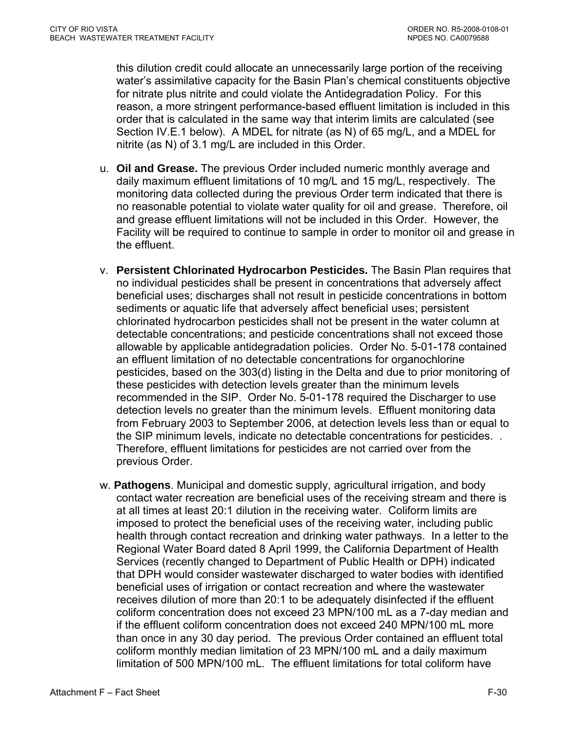this dilution credit could allocate an unnecessarily large portion of the receiving water's assimilative capacity for the Basin Plan's chemical constituents objective for nitrate plus nitrite and could violate the Antidegradation Policy. For this reason, a more stringent performance-based effluent limitation is included in this order that is calculated in the same way that interim limits are calculated (see Section IV.E.1 below). A MDEL for nitrate (as N) of 65 mg/L, and a MDEL for nitrite (as N) of 3.1 mg/L are included in this Order.

- u. **Oil and Grease.** The previous Order included numeric monthly average and daily maximum effluent limitations of 10 mg/L and 15 mg/L, respectively. The monitoring data collected during the previous Order term indicated that there is no reasonable potential to violate water quality for oil and grease. Therefore, oil and grease effluent limitations will not be included in this Order. However, the Facility will be required to continue to sample in order to monitor oil and grease in the effluent.
- v. **Persistent Chlorinated Hydrocarbon Pesticides.** The Basin Plan requires that no individual pesticides shall be present in concentrations that adversely affect beneficial uses; discharges shall not result in pesticide concentrations in bottom sediments or aquatic life that adversely affect beneficial uses; persistent chlorinated hydrocarbon pesticides shall not be present in the water column at detectable concentrations; and pesticide concentrations shall not exceed those allowable by applicable antidegradation policies. Order No. 5-01-178 contained an effluent limitation of no detectable concentrations for organochlorine pesticides, based on the 303(d) listing in the Delta and due to prior monitoring of these pesticides with detection levels greater than the minimum levels recommended in the SIP. Order No. 5-01-178 required the Discharger to use detection levels no greater than the minimum levels. Effluent monitoring data from February 2003 to September 2006, at detection levels less than or equal to the SIP minimum levels, indicate no detectable concentrations for pesticides. . Therefore, effluent limitations for pesticides are not carried over from the previous Order.
- w. **Pathogens**. Municipal and domestic supply, agricultural irrigation, and body contact water recreation are beneficial uses of the receiving stream and there is at all times at least 20:1 dilution in the receiving water. Coliform limits are imposed to protect the beneficial uses of the receiving water, including public health through contact recreation and drinking water pathways. In a letter to the Regional Water Board dated 8 April 1999, the California Department of Health Services (recently changed to Department of Public Health or DPH) indicated that DPH would consider wastewater discharged to water bodies with identified beneficial uses of irrigation or contact recreation and where the wastewater receives dilution of more than 20:1 to be adequately disinfected if the effluent coliform concentration does not exceed 23 MPN/100 mL as a 7-day median and if the effluent coliform concentration does not exceed 240 MPN/100 mL more than once in any 30 day period. The previous Order contained an effluent total coliform monthly median limitation of 23 MPN/100 mL and a daily maximum limitation of 500 MPN/100 mL. The effluent limitations for total coliform have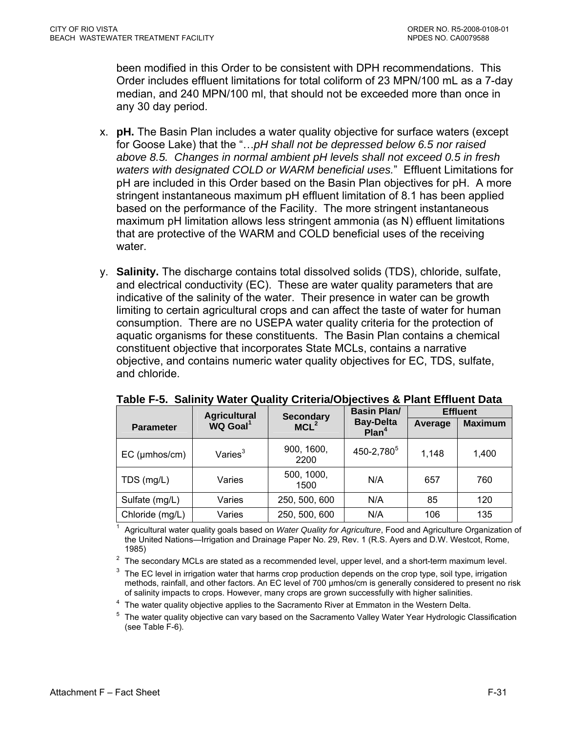been modified in this Order to be consistent with DPH recommendations. This Order includes effluent limitations for total coliform of 23 MPN/100 mL as a 7-day median, and 240 MPN/100 ml, that should not be exceeded more than once in any 30 day period.

- x. **pH.** The Basin Plan includes a water quality objective for surface waters (except for Goose Lake) that the "…*pH shall not be depressed below 6.5 nor raised above 8.5. Changes in normal ambient pH levels shall not exceed 0.5 in fresh waters with designated COLD or WARM beneficial uses.*" Effluent Limitations for pH are included in this Order based on the Basin Plan objectives for pH. A more stringent instantaneous maximum pH effluent limitation of 8.1 has been applied based on the performance of the Facility. The more stringent instantaneous maximum pH limitation allows less stringent ammonia (as N) effluent limitations that are protective of the WARM and COLD beneficial uses of the receiving water.
- y. **Salinity.** The discharge contains total dissolved solids (TDS), chloride, sulfate, and electrical conductivity (EC). These are water quality parameters that are indicative of the salinity of the water. Their presence in water can be growth limiting to certain agricultural crops and can affect the taste of water for human consumption. There are no USEPA water quality criteria for the protection of aquatic organisms for these constituents. The Basin Plan contains a chemical constituent objective that incorporates State MCLs, contains a narrative objective, and contains numeric water quality objectives for EC, TDS, sulfate, and chloride.

|                     | <b>Agricultural</b>  | <b>Secondary</b>   | <b>Basin Plan/</b>                    |         | <b>Effluent</b> |
|---------------------|----------------------|--------------------|---------------------------------------|---------|-----------------|
| <b>Parameter</b>    | WQ Goal <sup>1</sup> | MCL <sup>2</sup>   | <b>Bay-Delta</b><br>Plan <sup>4</sup> | Average | <b>Maximum</b>  |
| $EC$ ( $µmbos/cm$ ) | Varies $3$           | 900, 1600,<br>2200 | 450-2,780 <sup>5</sup>                | 1,148   | 1,400           |
| TDS (mg/L)          | Varies               | 500, 1000,<br>1500 | N/A                                   | 657     | 760             |
| Sulfate (mg/L)      | Varies               | 250, 500, 600      | N/A                                   | 85      | 120             |
| Chloride (mg/L)     | Varies               | 250, 500, 600      | N/A                                   | 106     | 135             |

**Table F-5. Salinity Water Quality Criteria/Objectives & Plant Effluent Data** 

1 Agricultural water quality goals based on *Water Quality for Agriculture*, Food and Agriculture Organization of the United Nations—Irrigation and Drainage Paper No. 29, Rev. 1 (R.S. Ayers and D.W. Westcot, Rome,

1985)<br><sup>2</sup> The secondary MCLs are stated as a recommended level, upper level, and a short-term maximum level.

 $3$  The EC level in irrigation water that harms crop production depends on the crop type, soil type, irrigation methods, rainfall, and other factors. An EC level of 700 umhos/cm is generally considered to present no risk of salinity impacts to crops. However, many crops are grown successfully with higher salinities.

<sup>4</sup> The water quality objective applies to the Sacramento River at Emmaton in the Western Delta.<br><sup>5</sup> The water quality objective can vary based on the Sacramento Valley Water Year Hydrologic Classification (see Table F-6).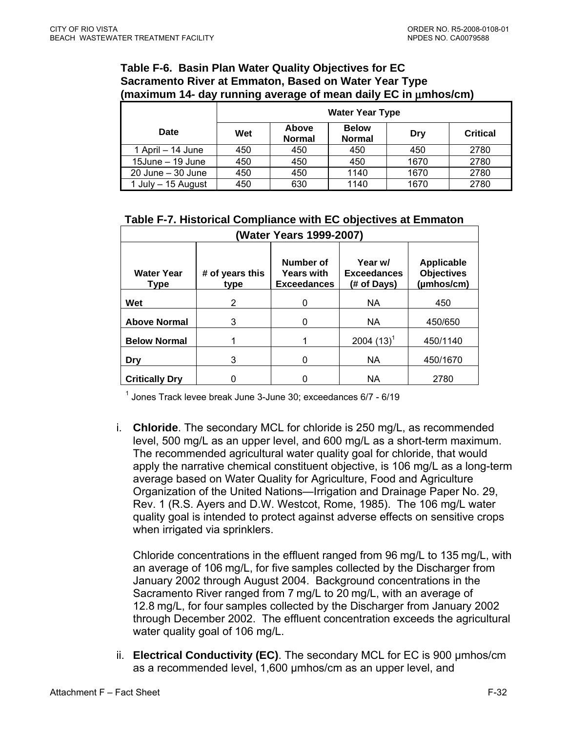### **Table F-6. Basin Plan Water Quality Objectives for EC Sacramento River at Emmaton, Based on Water Year Type (maximum 14- day running average of mean daily EC in** μ**mhos/cm)**

|                       | <b>Water Year Type</b> |                               |                               |      |                 |
|-----------------------|------------------------|-------------------------------|-------------------------------|------|-----------------|
| Date                  | Wet                    | <b>Above</b><br><b>Normal</b> | <b>Below</b><br><b>Normal</b> | Dry  | <b>Critical</b> |
| 1 April – 14 June     | 450                    | 450                           | 450                           | 450  | 2780            |
| $15$ June $-$ 19 June | 450                    | 450                           | 450                           | 1670 | 2780            |
| $20$ June $-30$ June  | 450                    | 450                           | 1140                          | 1670 | 2780            |
| 1 July - 15 August    | 450                    | 630                           | 1140                          | 1670 | 2780            |

# **Table F-7. Historical Compliance with EC objectives at Emmaton**

| (Water Years 1999-2007)   |                         |                                                      |                                              |                                                      |  |  |
|---------------------------|-------------------------|------------------------------------------------------|----------------------------------------------|------------------------------------------------------|--|--|
| <b>Water Year</b><br>Type | # of years this<br>type | Number of<br><b>Years with</b><br><b>Exceedances</b> | Year w/<br><b>Exceedances</b><br>(# of Days) | <b>Applicable</b><br><b>Objectives</b><br>(µmhos/cm) |  |  |
| Wet                       | 2                       | 0                                                    | <b>NA</b>                                    | 450                                                  |  |  |
| <b>Above Normal</b>       | 3                       | 0                                                    | <b>NA</b>                                    | 450/650                                              |  |  |
| <b>Below Normal</b>       |                         |                                                      | 2004 $(13)^{1}$                              | 450/1140                                             |  |  |
| Dry                       | 3                       | 0                                                    | <b>NA</b>                                    | 450/1670                                             |  |  |
| <b>Critically Dry</b>     |                         | ი                                                    | ΝA                                           | 2780                                                 |  |  |

<sup>1</sup> Jones Track levee break June 3-June 30; exceedances 6/7 - 6/19

i. **Chloride**. The secondary MCL for chloride is 250 mg/L, as recommended level, 500 mg/L as an upper level, and 600 mg/L as a short-term maximum. The recommended agricultural water quality goal for chloride, that would apply the narrative chemical constituent objective, is 106 mg/L as a long-term average based on Water Quality for Agriculture, Food and Agriculture Organization of the United Nations—Irrigation and Drainage Paper No. 29, Rev. 1 (R.S. Ayers and D.W. Westcot, Rome, 1985). The 106 mg/L water quality goal is intended to protect against adverse effects on sensitive crops when irrigated via sprinklers.

Chloride concentrations in the effluent ranged from 96 mg/L to 135 mg/L, with an average of 106 mg/L, for five samples collected by the Discharger from January 2002 through August 2004. Background concentrations in the Sacramento River ranged from 7 mg/L to 20 mg/L, with an average of 12.8 mg/L, for four samples collected by the Discharger from January 2002 through December 2002. The effluent concentration exceeds the agricultural water quality goal of 106 mg/L.

ii. **Electrical Conductivity (EC)**. The secondary MCL for EC is 900 µmhos/cm as a recommended level, 1,600 µmhos/cm as an upper level, and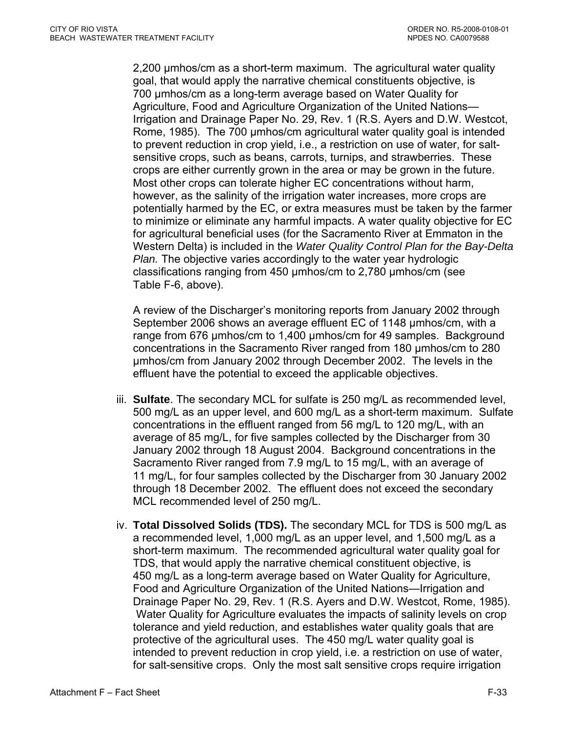2,200 µmhos/cm as a short-term maximum. The agricultural water quality goal, that would apply the narrative chemical constituents objective, is 700 µmhos/cm as a long-term average based on Water Quality for Agriculture, Food and Agriculture Organization of the United Nations— Irrigation and Drainage Paper No. 29, Rev. 1 (R.S. Ayers and D.W. Westcot, Rome, 1985). The 700 µmhos/cm agricultural water quality goal is intended to prevent reduction in crop yield, i.e., a restriction on use of water, for saltsensitive crops, such as beans, carrots, turnips, and strawberries. These crops are either currently grown in the area or may be grown in the future. Most other crops can tolerate higher EC concentrations without harm, however, as the salinity of the irrigation water increases, more crops are potentially harmed by the EC, or extra measures must be taken by the farmer to minimize or eliminate any harmful impacts. A water quality objective for EC for agricultural beneficial uses (for the Sacramento River at Emmaton in the Western Delta) is included in the *Water Quality Control Plan for the Bay-Delta Plan.* The objective varies accordingly to the water year hydrologic classifications ranging from 450 µmhos/cm to 2,780 µmhos/cm (see Table F-6, above).

A review of the Discharger's monitoring reports from January 2002 through September 2006 shows an average effluent EC of 1148 µmhos/cm, with a range from 676 umhos/cm to 1,400 umhos/cm for 49 samples. Background concentrations in the Sacramento River ranged from 180 µmhos/cm to 280 µmhos/cm from January 2002 through December 2002. The levels in the effluent have the potential to exceed the applicable objectives.

- iii. **Sulfate**. The secondary MCL for sulfate is 250 mg/L as recommended level, 500 mg/L as an upper level, and 600 mg/L as a short-term maximum. Sulfate concentrations in the effluent ranged from 56 mg/L to 120 mg/L, with an average of 85 mg/L, for five samples collected by the Discharger from 30 January 2002 through 18 August 2004. Background concentrations in the Sacramento River ranged from 7.9 mg/L to 15 mg/L, with an average of 11 mg/L, for four samples collected by the Discharger from 30 January 2002 through 18 December 2002. The effluent does not exceed the secondary MCL recommended level of 250 mg/L.
- iv. **Total Dissolved Solids (TDS).** The secondary MCL for TDS is 500 mg/L as a recommended level, 1,000 mg/L as an upper level, and 1,500 mg/L as a short-term maximum. The recommended agricultural water quality goal for TDS, that would apply the narrative chemical constituent objective, is 450 mg/L as a long-term average based on Water Quality for Agriculture, Food and Agriculture Organization of the United Nations—Irrigation and Drainage Paper No. 29, Rev. 1 (R.S. Ayers and D.W. Westcot, Rome, 1985). Water Quality for Agriculture evaluates the impacts of salinity levels on crop tolerance and yield reduction, and establishes water quality goals that are protective of the agricultural uses. The 450 mg/L water quality goal is intended to prevent reduction in crop yield, i.e. a restriction on use of water, for salt-sensitive crops. Only the most salt sensitive crops require irrigation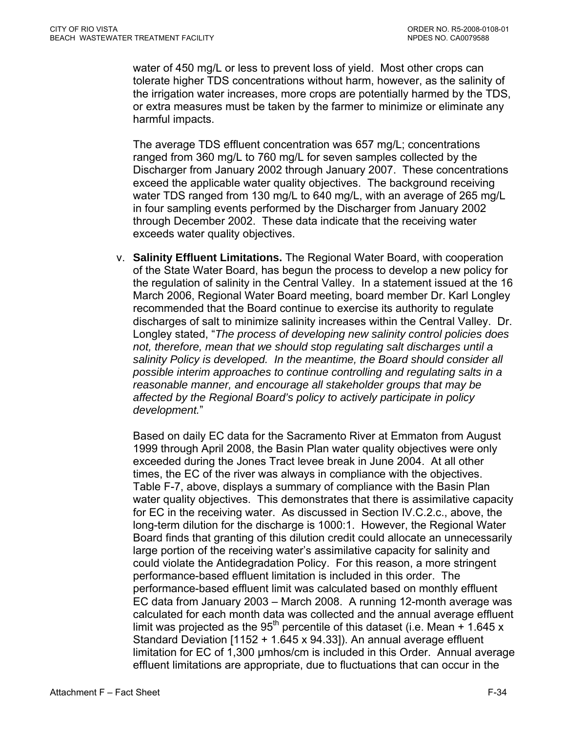water of 450 mg/L or less to prevent loss of yield. Most other crops can tolerate higher TDS concentrations without harm, however, as the salinity of the irrigation water increases, more crops are potentially harmed by the TDS, or extra measures must be taken by the farmer to minimize or eliminate any harmful impacts.

The average TDS effluent concentration was 657 mg/L; concentrations ranged from 360 mg/L to 760 mg/L for seven samples collected by the Discharger from January 2002 through January 2007. These concentrations exceed the applicable water quality objectives. The background receiving water TDS ranged from 130 mg/L to 640 mg/L, with an average of 265 mg/L in four sampling events performed by the Discharger from January 2002 through December 2002. These data indicate that the receiving water exceeds water quality objectives.

v. **Salinity Effluent Limitations.** The Regional Water Board, with cooperation of the State Water Board, has begun the process to develop a new policy for the regulation of salinity in the Central Valley. In a statement issued at the 16 March 2006, Regional Water Board meeting, board member Dr. Karl Longley recommended that the Board continue to exercise its authority to regulate discharges of salt to minimize salinity increases within the Central Valley. Dr. Longley stated, "*The process of developing new salinity control policies does not, therefore, mean that we should stop regulating salt discharges until a salinity Policy is developed. In the meantime, the Board should consider all possible interim approaches to continue controlling and regulating salts in a reasonable manner, and encourage all stakeholder groups that may be affected by the Regional Board's policy to actively participate in policy development.*"

Based on daily EC data for the Sacramento River at Emmaton from August 1999 through April 2008, the Basin Plan water quality objectives were only exceeded during the Jones Tract levee break in June 2004. At all other times, the EC of the river was always in compliance with the objectives. Table F-7, above, displays a summary of compliance with the Basin Plan water quality objectives. This demonstrates that there is assimilative capacity for EC in the receiving water. As discussed in Section IV.C.2.c., above, the long-term dilution for the discharge is 1000:1. However, the Regional Water Board finds that granting of this dilution credit could allocate an unnecessarily large portion of the receiving water's assimilative capacity for salinity and could violate the Antidegradation Policy. For this reason, a more stringent performance-based effluent limitation is included in this order. The performance-based effluent limit was calculated based on monthly effluent EC data from January 2003 – March 2008. A running 12-month average was calculated for each month data was collected and the annual average effluent limit was projected as the 95<sup>th</sup> percentile of this dataset (i.e. Mean  $+ 1.645 x$ ) Standard Deviation [1152 + 1.645 x 94.33]). An annual average effluent limitation for EC of 1,300 µmhos/cm is included in this Order. Annual average effluent limitations are appropriate, due to fluctuations that can occur in the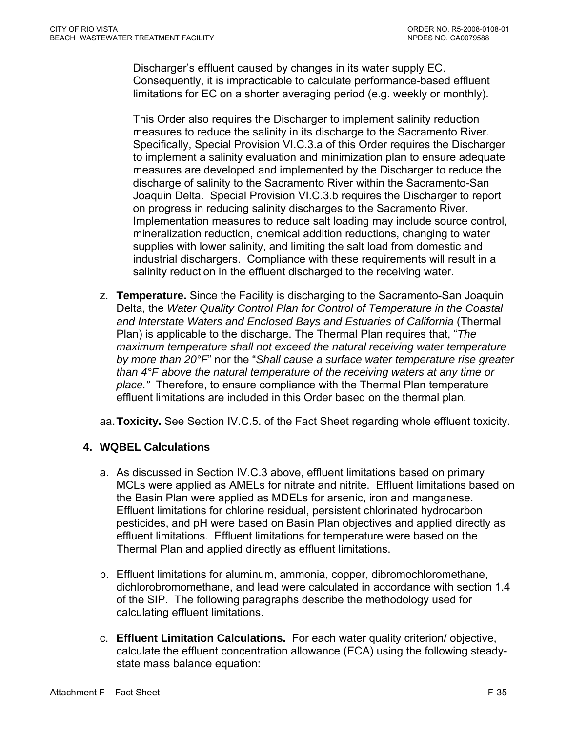<span id="page-90-0"></span>Discharger's effluent caused by changes in its water supply EC. Consequently, it is impracticable to calculate performance-based effluent limitations for EC on a shorter averaging period (e.g. weekly or monthly).

This Order also requires the Discharger to implement salinity reduction measures to reduce the salinity in its discharge to the Sacramento River. Specifically, Special Provision VI.C.3.a of this Order requires the Discharger to implement a salinity evaluation and minimization plan to ensure adequate measures are developed and implemented by the Discharger to reduce the discharge of salinity to the Sacramento River within the Sacramento-San Joaquin Delta. Special Provision VI.C.3.b requires the Discharger to report on progress in reducing salinity discharges to the Sacramento River. Implementation measures to reduce salt loading may include source control, mineralization reduction, chemical addition reductions, changing to water supplies with lower salinity, and limiting the salt load from domestic and industrial dischargers. Compliance with these requirements will result in a salinity reduction in the effluent discharged to the receiving water.

- z. **Temperature.** Since the Facility is discharging to the Sacramento-San Joaquin Delta, the *Water Quality Control Plan for Control of Temperature in the Coastal and Interstate Waters and Enclosed Bays and Estuaries of California* (Thermal Plan) is applicable to the discharge. The Thermal Plan requires that, "*The maximum temperature shall not exceed the natural receiving water temperature by more than 20°F*" nor the "*Shall cause a surface water temperature rise greater than 4°F above the natural temperature of the receiving waters at any time or place."* Therefore, to ensure compliance with the Thermal Plan temperature effluent limitations are included in this Order based on the thermal plan.
- aa. **Toxicity.** See Section IV.C.5. of the Fact Sheet regarding whole effluent toxicity.

# **4. WQBEL Calculations**

- a. As discussed in Section IV.C.3 above, effluent limitations based on primary MCLs were applied as AMELs for nitrate and nitrite. Effluent limitations based on the Basin Plan were applied as MDELs for arsenic, iron and manganese. Effluent limitations for chlorine residual, persistent chlorinated hydrocarbon pesticides, and pH were based on Basin Plan objectives and applied directly as effluent limitations. Effluent limitations for temperature were based on the Thermal Plan and applied directly as effluent limitations.
- b. Effluent limitations for aluminum, ammonia, copper, dibromochloromethane, dichlorobromomethane, and lead were calculated in accordance with section 1.4 of the SIP. The following paragraphs describe the methodology used for calculating effluent limitations.
- c. **Effluent Limitation Calculations.** For each water quality criterion/ objective, calculate the effluent concentration allowance (ECA) using the following steadystate mass balance equation: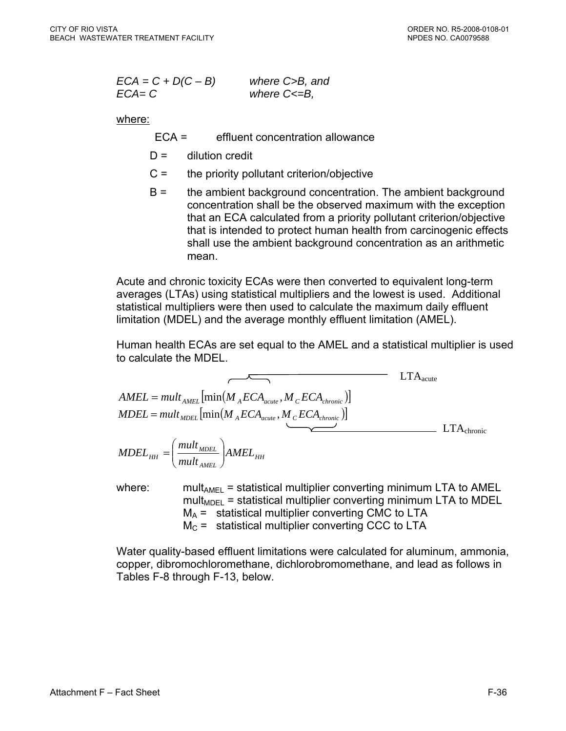| $ECA = C + D(C - B)$ | where C>B, and    |
|----------------------|-------------------|
| $ECA = C$            | where $C \le B$ , |

where:

- ECA = effluent concentration allowance
- $D =$  dilution credit
- $C =$  the priority pollutant criterion/objective
- B = the ambient background concentration. The ambient background concentration shall be the observed maximum with the exception that an ECA calculated from a priority pollutant criterion/objective that is intended to protect human health from carcinogenic effects shall use the ambient background concentration as an arithmetic mean.

Acute and chronic toxicity ECAs were then converted to equivalent long-term averages (LTAs) using statistical multipliers and the lowest is used. Additional statistical multipliers were then used to calculate the maximum daily effluent limitation (MDEL) and the average monthly effluent limitation (AMEL).

Human health ECAs are set equal to the AMEL and a statistical multiplier is used to calculate the MDEL.

$$
AMEL = mult_{AMEL} \left[ min(M_{A}ECA_{acute}, M_{C}ECA_{chronic}) \right]
$$
  
\n
$$
MDEL = mult_{MDEL} \left[ min(M_{A}ECA_{acute}, M_{C}ECA_{chronic}) \right]
$$
  
\n
$$
MDEL_{HH} = \left( \frac{mult_{MDEL}}{mult_{AMEL}} \right) AMEL_{HH}
$$
  
\n
$$
LTA_{chronic}
$$

where: mult<sub>AMEL</sub> = statistical multiplier converting minimum LTA to AMEL  $mult<sub>MDEL</sub>$  = statistical multiplier converting minimum LTA to MDEL  $M_A$  = statistical multiplier converting CMC to LTA  $M<sub>C</sub>$  = statistical multiplier converting CCC to LTA

Water quality-based effluent limitations were calculated for aluminum, ammonia, copper, dibromochloromethane, dichlorobromomethane, and lead as follows in Tables F-8 through F-13, below.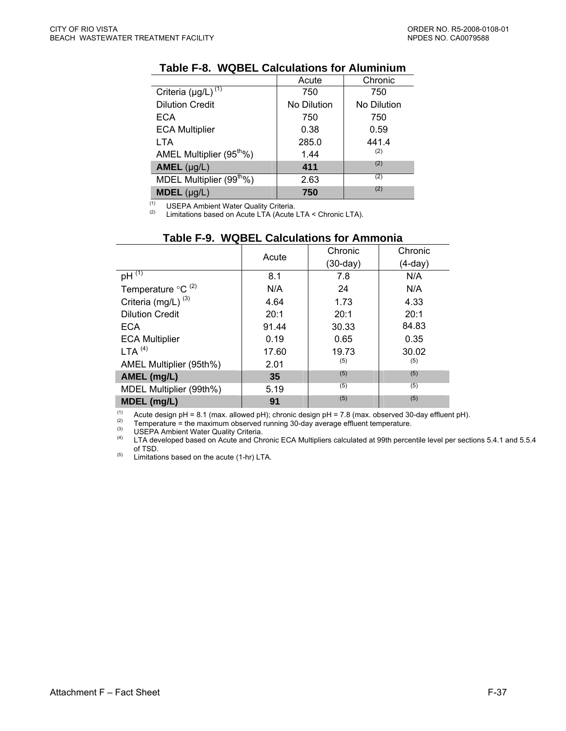|                                      | Acute       | Chronic     |
|--------------------------------------|-------------|-------------|
| Criteria $(\mu g/L)^{(1)}$           | 750         | 750         |
| <b>Dilution Credit</b>               | No Dilution | No Dilution |
| <b>ECA</b>                           | 750         | 750         |
| <b>ECA Multiplier</b>                | 0.38        | 0.59        |
| <b>LTA</b>                           | 285.0       | 441.4       |
| AMEL Multiplier (95 <sup>th</sup> %) | 1.44        | (2)         |
| $AMEL$ (µg/L)                        | 411         | (2)         |
| MDEL Multiplier (99 <sup>th</sup> %) | 2.63        | (2)         |
| $MDEL$ (µg/L)                        | 750         | (2)         |

## **Table F-8. WQBEL Calculations for Aluminium**

 $(1)$ 

<sup>(1)</sup> USEPA Ambient Water Quality Criteria.<br><sup>(2)</sup> Limitations based on Acute LTA (Acute LTA < Chronic LTA).

|                                | Acute | Chronic    | Chronic |
|--------------------------------|-------|------------|---------|
|                                |       | $(30-day)$ | (4-day) |
| $pH^{\overline{(1)}}$          | 8.1   | 7.8        | N/A     |
| Temperature $\mathrm{C}^{(2)}$ | N/A   | 24         | N/A     |
| Criteria (mg/L) <sup>(3)</sup> | 4.64  | 1.73       | 4.33    |
| <b>Dilution Credit</b>         | 20:1  | 20:1       | 20:1    |
| <b>ECA</b>                     | 91.44 | 30.33      | 84.83   |
| <b>ECA Multiplier</b>          | 0.19  | 0.65       | 0.35    |
| LTA <sup>(4)</sup>             | 17.60 | 19.73      | 30.02   |
| AMEL Multiplier (95th%)        | 2.01  | (5)        | (5)     |
| AMEL (mg/L)                    | 35    | (5)        | (5)     |
| MDEL Multiplier (99th%)        | 5.19  | (5)        | (5)     |
| MDEL (mg/L)                    | 91    | (5)        | (5)     |

## **Table F-9. WQBEL Calculations for Ammonia**

The Acute design pH = 8.1 (max. allowed pH); chronic design pH = 7.8 (max. observed 30-day effluent pH).<br>
(2) Temperature = the maximum observed running 30-day average effluent temperature.<br>
(3) USEDA Ambiont Water Qualit

 $(4)$  USEPA Ambient Water Quality Criteria.<br>(4) UTA developed based on Acute and Chr

 LTA developed based on Acute and Chronic ECA Multipliers calculated at 99th percentile level per sections 5.4.1 and 5.5.4 of TSD.

(5) Limitations based on the acute (1-hr) LTA.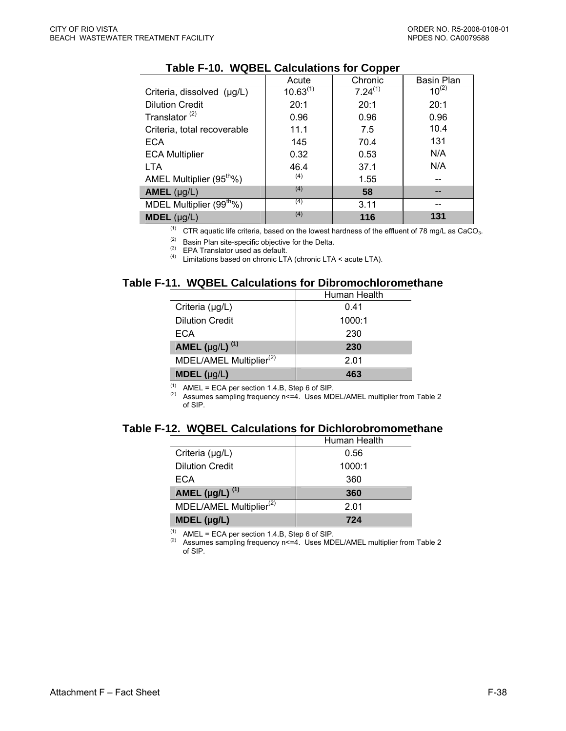|                                      | Acute         | Chronic      | <b>Basin Plan</b> |
|--------------------------------------|---------------|--------------|-------------------|
| Criteria, dissolved (µg/L)           | $10.63^{(1)}$ | $7.24^{(1)}$ | $10^{(2)}$        |
| <b>Dilution Credit</b>               | 20:1          | 20:1         | 20:1              |
| Translator <sup>(2)</sup>            | 0.96          | 0.96         | 0.96              |
| Criteria, total recoverable          | 11.1          | 7.5          | 10.4              |
| <b>ECA</b>                           | 145           | 70.4         | 131               |
| <b>ECA Multiplier</b>                | 0.32          | 0.53         | N/A               |
| <b>LTA</b>                           | 46.4          | 37.1         | N/A               |
| AMEL Multiplier (95 <sup>th</sup> %) | (4)           | 1.55         |                   |
| AMEL $(\mu g/L)$                     | (4)           | 58           |                   |
| MDEL Multiplier (99 <sup>th</sup> %) | (4)           | 3.11         |                   |
| <b>MDEL</b> $(\mu g/L)$              | (4)           | 116          | 131               |

### **Table F-10. WQBEL Calculations for Copper**

<sup>(1)</sup> CTR aquatic life criteria, based on the lowest hardness of the effluent of 78 mg/L as CaCO<sub>3</sub>.

(2) Basin Plan site-specific objective for the Delta.<br>  $(3)$  EPA Translator used as default.

(4) Limitations based on chronic LTA (chronic LTA < acute LTA).

### **Table F-11. WQBEL Calculations for Dibromochloromethane**

|                                     | Human Health |
|-------------------------------------|--------------|
| Criteria (µg/L)                     | 0.41         |
| <b>Dilution Credit</b>              | 1000:1       |
| ECA                                 | 230          |
| <b>AMEL</b> (µg/L) $^{(1)}$         | 230          |
| MDEL/AMEL Multiplier <sup>(2)</sup> | 2.01         |
| <b>MDEL</b> $(\mu g/L)$             | 463          |

(1) AMEL = ECA per section 1.4.B, Step 6 of SIP.<br>
(2) Assumes sampling frequency n <= 4. Uses MDEL/AMEL multiplier from Table 2 of SIP.

#### **Table F-12. WQBEL Calculations for Dichlorobromomethane**

|                                     | Human Health |
|-------------------------------------|--------------|
| Criteria $(\mu g/L)$                | 0.56         |
| <b>Dilution Credit</b>              | 1000:1       |
| ECA                                 | 360          |
| AMEL ( $\mu$ g/L) <sup>(1)</sup>    | 360          |
| MDEL/AMEL Multiplier <sup>(2)</sup> | 2.01         |
| $MDEL$ (µg/L)                       | 724          |

(1) AMEL = ECA per section 1.4.B, Step 6 of SIP.<br>(2) Assumes sampling frequency n <= 4. Uses MDEL/AMEL multiplier from Table 2 of SIP.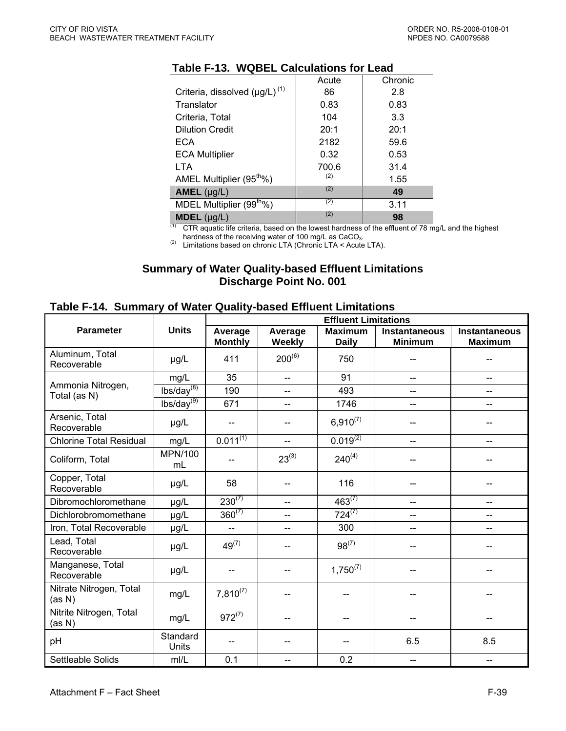|                                           | Acute | Chronic |
|-------------------------------------------|-------|---------|
| Criteria, dissolved (µg/L) <sup>(1)</sup> | 86    | 2.8     |
| Translator                                | 0.83  | 0.83    |
| Criteria, Total                           | 104   | 3.3     |
| <b>Dilution Credit</b>                    | 20:1  | 20:1    |
| ECA                                       | 2182  | 59.6    |
| <b>ECA Multiplier</b>                     | 0.32  | 0.53    |
| <b>LTA</b>                                | 700.6 | 31.4    |
| AMEL Multiplier (95 <sup>tho</sup> %)     | (2)   | 1.55    |
| $AMEL$ (µg/L)                             | (2)   | 49      |
| MDEL Multiplier (99 <sup>th</sup> %)      | (2)   | 3.11    |
| $MDEL$ ( $\mu$ g/L)                       | (2)   | 98      |

### **Table F-13. WQBEL Calculations for Lead**

 $(1)$  CTR aquatic life criteria, based on the lowest hardness of the effluent of 78 mg/L and the highest hardness of the receiving water of 100 mg/L as CaCO<sub>3</sub>.<br>(2) Limitations based on chronic LTA (Chronic LTA < Acute LTA).

#### **Summary of Water Quality-based Effluent Limitations Discharge Point No. 001**

### **Table F-14. Summary of Water Quality-based Effluent Limitations**

|                                   |                        | <b>Effluent Limitations</b> |                   |                                |                                        |                                        |
|-----------------------------------|------------------------|-----------------------------|-------------------|--------------------------------|----------------------------------------|----------------------------------------|
| <b>Parameter</b>                  | <b>Units</b>           | Average<br><b>Monthly</b>   | Average<br>Weekly | <b>Maximum</b><br><b>Daily</b> | <b>Instantaneous</b><br><b>Minimum</b> | <b>Instantaneous</b><br><b>Maximum</b> |
| Aluminum, Total<br>Recoverable    | µg/L                   | 411                         | $200^{(6)}$       | 750                            |                                        |                                        |
|                                   | mg/L                   | 35                          | $\overline{a}$    | 91                             | $\overline{a}$                         | $-$                                    |
| Ammonia Nitrogen,<br>Total (as N) | $lbs/day^{(8)}$        | 190                         | $-$               | 493                            | $\overline{\phantom{a}}$               | --                                     |
|                                   | lbs/day <sup>(9)</sup> | 671                         | $-$               | 1746                           | $\overline{a}$                         | $\overline{\phantom{a}}$               |
| Arsenic, Total<br>Recoverable     | µg/L                   |                             |                   | $6,910^{(7)}$                  |                                        |                                        |
| <b>Chlorine Total Residual</b>    | mg/L                   | $0.011^{(1)}$               | $-$               | $0.019^{(2)}$                  | --                                     | --                                     |
| Coliform, Total                   | <b>MPN/100</b><br>mL   |                             | $23^{(3)}$        | $240^{(4)}$                    |                                        |                                        |
| Copper, Total<br>Recoverable      | $\mu$ g/L              | 58                          |                   | 116                            |                                        |                                        |
| Dibromochloromethane              | µg/L                   | $230^{(7)}$                 | $\overline{a}$    | $463^{(7)}$                    | $\overline{a}$                         | --                                     |
| Dichlorobromomethane              | µg/L                   | $360^{(7)}$                 | $-$               | $724^{(7)}$                    | $-$                                    | --                                     |
| Iron, Total Recoverable           | µg/L                   | $\overline{a}$              | $-$               | 300                            | --                                     | --                                     |
| Lead, Total<br>Recoverable        | µg/L                   | $49^{(7)}$                  | $-$               | $98^{(7)}$                     |                                        |                                        |
| Manganese, Total<br>Recoverable   | µg/L                   | --                          | --                | $1,750^{(7)}$                  |                                        |                                        |
| Nitrate Nitrogen, Total<br>(as N) | mg/L                   | $7,810^{(7)}$               | --                | --                             |                                        |                                        |
| Nitrite Nitrogen, Total<br>(as N) | mg/L                   | $972^{(7)}$                 |                   |                                |                                        |                                        |
| pH                                | Standard<br>Units      |                             |                   | --                             | 6.5                                    | 8.5                                    |
| Settleable Solids                 | mI/L                   | 0.1                         | --                | 0.2                            | $-$                                    | $-$                                    |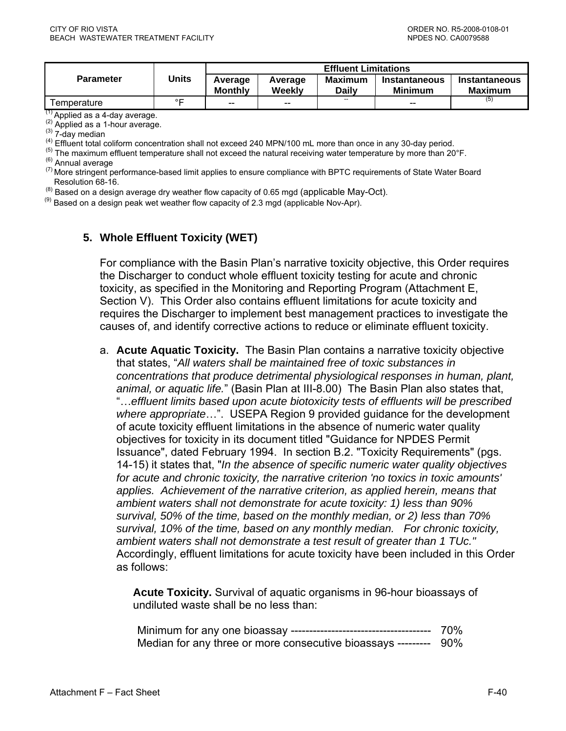|                  | Units | <b>Effluent Limitations</b> |                   |                          |                                        |                          |  |
|------------------|-------|-----------------------------|-------------------|--------------------------|----------------------------------------|--------------------------|--|
| <b>Parameter</b> |       | Average<br><b>Monthly</b>   | Average<br>Weekly | <b>Maximum</b><br>Daily  | <b>Instantaneous</b><br><b>Minimum</b> | Instantaneous<br>Maximum |  |
| Γemperature      | ∘⊏    | $- -$                       | $-$               | $\overline{\phantom{a}}$ | $- -$                                  | (5)                      |  |

(1) Applied as a 4-day average.<br>
(2) Applied as a 1-hour average.<br>
(3) 7-day median<br>
(4) Effluent total coliform concentration shall not exceed 240 MPN/100 mL more than once in any 30-day period.<br>
(5) The maximum effluent

Resolution 68-16.

(8) Based on a design average dry weather flow capacity of 0.65 mgd (applicable May-Oct).<br>(9) Based on a design peak wet weather flow capacity of 2.3 mgd (applicable Nov-Apr).

#### **5. Whole Effluent Toxicity (WET)**

For compliance with the Basin Plan's narrative toxicity objective, this Order requires the Discharger to conduct whole effluent toxicity testing for acute and chronic toxicity, as specified in the Monitoring and Reporting Program (Attachment E, Section V). This Order also contains effluent limitations for acute toxicity and requires the Discharger to implement best management practices to investigate the causes of, and identify corrective actions to reduce or eliminate effluent toxicity.

a. **Acute Aquatic Toxicity.** The Basin Plan contains a narrative toxicity objective that states, "*All waters shall be maintained free of toxic substances in concentrations that produce detrimental physiological responses in human, plant, animal, or aquatic life.*" (Basin Plan at III-8.00) The Basin Plan also states that, "…*effluent limits based upon acute biotoxicity tests of effluents will be prescribed where appropriate*…". USEPA Region 9 provided guidance for the development of acute toxicity effluent limitations in the absence of numeric water quality objectives for toxicity in its document titled "Guidance for NPDES Permit Issuance", dated February 1994. In section B.2. "Toxicity Requirements" (pgs. 14-15) it states that, "*In the absence of specific numeric water quality objectives for acute and chronic toxicity, the narrative criterion 'no toxics in toxic amounts' applies. Achievement of the narrative criterion, as applied herein, means that ambient waters shall not demonstrate for acute toxicity: 1) less than 90% survival, 50% of the time, based on the monthly median, or 2) less than 70% survival, 10% of the time, based on any monthly median. For chronic toxicity, ambient waters shall not demonstrate a test result of greater than 1 TUc."* Accordingly, effluent limitations for acute toxicity have been included in this Order as follows:

**Acute Toxicity.** Survival of aquatic organisms in 96-hour bioassays of undiluted waste shall be no less than:

|                                                                  | 70% |
|------------------------------------------------------------------|-----|
| Median for any three or more consecutive bioassays --------- 90% |     |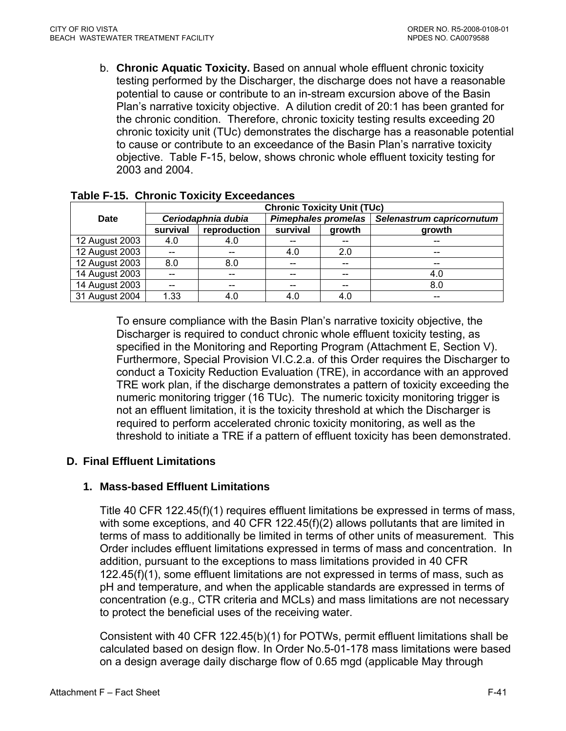b. **Chronic Aquatic Toxicity.** Based on annual whole effluent chronic toxicity testing performed by the Discharger, the discharge does not have a reasonable potential to cause or contribute to an in-stream excursion above of the Basin Plan's narrative toxicity objective. A dilution credit of 20:1 has been granted for the chronic condition. Therefore, chronic toxicity testing results exceeding 20 chronic toxicity unit (TUc) demonstrates the discharge has a reasonable potential to cause or contribute to an exceedance of the Basin Plan's narrative toxicity objective. Table F-15, below, shows chronic whole effluent toxicity testing for 2003 and 2004.

|                | <b>Chronic Toxicity Unit (TUc)</b> |                    |                            |        |                           |  |  |
|----------------|------------------------------------|--------------------|----------------------------|--------|---------------------------|--|--|
| Date           |                                    | Ceriodaphnia dubia | <b>Pimephales promelas</b> |        | Selenastrum capricornutum |  |  |
|                | survival                           | reproduction       | survival                   | growth | growth                    |  |  |
| 12 August 2003 | 4.0                                | 4.0                | --                         |        |                           |  |  |
| 12 August 2003 | $- -$                              | $-$                | 4.0                        | 2.0    | $-$                       |  |  |
| 12 August 2003 | 8.0                                | 8.0                | $- -$                      | --     | --                        |  |  |
| 14 August 2003 |                                    | $-$                | --                         | --     | 4.0                       |  |  |
| 14 August 2003 |                                    | --                 | --                         |        | 8.0                       |  |  |
| 31 August 2004 | 1.33                               | 4.0                | 4.0                        | 4.0    |                           |  |  |

### **Table F-15. Chronic Toxicity Exceedances**

To ensure compliance with the Basin Plan's narrative toxicity objective, the Discharger is required to conduct chronic whole effluent toxicity testing, as specified in the Monitoring and Reporting Program (Attachment E, Section V). Furthermore, Special Provision VI.C.2.a. of this Order requires the Discharger to conduct a Toxicity Reduction Evaluation (TRE), in accordance with an approved TRE work plan, if the discharge demonstrates a pattern of toxicity exceeding the numeric monitoring trigger (16 TUc). The numeric toxicity monitoring trigger is not an effluent limitation, it is the toxicity threshold at which the Discharger is required to perform accelerated chronic toxicity monitoring, as well as the threshold to initiate a TRE if a pattern of effluent toxicity has been demonstrated.

# **D. Final Effluent Limitations**

# **1. Mass-based Effluent Limitations**

Title 40 CFR 122.45(f)(1) requires effluent limitations be expressed in terms of mass, with some exceptions, and 40 CFR 122.45(f)(2) allows pollutants that are limited in terms of mass to additionally be limited in terms of other units of measurement. This Order includes effluent limitations expressed in terms of mass and concentration. In addition, pursuant to the exceptions to mass limitations provided in 40 CFR 122.45(f)(1), some effluent limitations are not expressed in terms of mass, such as pH and temperature, and when the applicable standards are expressed in terms of concentration (e.g., CTR criteria and MCLs) and mass limitations are not necessary to protect the beneficial uses of the receiving water.

Consistent with 40 CFR 122.45(b)(1) for POTWs, permit effluent limitations shall be calculated based on design flow. In Order No.5-01-178 mass limitations were based on a design average daily discharge flow of 0.65 mgd (applicable May through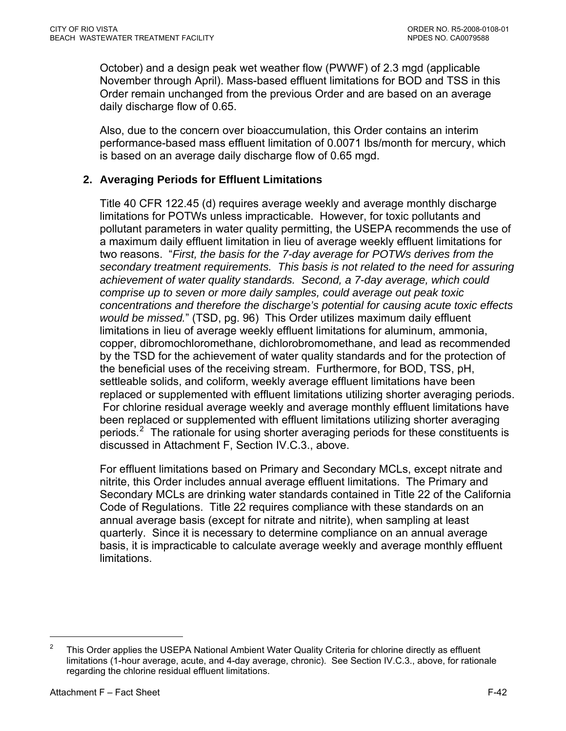<span id="page-97-0"></span>October) and a design peak wet weather flow (PWWF) of 2.3 mgd (applicable November through April). Mass-based effluent limitations for BOD and TSS in this Order remain unchanged from the previous Order and are based on an average daily discharge flow of 0.65.

Also, due to the concern over bioaccumulation, this Order contains an interim performance-based mass effluent limitation of 0.0071 lbs/month for mercury, which is based on an average daily discharge flow of 0.65 mgd.

# **2. Averaging Periods for Effluent Limitations**

Title 40 CFR 122.45 (d) requires average weekly and average monthly discharge limitations for POTWs unless impracticable. However, for toxic pollutants and pollutant parameters in water quality permitting, the USEPA recommends the use of a maximum daily effluent limitation in lieu of average weekly effluent limitations for two reasons. "*First, the basis for the 7-day average for POTWs derives from the secondary treatment requirements. This basis is not related to the need for assuring achievement of water quality standards. Second, a 7-day average, which could comprise up to seven or more daily samples, could average out peak toxic concentrations and therefore the discharge's potential for causing acute toxic effects would be missed.*" (TSD, pg. 96) This Order utilizes maximum daily effluent limitations in lieu of average weekly effluent limitations for aluminum, ammonia, copper, dibromochloromethane, dichlorobromomethane, and lead as recommended by the TSD for the achievement of water quality standards and for the protection of the beneficial uses of the receiving stream. Furthermore, for BOD, TSS, pH, settleable solids, and coliform, weekly average effluent limitations have been replaced or supplemented with effluent limitations utilizing shorter averaging periods. For chlorine residual average weekly and average monthly effluent limitations have been replaced or supplemented with effluent limitations utilizing shorter averaging periods.<sup>[2](#page-97-0)</sup> The rationale for using shorter averaging periods for these constituents is discussed in Attachment F, Section IV.C.3., above.

For effluent limitations based on Primary and Secondary MCLs, except nitrate and nitrite, this Order includes annual average effluent limitations. The Primary and Secondary MCLs are drinking water standards contained in Title 22 of the California Code of Regulations. Title 22 requires compliance with these standards on an annual average basis (except for nitrate and nitrite), when sampling at least quarterly. Since it is necessary to determine compliance on an annual average basis, it is impracticable to calculate average weekly and average monthly effluent limitations.

 $\overline{a}$ 

<sup>2</sup> This Order applies the USEPA National Ambient Water Quality Criteria for chlorine directly as effluent limitations (1-hour average, acute, and 4-day average, chronic). See Section IV.C.3., above, for rationale regarding the chlorine residual effluent limitations.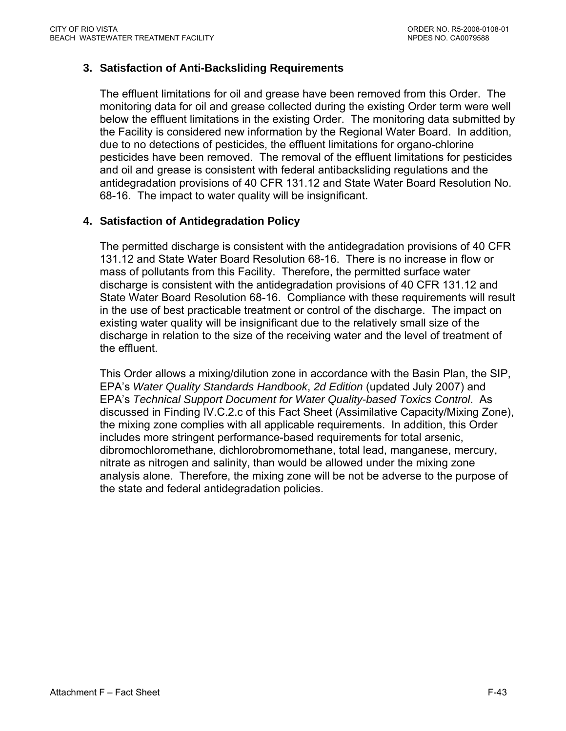## **3. Satisfaction of Anti-Backsliding Requirements**

The effluent limitations for oil and grease have been removed from this Order. The monitoring data for oil and grease collected during the existing Order term were well below the effluent limitations in the existing Order. The monitoring data submitted by the Facility is considered new information by the Regional Water Board. In addition, due to no detections of pesticides, the effluent limitations for organo-chlorine pesticides have been removed. The removal of the effluent limitations for pesticides and oil and grease is consistent with federal antibacksliding regulations and the antidegradation provisions of 40 CFR 131.12 and State Water Board Resolution No. 68-16. The impact to water quality will be insignificant.

### **4. Satisfaction of Antidegradation Policy**

The permitted discharge is consistent with the antidegradation provisions of 40 CFR 131.12 and State Water Board Resolution 68-16. There is no increase in flow or mass of pollutants from this Facility. Therefore, the permitted surface water discharge is consistent with the antidegradation provisions of 40 CFR 131.12 and State Water Board Resolution 68-16. Compliance with these requirements will result in the use of best practicable treatment or control of the discharge. The impact on existing water quality will be insignificant due to the relatively small size of the discharge in relation to the size of the receiving water and the level of treatment of the effluent.

This Order allows a mixing/dilution zone in accordance with the Basin Plan, the SIP, EPA's *Water Quality Standards Handbook*, *2d Edition* (updated July 2007) and EPA's *Technical Support Document for Water Quality-based Toxics Control*. As discussed in Finding IV.C.2.c of this Fact Sheet (Assimilative Capacity/Mixing Zone), the mixing zone complies with all applicable requirements. In addition, this Order includes more stringent performance-based requirements for total arsenic, dibromochloromethane, dichlorobromomethane, total lead, manganese, mercury, nitrate as nitrogen and salinity, than would be allowed under the mixing zone analysis alone. Therefore, the mixing zone will be not be adverse to the purpose of the state and federal antidegradation policies.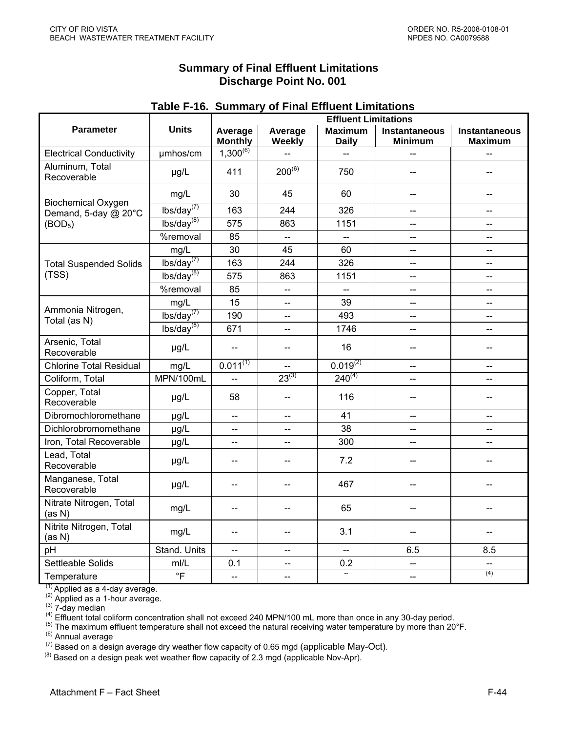| <b>Summary of Final Effluent Limitations</b> |
|----------------------------------------------|
| Discharge Point No. 001                      |

|                                   | <b>Units</b>               | <b>Effluent Limitations</b> |                          |                                |                                        |                                 |  |  |
|-----------------------------------|----------------------------|-----------------------------|--------------------------|--------------------------------|----------------------------------------|---------------------------------|--|--|
| <b>Parameter</b>                  |                            | Average<br><b>Monthly</b>   | Average<br>Weekly        | <b>Maximum</b><br><b>Daily</b> | <b>Instantaneous</b><br><b>Minimum</b> | Instantaneous<br><b>Maximum</b> |  |  |
| <b>Electrical Conductivity</b>    | umhos/cm                   | $1,300^{(6)}$               | Ц.,                      | --                             |                                        |                                 |  |  |
| Aluminum, Total<br>Recoverable    | µg/L                       | 411                         | $200^{(6)}$              | 750                            |                                        |                                 |  |  |
| <b>Biochemical Oxygen</b>         | mg/L                       | 30                          | 45                       | 60<br>--                       |                                        |                                 |  |  |
| Demand, 5-day @ 20°C              | lbs/day <sup>(7)</sup>     | 163                         | 244                      | 326                            | --                                     |                                 |  |  |
| (BOD <sub>5</sub> )               | lbs/day <sup>(8)</sup>     | 575                         | 863                      | 1151                           | --                                     | $-$                             |  |  |
|                                   | %removal                   | 85                          | $\overline{\phantom{a}}$ | --                             | --                                     | --                              |  |  |
|                                   | mg/L                       | 30                          | 45                       | 60                             | $-$                                    | $-$                             |  |  |
| <b>Total Suspended Solids</b>     | lbs/day <sup>(7)</sup>     | 163                         | 244                      | 326                            | --                                     | $\overline{\phantom{a}}$        |  |  |
| (TSS)                             | lbs/day <sup>(8)</sup>     | 575                         | 863                      | 1151                           | --                                     | $\overline{a}$                  |  |  |
|                                   | %removal                   | 85                          | ш.,                      | $\frac{1}{2}$                  | $\overline{\phantom{a}}$               | $\overline{\phantom{a}}$        |  |  |
|                                   | mg/L                       | 15                          | $\overline{a}$           | 39                             | --                                     | $\overline{a}$                  |  |  |
| Ammonia Nitrogen,<br>Total (as N) | $\overline{Ibs/day}^{(7)}$ | 190                         | --                       | 493                            | --                                     | --                              |  |  |
|                                   | lbs/day <sup>(8)</sup>     | 671                         |                          | 1746                           | --                                     |                                 |  |  |
| Arsenic, Total<br>Recoverable     | µg/L                       | $\qquad \qquad -$           |                          | 16                             |                                        |                                 |  |  |
| <b>Chlorine Total Residual</b>    | mg/L                       | $0.011^{(1)}$               | ш.,                      | $0.019^{(2)}$                  | Ц.                                     | $\overline{a}$                  |  |  |
| Coliform, Total                   | MPN/100mL                  |                             | $23^{(3)}$               | $240^{(4)}$<br>--              |                                        |                                 |  |  |
| Copper, Total<br>Recoverable      | µg/L                       | 58                          |                          | 116                            | --                                     |                                 |  |  |
| Dibromochloromethane              | µg/L                       | цü                          | $\overline{\phantom{a}}$ | 41                             | --                                     | $\overline{a}$                  |  |  |
| Dichlorobromomethane              | µg/L                       | --                          |                          | 38                             | --                                     |                                 |  |  |
| Iron, Total Recoverable           | µg/L                       | $-$                         |                          | 300                            | $-$                                    |                                 |  |  |
| Lead, Total<br>Recoverable        | $\mu g/L$                  | --                          |                          | 7.2                            |                                        |                                 |  |  |
| Manganese, Total<br>Recoverable   | µg/L                       | $\overline{\phantom{a}}$    |                          | 467                            |                                        |                                 |  |  |
| Nitrate Nitrogen, Total<br>(as N) | mg/L                       | $-$                         |                          | 65                             |                                        |                                 |  |  |
| Nitrite Nitrogen, Total<br>(as N) | mg/L                       | --                          | --                       | 3.1                            | --                                     |                                 |  |  |
| pH                                | Stand. Units               | $\overline{\phantom{a}}$    | $\overline{\phantom{a}}$ | $\overline{a}$                 | 6.5                                    | 8.5                             |  |  |
| Settleable Solids                 | mI/L                       | 0.1                         | --                       | 0.2                            | --                                     |                                 |  |  |
| Temperature                       | $\overline{F}$             | $--$                        | $\overline{\phantom{a}}$ | $\overline{a}$                 | $\overline{\phantom{a}}$               | (4)                             |  |  |

#### **Table F-16. Summary of Final Effluent Limitations**

(1) Applied as a 4-day average.<br>
(2) Applied as a 1-hour average.<br>
(3) 7-day median<br>
(4) Effluent total coliform concentration shall not exceed 240 MPN/100 mL more than once in any 30-day period.<br>
(5) The maximum effluent The maximum effluent temperature shall not exceed the natural receiving water temperature by more than 20°F.<br>
(6) Annual average<br>
(7) Based on a design average dry weather flow capacity of 0.65 mgd (applicable May-Oct).<br>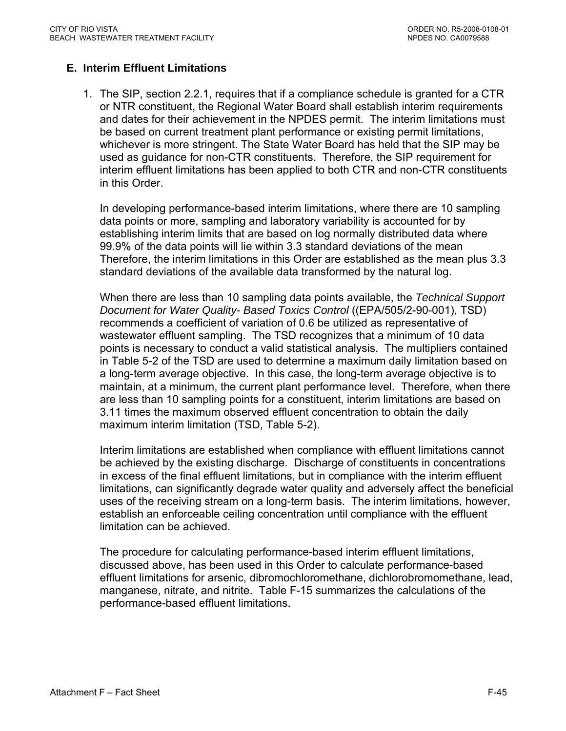# **E. Interim Effluent Limitations**

1. The SIP, section 2.2.1, requires that if a compliance schedule is granted for a CTR or NTR constituent, the Regional Water Board shall establish interim requirements and dates for their achievement in the NPDES permit. The interim limitations must be based on current treatment plant performance or existing permit limitations, whichever is more stringent. The State Water Board has held that the SIP may be used as guidance for non-CTR constituents. Therefore, the SIP requirement for interim effluent limitations has been applied to both CTR and non-CTR constituents in this Order.

In developing performance-based interim limitations, where there are 10 sampling data points or more, sampling and laboratory variability is accounted for by establishing interim limits that are based on log normally distributed data where 99.9% of the data points will lie within 3.3 standard deviations of the mean Therefore, the interim limitations in this Order are established as the mean plus 3.3 standard deviations of the available data transformed by the natural log.

When there are less than 10 sampling data points available, the *Technical Support Document for Water Quality- Based Toxics Control* ((EPA/505/2-90-001), TSD) recommends a coefficient of variation of 0.6 be utilized as representative of wastewater effluent sampling. The TSD recognizes that a minimum of 10 data points is necessary to conduct a valid statistical analysis. The multipliers contained in Table 5-2 of the TSD are used to determine a maximum daily limitation based on a long-term average objective. In this case, the long-term average objective is to maintain, at a minimum, the current plant performance level. Therefore, when there are less than 10 sampling points for a constituent, interim limitations are based on 3.11 times the maximum observed effluent concentration to obtain the daily maximum interim limitation (TSD, Table 5-2).

Interim limitations are established when compliance with effluent limitations cannot be achieved by the existing discharge. Discharge of constituents in concentrations in excess of the final effluent limitations, but in compliance with the interim effluent limitations, can significantly degrade water quality and adversely affect the beneficial uses of the receiving stream on a long-term basis. The interim limitations, however, establish an enforceable ceiling concentration until compliance with the effluent limitation can be achieved.

The procedure for calculating performance-based interim effluent limitations, discussed above, has been used in this Order to calculate performance-based effluent limitations for arsenic, dibromochloromethane, dichlorobromomethane, lead, manganese, nitrate, and nitrite. Table F-15 summarizes the calculations of the performance-based effluent limitations.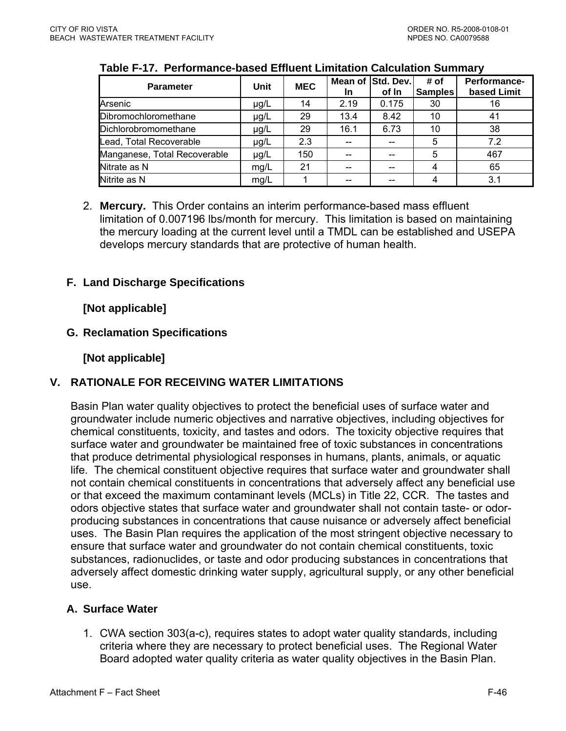| <b>Parameter</b>             | Unit      | <b>MEC</b> | Mean of<br>In. | Std. Dev.<br>of In | # of<br><b>Samples</b> | Performance-<br>based Limit |
|------------------------------|-----------|------------|----------------|--------------------|------------------------|-----------------------------|
| Arsenic                      | $\mu$ g/L | 14         | 2.19           | 0.175              | 30                     | 16                          |
| Dibromochloromethane         | $\mu$ g/L | 29         | 13.4           | 8.42               | 10                     | 41                          |
| Dichlorobromomethane         | $\mu$ g/L | 29         | 16.1           | 6.73               | 10                     | 38                          |
| Lead, Total Recoverable      | µg/L      | 2.3        |                |                    | 5                      | 7.2                         |
| Manganese, Total Recoverable | µg/L      | 150        |                | --                 | 5                      | 467                         |
| Nitrate as N                 | mg/L      | 21         |                | --                 | 4                      | 65                          |
| Nitrite as N                 | mg/L      |            |                | $-$                | 4                      | 3.1                         |

## **Table F-17. Performance-based Effluent Limitation Calculation Summary**

2. **Mercury.** This Order contains an interim performance-based mass effluent limitation of 0.007196 lbs/month for mercury. This limitation is based on maintaining the mercury loading at the current level until a TMDL can be established and USEPA develops mercury standards that are protective of human health.

## **F. Land Discharge Specifications**

**[Not applicable]** 

## **G. Reclamation Specifications**

**[Not applicable]** 

# **V. RATIONALE FOR RECEIVING WATER LIMITATIONS**

Basin Plan water quality objectives to protect the beneficial uses of surface water and groundwater include numeric objectives and narrative objectives, including objectives for chemical constituents, toxicity, and tastes and odors. The toxicity objective requires that surface water and groundwater be maintained free of toxic substances in concentrations that produce detrimental physiological responses in humans, plants, animals, or aquatic life. The chemical constituent objective requires that surface water and groundwater shall not contain chemical constituents in concentrations that adversely affect any beneficial use or that exceed the maximum contaminant levels (MCLs) in Title 22, CCR. The tastes and odors objective states that surface water and groundwater shall not contain taste- or odorproducing substances in concentrations that cause nuisance or adversely affect beneficial uses. The Basin Plan requires the application of the most stringent objective necessary to ensure that surface water and groundwater do not contain chemical constituents, toxic substances, radionuclides, or taste and odor producing substances in concentrations that adversely affect domestic drinking water supply, agricultural supply, or any other beneficial use.

### **A. Surface Water**

1. CWA section 303(a-c), requires states to adopt water quality standards, including criteria where they are necessary to protect beneficial uses. The Regional Water Board adopted water quality criteria as water quality objectives in the Basin Plan.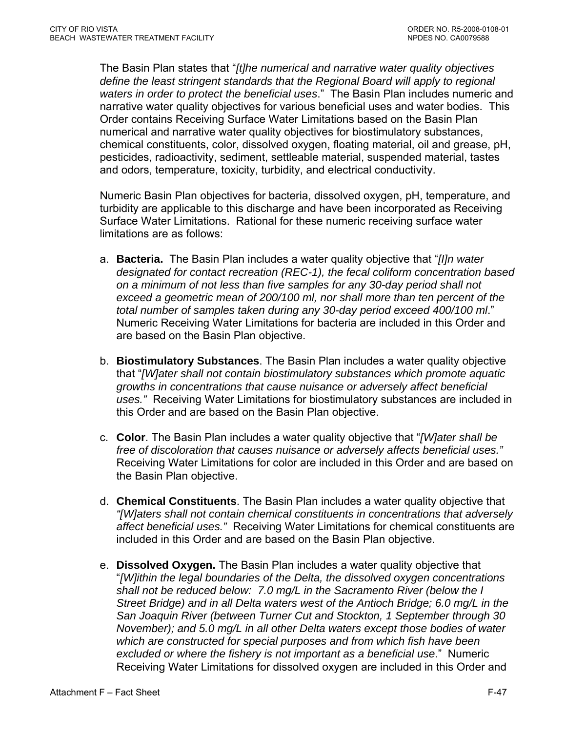The Basin Plan states that "*[t]he numerical and narrative water quality objectives define the least stringent standards that the Regional Board will apply to regional waters in order to protect the beneficial uses*." The Basin Plan includes numeric and narrative water quality objectives for various beneficial uses and water bodies. This Order contains Receiving Surface Water Limitations based on the Basin Plan numerical and narrative water quality objectives for biostimulatory substances, chemical constituents, color, dissolved oxygen, floating material, oil and grease, pH, pesticides, radioactivity, sediment, settleable material, suspended material, tastes and odors, temperature, toxicity, turbidity, and electrical conductivity.

Numeric Basin Plan objectives for bacteria, dissolved oxygen, pH, temperature, and turbidity are applicable to this discharge and have been incorporated as Receiving Surface Water Limitations. Rational for these numeric receiving surface water limitations are as follows:

- a. **Bacteria.** The Basin Plan includes a water quality objective that "*[I]n water designated for contact recreation (REC-1), the fecal coliform concentration based on a minimum of not less than five samples for any 30-day period shall not exceed a geometric mean of 200/100 ml, nor shall more than ten percent of the total number of samples taken during any 30-day period exceed 400/100 ml*." Numeric Receiving Water Limitations for bacteria are included in this Order and are based on the Basin Plan objective.
- b. **Biostimulatory Substances**. The Basin Plan includes a water quality objective that "*[W]ater shall not contain biostimulatory substances which promote aquatic growths in concentrations that cause nuisance or adversely affect beneficial uses."* Receiving Water Limitations for biostimulatory substances are included in this Order and are based on the Basin Plan objective.
- c. **Color**. The Basin Plan includes a water quality objective that "*[W]ater shall be free of discoloration that causes nuisance or adversely affects beneficial uses."*  Receiving Water Limitations for color are included in this Order and are based on the Basin Plan objective.
- d. **Chemical Constituents**. The Basin Plan includes a water quality objective that *"[W]aters shall not contain chemical constituents in concentrations that adversely affect beneficial uses."* Receiving Water Limitations for chemical constituents are included in this Order and are based on the Basin Plan objective.
- e. **Dissolved Oxygen.** The Basin Plan includes a water quality objective that "*[W]ithin the legal boundaries of the Delta, the dissolved oxygen concentrations shall not be reduced below: 7.0 mg/L in the Sacramento River (below the I Street Bridge) and in all Delta waters west of the Antioch Bridge; 6.0 mg/L in the San Joaquin River (between Turner Cut and Stockton, 1 September through 30 November); and 5.0 mg/L in all other Delta waters except those bodies of water which are constructed for special purposes and from which fish have been excluded or where the fishery is not important as a beneficial use*." Numeric Receiving Water Limitations for dissolved oxygen are included in this Order and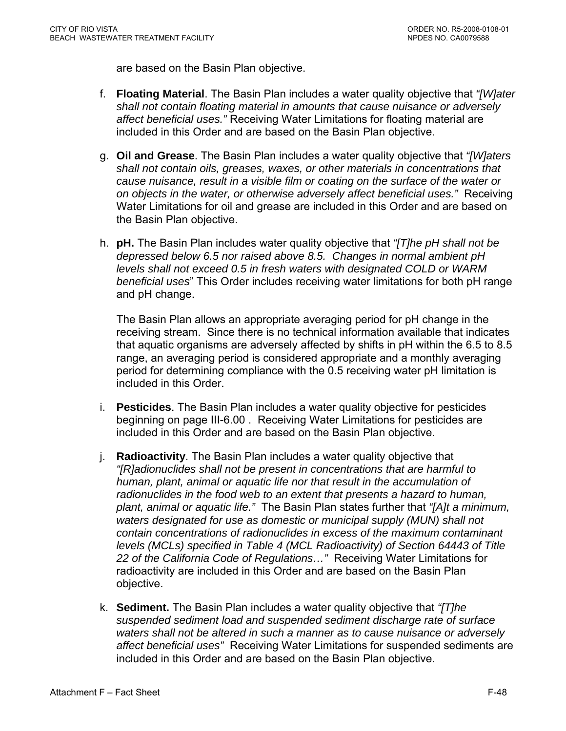are based on the Basin Plan objective.

- f. **Floating Material**. The Basin Plan includes a water quality objective that *"[W]ater shall not contain floating material in amounts that cause nuisance or adversely affect beneficial uses."* Receiving Water Limitations for floating material are included in this Order and are based on the Basin Plan objective.
- g. **Oil and Grease**. The Basin Plan includes a water quality objective that *"[W]aters shall not contain oils, greases, waxes, or other materials in concentrations that cause nuisance, result in a visible film or coating on the surface of the water or on objects in the water, or otherwise adversely affect beneficial uses."* Receiving Water Limitations for oil and grease are included in this Order and are based on the Basin Plan objective.
- h. **pH.** The Basin Plan includes water quality objective that *"[T]he pH shall not be depressed below 6.5 nor raised above 8.5. Changes in normal ambient pH levels shall not exceed 0.5 in fresh waters with designated COLD or WARM beneficial uses*" This Order includes receiving water limitations for both pH range and pH change.

The Basin Plan allows an appropriate averaging period for pH change in the receiving stream. Since there is no technical information available that indicates that aquatic organisms are adversely affected by shifts in pH within the 6.5 to 8.5 range, an averaging period is considered appropriate and a monthly averaging period for determining compliance with the 0.5 receiving water pH limitation is included in this Order.

- i. **Pesticides**. The Basin Plan includes a water quality objective for pesticides beginning on page III-6.00 . Receiving Water Limitations for pesticides are included in this Order and are based on the Basin Plan objective.
- j. **Radioactivity**. The Basin Plan includes a water quality objective that *"[R]adionuclides shall not be present in concentrations that are harmful to human, plant, animal or aquatic life nor that result in the accumulation of radionuclides in the food web to an extent that presents a hazard to human, plant, animal or aquatic life."* The Basin Plan states further that *"[A]t a minimum, waters designated for use as domestic or municipal supply (MUN) shall not contain concentrations of radionuclides in excess of the maximum contaminant levels (MCLs) specified in Table 4 (MCL Radioactivity) of Section 64443 of Title 22 of the California Code of Regulations…"* Receiving Water Limitations for radioactivity are included in this Order and are based on the Basin Plan objective.
- k. **Sediment.** The Basin Plan includes a water quality objective that *"[T]he suspended sediment load and suspended sediment discharge rate of surface waters shall not be altered in such a manner as to cause nuisance or adversely affect beneficial uses"* Receiving Water Limitations for suspended sediments are included in this Order and are based on the Basin Plan objective.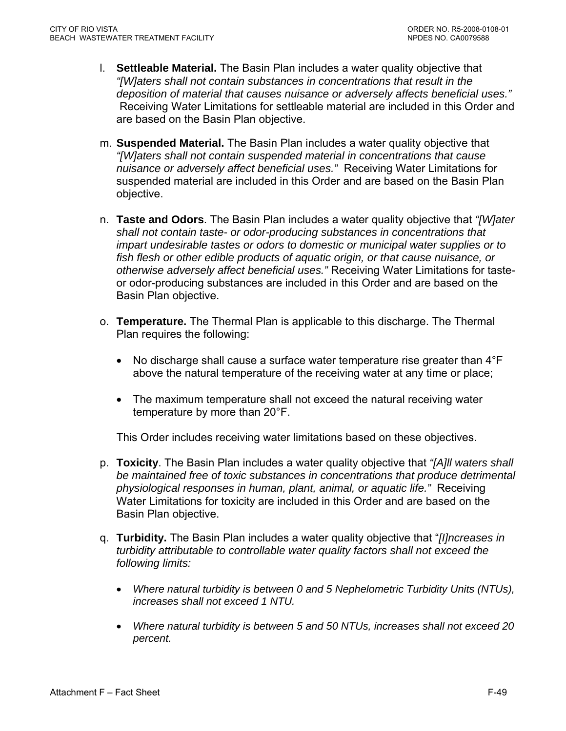- l. **Settleable Material.** The Basin Plan includes a water quality objective that *"[W]aters shall not contain substances in concentrations that result in the deposition of material that causes nuisance or adversely affects beneficial uses."* Receiving Water Limitations for settleable material are included in this Order and are based on the Basin Plan objective.
- m. **Suspended Material.** The Basin Plan includes a water quality objective that *"[W]aters shall not contain suspended material in concentrations that cause nuisance or adversely affect beneficial uses."* Receiving Water Limitations for suspended material are included in this Order and are based on the Basin Plan objective.
- n. **Taste and Odors**. The Basin Plan includes a water quality objective that *"[W]ater shall not contain taste- or odor-producing substances in concentrations that impart undesirable tastes or odors to domestic or municipal water supplies or to fish flesh or other edible products of aquatic origin, or that cause nuisance, or otherwise adversely affect beneficial uses."* Receiving Water Limitations for tasteor odor-producing substances are included in this Order and are based on the Basin Plan objective.
- o. **Temperature.** The Thermal Plan is applicable to this discharge. The Thermal Plan requires the following:
	- No discharge shall cause a surface water temperature rise greater than 4<sup>°</sup>F above the natural temperature of the receiving water at any time or place;
	- The maximum temperature shall not exceed the natural receiving water temperature by more than 20°F.

This Order includes receiving water limitations based on these objectives.

- p. **Toxicity**. The Basin Plan includes a water quality objective that *"[A]ll waters shall be maintained free of toxic substances in concentrations that produce detrimental physiological responses in human, plant, animal, or aquatic life."* Receiving Water Limitations for toxicity are included in this Order and are based on the Basin Plan objective.
- q. **Turbidity.** The Basin Plan includes a water quality objective that "*[I]ncreases in turbidity attributable to controllable water quality factors shall not exceed the following limits:* 
	- *Where natural turbidity is between 0 and 5 Nephelometric Turbidity Units (NTUs), increases shall not exceed 1 NTU.*
	- *Where natural turbidity is between 5 and 50 NTUs, increases shall not exceed 20 percent.*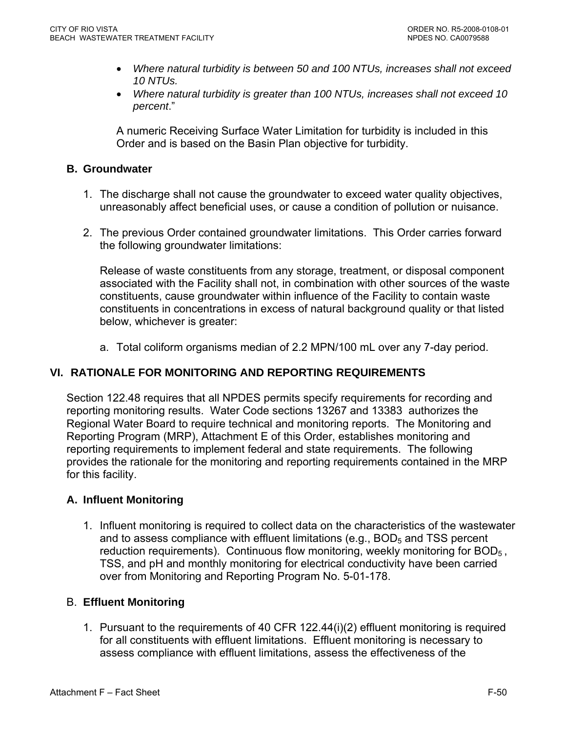- *Where natural turbidity is between 50 and 100 NTUs, increases shall not exceed 10 NTUs.*
- *Where natural turbidity is greater than 100 NTUs, increases shall not exceed 10 percent*."

A numeric Receiving Surface Water Limitation for turbidity is included in this Order and is based on the Basin Plan objective for turbidity.

## **B. Groundwater**

- 1. The discharge shall not cause the groundwater to exceed water quality objectives, unreasonably affect beneficial uses, or cause a condition of pollution or nuisance.
- 2. The previous Order contained groundwater limitations. This Order carries forward the following groundwater limitations:

Release of waste constituents from any storage, treatment, or disposal component associated with the Facility shall not, in combination with other sources of the waste constituents, cause groundwater within influence of the Facility to contain waste constituents in concentrations in excess of natural background quality or that listed below, whichever is greater:

a. Total coliform organisms median of 2.2 MPN/100 mL over any 7-day period.

# **VI. RATIONALE FOR MONITORING AND REPORTING REQUIREMENTS**

Section 122.48 requires that all NPDES permits specify requirements for recording and reporting monitoring results. Water Code sections 13267 and 13383 authorizes the Regional Water Board to require technical and monitoring reports. The Monitoring and Reporting Program (MRP), Attachment E of this Order, establishes monitoring and reporting requirements to implement federal and state requirements. The following provides the rationale for the monitoring and reporting requirements contained in the MRP for this facility.

# **A. Influent Monitoring**

1. Influent monitoring is required to collect data on the characteristics of the wastewater and to assess compliance with effluent limitations (e.g.,  $BOD<sub>5</sub>$  and TSS percent reduction requirements). Continuous flow monitoring, weekly monitoring for BOD<sub>5</sub>, TSS, and pH and monthly monitoring for electrical conductivity have been carried over from Monitoring and Reporting Program No. 5-01-178.

### B. **Effluent Monitoring**

1. Pursuant to the requirements of 40 CFR 122.44(i)(2) effluent monitoring is required for all constituents with effluent limitations. Effluent monitoring is necessary to assess compliance with effluent limitations, assess the effectiveness of the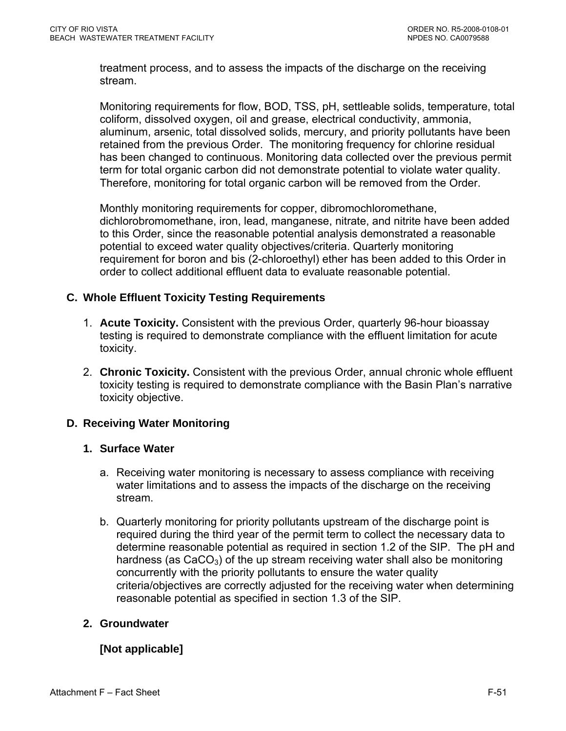treatment process, and to assess the impacts of the discharge on the receiving stream.

Monitoring requirements for flow, BOD, TSS, pH, settleable solids, temperature, total coliform, dissolved oxygen, oil and grease, electrical conductivity, ammonia, aluminum, arsenic, total dissolved solids, mercury, and priority pollutants have been retained from the previous Order. The monitoring frequency for chlorine residual has been changed to continuous. Monitoring data collected over the previous permit term for total organic carbon did not demonstrate potential to violate water quality. Therefore, monitoring for total organic carbon will be removed from the Order.

Monthly monitoring requirements for copper, dibromochloromethane, dichlorobromomethane, iron, lead, manganese, nitrate, and nitrite have been added to this Order, since the reasonable potential analysis demonstrated a reasonable potential to exceed water quality objectives/criteria. Quarterly monitoring requirement for boron and bis (2-chloroethyl) ether has been added to this Order in order to collect additional effluent data to evaluate reasonable potential.

# **C. Whole Effluent Toxicity Testing Requirements**

- 1. **Acute Toxicity.** Consistent with the previous Order, quarterly 96-hour bioassay testing is required to demonstrate compliance with the effluent limitation for acute toxicity.
- 2. **Chronic Toxicity.** Consistent with the previous Order, annual chronic whole effluent toxicity testing is required to demonstrate compliance with the Basin Plan's narrative toxicity objective.

# **D. Receiving Water Monitoring**

### **1. Surface Water**

- a. Receiving water monitoring is necessary to assess compliance with receiving water limitations and to assess the impacts of the discharge on the receiving stream.
- b. Quarterly monitoring for priority pollutants upstream of the discharge point is required during the third year of the permit term to collect the necessary data to determine reasonable potential as required in section 1.2 of the SIP. The pH and hardness (as  $CaCO<sub>3</sub>$ ) of the up stream receiving water shall also be monitoring concurrently with the priority pollutants to ensure the water quality criteria/objectives are correctly adjusted for the receiving water when determining reasonable potential as specified in section 1.3 of the SIP.

# **2. Groundwater**

# **[Not applicable]**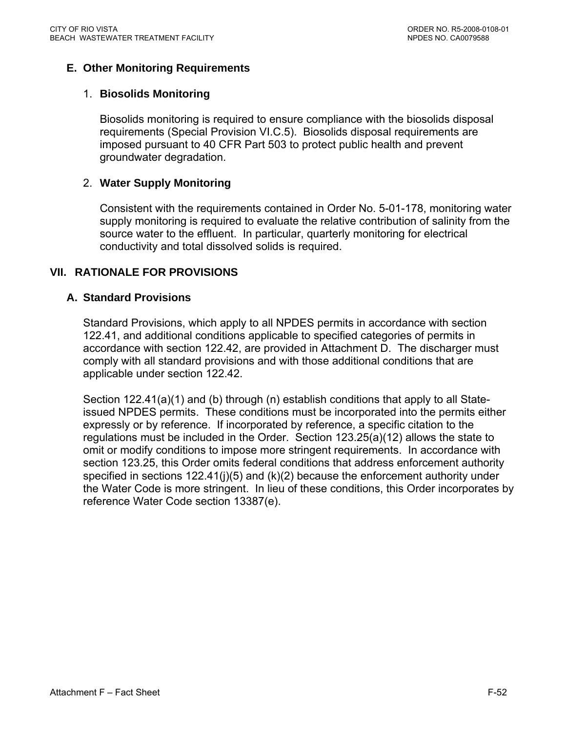# **E. Other Monitoring Requirements**

### 1. **Biosolids Monitoring**

Biosolids monitoring is required to ensure compliance with the biosolids disposal requirements (Special Provision VI.C.5). Biosolids disposal requirements are imposed pursuant to 40 CFR Part 503 to protect public health and prevent groundwater degradation.

### 2. **Water Supply Monitoring**

Consistent with the requirements contained in Order No. 5-01-178, monitoring water supply monitoring is required to evaluate the relative contribution of salinity from the source water to the effluent. In particular, quarterly monitoring for electrical conductivity and total dissolved solids is required.

### **VII. RATIONALE FOR PROVISIONS**

#### **A. Standard Provisions**

Standard Provisions, which apply to all NPDES permits in accordance with section 122.41, and additional conditions applicable to specified categories of permits in accordance with section 122.42, are provided in Attachment D. The discharger must comply with all standard provisions and with those additional conditions that are applicable under section 122.42.

Section 122.41(a)(1) and (b) through (n) establish conditions that apply to all Stateissued NPDES permits. These conditions must be incorporated into the permits either expressly or by reference. If incorporated by reference, a specific citation to the regulations must be included in the Order. Section 123.25(a)(12) allows the state to omit or modify conditions to impose more stringent requirements. In accordance with section 123.25, this Order omits federal conditions that address enforcement authority specified in sections 122.41(j)(5) and (k)(2) because the enforcement authority under the Water Code is more stringent. In lieu of these conditions, this Order incorporates by reference Water Code section 13387(e).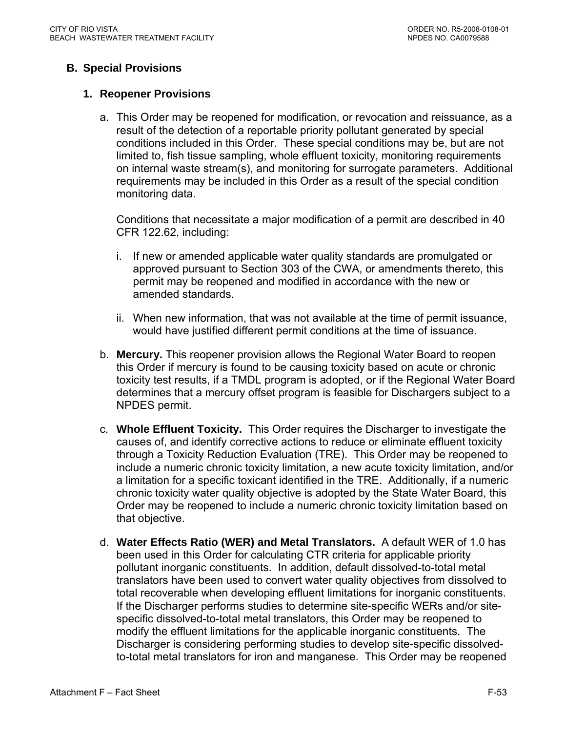# **B. Special Provisions**

#### **1. Reopener Provisions**

a. This Order may be reopened for modification, or revocation and reissuance, as a result of the detection of a reportable priority pollutant generated by special conditions included in this Order. These special conditions may be, but are not limited to, fish tissue sampling, whole effluent toxicity, monitoring requirements on internal waste stream(s), and monitoring for surrogate parameters. Additional requirements may be included in this Order as a result of the special condition monitoring data.

Conditions that necessitate a major modification of a permit are described in 40 CFR 122.62, including:

- i. If new or amended applicable water quality standards are promulgated or approved pursuant to Section 303 of the CWA, or amendments thereto, this permit may be reopened and modified in accordance with the new or amended standards.
- ii. When new information, that was not available at the time of permit issuance, would have justified different permit conditions at the time of issuance.
- b. **Mercury.** This reopener provision allows the Regional Water Board to reopen this Order if mercury is found to be causing toxicity based on acute or chronic toxicity test results, if a TMDL program is adopted, or if the Regional Water Board determines that a mercury offset program is feasible for Dischargers subject to a NPDES permit.
- c. **Whole Effluent Toxicity.** This Order requires the Discharger to investigate the causes of, and identify corrective actions to reduce or eliminate effluent toxicity through a Toxicity Reduction Evaluation (TRE). This Order may be reopened to include a numeric chronic toxicity limitation, a new acute toxicity limitation, and/or a limitation for a specific toxicant identified in the TRE. Additionally, if a numeric chronic toxicity water quality objective is adopted by the State Water Board, this Order may be reopened to include a numeric chronic toxicity limitation based on that objective.
- d. **Water Effects Ratio (WER) and Metal Translators.** A default WER of 1.0 has been used in this Order for calculating CTR criteria for applicable priority pollutant inorganic constituents.In addition, default dissolved-to-total metal translators have been used to convert water quality objectives from dissolved to total recoverable when developing effluent limitations for inorganic constituents. If the Discharger performs studies to determine site-specific WERs and/or sitespecific dissolved-to-total metal translators, this Order may be reopened to modify the effluent limitations for the applicable inorganic constituents. The Discharger is considering performing studies to develop site-specific dissolvedto-total metal translators for iron and manganese. This Order may be reopened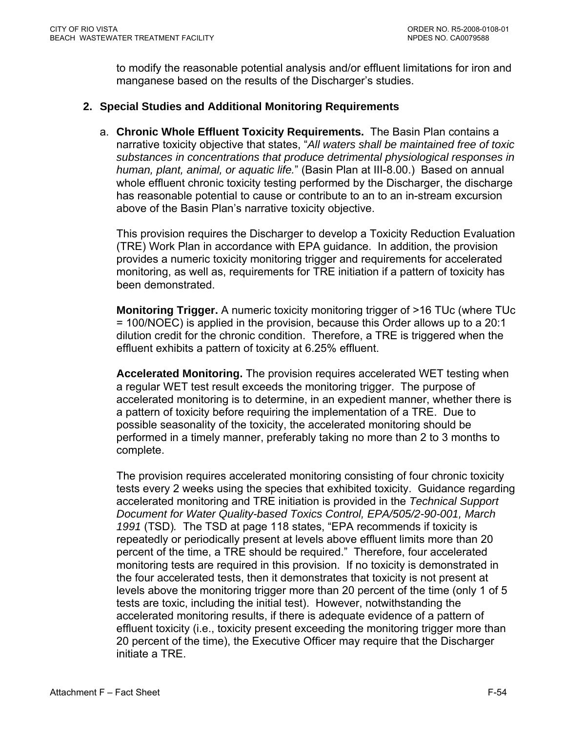to modify the reasonable potential analysis and/or effluent limitations for iron and manganese based on the results of the Discharger's studies.

## **2. Special Studies and Additional Monitoring Requirements**

a. **Chronic Whole Effluent Toxicity Requirements.** The Basin Plan contains a narrative toxicity objective that states, "*All waters shall be maintained free of toxic substances in concentrations that produce detrimental physiological responses in human, plant, animal, or aquatic life.*" (Basin Plan at III-8.00.) Based on annual whole effluent chronic toxicity testing performed by the Discharger, the discharge has reasonable potential to cause or contribute to an to an in-stream excursion above of the Basin Plan's narrative toxicity objective.

This provision requires the Discharger to develop a Toxicity Reduction Evaluation (TRE) Work Plan in accordance with EPA guidance. In addition, the provision provides a numeric toxicity monitoring trigger and requirements for accelerated monitoring, as well as, requirements for TRE initiation if a pattern of toxicity has been demonstrated.

**Monitoring Trigger.** A numeric toxicity monitoring trigger of >16 TUc (where TUc = 100/NOEC) is applied in the provision, because this Order allows up to a 20:1 dilution credit for the chronic condition. Therefore, a TRE is triggered when the effluent exhibits a pattern of toxicity at 6.25% effluent.

**Accelerated Monitoring.** The provision requires accelerated WET testing when a regular WET test result exceeds the monitoring trigger. The purpose of accelerated monitoring is to determine, in an expedient manner, whether there is a pattern of toxicity before requiring the implementation of a TRE. Due to possible seasonality of the toxicity, the accelerated monitoring should be performed in a timely manner, preferably taking no more than 2 to 3 months to complete.

The provision requires accelerated monitoring consisting of four chronic toxicity tests every 2 weeks using the species that exhibited toxicity. Guidance regarding accelerated monitoring and TRE initiation is provided in the *Technical Support Document for Water Quality-based Toxics Control, EPA/505/2-90-001, March 1991* (TSD)*.* The TSD at page 118 states, "EPA recommends if toxicity is repeatedly or periodically present at levels above effluent limits more than 20 percent of the time, a TRE should be required." Therefore, four accelerated monitoring tests are required in this provision. If no toxicity is demonstrated in the four accelerated tests, then it demonstrates that toxicity is not present at levels above the monitoring trigger more than 20 percent of the time (only 1 of 5 tests are toxic, including the initial test). However, notwithstanding the accelerated monitoring results, if there is adequate evidence of a pattern of effluent toxicity (i.e., toxicity present exceeding the monitoring trigger more than 20 percent of the time), the Executive Officer may require that the Discharger initiate a TRE.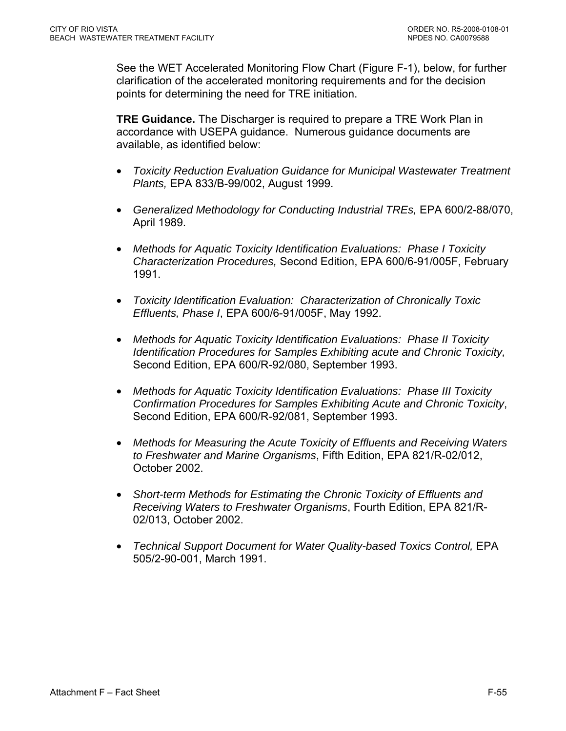See the WET Accelerated Monitoring Flow Chart (Figure F-1), below, for further clarification of the accelerated monitoring requirements and for the decision points for determining the need for TRE initiation.

**TRE Guidance.** The Discharger is required to prepare a TRE Work Plan in accordance with USEPA guidance. Numerous guidance documents are available, as identified below:

- *Toxicity Reduction Evaluation Guidance for Municipal Wastewater Treatment Plants,* EPA 833/B-99/002, August 1999.
- *Generalized Methodology for Conducting Industrial TREs,* EPA 600/2-88/070, April 1989.
- *Methods for Aquatic Toxicity Identification Evaluations: Phase I Toxicity Characterization Procedures,* Second Edition, EPA 600/6-91/005F, February 1991.
- *Toxicity Identification Evaluation: Characterization of Chronically Toxic Effluents, Phase I*, EPA 600/6-91/005F, May 1992.
- *Methods for Aquatic Toxicity Identification Evaluations: Phase II Toxicity Identification Procedures for Samples Exhibiting acute and Chronic Toxicity,*  Second Edition, EPA 600/R-92/080, September 1993.
- *Methods for Aquatic Toxicity Identification Evaluations: Phase III Toxicity Confirmation Procedures for Samples Exhibiting Acute and Chronic Toxicity*, Second Edition, EPA 600/R-92/081, September 1993.
- *Methods for Measuring the Acute Toxicity of Effluents and Receiving Waters to Freshwater and Marine Organisms*, Fifth Edition, EPA 821/R-02/012, October 2002.
- *Short-term Methods for Estimating the Chronic Toxicity of Effluents and Receiving Waters to Freshwater Organisms*, Fourth Edition, EPA 821/R-02/013, October 2002.
- *Technical Support Document for Water Quality-based Toxics Control, EPA* 505/2-90-001, March 1991.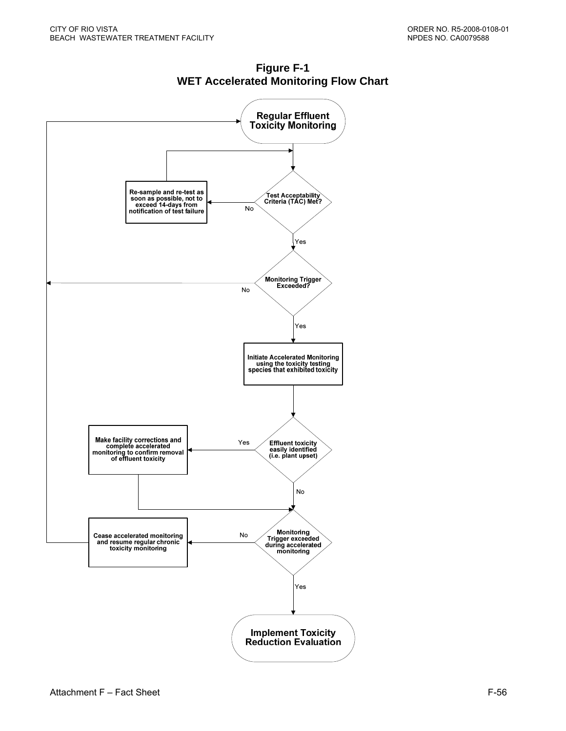

**Figure F-1 WET Accelerated Monitoring Flow Chart**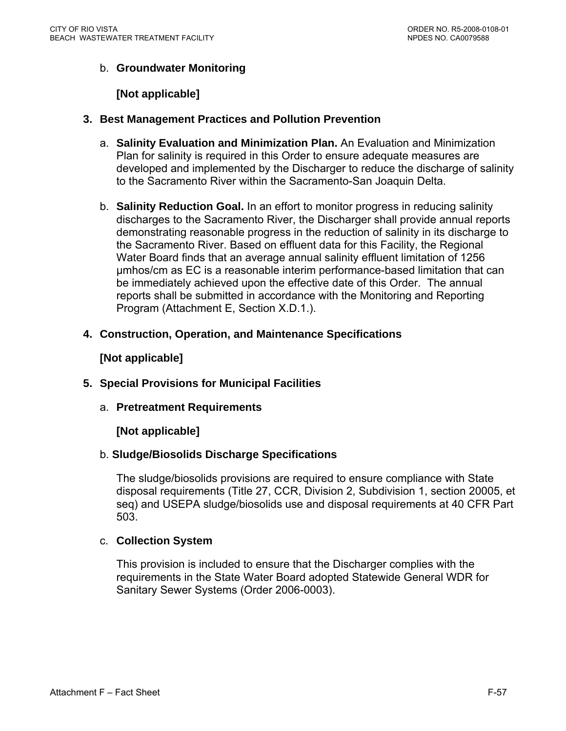# b. **Groundwater Monitoring**

#### **[Not applicable]**

- **3. Best Management Practices and Pollution Prevention** 
	- a. **Salinity Evaluation and Minimization Plan.** An Evaluation and Minimization Plan for salinity is required in this Order to ensure adequate measures are developed and implemented by the Discharger to reduce the discharge of salinity to the Sacramento River within the Sacramento-San Joaquin Delta.
	- b. **Salinity Reduction Goal.** In an effort to monitor progress in reducing salinity discharges to the Sacramento River, the Discharger shall provide annual reports demonstrating reasonable progress in the reduction of salinity in its discharge to the Sacramento River. Based on effluent data for this Facility, the Regional Water Board finds that an average annual salinity effluent limitation of 1256 µmhos/cm as EC is a reasonable interim performance-based limitation that can be immediately achieved upon the effective date of this Order. The annual reports shall be submitted in accordance with the Monitoring and Reporting Program (Attachment E, Section X.D.1.).
- **4. Construction, Operation, and Maintenance Specifications**

#### **[Not applicable]**

- **5. Special Provisions for Municipal Facilities** 
	- a. **Pretreatment Requirements**

#### **[Not applicable]**

#### b. **Sludge/Biosolids Discharge Specifications**

The sludge/biosolids provisions are required to ensure compliance with State disposal requirements (Title 27, CCR, Division 2, Subdivision 1, section 20005, et seq) and USEPA sludge/biosolids use and disposal requirements at 40 CFR Part 503.

#### c. **Collection System**

This provision is included to ensure that the Discharger complies with the requirements in the State Water Board adopted Statewide General WDR for Sanitary Sewer Systems (Order 2006-0003).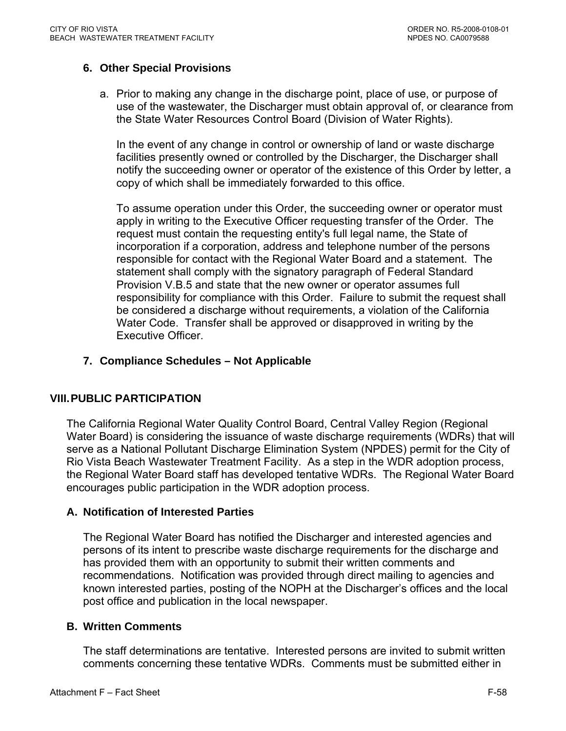# **6. Other Special Provisions**

a. Prior to making any change in the discharge point, place of use, or purpose of use of the wastewater, the Discharger must obtain approval of, or clearance from the State Water Resources Control Board (Division of Water Rights).

In the event of any change in control or ownership of land or waste discharge facilities presently owned or controlled by the Discharger, the Discharger shall notify the succeeding owner or operator of the existence of this Order by letter, a copy of which shall be immediately forwarded to this office.

To assume operation under this Order, the succeeding owner or operator must apply in writing to the Executive Officer requesting transfer of the Order. The request must contain the requesting entity's full legal name, the State of incorporation if a corporation, address and telephone number of the persons responsible for contact with the Regional Water Board and a statement. The statement shall comply with the signatory paragraph of Federal Standard Provision V.B.5 and state that the new owner or operator assumes full responsibility for compliance with this Order. Failure to submit the request shall be considered a discharge without requirements, a violation of the California Water Code. Transfer shall be approved or disapproved in writing by the Executive Officer.

#### **7. Compliance Schedules – Not Applicable**

#### **VIII. PUBLIC PARTICIPATION**

The California Regional Water Quality Control Board, Central Valley Region (Regional Water Board) is considering the issuance of waste discharge requirements (WDRs) that will serve as a National Pollutant Discharge Elimination System (NPDES) permit for the City of Rio Vista Beach Wastewater Treatment Facility. As a step in the WDR adoption process, the Regional Water Board staff has developed tentative WDRs. The Regional Water Board encourages public participation in the WDR adoption process.

#### **A. Notification of Interested Parties**

The Regional Water Board has notified the Discharger and interested agencies and persons of its intent to prescribe waste discharge requirements for the discharge and has provided them with an opportunity to submit their written comments and recommendations. Notification was provided through direct mailing to agencies and known interested parties, posting of the NOPH at the Discharger's offices and the local post office and publication in the local newspaper.

#### **B. Written Comments**

The staff determinations are tentative. Interested persons are invited to submit written comments concerning these tentative WDRs. Comments must be submitted either in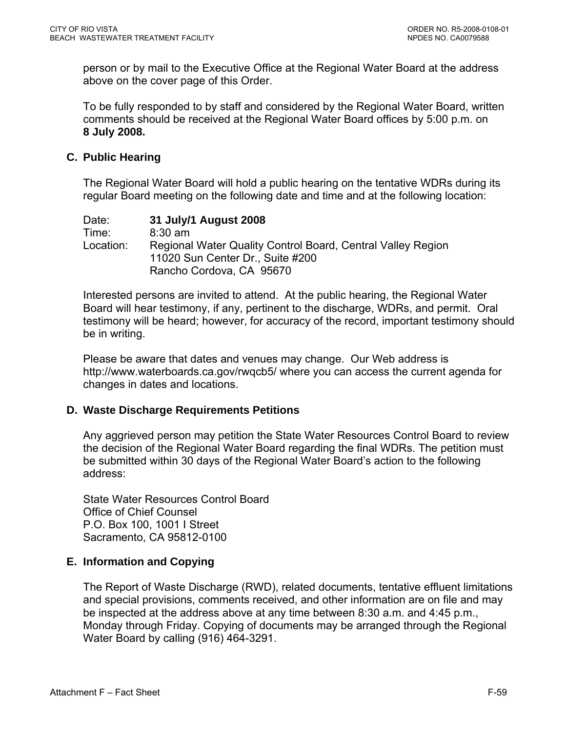person or by mail to the Executive Office at the Regional Water Board at the address above on the cover page of this Order.

To be fully responded to by staff and considered by the Regional Water Board, written comments should be received at the Regional Water Board offices by 5:00 p.m. on **8 July 2008.**

#### **C. Public Hearing**

The Regional Water Board will hold a public hearing on the tentative WDRs during its regular Board meeting on the following date and time and at the following location:

Date: **31 July/1 August 2008**  Time: 8:30 am Location: Regional Water Quality Control Board, Central Valley Region 11020 Sun Center Dr., Suite #200 Rancho Cordova, CA 95670

Interested persons are invited to attend. At the public hearing, the Regional Water Board will hear testimony, if any, pertinent to the discharge, WDRs, and permit. Oral testimony will be heard; however, for accuracy of the record, important testimony should be in writing.

Please be aware that dates and venues may change. Our Web address is <http://www.waterboards.ca.gov/rwqcb5/> where you can access the current agenda for changes in dates and locations.

#### **D. Waste Discharge Requirements Petitions**

Any aggrieved person may petition the State Water Resources Control Board to review the decision of the Regional Water Board regarding the final WDRs. The petition must be submitted within 30 days of the Regional Water Board's action to the following address:

State Water Resources Control Board Office of Chief Counsel P.O. Box 100, 1001 I Street Sacramento, CA 95812-0100

# **E. Information and Copying**

The Report of Waste Discharge (RWD), related documents, tentative effluent limitations and special provisions, comments received, and other information are on file and may be inspected at the address above at any time between 8:30 a.m. and 4:45 p.m., Monday through Friday. Copying of documents may be arranged through the Regional Water Board by calling (916) 464-3291.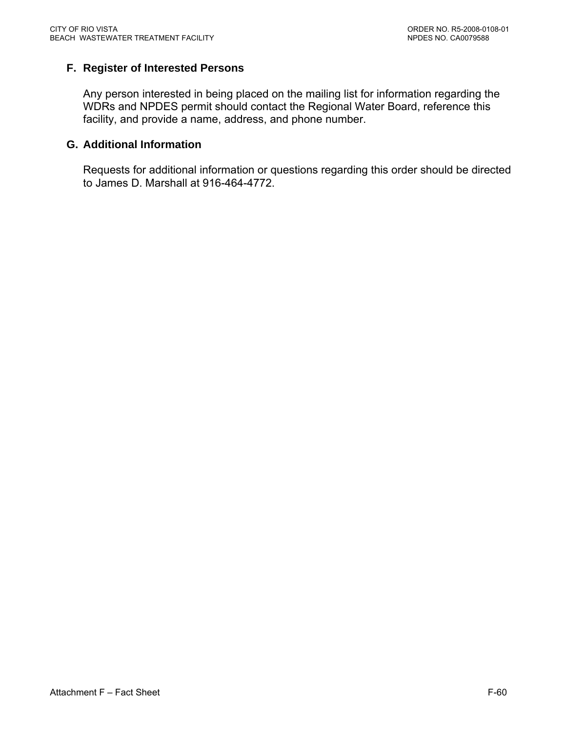# **F. Register of Interested Persons**

Any person interested in being placed on the mailing list for information regarding the WDRs and NPDES permit should contact the Regional Water Board, reference this facility, and provide a name, address, and phone number.

#### **G. Additional Information**

Requests for additional information or questions regarding this order should be directed to James D. Marshall at 916-464-4772.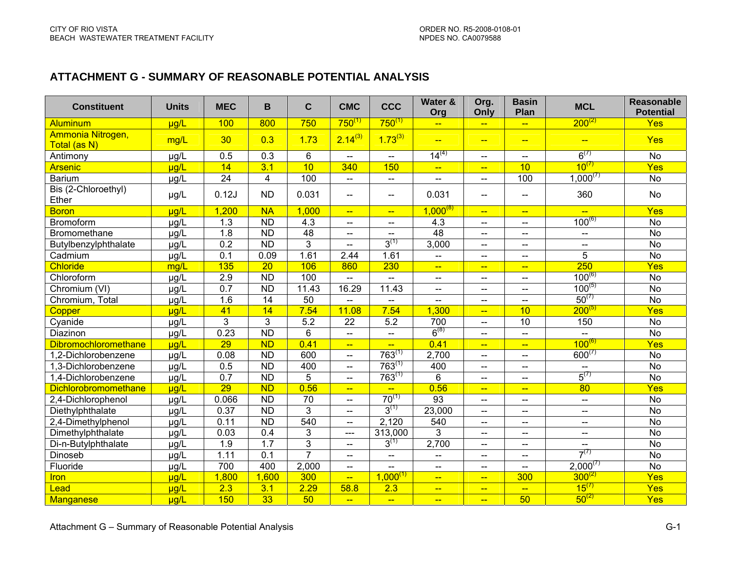#### **ATTACHMENT G - SUMMARY OF REASONABLE POTENTIAL ANALYSIS**

| <b>Constituent</b>                | <b>Units</b> | <b>MEC</b>       | B                | C              | <b>CMC</b>                        | <b>CCC</b>               | Water &<br>Org           | Org.<br>Only             | <b>Basin</b><br>Plan     | <b>MCL</b>                                          | <b>Reasonable</b><br><b>Potential</b> |
|-----------------------------------|--------------|------------------|------------------|----------------|-----------------------------------|--------------------------|--------------------------|--------------------------|--------------------------|-----------------------------------------------------|---------------------------------------|
| Aluminum                          | µg/L         | 100              | 800              | 750            | $750^{(1)}$                       | $750^{(1)}$              | $\leftarrow$             | $\overline{\phantom{m}}$ | $\overline{\phantom{a}}$ | $200^{(2)}$                                         | Yes                                   |
| Ammonia Nitrogen,<br>Total (as N) | mg/L         | 30               | 0.3              | 1.73           | $2.14^{(3)}$                      | $1.73^{(3)}$             | $\frac{1}{2}$            | $\frac{1}{2}$            | $\overline{\phantom{a}}$ | $-$                                                 | <b>Yes</b>                            |
| Antimony                          | µg/L         | 0.5              | $\overline{0.3}$ | $6\phantom{a}$ | $\overline{\phantom{a}}$          | $-$                      | $14^{(4)}$               | $- -$                    | $\overline{\phantom{a}}$ | $6^{(7)}$                                           | <b>No</b>                             |
| <b>Arsenic</b>                    | $\mu$ g/L    | 14               | 3.1              | 10             | 340                               | 150                      | $-\!$                    | $\leftarrow$             | 10                       | $10^{(7)}$                                          | Yes                                   |
| <b>Barium</b>                     | µg/L         | $\overline{24}$  | $\overline{4}$   | 100            | $\overline{\phantom{a}}$          | $\overline{\phantom{a}}$ | $\overline{\phantom{a}}$ | $- -$                    | 100                      | $1,000^{(7)}$                                       | <b>No</b>                             |
| Bis (2-Chloroethyl)<br>Ether      | µg/L         | 0.12J            | <b>ND</b>        | 0.031          | $-$                               | $\overline{\phantom{a}}$ | 0.031                    | $\overline{\phantom{a}}$ | --                       | 360                                                 | <b>No</b>                             |
| <b>Boron</b>                      | $\mu q/L$    | 1,200            | <b>NA</b>        | 1,000          | $\overline{\phantom{a}}$          | $\leftarrow$             | $1,000^{8}$              | $\leftarrow$             | $\longrightarrow$        | $\leftarrow$                                        | <b>Yes</b>                            |
| Bromoform                         | µg/L         | 1.3              | <b>ND</b>        | 4.3            | $\overline{\phantom{m}}$          | $-$                      | 4.3                      | -−                       | $--$                     | $100^{(6)}$                                         | No                                    |
| Bromomethane                      | $\mu$ g/L    | 1.8              | <b>ND</b>        | 48             | $\hspace{0.05cm} \dashrightarrow$ | $--$                     | 48                       | $\overline{\phantom{a}}$ | $--$                     | $\hspace{0.05cm} -\hspace{0.05cm} -\hspace{0.05cm}$ | <b>No</b>                             |
| Butylbenzylphthalate              | µg/L         | 0.2              | <b>ND</b>        | $\mathfrak{S}$ | $\overline{a}$                    | $3^{(1)}$                | 3,000                    | $\overline{\phantom{a}}$ | $-$                      | $\mathbf{u}$                                        | <b>No</b>                             |
| Cadmium                           | µg/L         | 0.1              | 0.09             | 1.61           | 2.44                              | 1.61                     | $\overline{\phantom{a}}$ | $\overline{\phantom{a}}$ | $--$                     | 5                                                   | <b>No</b>                             |
| Chloride                          | mg/L         | 135              | 20               | 106            | 860                               | 230                      | $\rightarrow$            | $\frac{1}{2}$            | $-$                      | 250                                                 | Yes                                   |
| Chloroform                        | µg/L         | 2.9              | <b>ND</b>        | 100            | $\overline{a}$                    | $\overline{a}$           | $\overline{a}$           | $- -$                    | $-$                      | $100^{(6)}$                                         | <b>No</b>                             |
| Chromium (VI)                     | $\mu$ g/L    | 0.7              | <b>ND</b>        | 11.43          | 16.29                             | 11.43                    | $\overline{\phantom{a}}$ | $\overline{\phantom{a}}$ | $- -$                    | $100^{(5)}$                                         | <b>No</b>                             |
| Chromium, Total                   | µg/L         | 1.6              | 14               | 50             | $\overline{a}$                    | $- -$                    | $\overline{a}$           | $\overline{\phantom{a}}$ | $- -$                    | $50^{(7)}$                                          | <b>No</b>                             |
| Copper                            | $\mu$ g/L    | 41               | 14               | 7.54           | 11.08                             | 7.54                     | 1,300                    | $\frac{1}{2}$            | 10                       | $200^{(5)}$                                         | Yes                                   |
| Cyanide                           | µg/L         | 3                | 3                | 5.2            | 22                                | 5.2                      | 700                      | $\overline{\phantom{a}}$ | 10                       | 150                                                 | <b>No</b>                             |
| Diazinon                          | $\mu$ g/L    | 0.23             | $\overline{ND}$  | $6\phantom{1}$ | $\overline{\phantom{a}}$          | $\overline{\phantom{a}}$ | $6^{(8)}$                | $-$                      | $-$                      | $\mathbf{u}$                                        | <b>No</b>                             |
| <b>Dibromochloromethane</b>       | $\mu$ g/L    | 29               | $\overline{ND}$  | 0.41           | $\rightarrow$                     | $\frac{1}{2}$            | 0.41                     | $-$                      | $\overline{\phantom{0}}$ | $100^{(6)}$                                         | Yes                                   |
| 1,2-Dichlorobenzene               | µg/L         | 0.08             | <b>ND</b>        | 600            | $\mathbf{u}$                      | $763^{(1)}$              | 2,700                    | $-$                      | $-$                      | $600^{(7)}$                                         | No                                    |
| 1,3-Dichlorobenzene               | $\mu$ g/L    | 0.5              | <b>ND</b>        | 400            | $\overline{a}$                    | $763^{(1)}$              | 400                      | $\overline{\phantom{a}}$ | ——                       |                                                     | <b>No</b>                             |
| 1,4-Dichlorobenzene               | $\mu$ g/L    | $\overline{0.7}$ | $\overline{ND}$  | 5              | $\overline{\phantom{a}}$          | $763^{(1)}$              | 6                        | Щ.                       | <u>.</u>                 | $5^{(7)}$                                           | <b>No</b>                             |
| Dichlorobromomethane              | $\mu$ g/L    | 29               | $\overline{ND}$  | 0.56           | $\overline{\phantom{0}}$          | $\overline{\phantom{0}}$ | 0.56                     | $\equiv$                 | <u>--</u>                | 80                                                  | Yes                                   |
| 2,4-Dichlorophenol                | µg/L         | 0.066            | $\overline{ND}$  | 70             | $\overline{a}$                    | $70^{(1)}$               | 93                       | $-$                      | $- -$                    | $\overline{\phantom{a}}$                            | <b>No</b>                             |
| Diethylphthalate                  | µg/L         | 0.37             | <b>ND</b>        | $\mathfrak{S}$ | $\overline{\phantom{a}}$          | $3^{(1)}$                | 23,000                   | --                       | --                       | $\overline{\phantom{a}}$                            | <b>No</b>                             |
| 2,4-Dimethylphenol                | µg/L         | 0.11             | $\overline{ND}$  | 540            | $\overline{\phantom{a}}$          | 2,120                    | 540                      | $-$                      | $- -$                    | --                                                  | <b>No</b>                             |
| Dimethylphthalate                 | µg/L         | 0.03             | 0.4              | $\mathfrak{S}$ | $-$                               | 313,000                  | 3                        | $\overline{a}$           | $\overline{\phantom{0}}$ | $\overline{\phantom{a}}$                            | <b>No</b>                             |
| Di-n-Butylphthalate               | µg/L         | 1.9              | 1.7              | $\mathfrak{S}$ | $\overline{\phantom{a}}$          | $3^{(1)}$                | 2,700                    | --                       | $-$                      | $- -$                                               | <b>No</b>                             |
| Dinoseb                           | µg/L         | 1.11             | 0.1              | $\overline{7}$ | $\overline{\phantom{a}}$          | $\overline{\phantom{a}}$ | $\overline{\phantom{a}}$ | $- -$                    | $- -$                    | $7^{(7)}$                                           | <b>No</b>                             |
| Fluoride                          | $\mu$ g/L    | 700              | 400              | 2,000          | $\equiv$                          | $\overline{a}$           | $\overline{a}$           | $-$                      | $\overline{a}$           | $2,000^{(7)}$                                       | <b>No</b>                             |
| <b>Iron</b>                       | $\mu$ g/L    | 1,800            | 1,600            | 300            | $\overline{\phantom{a}}$          | $1.000^{(1)}$            | $\frac{1}{2}$            | $\overline{\phantom{0}}$ | 300                      | $300^{(2)}$                                         | Yes                                   |
| Lead                              | ug/L         | 2.3              | 3.1              | 2.29           | 58.8                              | 2.3                      | $\leftarrow$             | $-$                      | $\equiv$                 | $15^{(7)}$                                          | Yes                                   |
| Manganese                         | ug/L         | 150              | 33               | 50             | $\overline{\phantom{0}}$          | $\overline{\phantom{a}}$ | $\frac{1}{2}$            | $\overline{\phantom{a}}$ | 50                       | $50^{(2)}$                                          | Yes                                   |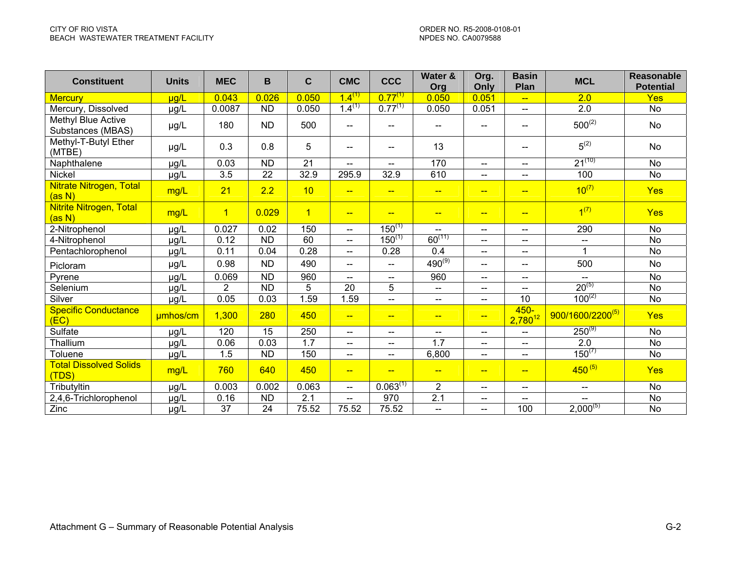| <b>Constituent</b>                             | <b>Units</b>    | <b>MEC</b>       | В               | $\mathbf C$      | <b>CMC</b>                 | <b>CCC</b>               | Water &<br>Org           | Org.<br>Only             | <b>Basin</b><br>Plan     | <b>MCL</b>                   | <b>Reasonable</b><br><b>Potential</b> |
|------------------------------------------------|-----------------|------------------|-----------------|------------------|----------------------------|--------------------------|--------------------------|--------------------------|--------------------------|------------------------------|---------------------------------------|
| <b>Mercury</b>                                 | $\mu$ g/L       | 0.043            | 0.026           | 0.050            | $1.4^{(1)}$                | $0.77^{(1)}$             | 0.050                    | 0.051                    |                          | 2.0                          | Yes                                   |
| Mercury, Dissolved                             | µg/L            | 0.0087           | <b>ND</b>       | 0.050            | $1.4^{(1)}$                | $0.77^{(1)}$             | 0.050                    | 0.051                    | $-$                      | 2.0                          | No                                    |
| <b>Methyl Blue Active</b><br>Substances (MBAS) | µg/L            | 180              | <b>ND</b>       | 500              | --                         | --                       |                          | --                       |                          | $500^{(2)}$                  | <b>No</b>                             |
| Methyl-T-Butyl Ether<br>(MTBE)                 | µg/L            | 0.3              | 0.8             | 5                | $\overline{\phantom{a}}$   | $\qquad \qquad -$        | 13                       |                          | $- -$                    | $5^{(2)}$                    | No                                    |
| Naphthalene                                    | µg/L            | 0.03             | <b>ND</b>       | 21               | $\qquad \qquad \text{---}$ | $\overline{\phantom{a}}$ | 170                      | $\overline{\phantom{a}}$ | --                       | $21^{(10)}$                  | <b>No</b>                             |
| Nickel                                         | µg/L            | $\overline{3.5}$ | $\overline{22}$ | 32.9             | 295.9                      | 32.9                     | 610                      | $\overline{a}$           | --                       | 100                          | $\overline{No}$                       |
| Nitrate Nitrogen, Total<br>(a s N)             | mg/L            | 21               | 2.2             | 10               | <u>--</u>                  | $- -$                    | $-$                      | $-$                      | $-$                      | $10^{(7)}$                   | <b>Yes</b>                            |
| <b>Nitrite Nitrogen, Total</b><br>(as N)       | mg/L            | $\overline{1}$   | 0.029           | $\overline{1}$   | $-$                        | $-$                      | $- -$                    | $-$                      | $-$                      | 1 <sup>(7)</sup>             | <b>Yes</b>                            |
| 2-Nitrophenol                                  | µg/L            | 0.027            | 0.02            | 150              | $\overline{a}$             | $150^{(1)}$              | $\overline{\phantom{a}}$ | $--$                     | $--$                     | 290                          | <b>No</b>                             |
| 4-Nitrophenol                                  | $\mu g/L$       | 0.12             | <b>ND</b>       | 60               | $-$                        | $150^{(1)}$              | $60^{(11)}$              | $--$                     | ——                       | $\overline{\phantom{m}}$     | <b>No</b>                             |
| Pentachlorophenol                              | µg/L            | 0.11             | 0.04            | 0.28             | $\overline{\phantom{a}}$   | 0.28                     | 0.4                      | $\overline{\phantom{a}}$ | $\overline{\phantom{a}}$ |                              | No                                    |
| Picloram                                       | µg/L            | 0.98             | <b>ND</b>       | 490              | $\overline{a}$             | $\overline{\phantom{a}}$ | $490^{(9)}$              | $- -$                    | $-$                      | 500                          | <b>No</b>                             |
| Pyrene                                         | $\mu g/\bar{L}$ | 0.069            | $\overline{ND}$ | 960              | $\overline{\phantom{a}}$   | $\overline{\phantom{a}}$ | 960                      | $\overline{\phantom{a}}$ | --                       | $\overline{\phantom{a}}$     | <b>No</b>                             |
| Selenium                                       | $\mu g/\bar{L}$ | $\overline{2}$   | <b>ND</b>       | 5                | 20                         | 5                        | $\overline{\phantom{a}}$ | $\overline{\phantom{a}}$ | --                       | $20^{(5)}$                   | <b>No</b>                             |
| Silver                                         | µg/L            | 0.05             | 0.03            | 1.59             | 1.59                       | $\overline{\phantom{a}}$ | $\overline{\phantom{a}}$ | $- -$                    | 10                       | $100^{(2)}$                  | <b>No</b>                             |
| <b>Specific Conductance</b><br>(EC)            | umhos/cm        | 1,300            | 280             | 450              | $\overline{\phantom{a}}$   | $-$                      | $-$                      | $\overline{\phantom{a}}$ | $450 -$<br>$2,780^{12}$  | 900/1600/2200 <sup>(5)</sup> | <b>Yes</b>                            |
| Sulfate                                        | µg/L            | 120              | 15              | 250              | $\overline{a}$             | $\overline{\phantom{a}}$ | $--$                     | $\qquad \qquad -$        | $\qquad \qquad -$        | $250^{(9)}$                  | <b>No</b>                             |
| Thallium                                       | µg/L            | 0.06             | 0.03            | $\overline{1.7}$ | $-$                        | $\overline{\phantom{a}}$ | 1.7                      | $\qquad \qquad -$        | --                       | 2.0                          | <b>No</b>                             |
| Toluene                                        | $\mu g/L$       | 1.5              | <b>ND</b>       | 150              | $\overline{\phantom{a}}$   | --                       | 6,800                    | $\overline{\phantom{a}}$ | ——                       | $150^{(7)}$                  | <b>No</b>                             |
| <b>Total Dissolved Solids</b><br>(TDS)         | mg/L            | 760              | 640             | 450              | $\overline{\phantom{a}}$   | $-$                      | $-$                      | $-$                      | $-$                      | $450^{(5)}$                  | <b>Yes</b>                            |
| Tributyltin                                    | µg/L            | 0.003            | 0.002           | 0.063            | $-$                        | $0.063^{(1)}$            | $\overline{2}$           | $-$                      | $\overline{\phantom{a}}$ | $\overline{\phantom{a}}$     | <b>No</b>                             |
| 2,4,6-Trichlorophenol                          | µg/L            | 0.16             | <b>ND</b>       | 2.1              | $-$                        | 970                      | 2.1                      | --                       |                          |                              | <b>No</b>                             |
| Zinc                                           | µg/L            | 37               | 24              | 75.52            | 75.52                      | 75.52                    | $--$                     | $\overline{\phantom{a}}$ | 100                      | $2,000^{(5)}$                | <b>No</b>                             |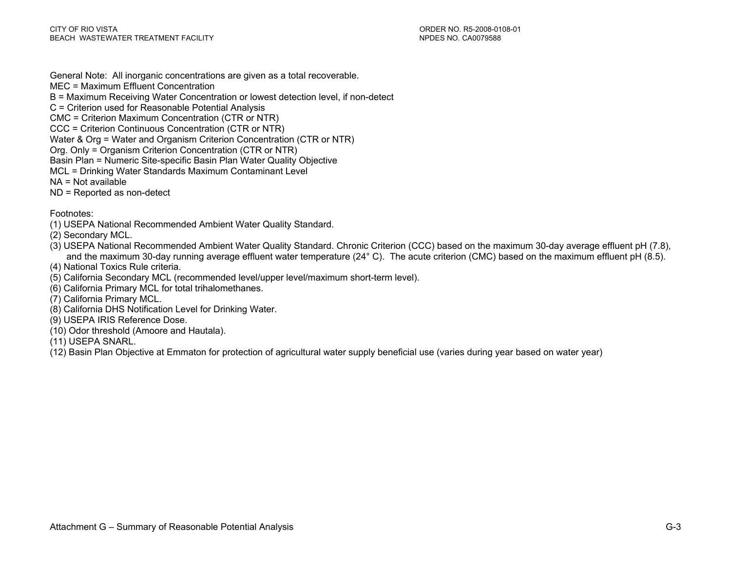General Note: All inorganic concentrations are given as a total recoverable.

- MEC = Maximum Effluent Concentration
- B = Maximum Receiving Water Concentration or lowest detection level, if non-detect
- C = Criterion used for Reasonable Potential Analysis
- CMC = Criterion Maximum Concentration (CTR or NTR)
- CCC = Criterion Continuous Concentration (CTR or NTR)
- Water & Org = Water and Organism Criterion Concentration (CTR or NTR)
- Org. Only = Organism Criterion Concentration (CTR or NTR)
- Basin Plan = Numeric Site-specific Basin Plan Water Quality Objective
- MCL = Drinking Water Standards Maximum Contaminant Level
- NA = Not available
- ND = Reported as non-detect

Footnotes:

- (1) USEPA National Recommended Ambient Water Quality Standard.
- (2) Secondary MCL.
- (3) USEPA National Recommended Ambient Water Quality Standard. Chronic Criterion (CCC) based on the maximum 30-day average effluent pH (7.8), and the maximum 30-day running average effluent water temperature (24° C). The acute criterion (CMC) based on the maximum effluent pH (8.5).
- (4) National Toxics Rule criteria.
- (5) California Secondary MCL (recommended level/upper level/maximum short-term level).
- (6) California Primary MCL for total trihalomethanes.
- (7) California Primary MCL.
- (8) California DHS Notification Level for Drinking Water.
- (9) USEPA IRIS Reference Dose.
- (10) Odor threshold (Amoore and Hautala).
- (11) USEPA SNARL.
- (12) Basin Plan Objective at Emmaton for protection of agricultural water supply beneficial use (varies during year based on water year)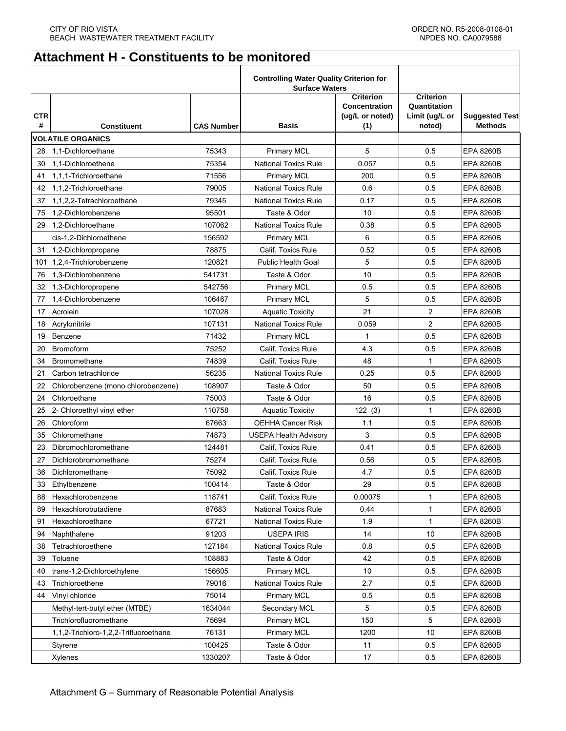# **Attachment H - Constituents to be monitored**

|                 |                                       |                   | <b>Controlling Water Quality Criterion for</b><br><b>Surface Waters</b> |                                                                    |                                                              |                                         |
|-----------------|---------------------------------------|-------------------|-------------------------------------------------------------------------|--------------------------------------------------------------------|--------------------------------------------------------------|-----------------------------------------|
| <b>CTR</b><br># | <b>Constituent</b>                    | <b>CAS Number</b> | <b>Basis</b>                                                            | <b>Criterion</b><br><b>Concentration</b><br>(ug/L or noted)<br>(1) | <b>Criterion</b><br>Quantitation<br>Limit (ug/L or<br>noted) | <b>Suggested Test</b><br><b>Methods</b> |
|                 | <b>VOLATILE ORGANICS</b>              |                   |                                                                         |                                                                    |                                                              |                                         |
| 28              | 1.1-Dichloroethane                    | 75343             | <b>Primary MCL</b>                                                      | 5                                                                  | 0.5                                                          | <b>EPA 8260B</b>                        |
| 30              | 1.1-Dichloroethene                    | 75354             | <b>National Toxics Rule</b>                                             | 0.057                                                              | 0.5                                                          | <b>EPA 8260B</b>                        |
| 41              | 1,1,1-Trichloroethane                 | 71556             | <b>Primary MCL</b>                                                      | 200                                                                | 0.5                                                          | <b>EPA 8260B</b>                        |
| 42              | 1,1,2-Trichloroethane                 | 79005             | <b>National Toxics Rule</b>                                             | 0.6                                                                | 0.5                                                          | <b>EPA 8260B</b>                        |
| 37              | 1,1,2,2-Tetrachloroethane             | 79345             | <b>National Toxics Rule</b>                                             | 0.17                                                               | 0.5                                                          | <b>EPA 8260B</b>                        |
| 75              | 1.2-Dichlorobenzene                   | 95501             | Taste & Odor                                                            | 10                                                                 | 0.5                                                          | <b>EPA 8260B</b>                        |
| 29              | 1.2-Dichloroethane                    | 107062            | <b>National Toxics Rule</b>                                             | 0.38                                                               | 0.5                                                          | <b>EPA 8260B</b>                        |
|                 | cis-1,2-Dichloroethene                | 156592            | <b>Primary MCL</b>                                                      | 6                                                                  | 0.5                                                          | <b>EPA 8260B</b>                        |
| 31              | 1,2-Dichloropropane                   | 78875             | Calif. Toxics Rule                                                      | 0.52                                                               | 0.5                                                          | <b>EPA 8260B</b>                        |
| 101             | 1.2.4-Trichlorobenzene                | 120821            | <b>Public Health Goal</b>                                               | 5                                                                  | 0.5                                                          | <b>EPA 8260B</b>                        |
| 76              | 1.3-Dichlorobenzene                   | 541731            | Taste & Odor                                                            | 10                                                                 | 0.5                                                          | <b>EPA 8260B</b>                        |
| 32              | 1,3-Dichloropropene                   | 542756            | <b>Primary MCL</b>                                                      | 0.5                                                                | 0.5                                                          | <b>EPA 8260B</b>                        |
| 77              | 1.4-Dichlorobenzene                   | 106467            | Primary MCL                                                             | 5                                                                  | 0.5                                                          | <b>EPA 8260B</b>                        |
| 17              | Acrolein                              | 107028            | <b>Aquatic Toxicity</b>                                                 | 21                                                                 | $\overline{2}$                                               | <b>EPA 8260B</b>                        |
| 18              | Acrylonitrile                         | 107131            | <b>National Toxics Rule</b>                                             | 0.059                                                              | $\overline{2}$                                               | <b>EPA 8260B</b>                        |
| 19              | Benzene                               | 71432             | <b>Primary MCL</b>                                                      | 1                                                                  | 0.5                                                          | <b>EPA 8260B</b>                        |
| 20              | <b>Bromoform</b>                      | 75252             | Calif. Toxics Rule                                                      | 4.3                                                                | 0.5                                                          | <b>EPA 8260B</b>                        |
| 34              | Bromomethane                          | 74839             | Calif. Toxics Rule                                                      | 48                                                                 | $\mathbf{1}$                                                 | <b>EPA 8260B</b>                        |
| 21              | Carbon tetrachloride                  | 56235             | <b>National Toxics Rule</b>                                             | 0.25                                                               | 0.5                                                          | <b>EPA 8260B</b>                        |
| 22              | Chlorobenzene (mono chlorobenzene)    | 108907            | Taste & Odor                                                            | 50                                                                 | 0.5                                                          | <b>EPA 8260B</b>                        |
| 24              | Chloroethane                          | 75003             | Taste & Odor                                                            | 16                                                                 | 0.5                                                          | <b>EPA 8260B</b>                        |
| 25              | 2- Chloroethyl vinyl ether            | 110758            | <b>Aquatic Toxicity</b>                                                 | 122(3)                                                             | $\mathbf{1}$                                                 | <b>EPA 8260B</b>                        |
| 26              | Chloroform                            | 67663             | OEHHA Cancer Risk                                                       | 1.1                                                                | 0.5                                                          | <b>EPA 8260B</b>                        |
| 35              | Chloromethane                         | 74873             | <b>USEPA Health Advisory</b>                                            | 3                                                                  | 0.5                                                          | <b>EPA 8260B</b>                        |
| 23              | Dibromochloromethane                  | 124481            | Calif. Toxics Rule                                                      | 0.41                                                               | 0.5                                                          | <b>EPA 8260B</b>                        |
| 27              | Dichlorobromomethane                  | 75274             | Calif. Toxics Rule                                                      | 0.56                                                               | 0.5                                                          | <b>EPA 8260B</b>                        |
| 36              | Dichloromethane                       | 75092             | Calif. Toxics Rule                                                      | 4.7                                                                | 0.5                                                          | <b>EPA 8260B</b>                        |
| 33              | Ethylbenzene                          | 100414            | Taste & Odor                                                            | 29                                                                 | 0.5                                                          | <b>EPA 8260B</b>                        |
| 88              | Hexachlorobenzene                     | 118741            | Calif. Toxics Rule                                                      | 0.00075                                                            | 1                                                            | <b>EPA 8260B</b>                        |
| 89              | Hexachlorobutadiene                   | 87683             | <b>National Toxics Rule</b>                                             | 0.44                                                               | 1                                                            | EPA 8260B                               |
| 91              | Hexachloroethane                      | 67721             | <b>National Toxics Rule</b>                                             | 1.9                                                                | $\mathbf{1}$                                                 | EPA 8260B                               |
| 94              | Naphthalene                           | 91203             | <b>USEPA IRIS</b>                                                       | 14                                                                 | 10                                                           | <b>EPA 8260B</b>                        |
| 38              | Tetrachloroethene                     | 127184            | <b>National Toxics Rule</b>                                             | 0.8                                                                | 0.5                                                          | <b>EPA 8260B</b>                        |
| 39              | Toluene                               | 108883            | Taste & Odor                                                            | 42                                                                 | 0.5                                                          | EPA 8260B                               |
| 40              | trans-1,2-Dichloroethylene            | 156605            | <b>Primary MCL</b>                                                      | 10                                                                 | 0.5                                                          | <b>EPA 8260B</b>                        |
| 43              | Trichloroethene                       | 79016             | <b>National Toxics Rule</b>                                             | 2.7                                                                | 0.5                                                          | <b>EPA 8260B</b>                        |
| 44              | Vinyl chloride                        | 75014             | <b>Primary MCL</b>                                                      | 0.5                                                                | 0.5                                                          | <b>EPA 8260B</b>                        |
|                 | Methyl-tert-butyl ether (MTBE)        | 1634044           | Secondary MCL                                                           | 5                                                                  | 0.5                                                          | <b>EPA 8260B</b>                        |
|                 | Trichlorofluoromethane                | 75694             | <b>Primary MCL</b>                                                      | 150                                                                | 5                                                            | <b>EPA 8260B</b>                        |
|                 | 1,1,2-Trichloro-1,2,2-Trifluoroethane | 76131             | <b>Primary MCL</b>                                                      | 1200                                                               | 10                                                           | <b>EPA 8260B</b>                        |
|                 | Styrene                               | 100425            | Taste & Odor                                                            | 11                                                                 | 0.5                                                          | EPA 8260B                               |
|                 | Xylenes                               | 1330207           | Taste & Odor                                                            | 17                                                                 | 0.5                                                          | <b>EPA 8260B</b>                        |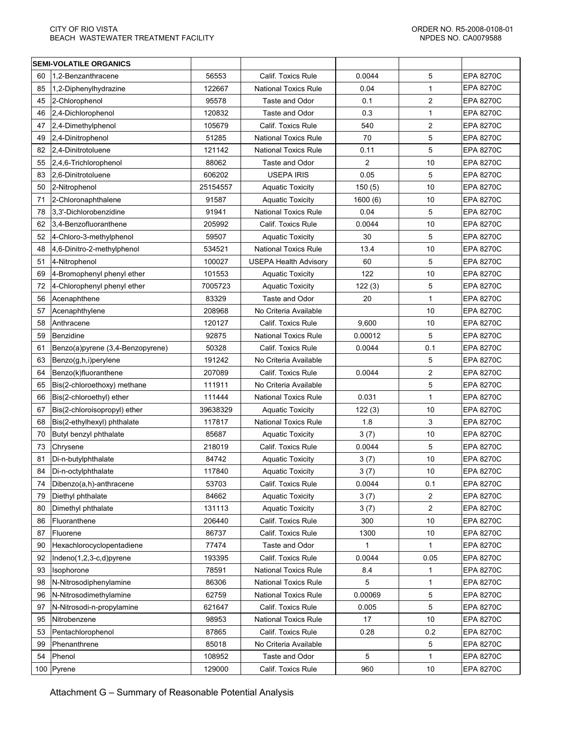|     | <b>SEMI-VOLATILE ORGANICS</b>    |          |                              |                |                |                  |
|-----|----------------------------------|----------|------------------------------|----------------|----------------|------------------|
| 60  | 1,2-Benzanthracene               | 56553    | Calif. Toxics Rule           | 0.0044         | 5              | <b>EPA 8270C</b> |
| 85  | 1,2-Diphenylhydrazine            | 122667   | <b>National Toxics Rule</b>  | 0.04           | 1              | <b>EPA 8270C</b> |
| 45  | 2-Chlorophenol                   | 95578    | Taste and Odor               | 0.1            | $\overline{c}$ | <b>EPA 8270C</b> |
| 46  | 2,4-Dichlorophenol               | 120832   | Taste and Odor               | 0.3            | 1              | <b>EPA 8270C</b> |
| 47  | 2,4-Dimethylphenol               | 105679   | Calif. Toxics Rule           | 540            | $\overline{c}$ | <b>EPA 8270C</b> |
| 49  | 2,4-Dinitrophenol                | 51285    | <b>National Toxics Rule</b>  | 70             | 5              | <b>EPA 8270C</b> |
| 82  | 2,4-Dinitrotoluene               | 121142   | <b>National Toxics Rule</b>  | 0.11           | 5              | <b>EPA 8270C</b> |
| 55  | 2,4,6-Trichlorophenol            | 88062    | Taste and Odor               | $\overline{2}$ | 10             | <b>EPA 8270C</b> |
| 83  | 2,6-Dinitrotoluene               | 606202   | <b>USEPA IRIS</b>            | 0.05           | 5              | <b>EPA 8270C</b> |
| 50  | 2-Nitrophenol                    | 25154557 | <b>Aquatic Toxicity</b>      | 150(5)         | 10             | <b>EPA 8270C</b> |
| 71  | 2-Chloronaphthalene              | 91587    | <b>Aquatic Toxicity</b>      | 1600(6)        | 10             | <b>EPA 8270C</b> |
| 78  | 3,3'-Dichlorobenzidine           | 91941    | <b>National Toxics Rule</b>  | 0.04           | 5              | <b>EPA 8270C</b> |
| 62  | 3,4-Benzofluoranthene            | 205992   | Calif. Toxics Rule           | 0.0044         | 10             | <b>EPA 8270C</b> |
| 52  | 4-Chloro-3-methylphenol          | 59507    | <b>Aquatic Toxicity</b>      | 30             | 5              | <b>EPA 8270C</b> |
| 48  | 4,6-Dinitro-2-methylphenol       | 534521   | <b>National Toxics Rule</b>  | 13.4           | 10             | <b>EPA 8270C</b> |
| 51  | 4-Nitrophenol                    | 100027   | <b>USEPA Health Advisory</b> | 60             | 5              | <b>EPA 8270C</b> |
| 69  | 4-Bromophenyl phenyl ether       | 101553   | <b>Aquatic Toxicity</b>      | 122            | 10             | <b>EPA 8270C</b> |
| 72  | 4-Chlorophenyl phenyl ether      | 7005723  | <b>Aquatic Toxicity</b>      | 122(3)         | 5              | <b>EPA 8270C</b> |
| 56  | Acenaphthene                     | 83329    | Taste and Odor               | 20             | 1              | <b>EPA 8270C</b> |
| 57  | Acenaphthylene                   | 208968   | No Criteria Available        |                | 10             | <b>EPA 8270C</b> |
| 58  | Anthracene                       | 120127   | Calif. Toxics Rule           | 9,600          | 10             | <b>EPA 8270C</b> |
| 59  | <b>Benzidine</b>                 | 92875    | <b>National Toxics Rule</b>  | 0.00012        | 5              | <b>EPA 8270C</b> |
| 61  | Benzo(a)pyrene (3,4-Benzopyrene) | 50328    | Calif. Toxics Rule           | 0.0044         | 0.1            | <b>EPA 8270C</b> |
| 63  | Benzo(g,h,i)perylene             | 191242   | No Criteria Available        |                | 5              | <b>EPA 8270C</b> |
| 64  | Benzo(k)fluoranthene             | 207089   | Calif. Toxics Rule           | 0.0044         | 2              | <b>EPA 8270C</b> |
| 65  | Bis(2-chloroethoxy) methane      | 111911   | No Criteria Available        |                | 5              | <b>EPA 8270C</b> |
| 66  | Bis(2-chloroethyl) ether         | 111444   | <b>National Toxics Rule</b>  | 0.031          | 1              | <b>EPA 8270C</b> |
| 67  | Bis(2-chloroisopropyl) ether     | 39638329 | <b>Aquatic Toxicity</b>      | 122(3)         | 10             | <b>EPA 8270C</b> |
| 68  | Bis(2-ethylhexyl) phthalate      | 117817   | <b>National Toxics Rule</b>  | 1.8            | 3              | <b>EPA 8270C</b> |
| 70  | Butyl benzyl phthalate           | 85687    | <b>Aquatic Toxicity</b>      | 3(7)           | 10             | <b>EPA 8270C</b> |
| 73  | Chrysene                         | 218019   | Calif. Toxics Rule           | 0.0044         | 5              | <b>EPA 8270C</b> |
| 81  | Di-n-butylphthalate              | 84742    | <b>Aquatic Toxicity</b>      | 3(7)           | 10             | <b>EPA 8270C</b> |
| 84  | Di-n-octylphthalate              | 117840   | <b>Aquatic Toxicity</b>      | 3(7)           | 10             | <b>EPA 8270C</b> |
| 74  | Dibenzo(a,h)-anthracene          | 53703    | Calif. Toxics Rule           | 0.0044         | 0.1            | <b>EPA 8270C</b> |
| 79  | Diethyl phthalate                | 84662    | <b>Aquatic Toxicity</b>      | 3(7)           | 2              | <b>EPA 8270C</b> |
| 80  | Dimethyl phthalate               | 131113   | <b>Aquatic Toxicity</b>      | 3(7)           | 2              | <b>EPA 8270C</b> |
| 86  | Fluoranthene                     | 206440   | Calif. Toxics Rule           | 300            | 10             | <b>EPA 8270C</b> |
| 87  | Fluorene                         | 86737    | Calif. Toxics Rule           | 1300           | 10             | <b>EPA 8270C</b> |
| 90  | Hexachlorocyclopentadiene        | 77474    | Taste and Odor               | 1              | 1              | <b>EPA 8270C</b> |
| 92  | Indeno $(1,2,3-c,d)$ pyrene      | 193395   | Calif. Toxics Rule           | 0.0044         | 0.05           | <b>EPA 8270C</b> |
| 93  | Isophorone                       | 78591    | <b>National Toxics Rule</b>  | 8.4            | 1              | <b>EPA 8270C</b> |
| 98  | N-Nitrosodiphenylamine           | 86306    | <b>National Toxics Rule</b>  | 5              | 1              | <b>EPA 8270C</b> |
| 96  | N-Nitrosodimethylamine           | 62759    | <b>National Toxics Rule</b>  | 0.00069        | 5              | <b>EPA 8270C</b> |
| 97  | N-Nitrosodi-n-propylamine        | 621647   | Calif. Toxics Rule           | 0.005          | 5              | <b>EPA 8270C</b> |
| 95  | Nitrobenzene                     | 98953    | <b>National Toxics Rule</b>  | 17             | 10             | <b>EPA 8270C</b> |
| 53  | Pentachlorophenol                | 87865    | Calif. Toxics Rule           | 0.28           | 0.2            | <b>EPA 8270C</b> |
| 99  | Phenanthrene                     | 85018    | No Criteria Available        |                | 5              | <b>EPA 8270C</b> |
| 54  | Phenol                           | 108952   | Taste and Odor               | 5              | 1              | <b>EPA 8270C</b> |
| 100 | Pyrene                           | 129000   | Calif. Toxics Rule           | 960            | 10             | <b>EPA 8270C</b> |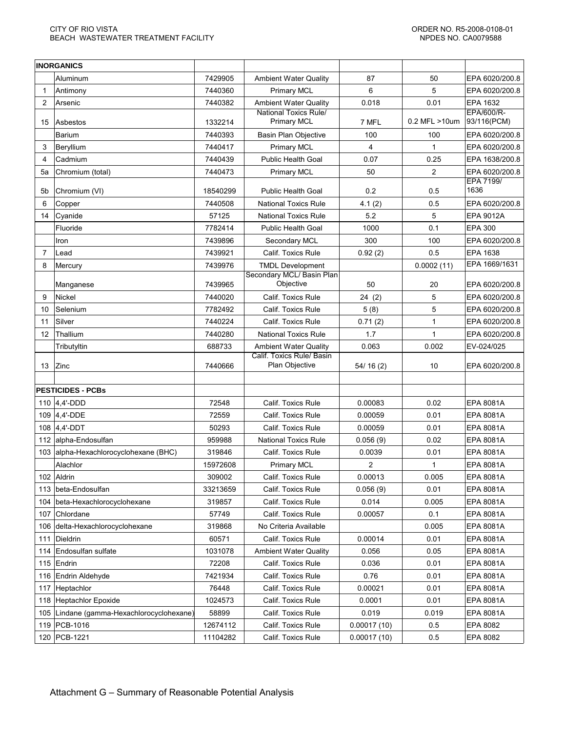|     | <b>INORGANICS</b>                         |          |                                                           |              |               |                           |
|-----|-------------------------------------------|----------|-----------------------------------------------------------|--------------|---------------|---------------------------|
|     | Aluminum                                  | 7429905  | <b>Ambient Water Quality</b>                              | 87           | 50            | EPA 6020/200.8            |
| -1  | Antimony                                  | 7440360  | <b>Primary MCL</b>                                        | 6            | 5             | EPA 6020/200.8            |
| 2   | Arsenic                                   | 7440382  | <b>Ambient Water Quality</b>                              | 0.018        | 0.01          | EPA 1632                  |
| 15  | Asbestos                                  | 1332214  | <b>National Toxics Rule/</b><br><b>Primary MCL</b>        | 7 MFL        | 0.2 MFL >10um | EPA/600/R-<br>93/116(PCM) |
|     | Barium                                    | 7440393  | <b>Basin Plan Objective</b>                               | 100          | 100           | EPA 6020/200.8            |
| 3   | Beryllium                                 | 7440417  | <b>Primary MCL</b>                                        | 4            | 1             | EPA 6020/200.8            |
| 4   | Cadmium                                   | 7440439  | <b>Public Health Goal</b>                                 | 0.07         | 0.25          | EPA 1638/200.8            |
| 5a  | Chromium (total)                          | 7440473  | <b>Primary MCL</b>                                        | 50           | 2             | EPA 6020/200.8            |
| 5b  | Chromium (VI)                             | 18540299 | <b>Public Health Goal</b>                                 | 0.2          | 0.5           | <b>EPA 7199/</b><br>1636  |
| 6   | Copper                                    | 7440508  | <b>National Toxics Rule</b>                               | 4.1(2)       | 0.5           | EPA 6020/200.8            |
| 14  | Cyanide                                   | 57125    | <b>National Toxics Rule</b>                               | 5.2          | 5             | EPA 9012A                 |
|     | Fluoride                                  | 7782414  | <b>Public Health Goal</b>                                 | 1000         | 0.1           | <b>EPA 300</b>            |
|     | Iron                                      | 7439896  | Secondary MCL                                             | 300          | 100           | EPA 6020/200.8            |
| 7   | Lead                                      | 7439921  | Calif. Toxics Rule                                        | 0.92(2)      | 0.5           | EPA 1638                  |
| 8   | Mercury                                   | 7439976  | <b>TMDL Development</b>                                   |              | 0.0002(11)    | EPA 1669/1631             |
|     |                                           |          | Secondary MCL/ Basin Plan                                 |              |               |                           |
|     | Manganese                                 | 7439965  | Objective                                                 | 50           | 20            | EPA 6020/200.8            |
| 9   | Nickel                                    | 7440020  | Calif. Toxics Rule                                        | 24(2)        | 5             | EPA 6020/200.8            |
| 10  | Selenium                                  | 7782492  | Calif. Toxics Rule                                        | 5(8)         | 5             | EPA 6020/200.8            |
| 11  | Silver                                    | 7440224  | Calif. Toxics Rule                                        | 0.71(2)      | 1             | EPA 6020/200.8            |
| 12  | Thallium                                  | 7440280  | <b>National Toxics Rule</b>                               | 1.7          | 1             | EPA 6020/200.8            |
|     | Tributyltin                               | 688733   | <b>Ambient Water Quality</b><br>Calif. Toxics Rule/ Basin | 0.063        | 0.002         | EV-024/025                |
| 13  | Zinc                                      | 7440666  | Plan Objective                                            | 54/16(2)     | 10            | EPA 6020/200.8            |
|     |                                           |          |                                                           |              |               |                           |
|     | <b>PESTICIDES - PCBs</b>                  |          |                                                           |              |               |                           |
|     | 110 4,4'-DDD                              | 72548    | Calif. Toxics Rule                                        | 0.00083      | 0.02          | <b>EPA 8081A</b>          |
|     | 109 4,4'-DDE                              | 72559    | <b>Calif. Toxics Rule</b>                                 | 0.00059      | 0.01          | <b>EPA 8081A</b>          |
|     | 108 4,4'-DDT                              | 50293    | Calif. Toxics Rule                                        | 0.00059      | 0.01          | <b>EPA 8081A</b>          |
|     | 112 alpha-Endosulfan                      | 959988   | <b>National Toxics Rule</b>                               | 0.056(9)     | 0.02          | <b>EPA 8081A</b>          |
|     | 103 alpha-Hexachlorocyclohexane (BHC)     | 319846   | Calif. Toxics Rule                                        | 0.0039       | 0.01          | <b>EPA 8081A</b>          |
|     | Alachlor                                  | 15972608 | <b>Primary MCL</b>                                        | $\mathbf{2}$ | 1             | <b>EPA 8081A</b>          |
|     | 102 Aldrin                                | 309002   | Calif. Toxics Rule                                        | 0.00013      | 0.005         | EPA 8081A                 |
| 113 | beta-Endosulfan                           | 33213659 | Calif. Toxics Rule                                        | 0.056(9)     | 0.01          | EPA 8081A                 |
| 104 | beta-Hexachlorocyclohexane                | 319857   | Calif. Toxics Rule                                        | 0.014        | 0.005         | EPA 8081A                 |
| 107 | Chlordane                                 | 57749    | Calif. Toxics Rule                                        | 0.00057      | 0.1           | EPA 8081A                 |
|     | 106 delta-Hexachlorocyclohexane           | 319868   | No Criteria Available                                     |              | 0.005         | EPA 8081A                 |
| 111 | Dieldrin                                  | 60571    | Calif. Toxics Rule                                        | 0.00014      | 0.01          | EPA 8081A                 |
|     | 114 Endosulfan sulfate                    | 1031078  | <b>Ambient Water Quality</b>                              | 0.056        | 0.05          | EPA 8081A                 |
|     | 115 $ Endrin$                             | 72208    | Calif. Toxics Rule                                        | 0.036        | 0.01          | EPA 8081A                 |
|     | 116 Endrin Aldehyde                       | 7421934  | Calif. Toxics Rule                                        | 0.76         | 0.01          | EPA 8081A                 |
|     | 117 Heptachlor                            | 76448    | Calif. Toxics Rule                                        | 0.00021      | 0.01          | EPA 8081A                 |
|     | 118 Heptachlor Epoxide                    | 1024573  | Calif. Toxics Rule                                        | 0.0001       | 0.01          | EPA 8081A                 |
|     | 105 Lindane (gamma-Hexachlorocyclohexane) | 58899    | Calif. Toxics Rule                                        | 0.019        | 0.019         | EPA 8081A                 |
|     | 119   PCB-1016                            | 12674112 | Calif. Toxics Rule                                        | 0.00017(10)  | 0.5           | EPA 8082                  |
|     | 120 PCB-1221                              | 11104282 | Calif. Toxics Rule                                        | 0.00017(10)  | 0.5           | EPA 8082                  |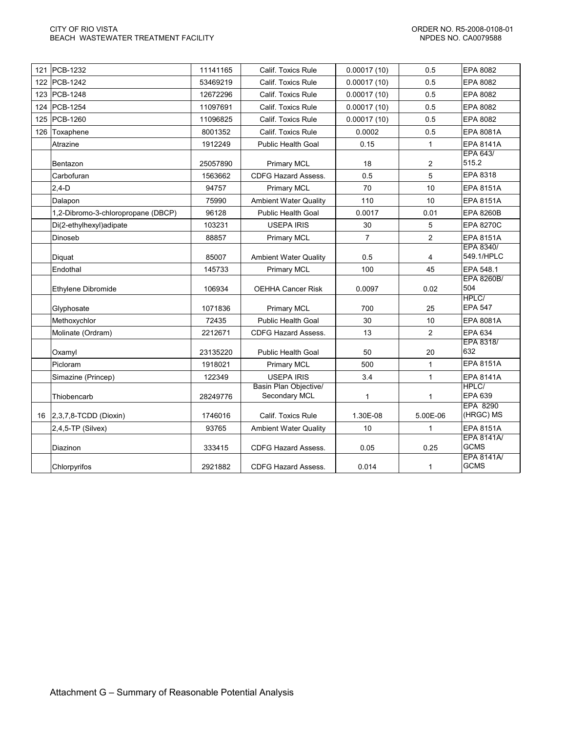| 121 PCB-1232                       | 11141165 | Calif. Toxics Rule                     | 0.00017(10)    | 0.5            | EPA 8082                         |
|------------------------------------|----------|----------------------------------------|----------------|----------------|----------------------------------|
| 122 PCB-1242                       | 53469219 | Calif. Toxics Rule                     | 0.00017(10)    | 0.5            | EPA 8082                         |
| 123 PCB-1248                       | 12672296 | Calif. Toxics Rule                     | 0.00017(10)    | 0.5            | EPA 8082                         |
| 124 PCB-1254                       | 11097691 | Calif. Toxics Rule                     | 0.00017(10)    | 0.5            | EPA 8082                         |
| 125 PCB-1260                       | 11096825 | Calif. Toxics Rule                     | 0.00017(10)    | 0.5            | EPA 8082                         |
| 126 Toxaphene                      | 8001352  | Calif. Toxics Rule                     | 0.0002         | 0.5            | <b>EPA 8081A</b>                 |
| Atrazine                           | 1912249  | <b>Public Health Goal</b>              | 0.15           | $\mathbf{1}$   | <b>EPA 8141A</b>                 |
| Bentazon                           | 25057890 | <b>Primary MCL</b>                     | 18             | 2              | EPA 643/<br>515.2                |
| Carbofuran                         | 1563662  | <b>CDFG Hazard Assess.</b>             | 0.5            | 5              | EPA 8318                         |
| $2,4-D$                            | 94757    | <b>Primary MCL</b>                     | 70             | 10             | <b>EPA 8151A</b>                 |
| Dalapon                            | 75990    | <b>Ambient Water Quality</b>           | 110            | 10             | <b>EPA 8151A</b>                 |
| 1,2-Dibromo-3-chloropropane (DBCP) | 96128    | <b>Public Health Goal</b>              | 0.0017         | 0.01           | <b>EPA 8260B</b>                 |
| Di(2-ethylhexyl)adipate            | 103231   | <b>USEPA IRIS</b>                      | 30             | 5              | <b>EPA 8270C</b>                 |
| Dinoseb                            | 88857    | <b>Primary MCL</b>                     | $\overline{7}$ | $\overline{2}$ | <b>EPA 8151A</b>                 |
| Diquat                             | 85007    | <b>Ambient Water Quality</b>           | 0.5            | 4              | EPA 8340/<br>549.1/HPLC          |
| Endothal                           | 145733   | <b>Primary MCL</b>                     | 100            | 45             | EPA 548.1                        |
| Ethylene Dibromide                 | 106934   | <b>OEHHA Cancer Risk</b>               | 0.0097         | 0.02           | EPA 8260B/<br>504                |
| Glyphosate                         | 1071836  | <b>Primary MCL</b>                     | 700            | 25             | HPLC/<br><b>EPA 547</b>          |
| Methoxychlor                       | 72435    | <b>Public Health Goal</b>              | 30             | 10             | EPA 8081A                        |
| Molinate (Ordram)                  | 2212671  | <b>CDFG Hazard Assess.</b>             | 13             | $\overline{c}$ | EPA 634                          |
| Oxamyl                             | 23135220 | <b>Public Health Goal</b>              | 50             | 20             | EPA 8318/<br>632                 |
| Picloram                           | 1918021  | Primary MCL                            | 500            | $\mathbf{1}$   | <b>EPA 8151A</b>                 |
| Simazine (Princep)                 | 122349   | <b>USEPA IRIS</b>                      | 3.4            | $\mathbf{1}$   | <b>EPA 8141A</b>                 |
| Thiobencarb                        | 28249776 | Basin Plan Objective/<br>Secondary MCL | $\mathbf{1}$   | 1              | HPLC/<br>EPA 639                 |
| 16 2,3,7,8-TCDD (Dioxin)           | 1746016  | Calif. Toxics Rule                     | 1.30E-08       | 5.00E-06       | EPA 8290<br>(HRGC) MS            |
| 2,4,5-TP (Silvex)                  | 93765    | <b>Ambient Water Quality</b>           | 10             | $\mathbf{1}$   | <b>EPA 8151A</b>                 |
| Diazinon                           | 333415   | <b>CDFG Hazard Assess.</b>             | 0.05           | 0.25           | <b>EPA 8141A/</b><br><b>GCMS</b> |
| Chlorpyrifos                       | 2921882  | <b>CDFG Hazard Assess.</b>             | 0.014          | 1              | <b>EPA 8141A/</b><br><b>GCMS</b> |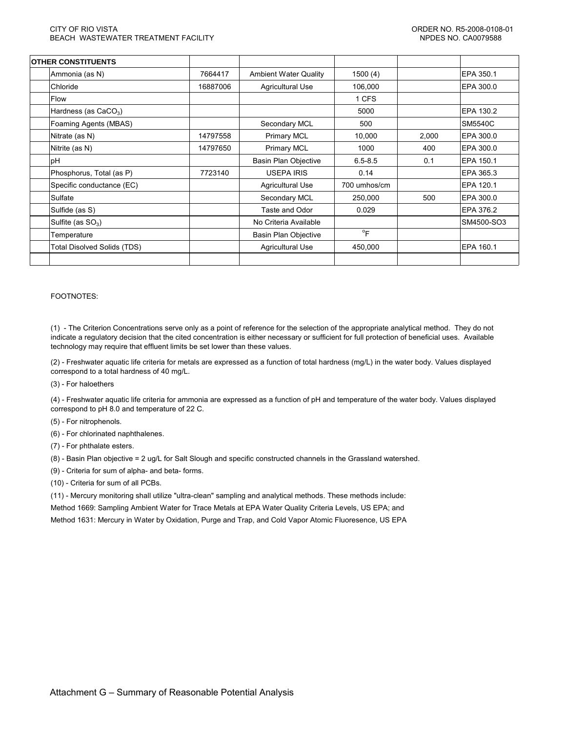| <b>OTHER CONSTITUENTS</b>          |          |                              |                           |       |            |
|------------------------------------|----------|------------------------------|---------------------------|-------|------------|
| Ammonia (as N)                     | 7664417  | <b>Ambient Water Quality</b> | 1500(4)                   |       | EPA 350.1  |
| <b>Chloride</b>                    | 16887006 | <b>Agricultural Use</b>      | 106,000                   |       | EPA 300.0  |
| Flow                               |          |                              | 1 CFS                     |       |            |
| Hardness (as $CaCO3$ )             |          |                              | 5000                      |       | EPA 130.2  |
| Foaming Agents (MBAS)              |          | Secondary MCL                | 500                       |       | SM5540C    |
| Nitrate (as N)                     | 14797558 | <b>Primary MCL</b>           | 10,000                    | 2,000 | EPA 300.0  |
| Nitrite (as N)                     | 14797650 | <b>Primary MCL</b>           | 1000                      | 400   | EPA 300.0  |
| рH                                 |          | <b>Basin Plan Objective</b>  | $6.5 - 8.5$               | 0.1   | EPA 150.1  |
| Phosphorus, Total (as P)           | 7723140  | <b>USEPA IRIS</b>            | 0.14                      |       | EPA 365.3  |
| Specific conductance (EC)          |          | Agricultural Use             | 700 umhos/cm              |       | EPA 120.1  |
| Sulfate                            |          | Secondary MCL                | 250,000                   | 500   | EPA 300.0  |
| Sulfide (as S)                     |          | Taste and Odor               | 0.029                     |       | EPA 376.2  |
| Sulfite (as $SO_3$ )               |          | No Criteria Available        |                           |       | SM4500-SO3 |
| Temperature                        |          | <b>Basin Plan Objective</b>  | $\mathrm{P}_{\mathsf{F}}$ |       |            |
| <b>Total Disolved Solids (TDS)</b> |          | <b>Agricultural Use</b>      | 450,000                   |       | EPA 160.1  |
|                                    |          |                              |                           |       |            |

#### FOOTNOTES:

(1) - The Criterion Concentrations serve only as a point of reference for the selection of the appropriate analytical method. They do not indicate a regulatory decision that the cited concentration is either necessary or sufficient for full protection of beneficial uses. Available technology may require that effluent limits be set lower than these values.

(2) - Freshwater aquatic life criteria for metals are expressed as a function of total hardness (mg/L) in the water body. Values displayed correspond to a total hardness of 40 mg/L.

(3) - For haloethers

(4) - Freshwater aquatic life criteria for ammonia are expressed as a function of pH and temperature of the water body. Values displayed correspond to pH 8.0 and temperature of 22 C.

- (5) For nitrophenols.
- (6) For chlorinated naphthalenes.
- (7) For phthalate esters.
- (8) Basin Plan objective = 2 ug/L for Salt Slough and specific constructed channels in the Grassland watershed.
- (9) Criteria for sum of alpha- and beta- forms.
- (10) Criteria for sum of all PCBs.

(11) - Mercury monitoring shall utilize "ultra-clean" sampling and analytical methods. These methods include: Method 1669: Sampling Ambient Water for Trace Metals at EPA Water Quality Criteria Levels, US EPA; and Method 1631: Mercury in Water by Oxidation, Purge and Trap, and Cold Vapor Atomic Fluoresence, US EPA